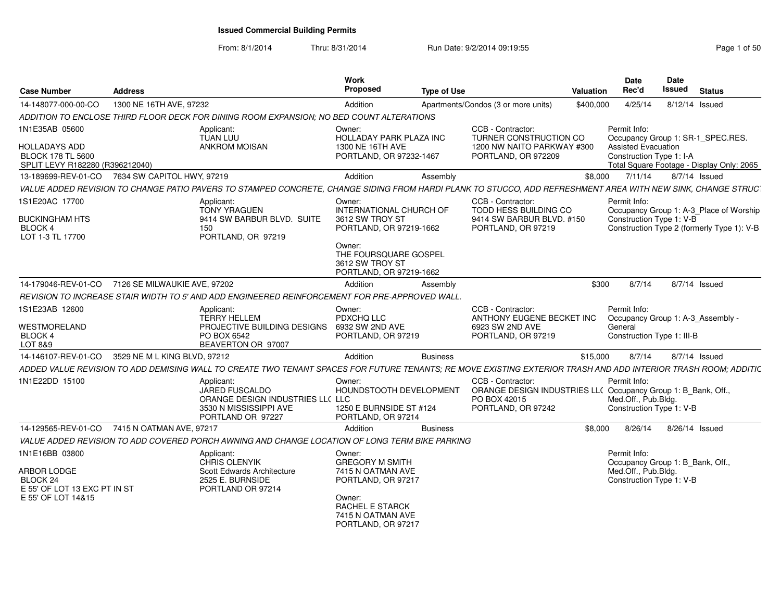From: 8/1/2014Thru: 8/31/2014 Run Date: 9/2/2014 09:19:55 Rege 1 of 50

| 14-148077-000-00-CO<br>ADDITION TO ENCLOSE THIRD FLOOR DECK FOR DINING ROOM EXPANSION; NO BED COUNT ALTERATIONS<br>1N1E35AB 05600 | 1300 NE 16TH AVE, 97232                                                                                                                                        |                                                                                 |                                                                                                                               |                 |                                                                                                                          | Valuation | Rec'd                                                                                               | <b>Issued</b>  | <b>Status</b>                                                                         |
|-----------------------------------------------------------------------------------------------------------------------------------|----------------------------------------------------------------------------------------------------------------------------------------------------------------|---------------------------------------------------------------------------------|-------------------------------------------------------------------------------------------------------------------------------|-----------------|--------------------------------------------------------------------------------------------------------------------------|-----------|-----------------------------------------------------------------------------------------------------|----------------|---------------------------------------------------------------------------------------|
|                                                                                                                                   |                                                                                                                                                                |                                                                                 | Addition                                                                                                                      |                 | Apartments/Condos (3 or more units)                                                                                      | \$400,000 | 4/25/14                                                                                             | 8/12/14 Issued |                                                                                       |
|                                                                                                                                   |                                                                                                                                                                |                                                                                 |                                                                                                                               |                 |                                                                                                                          |           |                                                                                                     |                |                                                                                       |
|                                                                                                                                   | Applicant:<br>TUAN LUU                                                                                                                                         |                                                                                 | Owner:<br>HOLLADAY PARK PLAZA INC                                                                                             |                 | CCB - Contractor:<br>TURNER CONSTRUCTION CO                                                                              |           | Permit Info:                                                                                        |                | Occupancy Group 1: SR-1_SPEC.RES.                                                     |
| <b>HOLLADAYS ADD</b><br><b>BLOCK 178 TL 5600</b><br>SPLIT LEVY R182280 (R396212040)                                               | <b>ANKROM MOISAN</b>                                                                                                                                           |                                                                                 | 1300 NE 16TH AVE<br>PORTLAND, OR 97232-1467                                                                                   |                 | 1200 NW NAITO PARKWAY #300<br>PORTLAND, OR 972209                                                                        |           | <b>Assisted Evacuation</b><br>Construction Type 1: I-A                                              |                | Total Square Footage - Display Only: 2065                                             |
| 13-189699-REV-01-CO                                                                                                               | 7634 SW CAPITOL HWY, 97219                                                                                                                                     |                                                                                 | Addition                                                                                                                      | Assembly        |                                                                                                                          | \$8,000   | 7/11/14                                                                                             |                | $8/7/14$ Issued                                                                       |
|                                                                                                                                   | VALUE ADDED REVISION TO CHANGE PATIO PAVERS TO STAMPED CONCRETE, CHANGE SIDING FROM HARDI PLANK TO STUCCO, ADD REFRESHMENT AREA WITH NEW SINK, CHANGE STRUCT   |                                                                                 |                                                                                                                               |                 |                                                                                                                          |           |                                                                                                     |                |                                                                                       |
| 1S1E20AC 17700<br><b>BUCKINGHAM HTS</b><br><b>BLOCK 4</b><br>LOT 1-3 TL 17700                                                     | Applicant:<br><b>TONY YRAGUEN</b><br>150                                                                                                                       | 9414 SW BARBUR BLVD. SUITE<br>PORTLAND, OR 97219                                | Owner:<br>INTERNATIONAL CHURCH OF<br>3612 SW TROY ST<br>PORTLAND, OR 97219-1662                                               |                 | CCB - Contractor:<br>TODD HESS BUILDING CO<br>9414 SW BARBUR BLVD. #150<br>PORTLAND, OR 97219                            |           | Permit Info:<br>Construction Type 1: V-B                                                            |                | Occupancy Group 1: A-3_Place of Worship<br>Construction Type 2 (formerly Type 1): V-B |
|                                                                                                                                   |                                                                                                                                                                |                                                                                 | Owner:<br>THE FOURSQUARE GOSPEL<br>3612 SW TROY ST<br>PORTLAND, OR 97219-1662                                                 |                 |                                                                                                                          |           |                                                                                                     |                |                                                                                       |
|                                                                                                                                   | 14-179046-REV-01-CO 7126 SE MILWAUKIE AVE, 97202                                                                                                               |                                                                                 | Addition                                                                                                                      | Assembly        |                                                                                                                          | \$300     | 8/7/14                                                                                              |                | 8/7/14 Issued                                                                         |
|                                                                                                                                   | REVISION TO INCREASE STAIR WIDTH TO 5' AND ADD ENGINEERED REINFORCEMENT FOR PRE-APPROVED WALL.                                                                 |                                                                                 |                                                                                                                               |                 |                                                                                                                          |           |                                                                                                     |                |                                                                                       |
| 1S1E23AB 12600<br>WESTMORELAND<br><b>BLOCK4</b><br>LOT 8&9                                                                        | Applicant:<br><b>TERRY HELLEM</b><br>PO BOX 6542                                                                                                               | PROJECTIVE BUILDING DESIGNS<br>BEAVERTON OR 97007                               | Owner:<br>PDXCHQ LLC<br>6932 SW 2ND AVE<br>PORTLAND, OR 97219                                                                 |                 | CCB - Contractor:<br>ANTHONY EUGENE BECKET INC<br>6923 SW 2ND AVE<br>PORTLAND, OR 97219                                  |           | Permit Info:<br>General<br>Construction Type 1: III-B                                               |                | Occupancy Group 1: A-3_Assembly -                                                     |
| 14-146107-REV-01-CO                                                                                                               | 3529 NE M L KING BLVD, 97212                                                                                                                                   |                                                                                 | Addition                                                                                                                      | <b>Business</b> |                                                                                                                          | \$15,000  | 8/7/14                                                                                              |                | 8/7/14 Issued                                                                         |
|                                                                                                                                   | ADDED VALUE REVISION TO ADD DEMISING WALL TO CREATE TWO TENANT SPACES FOR FUTURE TENANTS; RE MOVE EXISTING EXTERIOR TRASH AND ADD INTERIOR TRASH ROOM; ADDITIC |                                                                                 |                                                                                                                               |                 |                                                                                                                          |           |                                                                                                     |                |                                                                                       |
| 1N1E22DD 15100                                                                                                                    | Applicant:<br><b>JARED FUSCALDO</b>                                                                                                                            | ORANGE DESIGN INDUSTRIES LL( LLC<br>3530 N MISSISSIPPI AVE<br>PORTLAND OR 97227 | Owner:<br>HOUNDSTOOTH DEVELOPMENT<br>1250 E BURNSIDE ST #124<br>PORTLAND, OR 97214                                            |                 | CCB - Contractor:<br>ORANGE DESIGN INDUSTRIES LL( Occupancy Group 1: B Bank, Off.,<br>PO BOX 42015<br>PORTLAND, OR 97242 |           | Permit Info:<br>Med.Off., Pub.Bldg.<br>Construction Type 1: V-B                                     |                |                                                                                       |
| 14-129565-REV-01-CO                                                                                                               | 7415 N OATMAN AVE, 97217                                                                                                                                       |                                                                                 | Addition                                                                                                                      | <b>Business</b> |                                                                                                                          | \$8,000   | 8/26/14                                                                                             |                | 8/26/14 Issued                                                                        |
|                                                                                                                                   | VALUE ADDED REVISION TO ADD COVERED PORCH AWNING AND CHANGE LOCATION OF LONG TERM BIKE PARKING                                                                 |                                                                                 |                                                                                                                               |                 |                                                                                                                          |           |                                                                                                     |                |                                                                                       |
| 1N1E16BB 03800<br>ARBOR LODGE<br>BLOCK <sub>24</sub><br>E 55' OF LOT 13 EXC PT IN ST<br>E 55' OF LOT 14&15                        | Applicant:<br><b>CHRIS OLENYIK</b><br>2525 E. BURNSIDE                                                                                                         | Scott Edwards Architecture<br>PORTLAND OR 97214                                 | Owner:<br><b>GREGORY M SMITH</b><br>7415 N OATMAN AVE<br>PORTLAND, OR 97217<br>Owner:<br>RACHEL E STARCK<br>7415 N OATMAN AVE |                 |                                                                                                                          |           | Permit Info:<br>Occupancy Group 1: B_Bank, Off.,<br>Med.Off., Pub.Bldg.<br>Construction Type 1: V-B |                |                                                                                       |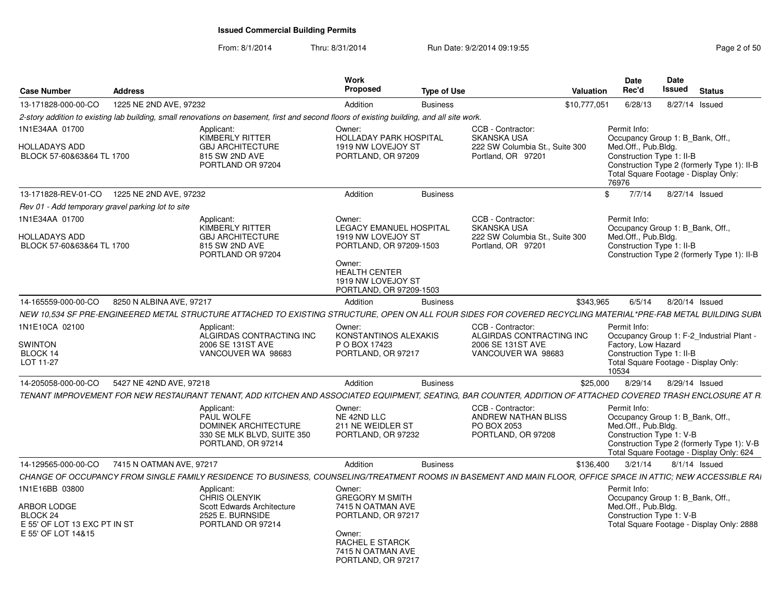From: 8/1/2014Thru: 8/31/2014 Run Date: 9/2/2014 09:19:55 Rege 2 of 50

| <b>Case Number</b>                                                                              | <b>Address</b>           |                                                                                                                                                                | Work<br><b>Proposed</b>                                                                                                                                               | <b>Type of Use</b> |                                                                                                 | <b>Valuation</b> | Date<br>Rec'd                                                                                                                                                                                        | Date<br>Issued | <b>Status</b>   |  |
|-------------------------------------------------------------------------------------------------|--------------------------|----------------------------------------------------------------------------------------------------------------------------------------------------------------|-----------------------------------------------------------------------------------------------------------------------------------------------------------------------|--------------------|-------------------------------------------------------------------------------------------------|------------------|------------------------------------------------------------------------------------------------------------------------------------------------------------------------------------------------------|----------------|-----------------|--|
| 13-171828-000-00-CO                                                                             | 1225 NE 2ND AVE, 97232   |                                                                                                                                                                | Addition                                                                                                                                                              | <b>Business</b>    |                                                                                                 | \$10,777,051     | 6/28/13                                                                                                                                                                                              |                | 8/27/14 Issued  |  |
|                                                                                                 |                          | 2-story addition to existing lab building, small renovations on basement, first and second floors of existing building, and all site work.                     |                                                                                                                                                                       |                    |                                                                                                 |                  |                                                                                                                                                                                                      |                |                 |  |
| 1N1E34AA 01700<br><b>HOLLADAYS ADD</b><br>BLOCK 57-60&63&64 TL 1700                             |                          | Applicant:<br>KIMBERLY RITTER<br><b>GBJ ARCHITECTURE</b><br>815 SW 2ND AVE<br>PORTLAND OR 97204                                                                | Owner:<br><b>HOLLADAY PARK HOSPITAL</b><br>1919 NW LOVEJOY ST<br>PORTLAND, OR 97209                                                                                   |                    | CCB - Contractor:<br><b>SKANSKA USA</b><br>222 SW Columbia St., Suite 300<br>Portland, OR 97201 |                  | Permit Info:<br>Occupancy Group 1: B Bank, Off.,<br>Med.Off., Pub.Bldg.<br>Construction Type 1: II-B<br>Construction Type 2 (formerly Type 1): II-B<br>Total Square Footage - Display Only:<br>76976 |                |                 |  |
| 13-171828-REV-01-CO  1225 NE 2ND AVE, 97232                                                     |                          |                                                                                                                                                                | Addition                                                                                                                                                              | <b>Business</b>    |                                                                                                 |                  | 7/7/14<br>$\mathbb{S}$                                                                                                                                                                               |                | 8/27/14 Issued  |  |
| Rev 01 - Add temporary gravel parking lot to site                                               |                          |                                                                                                                                                                |                                                                                                                                                                       |                    |                                                                                                 |                  |                                                                                                                                                                                                      |                |                 |  |
| 1N1E34AA 01700<br>HOLLADAYS ADD<br>BLOCK 57-60&63&64 TL 1700                                    |                          | Applicant:<br>KIMBERLY RITTER<br><b>GBJ ARCHITECTURE</b><br>815 SW 2ND AVE<br>PORTLAND OR 97204                                                                | Owner:<br>LEGACY EMANUEL HOSPITAL<br>1919 NW LOVEJOY ST<br>PORTLAND, OR 97209-1503<br>Owner:<br><b>HEALTH CENTER</b><br>1919 NW LOVEJOY ST<br>PORTLAND, OR 97209-1503 |                    | CCB - Contractor:<br><b>SKANSKA USA</b><br>222 SW Columbia St., Suite 300<br>Portland, OR 97201 |                  | Permit Info:<br>Occupancy Group 1: B Bank, Off.,<br>Med.Off., Pub.Bldg.<br>Construction Type 1: II-B<br>Construction Type 2 (formerly Type 1): II-B                                                  |                |                 |  |
| 14-165559-000-00-CO                                                                             | 8250 N ALBINA AVE, 97217 |                                                                                                                                                                | Addition                                                                                                                                                              | <b>Business</b>    |                                                                                                 | \$343,965        | 6/5/14                                                                                                                                                                                               |                | 8/20/14 Issued  |  |
|                                                                                                 |                          | NEW 10,534 SF PRE-ENGINEERED METAL STRUCTURE ATTACHED TO EXISTING STRUCTURE, OPEN ON ALL FOUR SIDES FOR COVERED RECYCLING MATERIAL*PRE-FAB METAL BUILDING SUBN |                                                                                                                                                                       |                    |                                                                                                 |                  |                                                                                                                                                                                                      |                |                 |  |
| 1N1E10CA 02100<br><b>SWINTON</b><br>BLOCK 14<br>LOT 11-27                                       |                          | Applicant:<br>ALGIRDAS CONTRACTING INC<br>2006 SE 131ST AVE<br>VANCOUVER WA 98683                                                                              | Owner:<br>KONSTANTINOS ALEXAKIS<br>P O BOX 17423<br>PORTLAND, OR 97217                                                                                                |                    | CCB - Contractor:<br>ALGIRDAS CONTRACTING INC<br>2006 SE 131ST AVE<br>VANCOUVER WA 98683        |                  | Permit Info:<br>Occupancy Group 1: F-2_Industrial Plant -<br>Factory, Low Hazard<br>Construction Type 1: II-B<br>Total Square Footage - Display Only:<br>10534                                       |                |                 |  |
| 14-205058-000-00-CO                                                                             | 5427 NE 42ND AVE, 97218  |                                                                                                                                                                | Addition                                                                                                                                                              | <b>Business</b>    |                                                                                                 | \$25,000         | 8/29/14                                                                                                                                                                                              |                | 8/29/14 Issued  |  |
|                                                                                                 |                          | TENANT IMPROVEMENT FOR NEW RESTAURANT TENANT, ADD KITCHEN AND ASSOCIATED EQUIPMENT, SEATING, BAR COUNTER, ADDITION OF ATTACHED COVERED TRASH ENCLOSURE AT R.   |                                                                                                                                                                       |                    |                                                                                                 |                  |                                                                                                                                                                                                      |                |                 |  |
|                                                                                                 |                          | Applicant:<br>PAUL WOLFE<br><b>DOMINEK ARCHITECTURE</b><br>330 SE MLK BLVD, SUITE 350<br>PORTLAND, OR 97214                                                    | Owner:<br>NE 42ND LLC<br>211 NE WEIDLER ST<br>PORTLAND, OR 97232                                                                                                      |                    | CCB - Contractor:<br>ANDREW NATHAN BLISS<br>PO BOX 2053<br>PORTLAND, OR 97208                   |                  | Permit Info:<br>Occupancy Group 1: B_Bank, Off.,<br>Med.Off., Pub.Bldg.<br>Construction Type 1: V-B<br>Construction Type 2 (formerly Type 1): V-B<br>Total Square Footage - Display Only: 624        |                |                 |  |
| 14-129565-000-00-CO                                                                             | 7415 N OATMAN AVE, 97217 |                                                                                                                                                                | Addition                                                                                                                                                              | <b>Business</b>    |                                                                                                 | \$136,400        | 3/21/14                                                                                                                                                                                              |                | $8/1/14$ Issued |  |
|                                                                                                 |                          | CHANGE OF OCCUPANCY FROM SINGLE FAMILY RESIDENCE TO BUSINESS, COUNSELING/TREATMENT ROOMS IN BASEMENT AND MAIN FLOOR, OFFICE SPACE IN ATTIC; NEW ACCESSIBLE RAI |                                                                                                                                                                       |                    |                                                                                                 |                  |                                                                                                                                                                                                      |                |                 |  |
| 1N1E16BB 03800<br>ARBOR LODGE<br>BLOCK 24<br>E 55' OF LOT 13 EXC PT IN ST<br>E 55' OF LOT 14&15 |                          | Applicant:<br><b>CHRIS OLENYIK</b><br>Scott Edwards Architecture<br>2525 E. BURNSIDE<br>PORTLAND OR 97214                                                      | Owner:<br><b>GREGORY M SMITH</b><br>7415 N OATMAN AVE<br>PORTLAND, OR 97217<br>Owner:<br><b>RACHEL E STARCK</b><br>7415 N OATMAN AVE<br>PORTLAND, OR 97217            |                    |                                                                                                 |                  | Permit Info:<br>Occupancy Group 1: B_Bank, Off.,<br>Med.Off., Pub.Bldg.<br>Construction Type 1: V-B<br>Total Square Footage - Display Only: 2888                                                     |                |                 |  |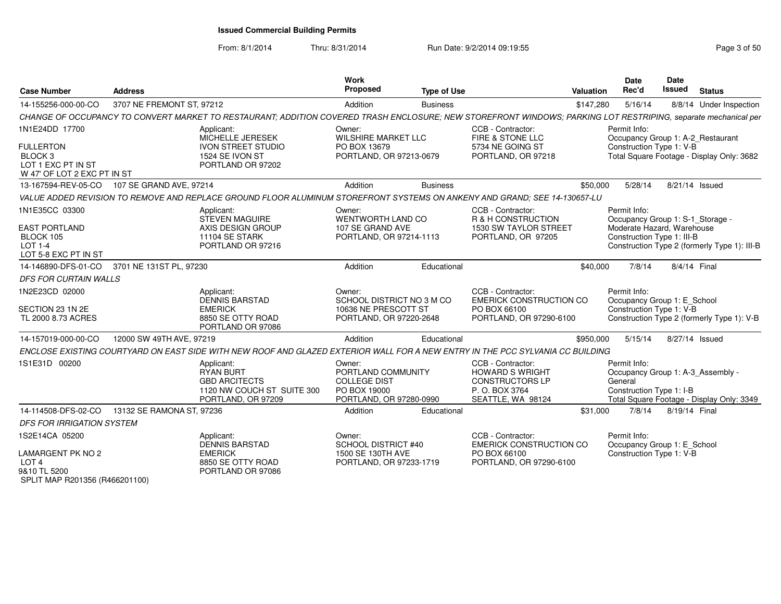From: 8/1/2014Thru: 8/31/2014 Run Date: 9/2/2014 09:19:55 Research 2010 12:55

| <b>Case Number</b>                                                 | <b>Address</b>            |                                                                                                                                                                | Work<br><b>Proposed</b>                                                                        | <b>Type of Use</b> |                                                                                                              | Valuation | <b>Date</b><br>Rec'd                                                                     | Date<br><b>Issued</b> | <b>Status</b>                                |
|--------------------------------------------------------------------|---------------------------|----------------------------------------------------------------------------------------------------------------------------------------------------------------|------------------------------------------------------------------------------------------------|--------------------|--------------------------------------------------------------------------------------------------------------|-----------|------------------------------------------------------------------------------------------|-----------------------|----------------------------------------------|
| 14-155256-000-00-CO                                                | 3707 NE FREMONT ST, 97212 |                                                                                                                                                                | Addition                                                                                       | <b>Business</b>    |                                                                                                              | \$147,280 | 5/16/14                                                                                  |                       | 8/8/14 Under Inspection                      |
|                                                                    |                           | CHANGE OF OCCUPANCY TO CONVERT MARKET TO RESTAURANT; ADDITION COVERED TRASH ENCLOSURE; NEW STOREFRONT WINDOWS; PARKING LOT RESTRIPING, separate mechanical per |                                                                                                |                    |                                                                                                              |           |                                                                                          |                       |                                              |
| 1N1E24DD 17700<br><b>FULLERTON</b><br>BLOCK <sub>3</sub>           |                           | Applicant:<br>MICHELLE JERESEK<br><b>IVON STREET STUDIO</b><br>1524 SE IVON ST                                                                                 | Owner:<br><b>WILSHIRE MARKET LLC</b><br>PO BOX 13679<br>PORTLAND, OR 97213-0679                |                    | CCB - Contractor:<br>FIRE & STONE LLC<br>5734 NE GOING ST<br>PORTLAND, OR 97218                              |           | Permit Info:<br>Occupancy Group 1: A-2_Restaurant<br>Construction Type 1: V-B            |                       | Total Square Footage - Display Only: 3682    |
| LOT 1 EXC PT IN ST<br>W 47' OF LOT 2 EXC PT IN ST                  |                           | PORTLAND OR 97202                                                                                                                                              |                                                                                                |                    |                                                                                                              |           |                                                                                          |                       |                                              |
| 13-167594-REV-05-CO                                                | 107 SE GRAND AVE, 97214   |                                                                                                                                                                | Addition                                                                                       | <b>Business</b>    |                                                                                                              | \$50,000  | 5/28/14                                                                                  |                       | 8/21/14 Issued                               |
|                                                                    |                           | VALUE ADDED REVISION TO REMOVE AND REPLACE GROUND FLOOR ALUMINUM STOREFRONT SYSTEMS ON ANKENY AND GRAND; SEE 14-130657-LU                                      |                                                                                                |                    |                                                                                                              |           |                                                                                          |                       |                                              |
| 1N1E35CC 03300<br><b>EAST PORTLAND</b>                             |                           | Applicant:<br><b>STEVEN MAGUIRE</b><br>AXIS DESIGN GROUP                                                                                                       | Owner:<br>WENTWORTH LAND CO<br>107 SE GRAND AVE                                                |                    | CCB - Contractor:<br>R & H CONSTRUCTION<br>1530 SW TAYLOR STREET                                             |           | Permit Info:<br>Occupancy Group 1: S-1_Storage -<br>Moderate Hazard, Warehouse           |                       |                                              |
| BLOCK 105<br>LOT 1-4<br>LOT 5-8 EXC PT IN ST                       |                           | 11104 SE STARK<br>PORTLAND OR 97216                                                                                                                            | PORTLAND, OR 97214-1113                                                                        |                    | PORTLAND, OR 97205                                                                                           |           | Construction Type 1: III-B                                                               |                       | Construction Type 2 (formerly Type 1): III-B |
| 14-146890-DFS-01-CO                                                | 3701 NE 131ST PL, 97230   |                                                                                                                                                                | Addition                                                                                       | Educational        |                                                                                                              | \$40,000  | 7/8/14                                                                                   | 8/4/14 Final          |                                              |
| DFS FOR CURTAIN WALLS                                              |                           |                                                                                                                                                                |                                                                                                |                    |                                                                                                              |           |                                                                                          |                       |                                              |
| 1N2E23CD 02000<br>SECTION 23 1N 2E<br>TL 2000 8.73 ACRES           |                           | Applicant:<br><b>DENNIS BARSTAD</b><br><b>EMERICK</b><br>8850 SE OTTY ROAD<br>PORTLAND OR 97086                                                                | Owner:<br>SCHOOL DISTRICT NO 3 M CO<br>10636 NE PRESCOTT ST<br>PORTLAND, OR 97220-2648         |                    | CCB - Contractor:<br><b>EMERICK CONSTRUCTION CO</b><br>PO BOX 66100<br>PORTLAND, OR 97290-6100               |           | Permit Info:<br>Occupancy Group 1: E School<br>Construction Type 1: V-B                  |                       | Construction Type 2 (formerly Type 1): V-B   |
| 14-157019-000-00-CO                                                | 12000 SW 49TH AVE, 97219  |                                                                                                                                                                | Addition                                                                                       | Educational        |                                                                                                              | \$950,000 | 5/15/14                                                                                  |                       | 8/27/14 Issued                               |
|                                                                    |                           | ENCLOSE EXISTING COURTYARD ON EAST SIDE WITH NEW ROOF AND GLAZED EXTERIOR WALL FOR A NEW ENTRY IN THE PCC SYLVANIA CC BUILDING                                 |                                                                                                |                    |                                                                                                              |           |                                                                                          |                       |                                              |
| 1S1E31D 00200                                                      |                           | Applicant:<br><b>RYAN BURT</b><br><b>GBD ARCITECTS</b><br>1120 NW COUCH ST SUITE 300<br>PORTLAND, OR 97209                                                     | Owner:<br>PORTLAND COMMUNITY<br><b>COLLEGE DIST</b><br>PO BOX 19000<br>PORTLAND, OR 97280-0990 |                    | CCB - Contractor:<br><b>HOWARD S WRIGHT</b><br><b>CONSTRUCTORS LP</b><br>P. O. BOX 3764<br>SEATTLE, WA 98124 |           | Permit Info:<br>Occupancy Group 1: A-3_Assembly -<br>General<br>Construction Type 1: I-B |                       | Total Square Footage - Display Only: 3349    |
| 14-114508-DFS-02-CO                                                | 13132 SE RAMONA ST, 97236 |                                                                                                                                                                | Addition                                                                                       | Educational        |                                                                                                              | \$31,000  | 7/8/14                                                                                   | 8/19/14 Final         |                                              |
| <b>DFS FOR IRRIGATION SYSTEM</b>                                   |                           |                                                                                                                                                                |                                                                                                |                    |                                                                                                              |           |                                                                                          |                       |                                              |
| 1S2E14CA 05200<br><b>LAMARGENT PK NO 2</b>                         |                           | Applicant:<br><b>DENNIS BARSTAD</b><br><b>EMERICK</b>                                                                                                          | Owner:<br><b>SCHOOL DISTRICT #40</b><br>1500 SE 130TH AVE                                      |                    | CCB - Contractor:<br><b>EMERICK CONSTRUCTION CO</b><br>PO BOX 66100                                          |           | Permit Info:<br>Occupancy Group 1: E_School<br>Construction Type 1: V-B                  |                       |                                              |
| LOT <sub>4</sub><br>9&10 TL 5200<br>SPLIT MAP R201356 (R466201100) |                           | 8850 SE OTTY ROAD<br>PORTLAND OR 97086                                                                                                                         | PORTLAND, OR 97233-1719                                                                        |                    | PORTLAND, OR 97290-6100                                                                                      |           |                                                                                          |                       |                                              |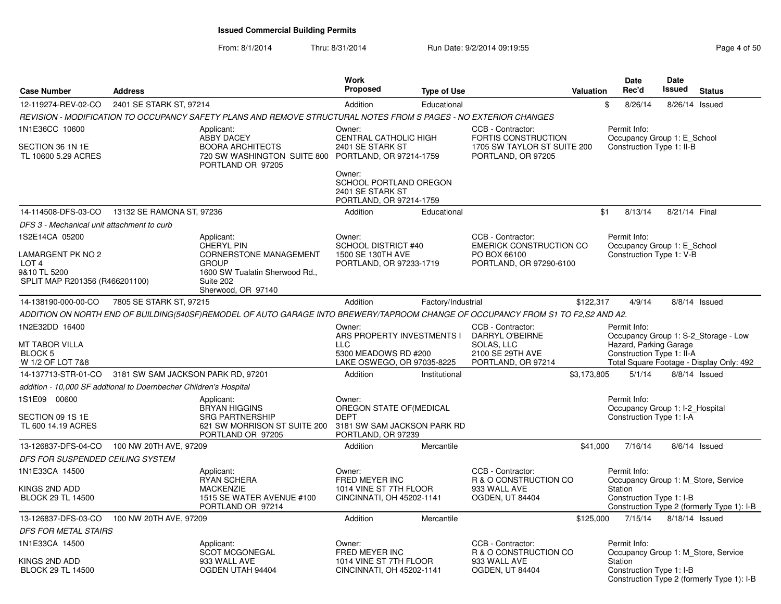From: 8/1/2014Thru: 8/31/2014 Run Date: 9/2/2014 09:19:55 Research 2010 12:00 Page 4 of 50

| <b>Case Number</b>                                                                      | <b>Address</b>                                                    |                                                                                                                                               | Work<br><b>Proposed</b>                                                                                  | <b>Type of Use</b> |                                                                                               | Valuation   | Date<br>Rec'd                                                               | <b>Date</b><br>Issued | <b>Status</b>                                                                     |
|-----------------------------------------------------------------------------------------|-------------------------------------------------------------------|-----------------------------------------------------------------------------------------------------------------------------------------------|----------------------------------------------------------------------------------------------------------|--------------------|-----------------------------------------------------------------------------------------------|-------------|-----------------------------------------------------------------------------|-----------------------|-----------------------------------------------------------------------------------|
| 12-119274-REV-02-CO                                                                     | 2401 SE STARK ST, 97214                                           |                                                                                                                                               | Addition                                                                                                 | Educational        |                                                                                               |             | \$<br>8/26/14                                                               | 8/26/14               | Issued                                                                            |
|                                                                                         |                                                                   | REVISION - MODIFICATION TO OCCUPANCY SAFETY PLANS AND REMOVE STRUCTURAL NOTES FROM S PAGES - NO EXTERIOR CHANGES                              |                                                                                                          |                    |                                                                                               |             |                                                                             |                       |                                                                                   |
| 1N1E36CC 10600<br>SECTION 36 1N 1E<br>TL 10600 5.29 ACRES                               |                                                                   | Applicant:<br><b>ABBY DACEY</b><br><b>BOORA ARCHITECTS</b><br>720 SW WASHINGTON SUITE 800 PORTLAND, OR 97214-1759<br>PORTLAND OR 97205        | Owner:<br>CENTRAL CATHOLIC HIGH<br>2401 SE STARK ST<br>Owner:<br>SCHOOL PORTLAND OREGON                  |                    | CCB - Contractor:<br>FORTIS CONSTRUCTION<br>1705 SW TAYLOR ST SUITE 200<br>PORTLAND, OR 97205 |             | Permit Info:<br>Occupancy Group 1: E_School<br>Construction Type 1: II-B    |                       |                                                                                   |
|                                                                                         |                                                                   |                                                                                                                                               | 2401 SE STARK ST<br>PORTLAND, OR 97214-1759                                                              |                    |                                                                                               |             |                                                                             |                       |                                                                                   |
| 14-114508-DFS-03-CO                                                                     | 13132 SE RAMONA ST, 97236                                         |                                                                                                                                               | Addition                                                                                                 | Educational        |                                                                                               | \$1         | 8/13/14                                                                     | 8/21/14 Final         |                                                                                   |
| DFS 3 - Mechanical unit attachment to curb                                              |                                                                   |                                                                                                                                               |                                                                                                          |                    |                                                                                               |             |                                                                             |                       |                                                                                   |
| 1S2E14CA 05200                                                                          |                                                                   | Applicant:                                                                                                                                    | Owner:                                                                                                   |                    | CCB - Contractor:                                                                             |             | Permit Info:                                                                |                       |                                                                                   |
| LAMARGENT PK NO 2<br>LOT <sub>4</sub><br>9&10 TL 5200<br>SPLIT MAP R201356 (R466201100) |                                                                   | <b>CHERYL PIN</b><br><b>CORNERSTONE MANAGEMENT</b><br><b>GROUP</b><br>1600 SW Tualatin Sherwood Rd.,<br>Suite 202<br>Sherwood, OR 97140       | <b>SCHOOL DISTRICT #40</b><br>1500 SE 130TH AVE<br>PORTLAND, OR 97233-1719                               |                    | <b>EMERICK CONSTRUCTION CO</b><br>PO BOX 66100<br>PORTLAND, OR 97290-6100                     |             | Occupancy Group 1: E_School<br>Construction Type 1: V-B                     |                       |                                                                                   |
| 14-138190-000-00-CO                                                                     | 7805 SE STARK ST, 97215                                           |                                                                                                                                               | Addition                                                                                                 | Factory/Industrial |                                                                                               | \$122.317   | 4/9/14                                                                      |                       | 8/8/14 Issued                                                                     |
|                                                                                         |                                                                   | ADDITION ON NORTH END OF BUILDING(540SF)REMODEL OF AUTO GARAGE INTO BREWERY/TAPROOM CHANGE OF OCCUPANCY FROM S1 TO F2,S2 AND A2.              |                                                                                                          |                    |                                                                                               |             |                                                                             |                       |                                                                                   |
| 1N2E32DD 16400<br><b>MT TABOR VILLA</b><br>BLOCK 5<br>W 1/2 OF LOT 7&8                  |                                                                   |                                                                                                                                               | Owner:<br>ARS PROPERTY INVESTMENTS I<br><b>LLC</b><br>5300 MEADOWS RD #200<br>LAKE OSWEGO, OR 97035-8225 |                    | CCB - Contractor:<br>DARRYL O'BEIRNE<br>SOLAS, LLC<br>2100 SE 29TH AVE<br>PORTLAND, OR 97214  |             | Permit Info:<br>Hazard, Parking Garage<br>Construction Type 1: II-A         |                       | Occupancy Group 1: S-2 Storage - Low<br>Total Square Footage - Display Only: 492  |
| 14-137713-STR-01-CO                                                                     | 3181 SW SAM JACKSON PARK RD, 97201                                |                                                                                                                                               | Addition                                                                                                 | Institutional      |                                                                                               | \$3,173,805 | 5/1/14                                                                      |                       | $8/8/14$ Issued                                                                   |
|                                                                                         | addition - 10,000 SF addtional to Doernbecher Children's Hospital |                                                                                                                                               |                                                                                                          |                    |                                                                                               |             |                                                                             |                       |                                                                                   |
| 1S1E09 00600<br>SECTION 09 1S 1E<br>TL 600 14.19 ACRES                                  |                                                                   | Applicant:<br><b>BRYAN HIGGINS</b><br><b>SRG PARTNERSHIP</b><br>621 SW MORRISON ST SUITE 200 3181 SW SAM JACKSON PARK RD<br>PORTLAND OR 97205 | Owner:<br>OREGON STATE OF (MEDICAL<br><b>DEPT</b><br>PORTLAND, OR 97239                                  |                    |                                                                                               |             | Permit Info:<br>Occupancy Group 1: I-2_Hospital<br>Construction Type 1: I-A |                       |                                                                                   |
| 13-126837-DFS-04-CO                                                                     | 100 NW 20TH AVE, 97209                                            |                                                                                                                                               | Addition                                                                                                 | Mercantile         |                                                                                               | \$41,000    | 7/16/14                                                                     |                       | 8/6/14 Issued                                                                     |
| DFS FOR SUSPENDED CEILING SYSTEM                                                        |                                                                   |                                                                                                                                               |                                                                                                          |                    |                                                                                               |             |                                                                             |                       |                                                                                   |
| 1N1E33CA 14500<br>KINGS 2ND ADD<br><b>BLOCK 29 TL 14500</b>                             |                                                                   | Applicant:<br><b>RYAN SCHERA</b><br><b>MACKENZIE</b><br>1515 SE WATER AVENUE #100<br>PORTLAND OR 97214                                        | Owner:<br>FRED MEYER INC<br>1014 VINE ST 7TH FLOOR<br>CINCINNATI, OH 45202-1141                          |                    | CCB - Contractor:<br>R & O CONSTRUCTION CO<br>933 WALL AVE<br>OGDEN, UT 84404                 |             | Permit Info:<br>Station<br>Construction Type 1: I-B                         |                       | Occupancy Group 1: M Store, Service<br>Construction Type 2 (formerly Type 1): I-B |
| 13-126837-DFS-03-CO                                                                     | 100 NW 20TH AVE, 97209                                            |                                                                                                                                               | Addition                                                                                                 | Mercantile         |                                                                                               | \$125,000   | 7/15/14                                                                     |                       | 8/18/14 Issued                                                                    |
| <b>DFS FOR METAL STAIRS</b>                                                             |                                                                   |                                                                                                                                               |                                                                                                          |                    |                                                                                               |             |                                                                             |                       |                                                                                   |
| 1N1E33CA 14500<br>KINGS 2ND ADD                                                         |                                                                   | Applicant:<br><b>SCOT MCGONEGAL</b><br>933 WALL AVE                                                                                           | Owner:<br>FRED MEYER INC<br>1014 VINE ST 7TH FLOOR                                                       |                    | CCB - Contractor:<br>R & O CONSTRUCTION CO<br>933 WALL AVE                                    |             | Permit Info:<br>Station                                                     |                       | Occupancy Group 1: M_Store, Service                                               |
| <b>BLOCK 29 TL 14500</b>                                                                |                                                                   | OGDEN UTAH 94404                                                                                                                              | CINCINNATI, OH 45202-1141                                                                                |                    | <b>OGDEN, UT 84404</b>                                                                        |             | Construction Type 1: I-B                                                    |                       | Construction Type 2 (formerly Type 1): I-B                                        |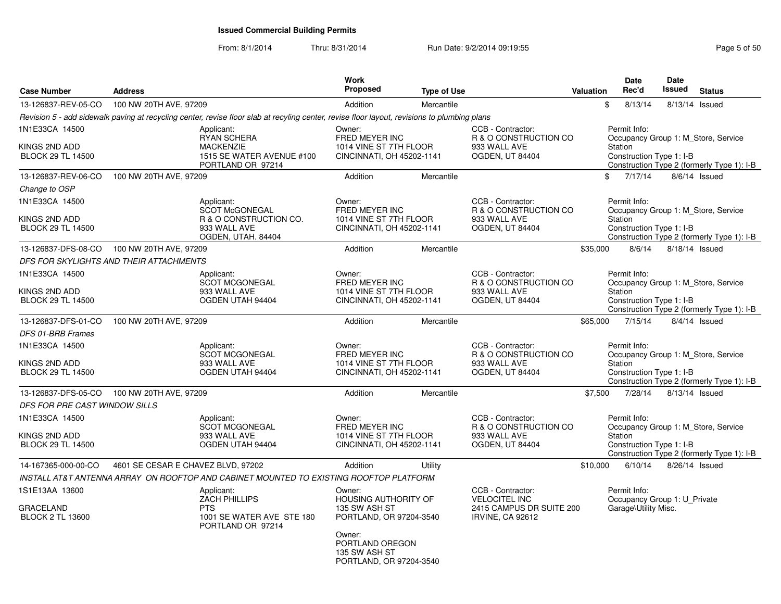From: 8/1/2014

Thru: 8/31/2014 Run Date: 9/2/2014 09:19:55 Rege 5 of 50

| <b>Case Number</b>                                          | <b>Address</b>                     |                                                                                                                                              | <b>Work</b><br><b>Proposed</b>                                                  | <b>Type of Use</b> |                                                                                           | Valuation | <b>Date</b><br>Rec'd                                                 | Date<br>Issued | <b>Status</b>                                                                     |
|-------------------------------------------------------------|------------------------------------|----------------------------------------------------------------------------------------------------------------------------------------------|---------------------------------------------------------------------------------|--------------------|-------------------------------------------------------------------------------------------|-----------|----------------------------------------------------------------------|----------------|-----------------------------------------------------------------------------------|
| 13-126837-REV-05-CO                                         | 100 NW 20TH AVE, 97209             |                                                                                                                                              | Addition                                                                        | Mercantile         |                                                                                           | \$        | 8/13/14                                                              |                | 8/13/14 Issued                                                                    |
|                                                             |                                    | Revision 5 - add sidewalk paving at recycling center, revise floor slab at recyling center, revise floor layout, revisions to plumbing plans |                                                                                 |                    |                                                                                           |           |                                                                      |                |                                                                                   |
| 1N1E33CA 14500<br>KINGS 2ND ADD<br><b>BLOCK 29 TL 14500</b> |                                    | Applicant:<br><b>RYAN SCHERA</b><br><b>MACKENZIE</b><br>1515 SE WATER AVENUE #100<br>PORTLAND OR 97214                                       | Owner:<br>FRED MEYER INC<br>1014 VINE ST 7TH FLOOR<br>CINCINNATI, OH 45202-1141 |                    | CCB - Contractor:<br>R & O CONSTRUCTION CO<br>933 WALL AVE<br><b>OGDEN, UT 84404</b>      |           | Permit Info:<br>Station<br>Construction Type 1: I-B                  |                | Occupancy Group 1: M_Store, Service<br>Construction Type 2 (formerly Type 1): I-B |
| 13-126837-REV-06-CO                                         | 100 NW 20TH AVE, 97209             |                                                                                                                                              | Addition                                                                        | Mercantile         |                                                                                           | \$        | 7/17/14                                                              |                | $8/6/14$ Issued                                                                   |
| Change to OSP                                               |                                    |                                                                                                                                              |                                                                                 |                    |                                                                                           |           |                                                                      |                |                                                                                   |
| 1N1E33CA 14500                                              |                                    | Applicant:                                                                                                                                   | Owner:                                                                          |                    | CCB - Contractor:                                                                         |           | Permit Info:                                                         |                |                                                                                   |
| KINGS 2ND ADD<br><b>BLOCK 29 TL 14500</b>                   |                                    | SCOT McGONEGAL<br>R & O CONSTRUCTION CO.<br>933 WALL AVE<br>OGDEN, UTAH. 84404                                                               | FRED MEYER INC<br>1014 VINE ST 7TH FLOOR<br>CINCINNATI, OH 45202-1141           |                    | R & O CONSTRUCTION CO<br>933 WALL AVE<br>OGDEN, UT 84404                                  |           | Station<br>Construction Type 1: I-B                                  |                | Occupancy Group 1: M_Store, Service<br>Construction Type 2 (formerly Type 1): I-B |
| 13-126837-DFS-08-CO                                         | 100 NW 20TH AVE, 97209             |                                                                                                                                              | Addition                                                                        | Mercantile         |                                                                                           | \$35,000  | 8/6/14                                                               |                | 8/18/14 Issued                                                                    |
| DFS FOR SKYLIGHTS AND THEIR ATTACHMENTS                     |                                    |                                                                                                                                              |                                                                                 |                    |                                                                                           |           |                                                                      |                |                                                                                   |
| 1N1E33CA 14500<br>KINGS 2ND ADD                             |                                    | Applicant:<br><b>SCOT MCGONEGAL</b><br>933 WALL AVE                                                                                          | Owner:<br>FRED MEYER INC<br>1014 VINE ST 7TH FLOOR                              |                    | CCB - Contractor:<br>R & O CONSTRUCTION CO<br>933 WALL AVE                                |           | Permit Info:<br>Station                                              |                | Occupancy Group 1: M Store, Service                                               |
| <b>BLOCK 29 TL 14500</b>                                    |                                    | OGDEN UTAH 94404                                                                                                                             | CINCINNATI, OH 45202-1141                                                       |                    | OGDEN, UT 84404                                                                           |           | Construction Type 1: I-B                                             |                | Construction Type 2 (formerly Type 1): I-B                                        |
| 13-126837-DFS-01-CO                                         | 100 NW 20TH AVE, 97209             |                                                                                                                                              | Addition                                                                        | Mercantile         |                                                                                           | \$65,000  | 7/15/14                                                              |                | $8/4/14$ Issued                                                                   |
| DFS 01-BRB Frames                                           |                                    |                                                                                                                                              |                                                                                 |                    |                                                                                           |           |                                                                      |                |                                                                                   |
| 1N1E33CA 14500<br>KINGS 2ND ADD<br><b>BLOCK 29 TL 14500</b> |                                    | Applicant:<br><b>SCOT MCGONEGAL</b><br>933 WALL AVE<br>OGDEN UTAH 94404                                                                      | Owner:<br>FRED MEYER INC<br>1014 VINE ST 7TH FLOOR<br>CINCINNATI, OH 45202-1141 |                    | CCB - Contractor:<br>R & O CONSTRUCTION CO<br>933 WALL AVE<br>OGDEN, UT 84404             |           | Permit Info:<br>Station<br>Construction Type 1: I-B                  |                | Occupancy Group 1: M_Store, Service<br>Construction Type 2 (formerly Type 1): I-B |
| 13-126837-DFS-05-CO                                         | 100 NW 20TH AVE, 97209             |                                                                                                                                              | Addition                                                                        | Mercantile         |                                                                                           | \$7,500   | 7/28/14                                                              |                | 8/13/14 Issued                                                                    |
| DFS FOR PRE CAST WINDOW SILLS                               |                                    |                                                                                                                                              |                                                                                 |                    |                                                                                           |           |                                                                      |                |                                                                                   |
| 1N1E33CA 14500<br>KINGS 2ND ADD                             |                                    | Applicant:<br>SCOT MCGONEGAL<br>933 WALL AVE                                                                                                 | Owner:<br>FRED MEYER INC<br>1014 VINE ST 7TH FLOOR                              |                    | CCB - Contractor:<br>R & O CONSTRUCTION CO<br>933 WALL AVE                                |           | Permit Info:<br>Station                                              |                | Occupancy Group 1: M_Store, Service                                               |
| <b>BLOCK 29 TL 14500</b>                                    |                                    | OGDEN UTAH 94404                                                                                                                             | CINCINNATI, OH 45202-1141                                                       |                    | <b>OGDEN, UT 84404</b>                                                                    |           | Construction Type 1: I-B                                             |                | Construction Type 2 (formerly Type 1): I-B                                        |
| 14-167365-000-00-CO                                         | 4601 SE CESAR E CHAVEZ BLVD, 97202 |                                                                                                                                              | Addition                                                                        | Utility            |                                                                                           | \$10,000  | 6/10/14                                                              |                | 8/26/14 Issued                                                                    |
|                                                             |                                    | INSTALL AT&T ANTENNA ARRAY  ON ROOFTOP AND CABINET MOUNTED TO EXISTING ROOFTOP PLATFORM                                                      |                                                                                 |                    |                                                                                           |           |                                                                      |                |                                                                                   |
| 1S1E13AA 13600<br>GRACELAND<br><b>BLOCK 2 TL 13600</b>      |                                    | Applicant:<br>ZACH PHILLIPS<br><b>PTS</b><br>1001 SE WATER AVE STE 180<br>PORTLAND OR 97214                                                  | Owner:<br>HOUSING AUTHORITY OF<br>135 SW ASH ST<br>PORTLAND, OR 97204-3540      |                    | CCB - Contractor:<br><b>VELOCITEL INC</b><br>2415 CAMPUS DR SUITE 200<br>IRVINE, CA 92612 |           | Permit Info:<br>Occupancy Group 1: U_Private<br>Garage\Utility Misc. |                |                                                                                   |
|                                                             |                                    |                                                                                                                                              | Owner:<br>PORTLAND OREGON<br>135 SW ASH ST<br>PORTLAND, OR 97204-3540           |                    |                                                                                           |           |                                                                      |                |                                                                                   |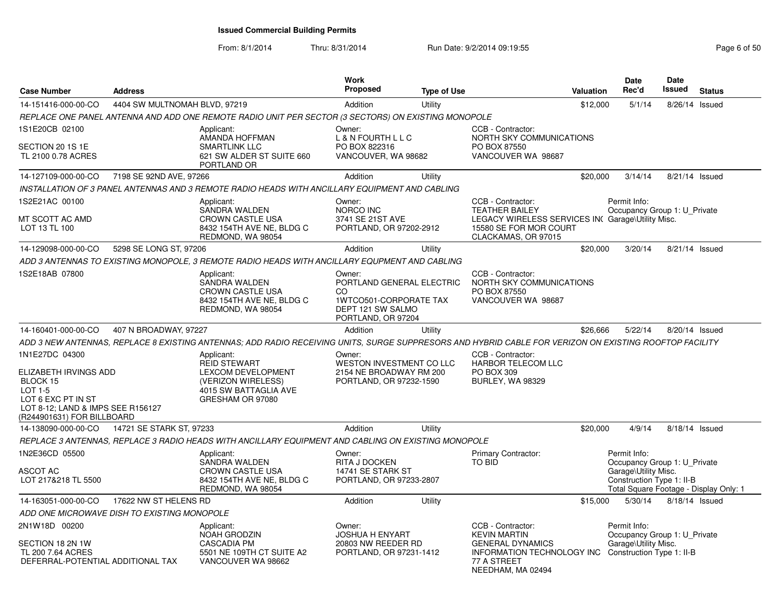From: 8/1/2014Thru: 8/31/2014 Run Date: 9/2/2014 09:19:55 Rege 6 of 50

| <b>Case Number</b>                                                                                                                                      | <b>Address</b>                              |                                                                                                                                                        | Work<br><b>Proposed</b>                                                                                                | <b>Type of Use</b> |                                                                                                                                                 | <b>Valuation</b> | Date<br>Rec'd                                                                                     | Date<br>Issued | <b>Status</b>                          |
|---------------------------------------------------------------------------------------------------------------------------------------------------------|---------------------------------------------|--------------------------------------------------------------------------------------------------------------------------------------------------------|------------------------------------------------------------------------------------------------------------------------|--------------------|-------------------------------------------------------------------------------------------------------------------------------------------------|------------------|---------------------------------------------------------------------------------------------------|----------------|----------------------------------------|
| 14-151416-000-00-CO                                                                                                                                     | 4404 SW MULTNOMAH BLVD, 97219               |                                                                                                                                                        | Addition                                                                                                               | Utility            |                                                                                                                                                 | \$12,000         | 5/1/14                                                                                            | 8/26/14        | Issued                                 |
|                                                                                                                                                         |                                             | REPLACE ONE PANEL ANTENNA AND ADD ONE REMOTE RADIO UNIT PER SECTOR (3 SECTORS) ON EXISTING MONOPOLE                                                    |                                                                                                                        |                    |                                                                                                                                                 |                  |                                                                                                   |                |                                        |
| 1S1E20CB 02100<br>SECTION 20 1S 1E<br>TL 2100 0.78 ACRES                                                                                                |                                             | Applicant:<br>AMANDA HOFFMAN<br><b>SMARTLINK LLC</b><br>621 SW ALDER ST SUITE 660<br>PORTLAND OR                                                       | Owner:<br>L & N FOURTH L L C<br>PO BOX 822316<br>VANCOUVER, WA 98682                                                   |                    | CCB - Contractor:<br>NORTH SKY COMMUNICATIONS<br>PO BOX 87550<br>VANCOUVER WA 98687                                                             |                  |                                                                                                   |                |                                        |
| 14-127109-000-00-CO                                                                                                                                     | 7198 SE 92ND AVE, 97266                     |                                                                                                                                                        | Addition                                                                                                               | Utility            |                                                                                                                                                 | \$20,000         | 3/14/14                                                                                           | 8/21/14 Issued |                                        |
|                                                                                                                                                         |                                             | INSTALLATION OF 3 PANEL ANTENNAS AND 3 REMOTE RADIO HEADS WITH ANCILLARY EQUIPMENT AND CABLING                                                         |                                                                                                                        |                    |                                                                                                                                                 |                  |                                                                                                   |                |                                        |
| 1S2E21AC 00100<br>MT SCOTT AC AMD<br>LOT 13 TL 100                                                                                                      |                                             | Applicant:<br><b>SANDRA WALDEN</b><br><b>CROWN CASTLE USA</b><br>8432 154TH AVE NE, BLDG C<br>REDMOND, WA 98054                                        | Owner:<br>NORCO INC<br>3741 SE 21ST AVE<br>PORTLAND, OR 97202-2912                                                     |                    | CCB - Contractor:<br><b>TEATHER BAILEY</b><br>LEGACY WIRELESS SERVICES IN Garage\Utility Misc.<br>15580 SE FOR MOR COURT<br>CLACKAMAS, OR 97015 |                  | Permit Info:<br>Occupancy Group 1: U_Private                                                      |                |                                        |
| 14-129098-000-00-CO                                                                                                                                     | 5298 SE LONG ST, 97206                      |                                                                                                                                                        | Addition                                                                                                               | Utility            |                                                                                                                                                 | \$20,000         | 3/20/14                                                                                           | 8/21/14 Issued |                                        |
|                                                                                                                                                         |                                             | ADD 3 ANTENNAS TO EXISTING MONOPOLE, 3 REMOTE RADIO HEADS WITH ANCILLARY EQUPMENT AND CABLING                                                          |                                                                                                                        |                    |                                                                                                                                                 |                  |                                                                                                   |                |                                        |
| 1S2E18AB 07800                                                                                                                                          |                                             | Applicant:<br>SANDRA WALDEN<br><b>CROWN CASTLE USA</b><br>8432 154TH AVE NE, BLDG C<br>REDMOND, WA 98054                                               | Owner:<br>PORTLAND GENERAL ELECTRIC<br>CO.<br><b>1WTCO501-CORPORATE TAX</b><br>DEPT 121 SW SALMO<br>PORTLAND, OR 97204 |                    | CCB - Contractor:<br>NORTH SKY COMMUNICATIONS<br>PO BOX 87550<br>VANCOUVER WA 98687                                                             |                  |                                                                                                   |                |                                        |
| 14-160401-000-00-CO                                                                                                                                     | 407 N BROADWAY, 97227                       |                                                                                                                                                        | Addition                                                                                                               | Utility            |                                                                                                                                                 | \$26,666         | 5/22/14                                                                                           | 8/20/14 Issued |                                        |
|                                                                                                                                                         |                                             | ADD 3 NEW ANTENNAS, REPLACE 8 EXISTING ANTENNAS; ADD RADIO RECEIVING UNITS, SURGE SUPPRESORS AND HYBRID CABLE FOR VERIZON ON EXISTING ROOFTOP FACILITY |                                                                                                                        |                    |                                                                                                                                                 |                  |                                                                                                   |                |                                        |
| 1N1E27DC 04300<br>ELIZABETH IRVINGS ADD<br>BLOCK 15<br>LOT 1-5<br>LOT 6 EXC PT IN ST<br>LOT 8-12; LAND & IMPS SEE R156127<br>(R244901631) FOR BILLBOARD |                                             | Applicant:<br><b>REID STEWART</b><br>LEXCOM DEVELOPMENT<br>(VERIZON WIRELESS)<br>4015 SW BATTAGLIA AVE<br>GRESHAM OR 97080                             | Owner:<br>WESTON INVESTMENT CO LLC<br>2154 NE BROADWAY RM 200<br>PORTLAND, OR 97232-1590                               |                    | CCB - Contractor:<br><b>HARBOR TELECOM LLC</b><br>PO BOX 309<br><b>BURLEY, WA 98329</b>                                                         |                  |                                                                                                   |                |                                        |
| 14-138090-000-00-CO                                                                                                                                     | 14721 SE STARK ST, 97233                    |                                                                                                                                                        | Addition                                                                                                               | Utility            |                                                                                                                                                 | \$20,000         | 4/9/14                                                                                            | 8/18/14 Issued |                                        |
|                                                                                                                                                         |                                             | REPLACE 3 ANTENNAS, REPLACE 3 RADIO HEADS WITH ANCILLARY EQUIPMENT AND CABLING ON EXISTING MONOPOLE                                                    |                                                                                                                        |                    |                                                                                                                                                 |                  |                                                                                                   |                |                                        |
| 1N2E36CD 05500<br>ASCOT AC<br>LOT 217&218 TL 5500                                                                                                       |                                             | Applicant:<br>SANDRA WALDEN<br><b>CROWN CASTLE USA</b><br>8432 154TH AVE NE, BLDG C<br>REDMOND, WA 98054                                               | Owner:<br>RITA J DOCKEN<br>14741 SE STARK ST<br>PORTLAND, OR 97233-2807                                                |                    | Primary Contractor:<br>TO BID                                                                                                                   |                  | Permit Info:<br>Occupancy Group 1: U Private<br>Garage\Utility Misc.<br>Construction Type 1: II-B |                | Total Square Footage - Display Only: 1 |
| 14-163051-000-00-CO                                                                                                                                     | 17622 NW ST HELENS RD                       |                                                                                                                                                        | Addition                                                                                                               | Utility            |                                                                                                                                                 | \$15,000         | 5/30/14                                                                                           | 8/18/14 Issued |                                        |
|                                                                                                                                                         | ADD ONE MICROWAVE DISH TO EXISTING MONOPOLE |                                                                                                                                                        |                                                                                                                        |                    |                                                                                                                                                 |                  |                                                                                                   |                |                                        |
| 2N1W18D 00200<br>SECTION 18 2N 1W<br>TL 200 7.64 ACRES<br>DEFERRAL-POTENTIAL ADDITIONAL TAX                                                             |                                             | Applicant:<br>NOAH GRODZIN<br><b>CASCADIA PM</b><br>5501 NE 109TH CT SUITE A2<br>VANCOUVER WA 98662                                                    | Owner:<br><b>JOSHUA H ENYART</b><br>20803 NW REEDER RD<br>PORTLAND, OR 97231-1412                                      |                    | CCB - Contractor:<br><b>KEVIN MARTIN</b><br><b>GENERAL DYNAMICS</b><br>INFORMATION TECHNOLOGY INC<br>77 A STREET<br>NEEDHAM, MA 02494           |                  | Permit Info:<br>Occupancy Group 1: U Private<br>Garage\Utility Misc.<br>Construction Type 1: II-B |                |                                        |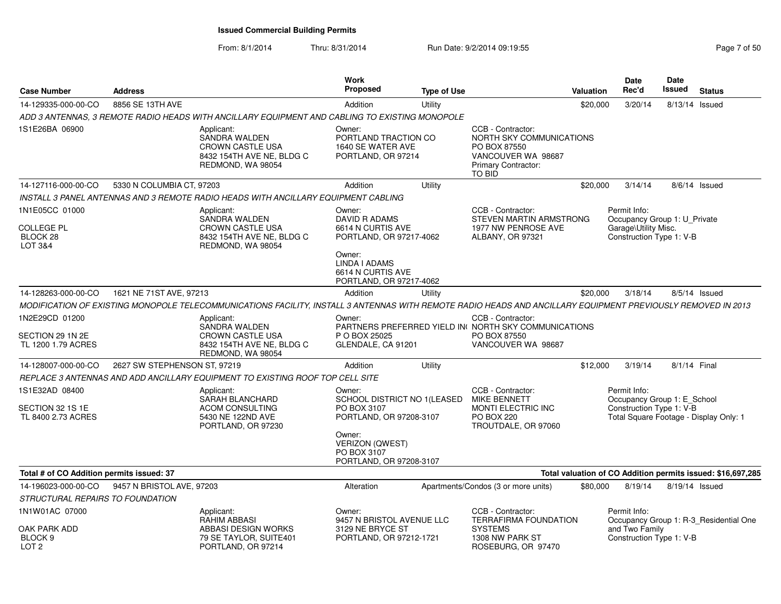From: 8/1/2014Thru: 8/31/2014 Run Date: 9/2/2014 09:19:55 Rege 7 of 50

| <b>Case Number</b>                                       | <b>Address</b>               |                                                                                                                                                              | <b>Work</b><br>Proposed                                                         | <b>Type of Use</b> |                                                                                                                      | Valuation | <b>Date</b><br>Rec'd                                                             | Date<br>Issued | <b>Status</b>                                               |
|----------------------------------------------------------|------------------------------|--------------------------------------------------------------------------------------------------------------------------------------------------------------|---------------------------------------------------------------------------------|--------------------|----------------------------------------------------------------------------------------------------------------------|-----------|----------------------------------------------------------------------------------|----------------|-------------------------------------------------------------|
| 14-129335-000-00-CO                                      | 8856 SE 13TH AVE             |                                                                                                                                                              | Addition                                                                        | Utility            |                                                                                                                      | \$20,000  | 3/20/14                                                                          | 8/13/14 Issued |                                                             |
|                                                          |                              | ADD 3 ANTENNAS, 3 REMOTE RADIO HEADS WITH ANCILLARY EQUIPMENT AND CABLING TO EXISTING MONOPOLE                                                               |                                                                                 |                    |                                                                                                                      |           |                                                                                  |                |                                                             |
| 1S1E26BA 06900                                           |                              | Applicant:<br>SANDRA WALDEN<br><b>CROWN CASTLE USA</b><br>8432 154TH AVE NE, BLDG C<br>REDMOND, WA 98054                                                     | Owner:<br>PORTLAND TRACTION CO<br>1640 SE WATER AVE<br>PORTLAND, OR 97214       |                    | CCB - Contractor:<br>NORTH SKY COMMUNICATIONS<br>PO BOX 87550<br>VANCOUVER WA 98687<br>Primary Contractor:<br>TO BID |           |                                                                                  |                |                                                             |
| 14-127116-000-00-CO                                      | 5330 N COLUMBIA CT, 97203    |                                                                                                                                                              | Addition                                                                        | Utility            |                                                                                                                      | \$20,000  | 3/14/14                                                                          |                | 8/6/14 Issued                                               |
|                                                          |                              | INSTALL 3 PANEL ANTENNAS AND 3 REMOTE RADIO HEADS WITH ANCILLARY EQUIPMENT CABLING                                                                           |                                                                                 |                    |                                                                                                                      |           |                                                                                  |                |                                                             |
| 1N1E05CC 01000                                           |                              | Applicant:                                                                                                                                                   | Owner:                                                                          |                    | CCB - Contractor:                                                                                                    |           | Permit Info:                                                                     |                |                                                             |
| <b>COLLEGE PL</b><br>BLOCK 28<br><b>LOT 3&amp;4</b>      |                              | SANDRA WALDEN<br><b>CROWN CASTLE USA</b><br>8432 154TH AVE NE, BLDG C<br>REDMOND, WA 98054                                                                   | DAVID R ADAMS<br>6614 N CURTIS AVE<br>PORTLAND, OR 97217-4062                   |                    | STEVEN MARTIN ARMSTRONG<br>1977 NW PENROSE AVE<br>ALBANY, OR 97321                                                   |           | Occupancy Group 1: U Private<br>Garage\Utility Misc.<br>Construction Type 1: V-B |                |                                                             |
|                                                          |                              |                                                                                                                                                              | Owner:<br>LINDA I ADAMS<br>6614 N CURTIS AVE<br>PORTLAND, OR 97217-4062         |                    |                                                                                                                      |           |                                                                                  |                |                                                             |
| 14-128263-000-00-CO                                      | 1621 NE 71ST AVE, 97213      |                                                                                                                                                              | Addition                                                                        | Utility            |                                                                                                                      | \$20,000  | 3/18/14                                                                          |                | 8/5/14 Issued                                               |
|                                                          |                              | MODIFICATION OF EXISTING MONOPOLE TELECOMMUNICATIONS FACILITY, INSTALL 3 ANTENNAS WITH REMOTE RADIO HEADS AND ANCILLARY EQUIPMENT PREVIOUSLY REMOVED IN 2013 |                                                                                 |                    |                                                                                                                      |           |                                                                                  |                |                                                             |
| 1N2E29CD 01200<br>SECTION 29 1N 2E<br>TL 1200 1.79 ACRES |                              | Applicant:<br><b>SANDRA WALDEN</b><br><b>CROWN CASTLE USA</b><br>8432 154TH AVE NE, BLDG C                                                                   | Owner:<br>P O BOX 25025<br>GLENDALE, CA 91201                                   |                    | CCB - Contractor:<br>PARTNERS PREFERRED YIELD IN NORTH SKY COMMUNICATIONS<br>PO BOX 87550<br>VANCOUVER WA 98687      |           |                                                                                  |                |                                                             |
| 14-128007-000-00-CO                                      | 2627 SW STEPHENSON ST, 97219 | REDMOND, WA 98054                                                                                                                                            | Addition                                                                        | Utility            |                                                                                                                      | \$12,000  | 3/19/14                                                                          | 8/1/14 Final   |                                                             |
|                                                          |                              |                                                                                                                                                              |                                                                                 |                    |                                                                                                                      |           |                                                                                  |                |                                                             |
| 1S1E32AD 08400                                           |                              | REPLACE 3 ANTENNAS AND ADD ANCILLARY EQUIPMENT TO EXISTING ROOF TOP CELL SITE                                                                                | Owner:                                                                          |                    | CCB - Contractor:                                                                                                    |           | Permit Info:                                                                     |                |                                                             |
| SECTION 32 1S 1E<br>TL 8400 2.73 ACRES                   |                              | Applicant:<br><b>SARAH BLANCHARD</b><br>ACOM CONSULTING<br>5430 NE 122ND AVE<br>PORTLAND, OR 97230                                                           | SCHOOL DISTRICT NO 1(LEASED<br>PO BOX 3107<br>PORTLAND, OR 97208-3107<br>Owner: |                    | MIKE BENNETT<br>MONTI ELECTRIC INC<br><b>PO BOX 220</b><br>TROUTDALE, OR 97060                                       |           | Occupancy Group 1: E School<br>Construction Type 1: V-B                          |                | Total Square Footage - Display Only: 1                      |
|                                                          |                              |                                                                                                                                                              | <b>VERIZON (QWEST)</b><br>PO BOX 3107<br>PORTLAND, OR 97208-3107                |                    |                                                                                                                      |           |                                                                                  |                |                                                             |
| Total # of CO Addition permits issued: 37                |                              |                                                                                                                                                              |                                                                                 |                    |                                                                                                                      |           |                                                                                  |                | Total valuation of CO Addition permits issued: \$16,697,285 |
| 14-196023-000-00-CO                                      | 9457 N BRISTOL AVE, 97203    |                                                                                                                                                              | Alteration                                                                      |                    | Apartments/Condos (3 or more units)                                                                                  | \$80,000  | 8/19/14                                                                          | 8/19/14 Issued |                                                             |
| STRUCTURAL REPAIRS TO FOUNDATION                         |                              |                                                                                                                                                              |                                                                                 |                    |                                                                                                                      |           |                                                                                  |                |                                                             |
| 1N1W01AC 07000                                           |                              | Applicant:<br><b>RAHIM ABBASI</b>                                                                                                                            | Owner:<br>9457 N BRISTOL AVENUE LLC                                             |                    | CCB - Contractor:<br><b>TERRAFIRMA FOUNDATION</b>                                                                    |           | Permit Info:                                                                     |                | Occupancy Group 1: R-3 Residential One                      |
| OAK PARK ADD<br>BLOCK <sub>9</sub><br>LOT <sub>2</sub>   |                              | ABBASI DESIGN WORKS<br>79 SE TAYLOR, SUITE401<br>PORTLAND, OR 97214                                                                                          | 3129 NE BRYCE ST<br>PORTLAND, OR 97212-1721                                     |                    | <b>SYSTEMS</b><br>1308 NW PARK ST<br>ROSEBURG, OR 97470                                                              |           | and Two Family<br>Construction Type 1: V-B                                       |                |                                                             |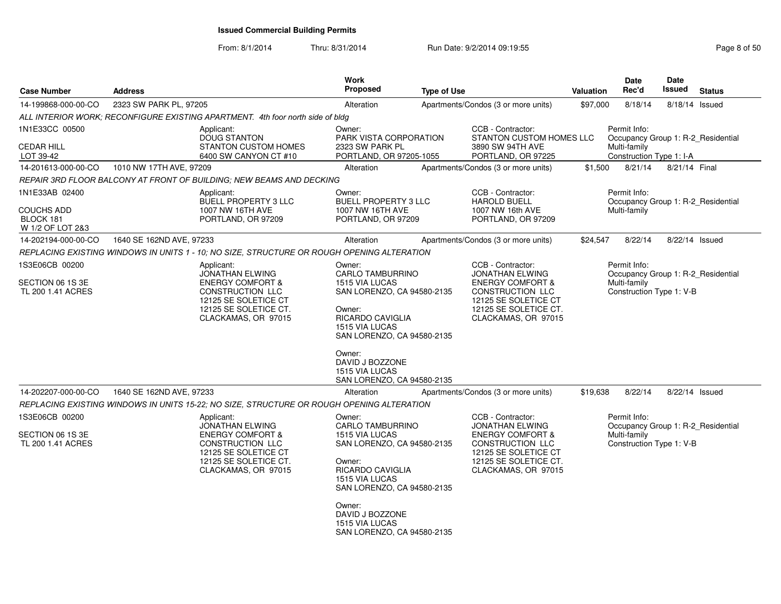### From: 8/1/2014Thru: 8/31/2014 Run Date: 9/2/2014 09:19:55 Rege 8 of 50

| <b>Case Number</b>                                      | <b>Address</b>                                                                                                                                                  | Work<br><b>Proposed</b>                                                                                                                                                                                                                             | <b>Type of Use</b> |                                                                                                                                                                        | Valuation | Date<br>Rec'd                                                                                  | <b>Date</b><br>Issued | <b>Status</b> |
|---------------------------------------------------------|-----------------------------------------------------------------------------------------------------------------------------------------------------------------|-----------------------------------------------------------------------------------------------------------------------------------------------------------------------------------------------------------------------------------------------------|--------------------|------------------------------------------------------------------------------------------------------------------------------------------------------------------------|-----------|------------------------------------------------------------------------------------------------|-----------------------|---------------|
| 14-199868-000-00-CO                                     | 2323 SW PARK PL, 97205                                                                                                                                          | Alteration                                                                                                                                                                                                                                          |                    | Apartments/Condos (3 or more units)                                                                                                                                    | \$97,000  | 8/18/14                                                                                        | 8/18/14 Issued        |               |
|                                                         | ALL INTERIOR WORK; RECONFIGURE EXISTING APARTMENT. 4th foor north side of bldg                                                                                  |                                                                                                                                                                                                                                                     |                    |                                                                                                                                                                        |           |                                                                                                |                       |               |
| 1N1E33CC 00500<br><b>CEDAR HILL</b><br>LOT 39-42        | Applicant:<br><b>DOUG STANTON</b><br><b>STANTON CUSTOM HOMES</b><br>6400 SW CANYON CT #10                                                                       | Owner:<br>PARK VISTA CORPORATION<br>2323 SW PARK PL<br>PORTLAND, OR 97205-1055                                                                                                                                                                      |                    | CCB - Contractor:<br>STANTON CUSTOM HOMES LLC<br>3890 SW 94TH AVE<br>PORTLAND, OR 97225                                                                                |           | Permit Info:<br>Occupancy Group 1: R-2 Residential<br>Multi-family<br>Construction Type 1: I-A |                       |               |
| 14-201613-000-00-CO                                     | 1010 NW 17TH AVE, 97209                                                                                                                                         | Alteration                                                                                                                                                                                                                                          |                    | Apartments/Condos (3 or more units)                                                                                                                                    | \$1,500   | 8/21/14                                                                                        | 8/21/14 Final         |               |
|                                                         | REPAIR 3RD FLOOR BALCONY AT FRONT OF BUILDING; NEW BEAMS AND DECKING                                                                                            |                                                                                                                                                                                                                                                     |                    |                                                                                                                                                                        |           |                                                                                                |                       |               |
| 1N1E33AB 02400                                          | Applicant:                                                                                                                                                      | Owner:                                                                                                                                                                                                                                              |                    | CCB - Contractor:                                                                                                                                                      |           | Permit Info:                                                                                   |                       |               |
| <b>COUCHS ADD</b><br>BLOCK 181<br>W 1/2 OF LOT 2&3      | <b>BUELL PROPERTY 3 LLC</b><br>1007 NW 16TH AVE<br>PORTLAND, OR 97209                                                                                           | BUELL PROPERTY 3 LLC<br>1007 NW 16TH AVE<br>PORTLAND, OR 97209                                                                                                                                                                                      |                    | <b>HAROLD BUELL</b><br>1007 NW 16th AVE<br>PORTLAND, OR 97209                                                                                                          |           | Occupancy Group 1: R-2 Residential<br>Multi-family                                             |                       |               |
| 14-202194-000-00-CO                                     | 1640 SE 162ND AVE, 97233                                                                                                                                        | Alteration                                                                                                                                                                                                                                          |                    | Apartments/Condos (3 or more units)                                                                                                                                    | \$24,547  | 8/22/14                                                                                        | 8/22/14 Issued        |               |
|                                                         | REPLACING EXISTING WINDOWS IN UNITS 1 - 10; NO SIZE, STRUCTURE OR ROUGH OPENING ALTERATION                                                                      |                                                                                                                                                                                                                                                     |                    |                                                                                                                                                                        |           |                                                                                                |                       |               |
| 1S3E06CB 00200<br>SECTION 06 1S 3E<br>TL 200 1.41 ACRES | Applicant:<br>JONATHAN ELWING<br><b>ENERGY COMFORT &amp;</b><br>CONSTRUCTION LLC<br>12125 SE SOLETICE CT<br>12125 SE SOLETICE CT.<br>CLACKAMAS, OR 97015        | Owner:<br>CARLO TAMBURRINO<br>1515 VIA LUCAS<br>SAN LORENZO, CA 94580-2135<br>Owner:<br><b>RICARDO CAVIGLIA</b><br><b>1515 VIA LUCAS</b><br>SAN LORENZO, CA 94580-2135<br>Owner:<br>DAVID J BOZZONE<br>1515 VIA LUCAS<br>SAN LORENZO, CA 94580-2135 |                    | CCB - Contractor:<br><b>JONATHAN ELWING</b><br><b>ENERGY COMFORT &amp;</b><br>CONSTRUCTION LLC<br>12125 SE SOLETICE CT<br>12125 SE SOLETICE CT.<br>CLACKAMAS, OR 97015 |           | Permit Info:<br>Occupancy Group 1: R-2_Residential<br>Multi-family<br>Construction Type 1: V-B |                       |               |
| 14-202207-000-00-CO                                     | 1640 SE 162ND AVE, 97233                                                                                                                                        | Alteration                                                                                                                                                                                                                                          |                    | Apartments/Condos (3 or more units)                                                                                                                                    | \$19,638  | 8/22/14                                                                                        | 8/22/14 Issued        |               |
|                                                         | REPLACING EXISTING WINDOWS IN UNITS 15-22; NO SIZE, STRUCTURE OR ROUGH OPENING ALTERATION                                                                       |                                                                                                                                                                                                                                                     |                    |                                                                                                                                                                        |           |                                                                                                |                       |               |
| 1S3E06CB 00200<br>SECTION 06 1S 3E<br>TL 200 1.41 ACRES | Applicant:<br><b>JONATHAN ELWING</b><br><b>ENERGY COMFORT &amp;</b><br>CONSTRUCTION LLC<br>12125 SE SOLETICE CT<br>12125 SE SOLETICE CT.<br>CLACKAMAS, OR 97015 | Owner:<br>CARLO TAMBURRINO<br>1515 VIA LUCAS<br>SAN LORENZO, CA 94580-2135<br>Owner:<br><b>RICARDO CAVIGLIA</b><br>1515 VIA LUCAS<br>SAN LORENZO, CA 94580-2135<br>Owner:<br>DAVID J BOZZONE<br>1515 VIA LUCAS<br>SAN LORENZO, CA 94580-2135        |                    | CCB - Contractor:<br><b>JONATHAN ELWING</b><br><b>ENERGY COMFORT &amp;</b><br>CONSTRUCTION LLC<br>12125 SE SOLETICE CT<br>12125 SE SOLETICE CT.<br>CLACKAMAS, OR 97015 |           | Permit Info:<br>Occupancy Group 1: R-2_Residential<br>Multi-family<br>Construction Type 1: V-B |                       |               |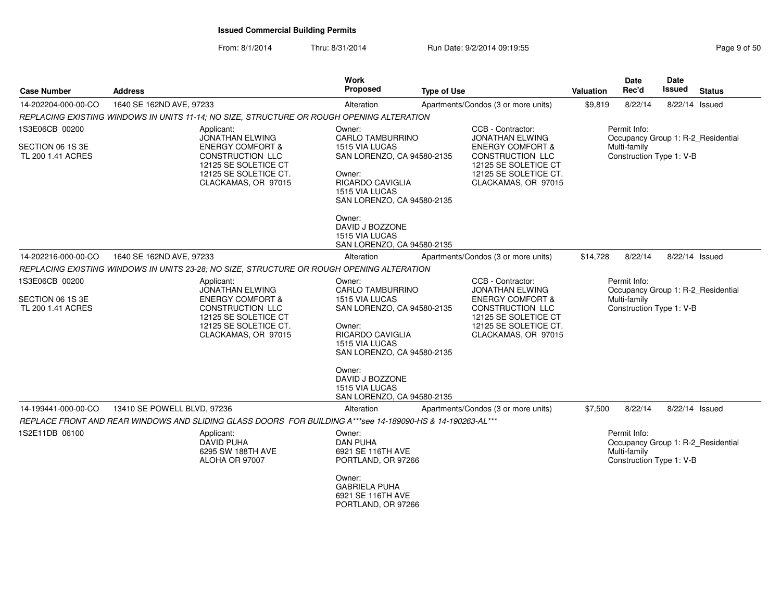From: 8/1/2014Thru: 8/31/2014 Run Date: 9/2/2014 09:19:55 Rege 9 of 50

| <b>Case Number</b>                    | <b>Address</b>                                                                                                                 | <b>Work</b><br>Proposed                                                                                                                  | <b>Type of Use</b> |                                                                                                                         | Valuation | <b>Date</b><br>Rec'd                                     | Date<br>Issued | <b>Status</b>                      |
|---------------------------------------|--------------------------------------------------------------------------------------------------------------------------------|------------------------------------------------------------------------------------------------------------------------------------------|--------------------|-------------------------------------------------------------------------------------------------------------------------|-----------|----------------------------------------------------------|----------------|------------------------------------|
| 14-202204-000-00-CO                   | 1640 SE 162ND AVE, 97233                                                                                                       | Alteration                                                                                                                               |                    | Apartments/Condos (3 or more units)                                                                                     | \$9,819   | 8/22/14                                                  | 8/22/14 Issued |                                    |
|                                       | REPLACING EXISTING WINDOWS IN UNITS 11-14; NO SIZE, STRUCTURE OR ROUGH OPENING ALTERATION                                      |                                                                                                                                          |                    |                                                                                                                         |           |                                                          |                |                                    |
| 1S3E06CB 00200                        | Applicant:<br><b>JONATHAN ELWING</b>                                                                                           | Owner:<br><b>CARLO TAMBURRINO</b>                                                                                                        |                    | CCB - Contractor:<br><b>JONATHAN ELWING</b>                                                                             |           | Permit Info:                                             |                | Occupancy Group 1: R-2_Residential |
| SECTION 06 1S 3E<br>TL 200 1.41 ACRES | <b>ENERGY COMFORT &amp;</b><br><b>CONSTRUCTION LLC</b><br>12125 SE SOLETICE CT<br>12125 SE SOLETICE CT.<br>CLACKAMAS, OR 97015 | 1515 VIA LUCAS<br>SAN LORENZO, CA 94580-2135<br>Owner:<br><b>RICARDO CAVIGLIA</b><br><b>1515 VIA LUCAS</b><br>SAN LORENZO, CA 94580-2135 |                    | <b>ENERGY COMFORT &amp;</b><br>CONSTRUCTION LLC<br>12125 SE SOLETICE CT<br>12125 SE SOLETICE CT.<br>CLACKAMAS, OR 97015 |           | Multi-family<br>Construction Type 1: V-B                 |                |                                    |
|                                       |                                                                                                                                | Owner:<br>DAVID J BOZZONE<br>1515 VIA LUCAS<br>SAN LORENZO, CA 94580-2135                                                                |                    |                                                                                                                         |           |                                                          |                |                                    |
| 14-202216-000-00-CO                   | 1640 SE 162ND AVE, 97233                                                                                                       | Alteration                                                                                                                               |                    | Apartments/Condos (3 or more units)                                                                                     | \$14,728  | 8/22/14                                                  | 8/22/14 Issued |                                    |
|                                       | REPLACING EXISTING WINDOWS IN UNITS 23-28; NO SIZE, STRUCTURE OR ROUGH OPENING ALTERATION                                      |                                                                                                                                          |                    |                                                                                                                         |           |                                                          |                |                                    |
| 1S3E06CB 00200                        | Applicant:<br><b>JONATHAN ELWING</b>                                                                                           | Owner:<br><b>CARLO TAMBURRINO</b>                                                                                                        |                    | CCB - Contractor:<br><b>JONATHAN ELWING</b>                                                                             |           | Permit Info:                                             |                | Occupancy Group 1: R-2_Residential |
| SECTION 06 1S 3E<br>TL 200 1.41 ACRES | <b>ENERGY COMFORT &amp;</b><br>CONSTRUCTION LLC<br>12125 SE SOLETICE CT<br>12125 SE SOLETICE CT.<br>CLACKAMAS, OR 97015        | 1515 VIA LUCAS<br>SAN LORENZO, CA 94580-2135<br>Owner:<br><b>RICARDO CAVIGLIA</b><br>1515 VIA LUCAS<br>SAN LORENZO, CA 94580-2135        |                    | <b>ENERGY COMFORT &amp;</b><br>CONSTRUCTION LLC<br>12125 SE SOLETICE CT<br>12125 SE SOLETICE CT.<br>CLACKAMAS, OR 97015 |           | Multi-family<br>Construction Type 1: V-B                 |                |                                    |
|                                       |                                                                                                                                | Owner:<br>DAVID J BOZZONE<br>1515 VIA LUCAS<br>SAN LORENZO, CA 94580-2135                                                                |                    |                                                                                                                         |           |                                                          |                |                                    |
| 14-199441-000-00-CO                   | 13410 SE POWELL BLVD, 97236                                                                                                    | Alteration                                                                                                                               |                    | Apartments/Condos (3 or more units)                                                                                     | \$7,500   | 8/22/14                                                  | 8/22/14 Issued |                                    |
|                                       | REPLACE FRONT AND REAR WINDOWS AND SLIDING GLASS DOORS FOR BUILDING A***see 14-189090-HS & 14-190263-AL***                     |                                                                                                                                          |                    |                                                                                                                         |           |                                                          |                |                                    |
| 1S2E11DB 06100                        | Applicant:<br><b>DAVID PUHA</b><br>6295 SW 188TH AVE<br>ALOHA OR 97007                                                         | Owner:<br><b>DAN PUHA</b><br>6921 SE 116TH AVE<br>PORTLAND, OR 97266                                                                     |                    |                                                                                                                         |           | Permit Info:<br>Multi-family<br>Construction Type 1: V-B |                | Occupancy Group 1: R-2_Residential |
|                                       |                                                                                                                                | Owner:<br><b>GABRIELA PUHA</b><br>6921 SE 116TH AVE<br>PORTLAND, OR 97266                                                                |                    |                                                                                                                         |           |                                                          |                |                                    |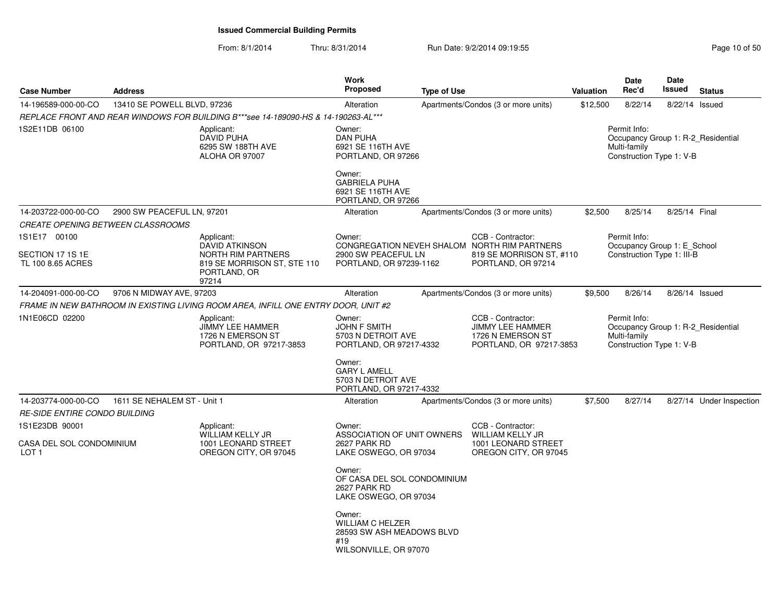| <b>Case Number</b>                           | <b>Address</b>              |                                                                                       | <b>Work</b><br><b>Proposed</b>                                                                 | <b>Type of Use</b> |                                                                                               | Valuation | Date<br>Rec'd                                                                                  | <b>Date</b><br>Issued | <b>Status</b>            |
|----------------------------------------------|-----------------------------|---------------------------------------------------------------------------------------|------------------------------------------------------------------------------------------------|--------------------|-----------------------------------------------------------------------------------------------|-----------|------------------------------------------------------------------------------------------------|-----------------------|--------------------------|
| 14-196589-000-00-CO                          | 13410 SE POWELL BLVD, 97236 |                                                                                       | Alteration                                                                                     |                    | Apartments/Condos (3 or more units)                                                           | \$12,500  | 8/22/14                                                                                        | 8/22/14 Issued        |                          |
|                                              |                             | REPLACE FRONT AND REAR WINDOWS FOR BUILDING B***see 14-189090-HS & 14-190263-AL***    |                                                                                                |                    |                                                                                               |           |                                                                                                |                       |                          |
| 1S2E11DB 06100                               |                             | Applicant:<br>DAVID PUHA<br>6295 SW 188TH AVE<br>ALOHA OR 97007                       | Owner:<br><b>DAN PUHA</b><br>6921 SE 116TH AVE<br>PORTLAND, OR 97266<br>Owner:                 |                    |                                                                                               |           | Permit Info:<br>Occupancy Group 1: R-2 Residential<br>Multi-family<br>Construction Type 1: V-B |                       |                          |
|                                              |                             |                                                                                       | <b>GABRIELA PUHA</b><br>6921 SE 116TH AVE<br>PORTLAND, OR 97266                                |                    |                                                                                               |           |                                                                                                |                       |                          |
| 14-203722-000-00-CO                          | 2900 SW PEACEFUL LN, 97201  |                                                                                       | Alteration                                                                                     |                    | Apartments/Condos (3 or more units)                                                           | \$2,500   | 8/25/14                                                                                        | 8/25/14 Final         |                          |
| CREATE OPENING BETWEEN CLASSROOMS            |                             |                                                                                       |                                                                                                |                    |                                                                                               |           |                                                                                                |                       |                          |
| 1S1E17 00100<br>SECTION 17 1S 1E             |                             | Applicant:<br><b>DAVID ATKINSON</b><br><b>NORTH RIM PARTNERS</b>                      | Owner:<br>2900 SW PEACEFUL LN                                                                  |                    | CCB - Contractor:<br>CONGREGATION NEVEH SHALOM NORTH RIM PARTNERS<br>819 SE MORRISON ST, #110 |           | Permit Info:<br>Occupancy Group 1: E School<br>Construction Type 1: III-B                      |                       |                          |
| TL 100 8.65 ACRES                            |                             | 819 SE MORRISON ST, STE 110<br>PORTLAND, OR<br>97214                                  | PORTLAND, OR 97239-1162                                                                        |                    | PORTLAND, OR 97214                                                                            |           |                                                                                                |                       |                          |
| 14-204091-000-00-CO                          | 9706 N MIDWAY AVE, 97203    |                                                                                       | Alteration                                                                                     |                    | Apartments/Condos (3 or more units)                                                           | \$9,500   | 8/26/14                                                                                        | 8/26/14 Issued        |                          |
|                                              |                             | FRAME IN NEW BATHROOM IN EXISTING LIVING ROOM AREA, INFILL ONE ENTRY DOOR, UNIT #2    |                                                                                                |                    |                                                                                               |           |                                                                                                |                       |                          |
| 1N1E06CD 02200                               |                             | Applicant:<br><b>JIMMY LEE HAMMER</b><br>1726 N EMERSON ST<br>PORTLAND, OR 97217-3853 | Owner:<br><b>JOHN F SMITH</b><br>5703 N DETROIT AVE<br>PORTLAND, OR 97217-4332                 |                    | CCB - Contractor:<br><b>JIMMY LEE HAMMER</b><br>1726 N EMERSON ST<br>PORTLAND, OR 97217-3853  |           | Permit Info:<br>Occupancy Group 1: R-2 Residential<br>Multi-family<br>Construction Type 1: V-B |                       |                          |
|                                              |                             |                                                                                       | Owner:<br><b>GARY L AMELL</b><br>5703 N DETROIT AVE<br>PORTLAND, OR 97217-4332                 |                    |                                                                                               |           |                                                                                                |                       |                          |
| 14-203774-000-00-CO                          | 1611 SE NEHALEM ST - Unit 1 |                                                                                       | Alteration                                                                                     |                    | Apartments/Condos (3 or more units)                                                           | \$7,500   | 8/27/14                                                                                        |                       | 8/27/14 Under Inspection |
| <b>RE-SIDE ENTIRE CONDO BUILDING</b>         |                             |                                                                                       |                                                                                                |                    |                                                                                               |           |                                                                                                |                       |                          |
| 1S1E23DB 90001                               |                             | Applicant:                                                                            | Owner:                                                                                         |                    | CCB - Contractor:                                                                             |           |                                                                                                |                       |                          |
| CASA DEL SOL CONDOMINIUM<br>LOT <sub>1</sub> |                             | <b>WILLIAM KELLY JR</b><br>1001 LEONARD STREET<br>OREGON CITY, OR 97045               | ASSOCIATION OF UNIT OWNERS<br>2627 PARK RD<br>LAKE OSWEGO, OR 97034                            |                    | <b>WILLIAM KELLY JR</b><br>1001 LEONARD STREET<br>OREGON CITY, OR 97045                       |           |                                                                                                |                       |                          |
|                                              |                             |                                                                                       | Owner:<br>OF CASA DEL SOL CONDOMINIUM<br>2627 PARK RD<br>LAKE OSWEGO, OR 97034                 |                    |                                                                                               |           |                                                                                                |                       |                          |
|                                              |                             |                                                                                       | Owner:<br><b>WILLIAM C HELZER</b><br>28593 SW ASH MEADOWS BLVD<br>#19<br>WILSONVILLE, OR 97070 |                    |                                                                                               |           |                                                                                                |                       |                          |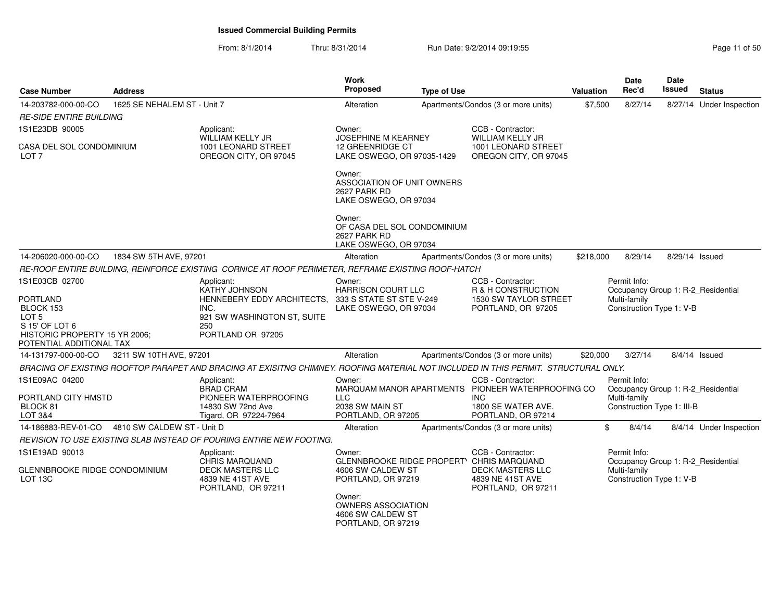From: 8/1/2014Thru: 8/31/2014 Run Date: 9/2/2014 09:19:55 Research 2010 11 of 50

| <b>Case Number</b>                                                                                                              | <b>Address</b>              |                                                                                                                                     | Work<br>Proposed                                                                                                                      | <b>Type of Use</b> |                                                                                                      | <b>Valuation</b> | Date<br>Rec'd                                                                                    | Date<br><b>Issued</b> | <b>Status</b>            |
|---------------------------------------------------------------------------------------------------------------------------------|-----------------------------|-------------------------------------------------------------------------------------------------------------------------------------|---------------------------------------------------------------------------------------------------------------------------------------|--------------------|------------------------------------------------------------------------------------------------------|------------------|--------------------------------------------------------------------------------------------------|-----------------------|--------------------------|
| 14-203782-000-00-CO                                                                                                             | 1625 SE NEHALEM ST - Unit 7 |                                                                                                                                     | Alteration                                                                                                                            |                    | Apartments/Condos (3 or more units)                                                                  | \$7,500          | 8/27/14                                                                                          |                       | 8/27/14 Under Inspection |
| <b>RE-SIDE ENTIRE BUILDING</b>                                                                                                  |                             |                                                                                                                                     |                                                                                                                                       |                    |                                                                                                      |                  |                                                                                                  |                       |                          |
| 1S1E23DB 90005                                                                                                                  |                             | Applicant:<br>WILLIAM KELLY JR                                                                                                      | Owner:<br><b>JOSEPHINE M KEARNEY</b>                                                                                                  |                    | CCB - Contractor:<br>WILLIAM KELLY JR                                                                |                  |                                                                                                  |                       |                          |
| CASA DEL SOL CONDOMINIUM<br>LOT <sub>7</sub>                                                                                    |                             | 1001 LEONARD STREET<br>OREGON CITY, OR 97045                                                                                        | 12 GREENRIDGE CT<br>LAKE OSWEGO, OR 97035-1429                                                                                        |                    | 1001 LEONARD STREET<br>OREGON CITY, OR 97045                                                         |                  |                                                                                                  |                       |                          |
|                                                                                                                                 |                             |                                                                                                                                     | Owner:<br>ASSOCIATION OF UNIT OWNERS<br>2627 PARK RD<br>LAKE OSWEGO, OR 97034                                                         |                    |                                                                                                      |                  |                                                                                                  |                       |                          |
|                                                                                                                                 |                             |                                                                                                                                     | Owner:<br>OF CASA DEL SOL CONDOMINIUM<br>2627 PARK RD<br>LAKE OSWEGO, OR 97034                                                        |                    |                                                                                                      |                  |                                                                                                  |                       |                          |
| 14-206020-000-00-CO                                                                                                             | 1834 SW 5TH AVE, 97201      |                                                                                                                                     | Alteration                                                                                                                            |                    | Apartments/Condos (3 or more units)                                                                  | \$218,000        | 8/29/14                                                                                          | 8/29/14 Issued        |                          |
|                                                                                                                                 |                             | RE-ROOF ENTIRE BUILDING, REINFORCE EXISTING CORNICE AT ROOF PERIMETER, REFRAME EXISTING ROOF-HATCH                                  |                                                                                                                                       |                    |                                                                                                      |                  |                                                                                                  |                       |                          |
| 1S1E03CB 02700                                                                                                                  |                             | Applicant:<br><b>KATHY JOHNSON</b>                                                                                                  | Owner:<br><b>HARRISON COURT LLC</b>                                                                                                   |                    | CCB - Contractor:<br>R & H CONSTRUCTION                                                              |                  | Permit Info:<br>Occupancy Group 1: R-2_Residential                                               |                       |                          |
| <b>PORTLAND</b><br>BLOCK 153<br>LOT <sub>5</sub><br>S 15' OF LOT 6<br>HISTORIC PROPERTY 15 YR 2006;<br>POTENTIAL ADDITIONAL TAX |                             | HENNEBERY EDDY ARCHITECTS.<br>INC.<br>921 SW WASHINGTON ST, SUITE<br>250<br>PORTLAND OR 97205                                       | 333 S STATE ST STE V-249<br>LAKE OSWEGO, OR 97034                                                                                     |                    | 1530 SW TAYLOR STREET<br>PORTLAND, OR 97205                                                          |                  | Multi-family<br>Construction Type 1: V-B                                                         |                       |                          |
| 14-131797-000-00-CO                                                                                                             | 3211 SW 10TH AVE, 97201     |                                                                                                                                     | Alteration                                                                                                                            |                    | Apartments/Condos (3 or more units)                                                                  | \$20,000         | 3/27/14                                                                                          |                       | $8/4/14$ Issued          |
|                                                                                                                                 |                             | BRACING OF EXISTING ROOFTOP PARAPET AND BRACING AT EXISITNG CHIMNEY. ROOFING MATERIAL NOT INCLUDED IN THIS PERMIT. STRUCTURAL ONLY. |                                                                                                                                       |                    |                                                                                                      |                  |                                                                                                  |                       |                          |
| 1S1E09AC 04200<br>PORTLAND CITY HMSTD<br>BLOCK 81                                                                               |                             | Applicant:<br><b>BRAD CRAM</b><br>PIONEER WATERPROOFING<br>14830 SW 72nd Ave                                                        | Owner:<br><b>LLC</b><br>2038 SW MAIN ST                                                                                               |                    | CCB - Contractor:<br>MARQUAM MANOR APARTMENTS PIONEER WATERPROOFING CO<br>INC.<br>1800 SE WATER AVE. |                  | Permit Info:<br>Occupancy Group 1: R-2_Residential<br>Multi-family<br>Construction Type 1: III-B |                       |                          |
| LOT 3&4                                                                                                                         |                             | Tigard, OR 97224-7964                                                                                                               | PORTLAND, OR 97205                                                                                                                    |                    | PORTLAND, OR 97214                                                                                   |                  |                                                                                                  |                       |                          |
| 14-186883-REV-01-CO                                                                                                             | 4810 SW CALDEW ST - Unit D  |                                                                                                                                     | Alteration                                                                                                                            |                    | Apartments/Condos (3 or more units)                                                                  | \$               | 8/4/14                                                                                           |                       | 8/4/14 Under Inspection  |
|                                                                                                                                 |                             | REVISION TO USE EXISTING SLAB INSTEAD OF POURING ENTIRE NEW FOOTING.                                                                |                                                                                                                                       |                    |                                                                                                      |                  |                                                                                                  |                       |                          |
| 1S1E19AD 90013<br>GLENNBROOKE RIDGE CONDOMINIUM<br>LOT 13C                                                                      |                             | Applicant:<br><b>CHRIS MARQUAND</b><br><b>DECK MASTERS LLC</b><br>4839 NE 41ST AVE<br>PORTLAND, OR 97211                            | Owner:<br>GLENNBROOKE RIDGE PROPERTY CHRIS MARQUAND<br>4606 SW CALDEW ST<br>PORTLAND, OR 97219<br>Owner:<br><b>OWNERS ASSOCIATION</b> |                    | CCB - Contractor:<br>DECK MASTERS LLC<br>4839 NE 41ST AVE<br>PORTLAND, OR 97211                      |                  | Permit Info:<br>Occupancy Group 1: R-2_Residential<br>Multi-family<br>Construction Type 1: V-B   |                       |                          |
|                                                                                                                                 |                             |                                                                                                                                     | 4606 SW CALDEW ST<br>PORTLAND, OR 97219                                                                                               |                    |                                                                                                      |                  |                                                                                                  |                       |                          |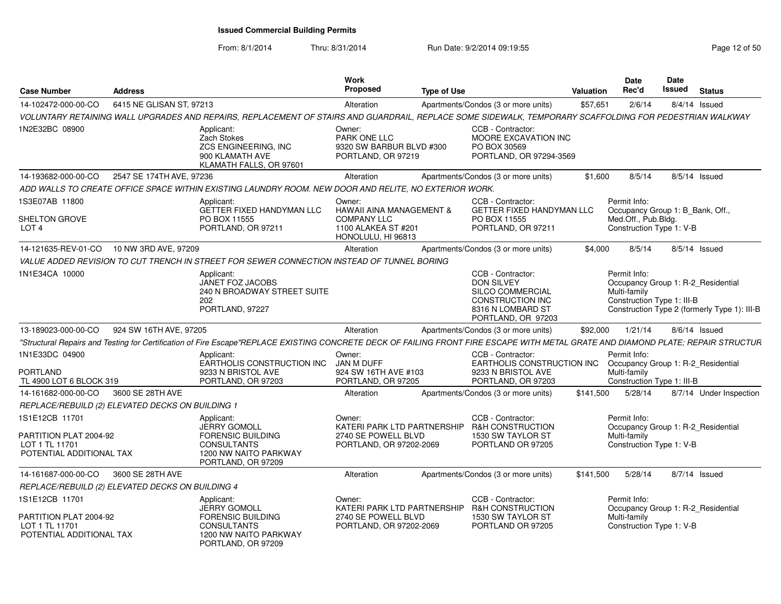| <b>Case Number</b>                                                                     | <b>Address</b>           |                                                                                                                                                                                  | Work<br><b>Proposed</b>                                                                                          | <b>Type of Use</b> |                                                                                                                           | Valuation | <b>Date</b><br>Rec'd                                                                                | <b>Date</b><br>Issued | <b>Status</b>                                |
|----------------------------------------------------------------------------------------|--------------------------|----------------------------------------------------------------------------------------------------------------------------------------------------------------------------------|------------------------------------------------------------------------------------------------------------------|--------------------|---------------------------------------------------------------------------------------------------------------------------|-----------|-----------------------------------------------------------------------------------------------------|-----------------------|----------------------------------------------|
| 14-102472-000-00-CO                                                                    | 6415 NE GLISAN ST, 97213 |                                                                                                                                                                                  | Alteration                                                                                                       |                    | Apartments/Condos (3 or more units)                                                                                       | \$57,651  | 2/6/14                                                                                              |                       | $8/4/14$ Issued                              |
|                                                                                        |                          | VOLUNTARY RETAINING WALL UPGRADES AND REPAIRS, REPLACEMENT OF STAIRS AND GUARDRAIL, REPLACE SOME SIDEWALK, TEMPORARY SCAFFOLDING FOR PEDESTRIAN WALKWAY                          |                                                                                                                  |                    |                                                                                                                           |           |                                                                                                     |                       |                                              |
| 1N2E32BC 08900                                                                         |                          | Applicant:<br>Zach Stokes<br>ZCS ENGINEERING, INC<br>900 KLAMATH AVE<br>KLAMATH FALLS, OR 97601                                                                                  | Owner:<br>PARK ONE LLC<br>9320 SW BARBUR BLVD #300<br>PORTLAND, OR 97219                                         |                    | CCB - Contractor:<br>MOORE EXCAVATION INC<br>PO BOX 30569<br>PORTLAND, OR 97294-3569                                      |           |                                                                                                     |                       |                                              |
| 14-193682-000-00-CO                                                                    | 2547 SE 174TH AVE, 97236 |                                                                                                                                                                                  | Alteration                                                                                                       |                    | Apartments/Condos (3 or more units)                                                                                       | \$1,600   | 8/5/14                                                                                              |                       | 8/5/14 Issued                                |
|                                                                                        |                          | ADD WALLS TO CREATE OFFICE SPACE WITHIN EXISTING LAUNDRY ROOM. NEW DOOR AND RELITE. NO EXTERIOR WORK.                                                                            |                                                                                                                  |                    |                                                                                                                           |           |                                                                                                     |                       |                                              |
| 1S3E07AB 11800<br>SHELTON GROVE<br>LOT <sub>4</sub>                                    |                          | Applicant:<br><b>GETTER FIXED HANDYMAN LLC</b><br>PO BOX 11555<br>PORTLAND, OR 97211                                                                                             | Owner:<br><b>HAWAII AINA MANAGEMENT &amp;</b><br><b>COMPANY LLC</b><br>1100 ALAKEA ST #201<br>HONOLULU, HI 96813 |                    | CCB - Contractor:<br><b>GETTER FIXED HANDYMAN LLC</b><br>PO BOX 11555<br>PORTLAND, OR 97211                               |           | Permit Info:<br>Occupancy Group 1: B Bank, Off.,<br>Med.Off., Pub.Bldg.<br>Construction Type 1: V-B |                       |                                              |
| 14-121635-REV-01-CO                                                                    | 10 NW 3RD AVE, 97209     |                                                                                                                                                                                  | Alteration                                                                                                       |                    | Apartments/Condos (3 or more units)                                                                                       | \$4,000   | 8/5/14                                                                                              |                       | 8/5/14 Issued                                |
|                                                                                        |                          | VALUE ADDED REVISION TO CUT TRENCH IN STREET FOR SEWER CONNECTION INSTEAD OF TUNNEL BORING                                                                                       |                                                                                                                  |                    |                                                                                                                           |           |                                                                                                     |                       |                                              |
| 1N1E34CA 10000                                                                         |                          | Applicant:<br>JANET FOZ JACOBS<br><b>240 N BROADWAY STREET SUITE</b><br>202<br>PORTLAND, 97227                                                                                   |                                                                                                                  |                    | CCB - Contractor:<br><b>DON SILVEY</b><br>SILCO COMMERCIAL<br>CONSTRUCTION INC<br>8316 N LOMBARD ST<br>PORTLAND, OR 97203 |           | Permit Info:<br>Occupancy Group 1: R-2 Residential<br>Multi-family<br>Construction Type 1: III-B    |                       | Construction Type 2 (formerly Type 1): III-B |
| 13-189023-000-00-CO                                                                    | 924 SW 16TH AVE, 97205   |                                                                                                                                                                                  | Alteration                                                                                                       |                    | Apartments/Condos (3 or more units)                                                                                       | \$92,000  | 1/21/14                                                                                             |                       | 8/6/14 Issued                                |
|                                                                                        |                          | "Structural Repairs and Testing for Certification of Fire Escape"REPLACE EXISTING CONCRETE DECK OF FAILING FRONT FIRE ESCAPE WITH METAL GRATE AND DIAMOND PLATE; REPAIR STRUCTUR |                                                                                                                  |                    |                                                                                                                           |           |                                                                                                     |                       |                                              |
| 1N1E33DC 04900<br><b>PORTLAND</b><br>TL 4900 LOT 6 BLOCK 319                           |                          | Applicant:<br>EARTHOLIS CONSTRUCTION INC<br>9233 N BRISTOL AVE<br>PORTLAND, OR 97203                                                                                             | Owner:<br>JAN M DUFF<br>924 SW 16TH AVE #103<br>PORTLAND, OR 97205                                               |                    | CCB - Contractor:<br>EARTHOLIS CONSTRUCTION INC<br>9233 N BRISTOL AVE<br>PORTLAND, OR 97203                               |           | Permit Info:<br>Occupancy Group 1: R-2 Residential<br>Multi-family<br>Construction Type 1: III-B    |                       |                                              |
| 14-161682-000-00-CO                                                                    | 3600 SE 28TH AVE         |                                                                                                                                                                                  | Alteration                                                                                                       |                    | Apartments/Condos (3 or more units)                                                                                       | \$141,500 | 5/28/14                                                                                             |                       | 8/7/14 Under Inspection                      |
| REPLACE/REBUILD (2) ELEVATED DECKS ON BUILDING 1                                       |                          |                                                                                                                                                                                  |                                                                                                                  |                    |                                                                                                                           |           |                                                                                                     |                       |                                              |
| 1S1E12CB 11701<br>PARTITION PLAT 2004-92<br>LOT 1 TL 11701<br>POTENTIAL ADDITIONAL TAX |                          | Applicant:<br><b>JERRY GOMOLL</b><br><b>FORENSIC BUILDING</b><br><b>CONSULTANTS</b><br>1200 NW NAITO PARKWAY<br>PORTLAND, OR 97209                                               | Owner:<br>KATERI PARK LTD PARTNERSHIP<br>2740 SE POWELL BLVD<br>PORTLAND, OR 97202-2069                          |                    | CCB - Contractor:<br><b>R&amp;H CONSTRUCTION</b><br>1530 SW TAYLOR ST<br>PORTLAND OR 97205                                |           | Permit Info:<br>Occupancy Group 1: R-2_Residential<br>Multi-family<br>Construction Type 1: V-B      |                       |                                              |
| 14-161687-000-00-CO                                                                    | 3600 SE 28TH AVE         |                                                                                                                                                                                  | Alteration                                                                                                       |                    | Apartments/Condos (3 or more units)                                                                                       | \$141,500 | 5/28/14                                                                                             |                       | 8/7/14 Issued                                |
| REPLACE/REBUILD (2) ELEVATED DECKS ON BUILDING 4                                       |                          |                                                                                                                                                                                  |                                                                                                                  |                    |                                                                                                                           |           |                                                                                                     |                       |                                              |
| 1S1E12CB 11701<br>PARTITION PLAT 2004-92<br>LOT 1 TL 11701<br>POTENTIAL ADDITIONAL TAX |                          | Applicant:<br><b>JERRY GOMOLL</b><br><b>FORENSIC BUILDING</b><br><b>CONSULTANTS</b><br>1200 NW NAITO PARKWAY<br>PORTLAND, OR 97209                                               | Owner:<br>KATERI PARK LTD PARTNERSHIP<br>2740 SE POWELL BLVD<br>PORTLAND, OR 97202-2069                          |                    | CCB - Contractor:<br><b>R&amp;H CONSTRUCTION</b><br>1530 SW TAYLOR ST<br>PORTLAND OR 97205                                |           | Permit Info:<br>Occupancy Group 1: R-2 Residential<br>Multi-family<br>Construction Type 1: V-B      |                       |                                              |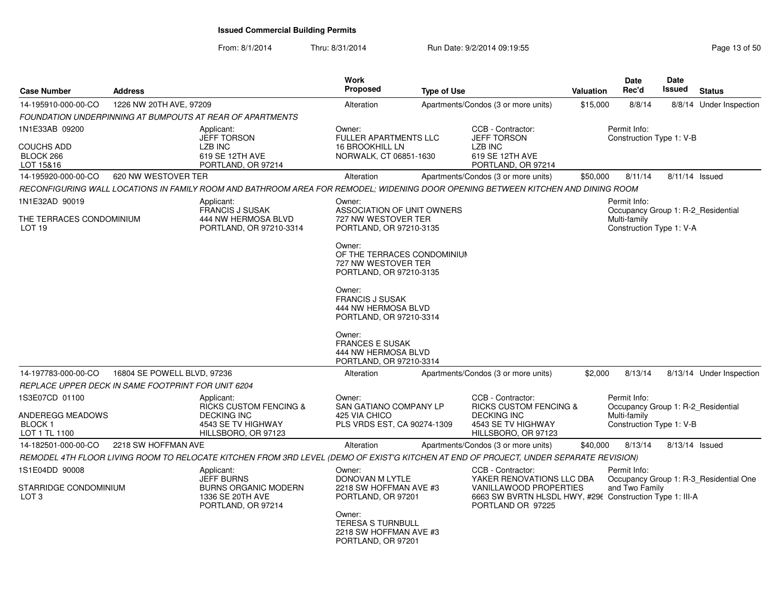| <b>Case Number</b>                                             | <b>Address</b>              |                                                                                                                                       | <b>Work</b><br>Proposed                                                                 | <b>Type of Use</b> |                                                                                                                                      | Valuation | <b>Date</b><br>Rec'd                                                                           | <b>Date</b><br>Issued | <b>Status</b>                          |
|----------------------------------------------------------------|-----------------------------|---------------------------------------------------------------------------------------------------------------------------------------|-----------------------------------------------------------------------------------------|--------------------|--------------------------------------------------------------------------------------------------------------------------------------|-----------|------------------------------------------------------------------------------------------------|-----------------------|----------------------------------------|
| 14-195910-000-00-CO                                            | 1226 NW 20TH AVE, 97209     |                                                                                                                                       | Alteration                                                                              |                    | Apartments/Condos (3 or more units)                                                                                                  | \$15,000  | 8/8/14                                                                                         |                       | 8/8/14 Under Inspection                |
|                                                                |                             | FOUNDATION UNDERPINNING AT BUMPOUTS AT REAR OF APARTMENTS                                                                             |                                                                                         |                    |                                                                                                                                      |           |                                                                                                |                       |                                        |
| 1N1E33AB 09200                                                 |                             | Applicant:<br><b>JEFF TORSON</b>                                                                                                      | Owner:<br><b>FULLER APARTMENTS LLC</b>                                                  |                    | CCB - Contractor:<br><b>JEFF TORSON</b>                                                                                              |           | Permit Info:<br>Construction Type 1: V-B                                                       |                       |                                        |
| COUCHS ADD<br>BLOCK 266<br>LOT 15&16                           |                             | LZB INC<br>619 SE 12TH AVE<br>PORTLAND, OR 97214                                                                                      | <b>16 BROOKHILL LN</b><br>NORWALK, CT 06851-1630                                        |                    | LZB INC<br>619 SE 12TH AVE<br>PORTLAND, OR 97214                                                                                     |           |                                                                                                |                       |                                        |
| 14-195920-000-00-CO                                            | 620 NW WESTOVER TER         |                                                                                                                                       | Alteration                                                                              |                    | Apartments/Condos (3 or more units)                                                                                                  | \$50,000  | 8/11/14                                                                                        | 8/11/14 Issued        |                                        |
|                                                                |                             | RECONFIGURING WALL LOCATIONS IN FAMILY ROOM AND BATHROOM AREA FOR REMODEL; WIDENING DOOR OPENING BETWEEN KITCHEN AND DINING ROOM      |                                                                                         |                    |                                                                                                                                      |           |                                                                                                |                       |                                        |
| 1N1E32AD 90019<br>THE TERRACES CONDOMINIUM                     |                             | Applicant:<br><b>FRANCIS J SUSAK</b><br>444 NW HERMOSA BLVD                                                                           | Owner:<br>ASSOCIATION OF UNIT OWNERS<br>727 NW WESTOVER TER                             |                    |                                                                                                                                      |           | Permit Info:<br>Occupancy Group 1: R-2 Residential<br>Multi-family                             |                       |                                        |
| LOT <sub>19</sub>                                              |                             | PORTLAND, OR 97210-3314                                                                                                               | PORTLAND, OR 97210-3135                                                                 |                    |                                                                                                                                      |           | Construction Type 1: V-A                                                                       |                       |                                        |
|                                                                |                             |                                                                                                                                       | Owner:<br>OF THE TERRACES CONDOMINIUM<br>727 NW WESTOVER TER<br>PORTLAND, OR 97210-3135 |                    |                                                                                                                                      |           |                                                                                                |                       |                                        |
|                                                                |                             |                                                                                                                                       | Owner:<br><b>FRANCIS J SUSAK</b><br>444 NW HERMOSA BLVD<br>PORTLAND, OR 97210-3314      |                    |                                                                                                                                      |           |                                                                                                |                       |                                        |
|                                                                |                             |                                                                                                                                       | Owner:<br><b>FRANCES E SUSAK</b><br>444 NW HERMOSA BLVD<br>PORTLAND, OR 97210-3314      |                    |                                                                                                                                      |           |                                                                                                |                       |                                        |
| 14-197783-000-00-CO                                            | 16804 SE POWELL BLVD, 97236 |                                                                                                                                       | Alteration                                                                              |                    | Apartments/Condos (3 or more units)                                                                                                  | \$2,000   | 8/13/14                                                                                        |                       | 8/13/14 Under Inspection               |
| REPLACE UPPER DECK IN SAME FOOTPRINT FOR UNIT 6204             |                             |                                                                                                                                       |                                                                                         |                    |                                                                                                                                      |           |                                                                                                |                       |                                        |
| 1S3E07CD 01100<br>ANDEREGG MEADOWS<br>BLOCK 1<br>LOT 1 TL 1100 |                             | Applicant:<br><b>RICKS CUSTOM FENCING &amp;</b><br><b>DECKING INC</b><br>4543 SE TV HIGHWAY<br>HILLSBORO, OR 97123                    | Owner:<br><b>SAN GATIANO COMPANY LP</b><br>425 VIA CHICO<br>PLS VRDS EST, CA 90274-1309 |                    | CCB - Contractor:<br><b>RICKS CUSTOM FENCING &amp;</b><br><b>DECKING INC</b><br>4543 SE TV HIGHWAY<br>HILLSBORO, OR 97123            |           | Permit Info:<br>Occupancy Group 1: R-2 Residential<br>Multi-family<br>Construction Type 1: V-B |                       |                                        |
| 14-182501-000-00-CO                                            | 2218 SW HOFFMAN AVE         |                                                                                                                                       | Alteration                                                                              |                    | Apartments/Condos (3 or more units)                                                                                                  | \$40,000  | 8/13/14                                                                                        | 8/13/14 Issued        |                                        |
|                                                                |                             | REMODEL 4TH FLOOR LIVING ROOM TO RELOCATE KITCHEN FROM 3RD LEVEL (DEMO OF EXIST'G KITCHEN AT END OF PROJECT, UNDER SEPARATE REVISION) |                                                                                         |                    |                                                                                                                                      |           |                                                                                                |                       |                                        |
| 1S1E04DD 90008<br>STARRIDGE CONDOMINIUM<br>LOT <sub>3</sub>    |                             | Applicant:<br><b>JEFF BURNS</b><br><b>BURNS ORGANIC MODERN</b><br>1336 SE 20TH AVE                                                    | Owner:<br>DONOVAN M LYTLE<br>2218 SW HOFFMAN AVE #3<br>PORTLAND, OR 97201               |                    | CCB - Contractor:<br>YAKER RENOVATIONS LLC DBA<br>VANILLAWOOD PROPERTIES<br>6663 SW BVRTN HLSDL HWY, #296 Construction Type 1: III-A |           | Permit Info:<br>and Two Family                                                                 |                       | Occupancy Group 1: R-3_Residential One |
|                                                                |                             | PORTLAND, OR 97214                                                                                                                    | Owner:<br><b>TERESA S TURNBULL</b><br>2218 SW HOFFMAN AVE #3<br>PORTLAND, OR 97201      |                    | PORTLAND OR 97225                                                                                                                    |           |                                                                                                |                       |                                        |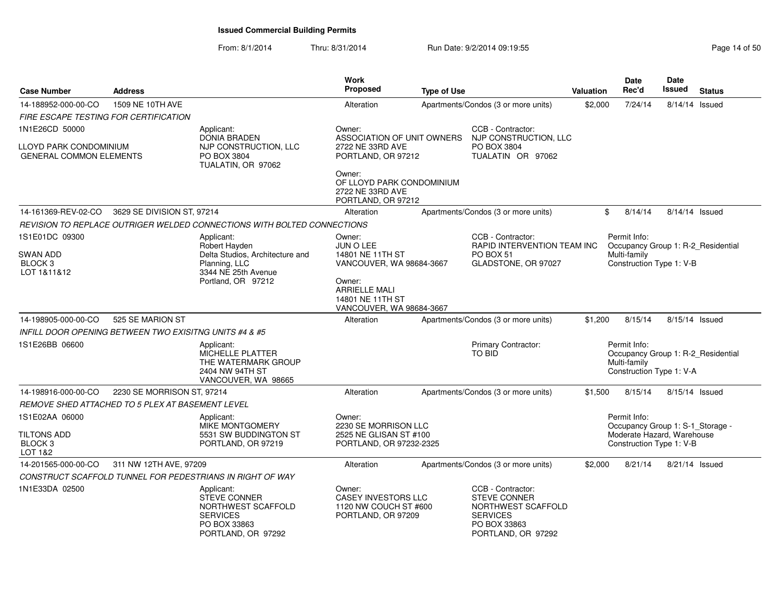From: 8/1/2014Thru: 8/31/2014 Run Date: 9/2/2014 09:19:55

| Page 14 of 50 |  |
|---------------|--|
|---------------|--|

| <b>Case Number</b>                                       | <b>Address</b>                                         |                                                                                                                  | <b>Work</b><br><b>Proposed</b>                                                      | <b>Type of Use</b> |                                                                                                                  | Valuation | Date<br>Rec'd                                                                                  | Date<br>Issued | <b>Status</b> |
|----------------------------------------------------------|--------------------------------------------------------|------------------------------------------------------------------------------------------------------------------|-------------------------------------------------------------------------------------|--------------------|------------------------------------------------------------------------------------------------------------------|-----------|------------------------------------------------------------------------------------------------|----------------|---------------|
| 14-188952-000-00-CO                                      | 1509 NE 10TH AVE                                       |                                                                                                                  | Alteration                                                                          |                    | Apartments/Condos (3 or more units)                                                                              | \$2,000   | 7/24/14                                                                                        | 8/14/14 Issued |               |
| FIRE ESCAPE TESTING FOR CERTIFICATION                    |                                                        |                                                                                                                  |                                                                                     |                    |                                                                                                                  |           |                                                                                                |                |               |
| 1N1E26CD 50000                                           |                                                        | Applicant:                                                                                                       | Owner:                                                                              |                    | CCB - Contractor:                                                                                                |           |                                                                                                |                |               |
| LLOYD PARK CONDOMINIUM<br><b>GENERAL COMMON ELEMENTS</b> |                                                        | <b>DONIA BRADEN</b><br>NJP CONSTRUCTION, LLC<br>PO BOX 3804<br>TUALATIN, OR 97062                                | ASSOCIATION OF UNIT OWNERS<br>2722 NE 33RD AVE<br>PORTLAND, OR 97212                |                    | NJP CONSTRUCTION, LLC<br>PO BOX 3804<br>TUALATIN OR 97062                                                        |           |                                                                                                |                |               |
|                                                          |                                                        |                                                                                                                  | Owner:<br>OF LLOYD PARK CONDOMINIUM<br>2722 NE 33RD AVE<br>PORTLAND, OR 97212       |                    |                                                                                                                  |           |                                                                                                |                |               |
| 14-161369-REV-02-CO                                      | 3629 SE DIVISION ST, 97214                             |                                                                                                                  | Alteration                                                                          |                    | Apartments/Condos (3 or more units)                                                                              |           | \$<br>8/14/14                                                                                  | 8/14/14 Issued |               |
|                                                          |                                                        | REVISION TO REPLACE OUTRIGER WELDED CONNECTIONS WITH BOLTED CONNECTIONS                                          |                                                                                     |                    |                                                                                                                  |           |                                                                                                |                |               |
| 1S1E01DC 09300<br><b>SWAN ADD</b>                        |                                                        | Applicant:<br>Robert Hayden<br>Delta Studios, Architecture and                                                   | Owner:<br>JUN O LEE<br>14801 NE 11TH ST                                             |                    | CCB - Contractor:<br>RAPID INTERVENTION TEAM INC<br>PO BOX 51                                                    |           | Permit Info:<br>Occupancy Group 1: R-2 Residential<br>Multi-family                             |                |               |
| BLOCK <sub>3</sub><br>LOT 1&11&12                        |                                                        | Planning, LLC<br>3344 NE 25th Avenue                                                                             | VANCOUVER, WA 98684-3667                                                            |                    | GLADSTONE, OR 97027                                                                                              |           | Construction Type 1: V-B                                                                       |                |               |
|                                                          |                                                        | Portland, OR 97212                                                                                               | Owner:<br><b>ARRIELLE MALI</b><br>14801 NE 11TH ST<br>VANCOUVER, WA 98684-3667      |                    |                                                                                                                  |           |                                                                                                |                |               |
| 14-198905-000-00-CO                                      | 525 SE MARION ST                                       |                                                                                                                  | Alteration                                                                          |                    | Apartments/Condos (3 or more units)                                                                              | \$1,200   | 8/15/14                                                                                        | 8/15/14 Issued |               |
|                                                          | INFILL DOOR OPENING BETWEEN TWO EXISITNG UNITS #4 & #5 |                                                                                                                  |                                                                                     |                    |                                                                                                                  |           |                                                                                                |                |               |
| 1S1E26BB 06600                                           |                                                        | Applicant:<br>MICHELLE PLATTER<br>THE WATERMARK GROUP<br>2404 NW 94TH ST<br>VANCOUVER, WA 98665                  |                                                                                     |                    | Primary Contractor:<br><b>TO BID</b>                                                                             |           | Permit Info:<br>Occupancy Group 1: R-2_Residential<br>Multi-family<br>Construction Type 1: V-A |                |               |
| 14-198916-000-00-CO                                      | 2230 SE MORRISON ST, 97214                             |                                                                                                                  | Alteration                                                                          |                    | Apartments/Condos (3 or more units)                                                                              | \$1,500   | 8/15/14                                                                                        | 8/15/14 Issued |               |
|                                                          | REMOVE SHED ATTACHED TO 5 PLEX AT BASEMENT LEVEL       |                                                                                                                  |                                                                                     |                    |                                                                                                                  |           |                                                                                                |                |               |
| 1S1E02AA 06000                                           |                                                        | Applicant:<br><b>MIKE MONTGOMERY</b>                                                                             | Owner:<br>2230 SE MORRISON LLC                                                      |                    |                                                                                                                  |           | Permit Info:<br>Occupancy Group 1: S-1_Storage -                                               |                |               |
| <b>TILTONS ADD</b><br>BLOCK <sub>3</sub><br>LOT 1&2      |                                                        | 5531 SW BUDDINGTON ST<br>PORTLAND, OR 97219                                                                      | 2525 NE GLISAN ST #100<br>PORTLAND, OR 97232-2325                                   |                    |                                                                                                                  |           | Moderate Hazard, Warehouse<br>Construction Type 1: V-B                                         |                |               |
| 14-201565-000-00-CO                                      | 311 NW 12TH AVE, 97209                                 |                                                                                                                  | Alteration                                                                          |                    | Apartments/Condos (3 or more units)                                                                              | \$2,000   | 8/21/14                                                                                        | 8/21/14 Issued |               |
|                                                          |                                                        | CONSTRUCT SCAFFOLD TUNNEL FOR PEDESTRIANS IN RIGHT OF WAY                                                        |                                                                                     |                    |                                                                                                                  |           |                                                                                                |                |               |
| 1N1E33DA 02500                                           |                                                        | Applicant:<br><b>STEVE CONNER</b><br>NORTHWEST SCAFFOLD<br><b>SERVICES</b><br>PO BOX 33863<br>PORTLAND, OR 97292 | Owner:<br><b>CASEY INVESTORS LLC</b><br>1120 NW COUCH ST #600<br>PORTLAND, OR 97209 |                    | CCB - Contractor:<br>STEVE CONNER<br>NORTHWEST SCAFFOLD<br><b>SERVICES</b><br>PO BOX 33863<br>PORTLAND, OR 97292 |           |                                                                                                |                |               |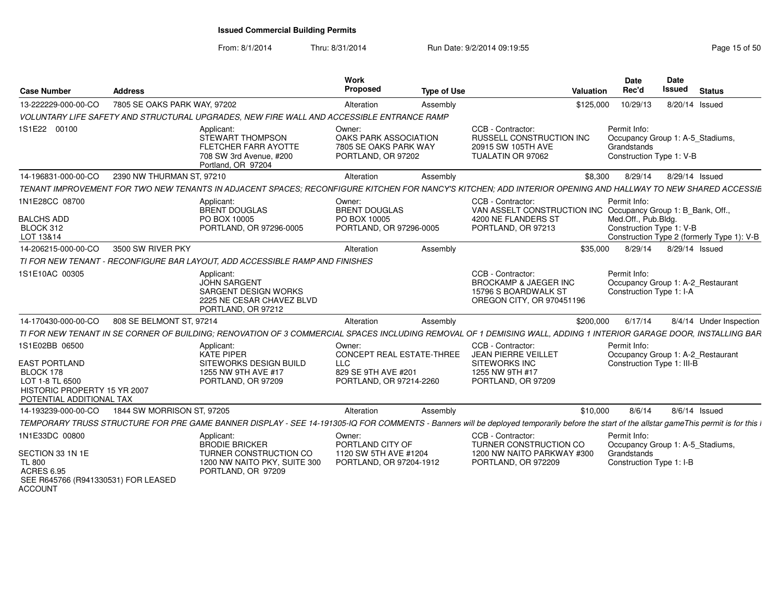From: 8/1/2014

| <b>Case Number</b>                                                                                                                 | <b>Address</b>               |                                                                                                                     | Work<br>Proposed                                                                                           | <b>Type of Use</b> | <b>Valuation</b>                                                                                                                                                                           | <b>Date</b><br>Rec'd                                                                        | <b>Date</b><br>Issued | <b>Status</b> |                                            |
|------------------------------------------------------------------------------------------------------------------------------------|------------------------------|---------------------------------------------------------------------------------------------------------------------|------------------------------------------------------------------------------------------------------------|--------------------|--------------------------------------------------------------------------------------------------------------------------------------------------------------------------------------------|---------------------------------------------------------------------------------------------|-----------------------|---------------|--------------------------------------------|
| 13-222229-000-00-CO                                                                                                                | 7805 SE OAKS PARK WAY, 97202 |                                                                                                                     | Alteration                                                                                                 | Assembly           | \$125,000                                                                                                                                                                                  | 10/29/13                                                                                    | 8/20/14 Issued        |               |                                            |
|                                                                                                                                    |                              | VOLUNTARY LIFE SAFETY AND STRUCTURAL UPGRADES. NEW FIRE WALL AND ACCESSIBLE ENTRANCE RAMP                           |                                                                                                            |                    |                                                                                                                                                                                            |                                                                                             |                       |               |                                            |
| 1S1E22 00100                                                                                                                       |                              | Applicant:<br>STEWART THOMPSON<br><b>FLETCHER FARR AYOTTE</b><br>708 SW 3rd Avenue, #200<br>Portland, OR 97204      | Owner:<br>OAKS PARK ASSOCIATION<br>7805 SE OAKS PARK WAY<br>PORTLAND, OR 97202                             |                    | CCB - Contractor:<br>RUSSELL CONSTRUCTION INC<br>20915 SW 105TH AVE<br>TUALATIN OR 97062                                                                                                   | Permit Info:<br>Occupancy Group 1: A-5_Stadiums,<br>Grandstands<br>Construction Type 1: V-B |                       |               |                                            |
| 14-196831-000-00-CO                                                                                                                | 2390 NW THURMAN ST, 97210    |                                                                                                                     | Alteration                                                                                                 | Assembly           | \$8.300                                                                                                                                                                                    | 8/29/14                                                                                     | 8/29/14 Issued        |               |                                            |
|                                                                                                                                    |                              |                                                                                                                     |                                                                                                            |                    | TENANT IMPROVEMENT FOR TWO NEW TENANTS IN ADJACENT SPACES: RECONFIGURE KITCHEN FOR NANCY'S KITCHEN: ADD INTERIOR OPENING AND HALLWAY TO NEW SHARED ACCESSIE                                |                                                                                             |                       |               |                                            |
| 1N1E28CC 08700<br><b>BALCHS ADD</b><br>BLOCK 312<br>LOT 13&14                                                                      |                              | Applicant:<br><b>BRENT DOUGLAS</b><br>PO BOX 10005<br>PORTLAND, OR 97296-0005                                       | Owner:<br><b>BRENT DOUGLAS</b><br>PO BOX 10005<br>PORTLAND, OR 97296-0005                                  |                    | CCB - Contractor:<br>VAN ASSELT CONSTRUCTION INC Occupancy Group 1: B_Bank, Off.,<br>4200 NE FLANDERS ST<br>PORTLAND, OR 97213                                                             | Permit Info:<br>Med.Off., Pub.Bldg.<br>Construction Type 1: V-B                             |                       |               | Construction Type 2 (formerly Type 1): V-B |
| 14-206215-000-00-CO                                                                                                                | 3500 SW RIVER PKY            |                                                                                                                     | Alteration                                                                                                 | Assembly           | \$35,000                                                                                                                                                                                   | 8/29/14                                                                                     | 8/29/14 Issued        |               |                                            |
|                                                                                                                                    |                              | TI FOR NEW TENANT - RECONFIGURE BAR LAYOUT, ADD ACCESSIBLE RAMP AND FINISHES                                        |                                                                                                            |                    |                                                                                                                                                                                            |                                                                                             |                       |               |                                            |
| 1S1E10AC 00305                                                                                                                     |                              | Applicant:<br><b>JOHN SARGENT</b><br>SARGENT DESIGN WORKS<br>2225 NE CESAR CHAVEZ BLVD<br>PORTLAND, OR 97212        |                                                                                                            |                    | CCB - Contractor:<br><b>BROCKAMP &amp; JAEGER INC</b><br>15796 S BOARDWALK ST<br>OREGON CITY, OR 970451196                                                                                 | Permit Info:<br>Occupancy Group 1: A-2_Restaurant<br>Construction Type 1: I-A               |                       |               |                                            |
| 14-170430-000-00-CO                                                                                                                | 808 SE BELMONT ST, 97214     |                                                                                                                     | Alteration                                                                                                 | Assembly           | \$200,000                                                                                                                                                                                  | 6/17/14                                                                                     |                       |               | 8/4/14 Under Inspection                    |
|                                                                                                                                    |                              |                                                                                                                     |                                                                                                            |                    | TI FOR NEW TENANT IN SE CORNER OF BUILDING; RENOVATION OF 3 COMMERCIAL SPACES INCLUDING REMOVAL OF 1 DEMISING WALL, ADDING 1 INTERIOR GARAGE DOOR, INSTALLING BAR                          |                                                                                             |                       |               |                                            |
| 1S1E02BB 06500<br><b>EAST PORTLAND</b><br>BLOCK 178<br>LOT 1-8 TL 6500<br>HISTORIC PROPERTY 15 YR 2007<br>POTENTIAL ADDITIONAL TAX |                              | Applicant:<br><b>KATE PIPER</b><br>SITEWORKS DESIGN BUILD<br>1255 NW 9TH AVE #17<br>PORTLAND, OR 97209              | Owner:<br><b>CONCEPT REAL ESTATE-THREE</b><br><b>LLC</b><br>829 SE 9TH AVE #201<br>PORTLAND, OR 97214-2260 |                    | CCB - Contractor:<br><b>JEAN PIERRE VEILLET</b><br>SITEWORKS INC<br>1255 NW 9TH #17<br>PORTLAND, OR 97209                                                                                  | Permit Info:<br>Occupancy Group 1: A-2_Restaurant<br>Construction Type 1: III-B             |                       |               |                                            |
| 14-193239-000-00-CO                                                                                                                | 1844 SW MORRISON ST, 97205   |                                                                                                                     | Alteration                                                                                                 | Assembly           | \$10,000                                                                                                                                                                                   | 8/6/14                                                                                      | $8/6/14$ Issued       |               |                                            |
|                                                                                                                                    |                              |                                                                                                                     |                                                                                                            |                    | TEMPORARY TRUSS STRUCTURE FOR PRE GAME BANNER DISPLAY - SEE 14-191305-IQ FOR COMMENTS - Banners will be deployed temporarily before the start of the allstar gameThis permit is for this i |                                                                                             |                       |               |                                            |
| 1N1E33DC 00800<br>SECTION 33 1N 1E<br><b>TL 800</b><br><b>ACRES 6.95</b><br>SEE R645766 (R941330531) FOR LEASED<br><b>ACCOUNT</b>  |                              | Applicant:<br><b>BRODIE BRICKER</b><br>TURNER CONSTRUCTION CO<br>1200 NW NAITO PKY, SUITE 300<br>PORTLAND, OR 97209 | Owner:<br>PORTLAND CITY OF<br>1120 SW 5TH AVE #1204<br>PORTLAND, OR 97204-1912                             |                    | CCB - Contractor:<br>TURNER CONSTRUCTION CO<br>1200 NW NAITO PARKWAY #300<br>PORTLAND, OR 972209                                                                                           | Permit Info:<br>Occupancy Group 1: A-5_Stadiums,<br>Grandstands<br>Construction Type 1: I-B |                       |               |                                            |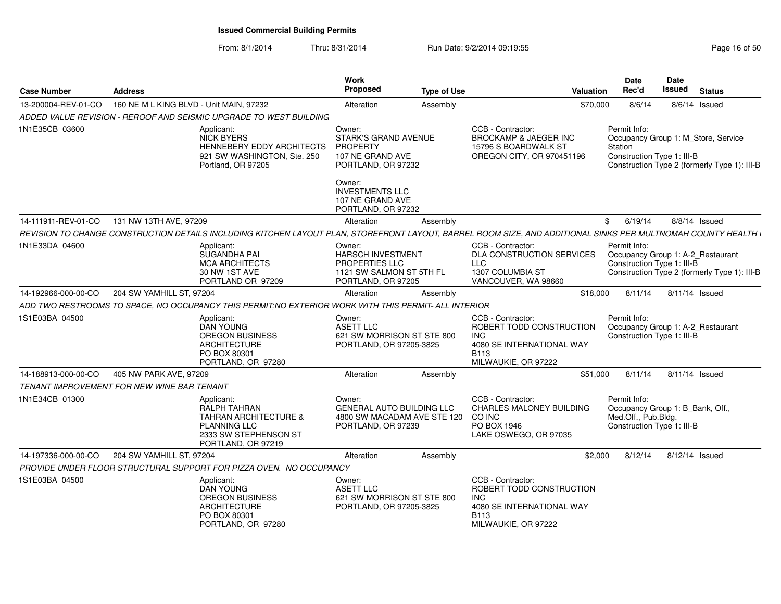#### From: 8/1/2014Thru: 8/31/2014 Run Date: 9/2/2014 09:19:55

| <b>Case Number</b>  | <b>Address</b>                             |                                                                                                                                      | Work<br><b>Proposed</b>                                                                                | <b>Type of Use</b> | Valuation                                                                                                                                                      | Date<br>Rec'd                                                                                         | Date<br><b>Issued</b> | <b>Status</b>                                |
|---------------------|--------------------------------------------|--------------------------------------------------------------------------------------------------------------------------------------|--------------------------------------------------------------------------------------------------------|--------------------|----------------------------------------------------------------------------------------------------------------------------------------------------------------|-------------------------------------------------------------------------------------------------------|-----------------------|----------------------------------------------|
| 13-200004-REV-01-CO | 160 NE M L KING BLVD - Unit MAIN, 97232    |                                                                                                                                      | Alteration                                                                                             | Assembly           | \$70,000                                                                                                                                                       | 8/6/14                                                                                                |                       | 8/6/14 Issued                                |
|                     |                                            | ADDED VALUE REVISION - REROOF AND SEISMIC UPGRADE TO WEST BUILDING                                                                   |                                                                                                        |                    |                                                                                                                                                                |                                                                                                       |                       |                                              |
| 1N1E35CB 03600      |                                            | Applicant:<br><b>NICK BYERS</b><br><b>HENNEBERY EDDY ARCHITECTS</b><br>921 SW WASHINGTON, Ste. 250<br>Portland, OR 97205             | Owner:<br><b>STARK'S GRAND AVENUE</b><br><b>PROPERTY</b><br>107 NE GRAND AVE<br>PORTLAND, OR 97232     |                    | CCB - Contractor:<br><b>BROCKAMP &amp; JAEGER INC</b><br>15796 S BOARDWALK ST<br>OREGON CITY, OR 970451196                                                     | Permit Info:<br>Occupancy Group 1: M Store, Service<br>Station<br>Construction Type 1: III-B          |                       | Construction Type 2 (formerly Type 1): III-B |
|                     |                                            |                                                                                                                                      | Owner:<br><b>INVESTMENTS LLC</b><br>107 NE GRAND AVE<br>PORTLAND, OR 97232                             |                    |                                                                                                                                                                |                                                                                                       |                       |                                              |
| 14-111911-REV-01-CO | 131 NW 13TH AVE, 97209                     |                                                                                                                                      | Alteration                                                                                             | Assembly           |                                                                                                                                                                | 6/19/14<br>\$                                                                                         |                       | 8/8/14 Issued                                |
|                     |                                            |                                                                                                                                      |                                                                                                        |                    | REVISION TO CHANGE CONSTRUCTION DETAILS INCLUDING KITCHEN LAYOUT PLAN, STOREFRONT LAYOUT, BARREL ROOM SIZE, AND ADDITIONAL SINKS PER MULTNOMAH COUNTY HEALTH I |                                                                                                       |                       |                                              |
| 1N1E33DA 04600      |                                            | Applicant:<br>SUGANDHA PAI<br><b>MCA ARCHITECTS</b><br>30 NW 1ST AVE<br>PORTLAND OR 97209                                            | Owner:<br>HARSCH INVESTMENT<br><b>PROPERTIES LLC</b><br>1121 SW SALMON ST 5TH FL<br>PORTLAND, OR 97205 |                    | CCB - Contractor:<br>DLA CONSTRUCTION SERVICES<br><b>LLC</b><br>1307 COLUMBIA ST<br>VANCOUVER, WA 98660                                                        | Permit Info:<br>Occupancy Group 1: A-2_Restaurant<br>Construction Type 1: III-B                       |                       | Construction Type 2 (formerly Type 1): III-B |
| 14-192966-000-00-CO | 204 SW YAMHILL ST, 97204                   |                                                                                                                                      | Alteration                                                                                             | Assembly           | \$18,000                                                                                                                                                       | 8/11/14                                                                                               | 8/11/14 Issued        |                                              |
|                     |                                            | ADD TWO RESTROOMS TO SPACE, NO OCCUPANCY THIS PERMIT;NO EXTERIOR WORK WITH THIS PERMIT- ALL INTERIOR                                 |                                                                                                        |                    |                                                                                                                                                                |                                                                                                       |                       |                                              |
| 1S1E03BA 04500      |                                            | Applicant:<br>DAN YOUNG<br><b>OREGON BUSINESS</b><br><b>ARCHITECTURE</b><br>PO BOX 80301<br>PORTLAND, OR 97280                       | Owner:<br><b>ASETT LLC</b><br>621 SW MORRISON ST STE 800<br>PORTLAND, OR 97205-3825                    |                    | CCB - Contractor:<br>ROBERT TODD CONSTRUCTION<br><b>INC</b><br>4080 SE INTERNATIONAL WAY<br><b>B113</b><br>MILWAUKIE, OR 97222                                 | Permit Info:<br>Occupancy Group 1: A-2_Restaurant<br>Construction Type 1: III-B                       |                       |                                              |
| 14-188913-000-00-CO | 405 NW PARK AVE, 97209                     |                                                                                                                                      | Alteration                                                                                             | Assembly           | \$51,000                                                                                                                                                       | 8/11/14                                                                                               | 8/11/14 Issued        |                                              |
|                     | TENANT IMPROVEMENT FOR NEW WINE BAR TENANT |                                                                                                                                      |                                                                                                        |                    |                                                                                                                                                                |                                                                                                       |                       |                                              |
| 1N1E34CB 01300      |                                            | Applicant:<br>RALPH TAHRAN<br><b>TAHRAN ARCHITECTURE &amp;</b><br><b>PLANNING LLC</b><br>2333 SW STEPHENSON ST<br>PORTLAND, OR 97219 | Owner:<br><b>GENERAL AUTO BUILDING LLC</b><br>4800 SW MACADAM AVE STE 120<br>PORTLAND, OR 97239        |                    | CCB - Contractor:<br><b>CHARLES MALONEY BUILDING</b><br>CO INC<br>PO BOX 1946<br>LAKE OSWEGO, OR 97035                                                         | Permit Info:<br>Occupancy Group 1: B Bank, Off.,<br>Med.Off., Pub.Bldg.<br>Construction Type 1: III-B |                       |                                              |
| 14-197336-000-00-CO | 204 SW YAMHILL ST, 97204                   |                                                                                                                                      | Alteration                                                                                             | Assembly           | \$2,000                                                                                                                                                        | 8/12/14                                                                                               | 8/12/14 Issued        |                                              |
|                     |                                            | PROVIDE UNDER FLOOR STRUCTURAL SUPPORT FOR PIZZA OVEN. NO OCCUPANCY                                                                  |                                                                                                        |                    |                                                                                                                                                                |                                                                                                       |                       |                                              |
| 1S1E03BA 04500      |                                            | Applicant:<br><b>DAN YOUNG</b><br><b>OREGON BUSINESS</b><br><b>ARCHITECTURE</b><br>PO BOX 80301<br>PORTLAND, OR 97280                | Owner:<br><b>ASETT LLC</b><br>621 SW MORRISON ST STE 800<br>PORTLAND, OR 97205-3825                    |                    | CCB - Contractor:<br>ROBERT TODD CONSTRUCTION<br><b>INC</b><br>4080 SE INTERNATIONAL WAY<br><b>B113</b><br>MILWAUKIE, OR 97222                                 |                                                                                                       |                       |                                              |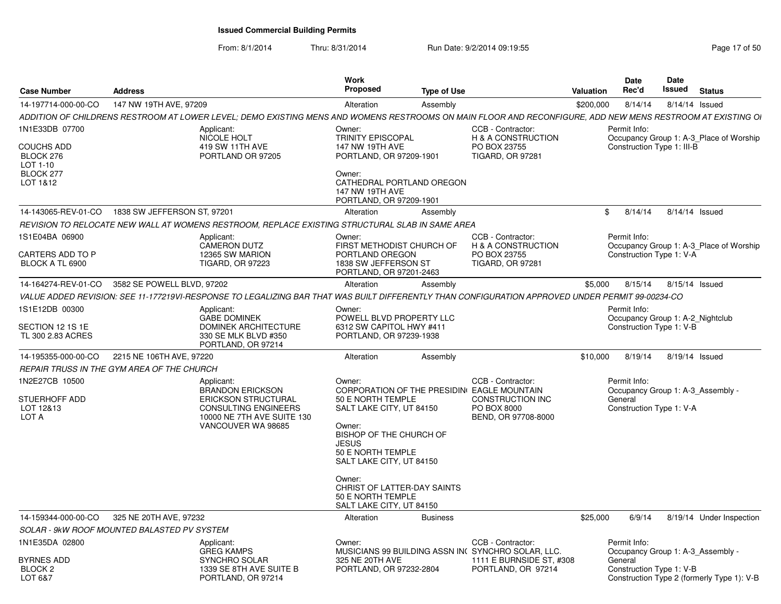| <b>Case Number</b>                                                             | <b>Address</b>              |                                                                                                                                                            | Work<br>Proposed                                                                                                                                                                                                                                                                                      | <b>Type of Use</b> |                                                                                    | <b>Valuation</b> | Date<br>Rec'd                                                                            | <b>Date</b><br>Issued | <b>Status</b>                              |
|--------------------------------------------------------------------------------|-----------------------------|------------------------------------------------------------------------------------------------------------------------------------------------------------|-------------------------------------------------------------------------------------------------------------------------------------------------------------------------------------------------------------------------------------------------------------------------------------------------------|--------------------|------------------------------------------------------------------------------------|------------------|------------------------------------------------------------------------------------------|-----------------------|--------------------------------------------|
| 14-197714-000-00-CO                                                            | 147 NW 19TH AVE, 97209      |                                                                                                                                                            | Alteration                                                                                                                                                                                                                                                                                            | Assembly           |                                                                                    | \$200.000        | 8/14/14                                                                                  | 8/14/14 Issued        |                                            |
|                                                                                |                             | ADDITION OF CHILDRENS RESTROOM AT LOWER LEVEL; DEMO EXISTING MENS AND WOMENS RESTROOMS ON MAIN FLOOR AND RECONFIGURE, ADD NEW MENS RESTROOM AT EXISTING OI |                                                                                                                                                                                                                                                                                                       |                    |                                                                                    |                  |                                                                                          |                       |                                            |
| 1N1E33DB 07700<br>COUCHS ADD<br>BLOCK 276<br>LOT 1-10<br>BLOCK 277<br>LOT 1&12 |                             | Applicant:<br>NICOLE HOLT<br>419 SW 11TH AVE<br>PORTLAND OR 97205                                                                                          | Owner:<br><b>TRINITY EPISCOPAL</b><br>147 NW 19TH AVE<br>PORTLAND, OR 97209-1901<br>Owner:<br>CATHEDRAL PORTLAND OREGON<br><b>147 NW 19TH AVE</b><br>PORTLAND, OR 97209-1901                                                                                                                          |                    | CCB - Contractor:<br>H & A CONSTRUCTION<br>PO BOX 23755<br><b>TIGARD, OR 97281</b> |                  | Permit Info:<br>Construction Type 1: III-B                                               |                       | Occupancy Group 1: A-3 Place of Worship    |
| 14-143065-REV-01-CO                                                            | 1838 SW JEFFERSON ST, 97201 |                                                                                                                                                            | Alteration                                                                                                                                                                                                                                                                                            | Assembly           |                                                                                    | -SS              | 8/14/14                                                                                  | 8/14/14 Issued        |                                            |
|                                                                                |                             | REVISION TO RELOCATE NEW WALL AT WOMENS RESTROOM, REPLACE EXISTING STRUCTURAL SLAB IN SAME AREA                                                            |                                                                                                                                                                                                                                                                                                       |                    |                                                                                    |                  |                                                                                          |                       |                                            |
| 1S1E04BA 06900<br>CARTERS ADD TO P<br>BLOCK A TL 6900                          |                             | Applicant:<br><b>CAMERON DUTZ</b><br>12365 SW MARION<br><b>TIGARD, OR 97223</b>                                                                            | Owner:<br>FIRST METHODIST CHURCH OF<br>PORTLAND OREGON<br>1838 SW JEFFERSON ST<br>PORTLAND, OR 97201-2463                                                                                                                                                                                             |                    | CCB - Contractor:<br>H & A CONSTRUCTION<br>PO BOX 23755<br><b>TIGARD, OR 97281</b> |                  | Permit Info:<br>Construction Type 1: V-A                                                 |                       | Occupancy Group 1: A-3_Place of Worship    |
| 14-164274-REV-01-CO                                                            | 3582 SE POWELL BLVD, 97202  |                                                                                                                                                            | Alteration                                                                                                                                                                                                                                                                                            | Assembly           |                                                                                    | \$5.000          | 8/15/14                                                                                  | 8/15/14 Issued        |                                            |
|                                                                                |                             | VALUE ADDED REVISION: SEE 11-177219VI-RESPONSE TO LEGALIZING BAR THAT                                                                                      |                                                                                                                                                                                                                                                                                                       |                    | WAS BUILT DIFFERENTLY THAN CONFIGURATION APPROVED UNDER PERMIT 99-00234-CO         |                  |                                                                                          |                       |                                            |
| 1S1E12DB 00300<br>SECTION 12 1S 1E<br>TL 300 2.83 ACRES                        |                             | Applicant:<br><b>GABE DOMINEK</b><br><b>DOMINEK ARCHITECTURE</b><br>330 SE MLK BLVD #350<br>PORTLAND, OR 97214                                             | Owner:<br>POWELL BLVD PROPERTY LLC<br>6312 SW CAPITOL HWY #411<br>PORTLAND, OR 97239-1938                                                                                                                                                                                                             |                    |                                                                                    |                  | Permit Info:<br>Occupancy Group 1: A-2 Nightclub<br>Construction Type 1: V-B             |                       |                                            |
| 14-195355-000-00-CO                                                            | 2215 NE 106TH AVE, 97220    |                                                                                                                                                            | Alteration                                                                                                                                                                                                                                                                                            | Assembly           |                                                                                    | \$10.000         | 8/19/14                                                                                  | 8/19/14 Issued        |                                            |
| REPAIR TRUSS IN THE GYM AREA OF THE CHURCH                                     |                             |                                                                                                                                                            |                                                                                                                                                                                                                                                                                                       |                    |                                                                                    |                  |                                                                                          |                       |                                            |
| 1N2E27CB 10500<br><b>STUERHOFF ADD</b><br>LOT 12&13<br>LOT A                   |                             | Applicant:<br><b>BRANDON ERICKSON</b><br><b>ERICKSON STRUCTURAL</b><br>CONSULTING ENGINEERS<br>10000 NE 7TH AVE SUITE 130<br>VANCOUVER WA 98685            | Owner:<br>CORPORATION OF THE PRESIDIN EAGLE MOUNTAIN<br>50 E NORTH TEMPLE<br>SALT LAKE CITY, UT 84150<br>Owner:<br>BISHOP OF THE CHURCH OF<br><b>JESUS</b><br>50 E NORTH TEMPLE<br>SALT LAKE CITY, UT 84150<br>Owner:<br>CHRIST OF LATTER-DAY SAINTS<br>50 E NORTH TEMPLE<br>SALT LAKE CITY, UT 84150 |                    | CCB - Contractor:<br><b>CONSTRUCTION INC</b><br>PO BOX 8000<br>BEND, OR 97708-8000 |                  | Permit Info:<br>Occupancy Group 1: A-3 Assembly -<br>General<br>Construction Type 1: V-A |                       |                                            |
| 14-159344-000-00-CO                                                            | 325 NE 20TH AVE, 97232      |                                                                                                                                                            | Alteration                                                                                                                                                                                                                                                                                            | <b>Business</b>    |                                                                                    | \$25,000         | 6/9/14                                                                                   |                       | 8/19/14 Under Inspection                   |
| SOLAR - 9kW ROOF MOUNTED BALASTED PV SYSTEM                                    |                             |                                                                                                                                                            |                                                                                                                                                                                                                                                                                                       |                    |                                                                                    |                  |                                                                                          |                       |                                            |
| 1N1E35DA 02800                                                                 |                             | Applicant:<br><b>GREG KAMPS</b>                                                                                                                            | Owner:                                                                                                                                                                                                                                                                                                |                    | CCB - Contractor:<br>MUSICIANS 99 BUILDING ASSN IN SYNCHRO SOLAR, LLC.             |                  | Permit Info:<br>Occupancy Group 1: A-3 Assembly -                                        |                       |                                            |
| <b>BYRNES ADD</b><br>BLOCK <sub>2</sub><br>LOT 6&7                             |                             | SYNCHRO SOLAR<br>1339 SE 8TH AVE SUITE B<br>PORTLAND, OR 97214                                                                                             | 325 NE 20TH AVE<br>PORTLAND, OR 97232-2804                                                                                                                                                                                                                                                            |                    | 1111 E BURNSIDE ST, #308<br>PORTLAND, OR 97214                                     |                  | General<br>Construction Type 1: V-B                                                      |                       | Construction Type 2 (formerly Type 1): V-B |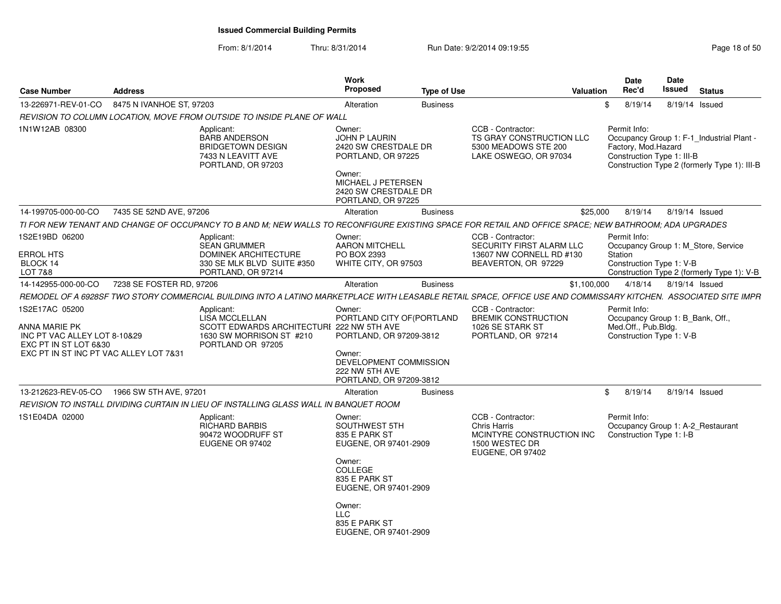| 8475 N IVANHOE ST, 97203<br>8/19/14<br>8/19/14 Issued<br>Alteration<br><b>Business</b><br>\$<br>REVISION TO COLUMN LOCATION, MOVE FROM OUTSIDE TO INSIDE PLANE OF WALL<br>CCB - Contractor:<br>Permit Info:<br>Applicant:<br>Owner:<br>TS GRAY CONSTRUCTION LLC<br><b>BARB ANDERSON</b><br>JOHN P LAURIN<br>Occupancy Group 1: F-1 Industrial Plant -<br>Factory, Mod.Hazard<br><b>BRIDGETOWN DESIGN</b><br>2420 SW CRESTDALE DR<br>5300 MEADOWS STE 200<br>7433 N LEAVITT AVE<br>LAKE OSWEGO, OR 97034<br>Construction Type 1: III-B<br>PORTLAND, OR 97225<br>PORTLAND, OR 97203<br>Owner:<br>MICHAEL J PETERSEN<br>2420 SW CRESTDALE DR<br>PORTLAND, OR 97225<br>7435 SE 52ND AVE, 97206<br>\$25,000<br>8/19/14<br>8/19/14 Issued<br>Alteration<br><b>Business</b><br>TI FOR NEW TENANT AND CHANGE OF OCCUPANCY TO B AND M; NEW WALLS TO RECONFIGURE EXISTING SPACE FOR RETAIL AND OFFICE SPACE; NEW BATHROOM; ADA UPGRADES<br>Applicant:<br>Owner:<br>CCB - Contractor:<br>Permit Info:<br><b>SEAN GRUMMER</b><br>AARON MITCHELL<br>SECURITY FIRST ALARM LLC<br>Occupancy Group 1: M_Store, Service<br><b>DOMINEK ARCHITECTURE</b><br>PO BOX 2393<br>13607 NW CORNELL RD #130<br>Station<br>330 SE MLK BLVD SUITE #350<br>WHITE CITY, OR 97503<br>BEAVERTON, OR 97229<br>Construction Type 1: V-B<br>PORTLAND, OR 97214<br>Construction Type 2 (formerly Type 1): V-B<br>7238 SE FOSTER RD, 97206<br>Alteration<br><b>Business</b><br>\$1,100,000<br>4/18/14<br>8/19/14 Issued<br>CCB - Contractor:<br>Owner:<br>Permit Info:<br>Applicant:<br><b>LISA MCCLELLAN</b><br>PORTLAND CITY OF(PORTLAND<br><b>BREMIK CONSTRUCTION</b><br>Occupancy Group 1: B_Bank, Off.,<br>Med.Off., Pub.Bldg.<br>SCOTT EDWARDS ARCHITECTURI 222 NW 5TH AVE<br>1026 SE STARK ST<br>1630 SW MORRISON ST #210<br>PORTLAND, OR 97209-3812<br>Construction Type 1: V-B<br>INC PT VAC ALLEY LOT 8-10&29<br>PORTLAND, OR 97214<br>PORTLAND OR 97205<br>EXC PT IN ST INC PT VAC ALLEY LOT 7&31<br>Owner:<br>DEVELOPMENT COMMISSION<br>222 NW 5TH AVE<br>PORTLAND, OR 97209-3812<br>1966 SW 5TH AVE, 97201<br>8/19/14<br>8/19/14 Issued<br>Alteration<br><b>Business</b><br>\$<br>REVISION TO INSTALL DIVIDING CURTAIN IN LIEU OF INSTALLING GLASS WALL IN BANQUET ROOM<br>CCB - Contractor:<br>Permit Info:<br>Applicant:<br>Owner:<br><b>RICHARD BARBIS</b><br>SOUTHWEST 5TH<br>Chris Harris<br>Occupancy Group 1: A-2_Restaurant<br>90472 WOODRUFF ST<br>835 E PARK ST<br>MCINTYRE CONSTRUCTION INC<br>Construction Type 1: I-B<br>1500 WESTEC DR<br>EUGENE OR 97402<br>EUGENE, OR 97401-2909<br><b>EUGENE, OR 97402</b><br>Owner:<br><b>COLLEGE</b><br>835 E PARK ST<br>EUGENE, OR 97401-2909<br>Owner:<br><b>LLC</b><br>835 E PARK ST<br>EUGENE, OR 97401-2909 | <b>Case Number</b>                                        | <b>Address</b> | Work<br>Proposed | <b>Type of Use</b> | <b>Valuation</b> | Date<br>Rec'd | Date<br>Issued | <b>Status</b> |  |
|--------------------------------------------------------------------------------------------------------------------------------------------------------------------------------------------------------------------------------------------------------------------------------------------------------------------------------------------------------------------------------------------------------------------------------------------------------------------------------------------------------------------------------------------------------------------------------------------------------------------------------------------------------------------------------------------------------------------------------------------------------------------------------------------------------------------------------------------------------------------------------------------------------------------------------------------------------------------------------------------------------------------------------------------------------------------------------------------------------------------------------------------------------------------------------------------------------------------------------------------------------------------------------------------------------------------------------------------------------------------------------------------------------------------------------------------------------------------------------------------------------------------------------------------------------------------------------------------------------------------------------------------------------------------------------------------------------------------------------------------------------------------------------------------------------------------------------------------------------------------------------------------------------------------------------------------------------------------------------------------------------------------------------------------------------------------------------------------------------------------------------------------------------------------------------------------------------------------------------------------------------------------------------------------------------------------------------------------------------------------------------------------------------------------------------------------------------------------------------------------------------------------------------------------------------------------------------------------------------------------------------------------------------------------------------------------------------------------------------------------|-----------------------------------------------------------|----------------|------------------|--------------------|------------------|---------------|----------------|---------------|--|
|                                                                                                                                                                                                                                                                                                                                                                                                                                                                                                                                                                                                                                                                                                                                                                                                                                                                                                                                                                                                                                                                                                                                                                                                                                                                                                                                                                                                                                                                                                                                                                                                                                                                                                                                                                                                                                                                                                                                                                                                                                                                                                                                                                                                                                                                                                                                                                                                                                                                                                                                                                                                                                                                                                                                            | 13-226971-REV-01-CO                                       |                |                  |                    |                  |               |                |               |  |
| Construction Type 2 (formerly Type 1): III-B                                                                                                                                                                                                                                                                                                                                                                                                                                                                                                                                                                                                                                                                                                                                                                                                                                                                                                                                                                                                                                                                                                                                                                                                                                                                                                                                                                                                                                                                                                                                                                                                                                                                                                                                                                                                                                                                                                                                                                                                                                                                                                                                                                                                                                                                                                                                                                                                                                                                                                                                                                                                                                                                                               |                                                           |                |                  |                    |                  |               |                |               |  |
| REMODEL OF A 6928SF TWO STORY COMMERCIAL BUILDING INTO A LATINO MARKETPLACE WITH LEASABLE RETAIL SPACE. OFFICE USE AND COMMISSARY KITCHEN.  ASSOCIATED SITE IMPR                                                                                                                                                                                                                                                                                                                                                                                                                                                                                                                                                                                                                                                                                                                                                                                                                                                                                                                                                                                                                                                                                                                                                                                                                                                                                                                                                                                                                                                                                                                                                                                                                                                                                                                                                                                                                                                                                                                                                                                                                                                                                                                                                                                                                                                                                                                                                                                                                                                                                                                                                                           | 1N1W12AB 08300                                            |                |                  |                    |                  |               |                |               |  |
|                                                                                                                                                                                                                                                                                                                                                                                                                                                                                                                                                                                                                                                                                                                                                                                                                                                                                                                                                                                                                                                                                                                                                                                                                                                                                                                                                                                                                                                                                                                                                                                                                                                                                                                                                                                                                                                                                                                                                                                                                                                                                                                                                                                                                                                                                                                                                                                                                                                                                                                                                                                                                                                                                                                                            | 14-199705-000-00-CO                                       |                |                  |                    |                  |               |                |               |  |
|                                                                                                                                                                                                                                                                                                                                                                                                                                                                                                                                                                                                                                                                                                                                                                                                                                                                                                                                                                                                                                                                                                                                                                                                                                                                                                                                                                                                                                                                                                                                                                                                                                                                                                                                                                                                                                                                                                                                                                                                                                                                                                                                                                                                                                                                                                                                                                                                                                                                                                                                                                                                                                                                                                                                            |                                                           |                |                  |                    |                  |               |                |               |  |
|                                                                                                                                                                                                                                                                                                                                                                                                                                                                                                                                                                                                                                                                                                                                                                                                                                                                                                                                                                                                                                                                                                                                                                                                                                                                                                                                                                                                                                                                                                                                                                                                                                                                                                                                                                                                                                                                                                                                                                                                                                                                                                                                                                                                                                                                                                                                                                                                                                                                                                                                                                                                                                                                                                                                            | 1S2E19BD 06200<br><b>ERROL HTS</b><br>BLOCK 14<br>LOT 7&8 |                |                  |                    |                  |               |                |               |  |
|                                                                                                                                                                                                                                                                                                                                                                                                                                                                                                                                                                                                                                                                                                                                                                                                                                                                                                                                                                                                                                                                                                                                                                                                                                                                                                                                                                                                                                                                                                                                                                                                                                                                                                                                                                                                                                                                                                                                                                                                                                                                                                                                                                                                                                                                                                                                                                                                                                                                                                                                                                                                                                                                                                                                            | 14-142955-000-00-CO                                       |                |                  |                    |                  |               |                |               |  |
|                                                                                                                                                                                                                                                                                                                                                                                                                                                                                                                                                                                                                                                                                                                                                                                                                                                                                                                                                                                                                                                                                                                                                                                                                                                                                                                                                                                                                                                                                                                                                                                                                                                                                                                                                                                                                                                                                                                                                                                                                                                                                                                                                                                                                                                                                                                                                                                                                                                                                                                                                                                                                                                                                                                                            |                                                           |                |                  |                    |                  |               |                |               |  |
|                                                                                                                                                                                                                                                                                                                                                                                                                                                                                                                                                                                                                                                                                                                                                                                                                                                                                                                                                                                                                                                                                                                                                                                                                                                                                                                                                                                                                                                                                                                                                                                                                                                                                                                                                                                                                                                                                                                                                                                                                                                                                                                                                                                                                                                                                                                                                                                                                                                                                                                                                                                                                                                                                                                                            | 1S2E17AC 05200<br>ANNA MARIE PK<br>EXC PT IN ST LOT 6&30  |                |                  |                    |                  |               |                |               |  |
|                                                                                                                                                                                                                                                                                                                                                                                                                                                                                                                                                                                                                                                                                                                                                                                                                                                                                                                                                                                                                                                                                                                                                                                                                                                                                                                                                                                                                                                                                                                                                                                                                                                                                                                                                                                                                                                                                                                                                                                                                                                                                                                                                                                                                                                                                                                                                                                                                                                                                                                                                                                                                                                                                                                                            | 13-212623-REV-05-CO                                       |                |                  |                    |                  |               |                |               |  |
|                                                                                                                                                                                                                                                                                                                                                                                                                                                                                                                                                                                                                                                                                                                                                                                                                                                                                                                                                                                                                                                                                                                                                                                                                                                                                                                                                                                                                                                                                                                                                                                                                                                                                                                                                                                                                                                                                                                                                                                                                                                                                                                                                                                                                                                                                                                                                                                                                                                                                                                                                                                                                                                                                                                                            |                                                           |                |                  |                    |                  |               |                |               |  |
|                                                                                                                                                                                                                                                                                                                                                                                                                                                                                                                                                                                                                                                                                                                                                                                                                                                                                                                                                                                                                                                                                                                                                                                                                                                                                                                                                                                                                                                                                                                                                                                                                                                                                                                                                                                                                                                                                                                                                                                                                                                                                                                                                                                                                                                                                                                                                                                                                                                                                                                                                                                                                                                                                                                                            | 1S1E04DA 02000                                            |                |                  |                    |                  |               |                |               |  |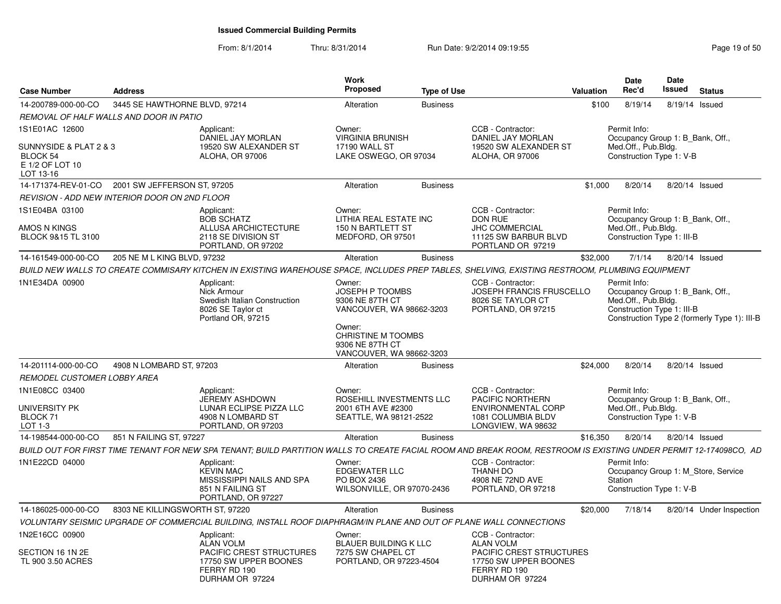| Case Number                                                        | <b>Address</b>                  |                                                                                                                                                                   | Work<br><b>Proposed</b>                                                                                                                                        | <b>Type of Use</b> |                                                                                                                | <b>Valuation</b> | <b>Date</b><br>Rec'd                                              | Date<br>Issued | <b>Status</b>                                                                    |  |
|--------------------------------------------------------------------|---------------------------------|-------------------------------------------------------------------------------------------------------------------------------------------------------------------|----------------------------------------------------------------------------------------------------------------------------------------------------------------|--------------------|----------------------------------------------------------------------------------------------------------------|------------------|-------------------------------------------------------------------|----------------|----------------------------------------------------------------------------------|--|
| 14-200789-000-00-CO                                                | 3445 SE HAWTHORNE BLVD, 97214   |                                                                                                                                                                   | Alteration                                                                                                                                                     | <b>Business</b>    |                                                                                                                | \$100            | 8/19/14                                                           |                | 8/19/14 Issued                                                                   |  |
| REMOVAL OF HALF WALLS AND DOOR IN PATIO                            |                                 |                                                                                                                                                                   |                                                                                                                                                                |                    |                                                                                                                |                  |                                                                   |                |                                                                                  |  |
| 1S1E01AC 12600                                                     |                                 | Applicant:                                                                                                                                                        | Owner:                                                                                                                                                         |                    | CCB - Contractor:                                                                                              |                  | Permit Info:                                                      |                |                                                                                  |  |
| SUNNYSIDE & PLAT 2 & 3<br>BLOCK 54<br>E 1/2 OF LOT 10<br>LOT 13-16 |                                 | DANIEL JAY MORLAN<br>19520 SW ALEXANDER ST<br><b>ALOHA, OR 97006</b>                                                                                              | <b>VIRGINIA BRUNISH</b><br>17190 WALL ST<br>LAKE OSWEGO, OR 97034                                                                                              |                    | DANIEL JAY MORLAN<br>19520 SW ALEXANDER ST<br>ALOHA, OR 97006                                                  |                  | Med.Off., Pub.Bldg.<br>Construction Type 1: V-B                   |                | Occupancy Group 1: B Bank, Off.,                                                 |  |
| 14-171374-REV-01-CO                                                | 2001 SW JEFFERSON ST, 97205     |                                                                                                                                                                   | Alteration                                                                                                                                                     | <b>Business</b>    |                                                                                                                | \$1,000          | 8/20/14                                                           |                | 8/20/14 Issued                                                                   |  |
| REVISION - ADD NEW INTERIOR DOOR ON 2ND FLOOR                      |                                 |                                                                                                                                                                   |                                                                                                                                                                |                    |                                                                                                                |                  |                                                                   |                |                                                                                  |  |
| 1S1E04BA 03100<br>AMOS N KINGS<br>BLOCK 9&15 TL 3100               |                                 | Applicant:<br><b>BOB SCHATZ</b><br>ALLUSA ARCHICTECTURE<br>2118 SE DIVISION ST                                                                                    | Owner:<br>LITHIA REAL ESTATE INC<br>150 N BARTLETT ST<br>MEDFORD, OR 97501                                                                                     |                    | CCB - Contractor:<br>DON RUE<br>JHC COMMERCIAL<br>11125 SW BARBUR BLVD                                         |                  | Permit Info:<br>Med.Off., Pub.Bldg.<br>Construction Type 1: III-B |                | Occupancy Group 1: B Bank, Off.,                                                 |  |
|                                                                    |                                 | PORTLAND, OR 97202                                                                                                                                                |                                                                                                                                                                |                    | PORTLAND OR 97219                                                                                              |                  |                                                                   |                |                                                                                  |  |
| 14-161549-000-00-CO                                                | 205 NE M L KING BLVD, 97232     |                                                                                                                                                                   | Alteration                                                                                                                                                     | <b>Business</b>    |                                                                                                                | \$32,000         | 7/1/14                                                            |                | 8/20/14 Issued                                                                   |  |
|                                                                    |                                 | BUILD NEW WALLS TO CREATE COMMISARY KITCHEN IN EXISTING WAREHOUSE SPACE, INCLUDES PREP TABLES, SHELVING, EXISTING RESTROOM, PLUMBING EQUIPMENT                    |                                                                                                                                                                |                    |                                                                                                                |                  |                                                                   |                |                                                                                  |  |
| 1N1E34DA 00900                                                     |                                 | Applicant:<br>Nick Armour<br>Swedish Italian Construction<br>8026 SE Taylor ct<br>Portland OR, 97215                                                              | Owner:<br>JOSEPH P TOOMBS<br>9306 NE 87TH CT<br>VANCOUVER, WA 98662-3203<br>Owner:<br><b>CHRISTINE M TOOMBS</b><br>9306 NE 87TH CT<br>VANCOUVER, WA 98662-3203 |                    | CCB - Contractor:<br>JOSEPH FRANCIS FRUSCELLO<br>8026 SE TAYLOR CT<br>PORTLAND, OR 97215                       |                  | Permit Info:<br>Med.Off., Pub.Bldg.<br>Construction Type 1: III-B |                | Occupancy Group 1: B_Bank, Off.,<br>Construction Type 2 (formerly Type 1): III-B |  |
| 14-201114-000-00-CO                                                | 4908 N LOMBARD ST, 97203        |                                                                                                                                                                   | Alteration                                                                                                                                                     | <b>Business</b>    |                                                                                                                | \$24,000         | 8/20/14                                                           |                | 8/20/14 Issued                                                                   |  |
| REMODEL CUSTOMER LOBBY AREA                                        |                                 |                                                                                                                                                                   |                                                                                                                                                                |                    |                                                                                                                |                  |                                                                   |                |                                                                                  |  |
| 1N1E08CC 03400<br>UNIVERSITY PK<br>BLOCK 71<br>LOT 1-3             |                                 | Applicant:<br>JEREMY ASHDOWN<br>LUNAR ECLIPSE PIZZA LLC<br>4908 N LOMBARD ST<br>PORTLAND, OR 97203                                                                | Owner:<br>ROSEHILL INVESTMENTS LLC<br>2001 6TH AVE #2300<br>SEATTLE, WA 98121-2522                                                                             |                    | CCB - Contractor:<br>PACIFIC NORTHERN<br><b>ENVIRONMENTAL CORP</b><br>1081 COLUMBIA BLDV<br>LONGVIEW, WA 98632 |                  | Permit Info:<br>Med.Off., Pub.Bldg.<br>Construction Type 1: V-B   |                | Occupancy Group 1: B Bank, Off.,                                                 |  |
| 14-198544-000-00-CO                                                | 851 N FAILING ST, 97227         |                                                                                                                                                                   | Alteration                                                                                                                                                     | <b>Business</b>    |                                                                                                                | \$16,350         | 8/20/14                                                           |                | 8/20/14 Issued                                                                   |  |
|                                                                    |                                 | BUILD OUT FOR FIRST TIME TENANT FOR NEW SPA TENANT: BUILD PARTITION WALLS TO CREATE FACIAL ROOM AND BREAK ROOM, RESTROOM IS EXISTING UNDER PERMIT 12-174098CO, AD |                                                                                                                                                                |                    |                                                                                                                |                  |                                                                   |                |                                                                                  |  |
| 1N1E22CD 04000                                                     |                                 | Applicant:<br><b>KEVIN MAC</b><br>MISSISSIPPI NAILS AND SPA<br>851 N FAILING ST<br>PORTLAND, OR 97227                                                             | Owner:<br>EDGEWATER LLC<br>PO BOX 2436<br>WILSONVILLE, OR 97070-2436                                                                                           |                    | CCB - Contractor:<br>THANH DO<br>4908 NE 72ND AVE<br>PORTLAND, OR 97218                                        |                  | Permit Info:<br>Station<br>Construction Type 1: V-B               |                | Occupancy Group 1: M Store, Service                                              |  |
| 14-186025-000-00-CO                                                | 8303 NE KILLINGSWORTH ST. 97220 |                                                                                                                                                                   | Alteration                                                                                                                                                     | <b>Business</b>    |                                                                                                                | \$20,000         | 7/18/14                                                           |                | 8/20/14 Under Inspection                                                         |  |
|                                                                    |                                 | VOLUNTARY SEISMIC UPGRADE OF COMMERCIAL BUILDING, INSTALL ROOF DIAPHRAGM/IN PLANE AND OUT OF PLANE WALL CONNECTIONS                                               |                                                                                                                                                                |                    |                                                                                                                |                  |                                                                   |                |                                                                                  |  |
| 1N2E16CC 00900                                                     |                                 | Applicant:<br><b>ALAN VOLM</b>                                                                                                                                    | Owner:<br><b>BLAUER BUILDING K LLC</b>                                                                                                                         |                    | CCB - Contractor:<br><b>ALAN VOLM</b>                                                                          |                  |                                                                   |                |                                                                                  |  |
| SECTION 16 1N 2E<br>TL 900 3.50 ACRES                              |                                 | PACIFIC CREST STRUCTURES<br>17750 SW UPPER BOONES<br>FERRY RD 190<br>DURHAM OR 97224                                                                              | 7275 SW CHAPEL CT<br>PORTLAND, OR 97223-4504                                                                                                                   |                    | PACIFIC CREST STRUCTURES<br>17750 SW UPPER BOONES<br>FERRY RD 190<br>DURHAM OR 97224                           |                  |                                                                   |                |                                                                                  |  |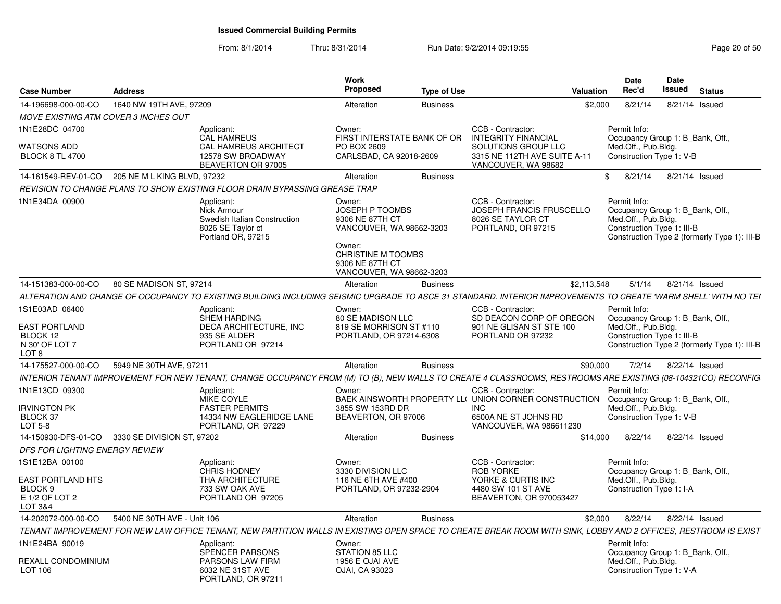| <b>Case Number</b>                                                     | <b>Address</b>              |                                                                                                      | <b>Work</b><br>Proposed                                                                                                                                               | <b>Type of Use</b> | Valuation                                                                                                                                                       | <b>Date</b><br>Rec'd                                                                  | Date<br>Issued                   | <b>Status</b> |                                              |
|------------------------------------------------------------------------|-----------------------------|------------------------------------------------------------------------------------------------------|-----------------------------------------------------------------------------------------------------------------------------------------------------------------------|--------------------|-----------------------------------------------------------------------------------------------------------------------------------------------------------------|---------------------------------------------------------------------------------------|----------------------------------|---------------|----------------------------------------------|
| 14-196698-000-00-CO                                                    | 1640 NW 19TH AVE, 97209     |                                                                                                      | Alteration                                                                                                                                                            | <b>Business</b>    | \$2,000                                                                                                                                                         | 8/21/14                                                                               | 8/21/14 Issued                   |               |                                              |
| MOVE EXISTING ATM COVER 3 INCHES OUT                                   |                             |                                                                                                      |                                                                                                                                                                       |                    |                                                                                                                                                                 |                                                                                       |                                  |               |                                              |
| 1N1E28DC 04700                                                         |                             | Applicant:<br><b>CAL HAMREUS</b>                                                                     | Owner:<br>FIRST INTERSTATE BANK OF OR                                                                                                                                 |                    | CCB - Contractor:<br><b>INTEGRITY FINANCIAL</b>                                                                                                                 | Permit Info:<br>Occupancy Group 1: B_Bank, Off.,                                      |                                  |               |                                              |
| WATSONS ADD<br><b>BLOCK 8 TL 4700</b>                                  |                             | CAL HAMREUS ARCHITECT<br>12578 SW BROADWAY<br>BEAVERTON OR 97005                                     | PO BOX 2609<br>CARLSBAD, CA 92018-2609                                                                                                                                |                    | SOLUTIONS GROUP LLC<br>3315 NE 112TH AVE SUITE A-11<br>VANCOUVER, WA 98682                                                                                      | Med.Off., Pub.Bldg.<br>Construction Type 1: V-B                                       |                                  |               |                                              |
| 14-161549-REV-01-CO 205 NE M L KING BLVD, 97232                        |                             |                                                                                                      | Alteration                                                                                                                                                            | <b>Business</b>    |                                                                                                                                                                 | 8/21/14<br>\$                                                                         | 8/21/14 Issued                   |               |                                              |
|                                                                        |                             | REVISION TO CHANGE PLANS TO SHOW EXISTING FLOOR DRAIN BYPASSING GREASE TRAP                          |                                                                                                                                                                       |                    |                                                                                                                                                                 |                                                                                       |                                  |               |                                              |
| 1N1E34DA 00900                                                         |                             | Applicant:<br>Nick Armour<br>Swedish Italian Construction<br>8026 SE Taylor ct<br>Portland OR, 97215 | Owner:<br><b>JOSEPH P TOOMBS</b><br>9306 NE 87TH CT<br>VANCOUVER, WA 98662-3203<br>Owner:<br><b>CHRISTINE M TOOMBS</b><br>9306 NE 87TH CT<br>VANCOUVER, WA 98662-3203 |                    | CCB - Contractor:<br>JOSEPH FRANCIS FRUSCELLO<br>8026 SE TAYLOR CT<br>PORTLAND, OR 97215                                                                        | Permit Info:<br>Med.Off., Pub.Blda.<br>Construction Type 1: III-B                     | Occupancy Group 1: B Bank, Off., |               | Construction Type 2 (formerly Type 1): III-B |
| 14-151383-000-00-CO                                                    | 80 SE MADISON ST, 97214     |                                                                                                      | Alteration                                                                                                                                                            | <b>Business</b>    | \$2,113,548                                                                                                                                                     | 5/1/14                                                                                | 8/21/14 Issued                   |               |                                              |
|                                                                        |                             |                                                                                                      |                                                                                                                                                                       |                    | ALTERATION AND CHANGE OF OCCUPANCY TO EXISTING BUILDING INCLUDING SEISMIC UPGRADE TO ASCE 31 STANDARD. INTERIOR IMPROVEMENTS TO CREATE 'WARM SHELL' WITH NO TEI |                                                                                       |                                  |               |                                              |
| 1S1E03AD 06400                                                         |                             | Applicant:                                                                                           | Owner:                                                                                                                                                                |                    | CCB - Contractor:                                                                                                                                               | Permit Info:                                                                          |                                  |               |                                              |
| <b>EAST PORTLAND</b><br>BLOCK 12<br>N 30' OF LOT 7<br>LOT <sub>8</sub> |                             | <b>SHEM HARDING</b><br>DECA ARCHITECTURE, INC<br>935 SE ALDER<br>PORTLAND OR 97214                   | 80 SE MADISON LLC<br>819 SE MORRISON ST #110<br>PORTLAND, OR 97214-6308                                                                                               |                    | SD DEACON CORP OF OREGON<br>901 NE GLISAN ST STE 100<br>PORTLAND OR 97232                                                                                       | Occupancy Group 1: B_Bank, Off.,<br>Med.Off., Pub.Bldg.<br>Construction Type 1: III-B |                                  |               | Construction Type 2 (formerly Type 1): III-B |
| 14-175527-000-00-CO                                                    | 5949 NE 30TH AVE, 97211     |                                                                                                      | Alteration                                                                                                                                                            | <b>Business</b>    | \$90,000                                                                                                                                                        | 7/2/14                                                                                | 8/22/14 Issued                   |               |                                              |
|                                                                        |                             |                                                                                                      |                                                                                                                                                                       |                    | INTERIOR TENANT IMPROVEMENT FOR NEW TENANT, CHANGE OCCUPANCY FROM (M) TO (B), NEW WALLS TO CREATE 4 CLASSROOMS, RESTROOMS ARE EXISTING (08-104321CO) RECONFIG   |                                                                                       |                                  |               |                                              |
| 1N1E13CD 09300<br><b>IRVINGTON PK</b><br><b>BLOCK 37</b>               |                             | Applicant:<br><b>MIKE COYLE</b><br><b>FASTER PERMITS</b><br>14334 NW EAGLERIDGE LANE                 | Owner:<br>3855 SW 153RD DR<br>BEAVERTON, OR 97006                                                                                                                     |                    | CCB - Contractor:<br>BAEK AINSWORTH PROPERTY LL( UNION CORNER CONSTRUCTION<br>INC<br>6500A NE ST JOHNS RD                                                       | Permit Info:<br>Occupancy Group 1: B_Bank, Off.,<br>Med.Off., Pub.Bldg.               | Construction Type 1: V-B         |               |                                              |
| LOT 5-8                                                                |                             | PORTLAND, OR 97229                                                                                   |                                                                                                                                                                       |                    | VANCOUVER, WA 986611230                                                                                                                                         |                                                                                       |                                  |               |                                              |
| 14-150930-DFS-01-CO 3330 SE DIVISION ST, 97202                         |                             |                                                                                                      | Alteration                                                                                                                                                            | <b>Business</b>    | \$14,000                                                                                                                                                        | 8/22/14                                                                               | 8/22/14 Issued                   |               |                                              |
| <b>DFS FOR LIGHTING ENERGY REVIEW</b>                                  |                             |                                                                                                      |                                                                                                                                                                       |                    |                                                                                                                                                                 |                                                                                       |                                  |               |                                              |
| 1S1E12BA 00100                                                         |                             | Applicant:<br><b>CHRIS HODNEY</b>                                                                    | Owner:<br>3330 DIVISION LLC                                                                                                                                           |                    | CCB - Contractor:<br><b>ROB YORKE</b>                                                                                                                           | Permit Info:                                                                          | Occupancy Group 1: B Bank, Off   |               |                                              |
| EAST PORTLAND HTS<br>BLOCK <sub>9</sub><br>E 1/2 OF LOT 2<br>LOT 3&4   |                             | THA ARCHITECTURE<br>733 SW OAK AVE<br>PORTLAND OR 97205                                              | 116 NE 6TH AVE #400<br>PORTLAND, OR 97232-2904                                                                                                                        |                    | YORKE & CURTIS INC<br>4480 SW 101 ST AVE<br>BEAVERTON, OR 970053427                                                                                             | Med.Off., Pub.Bldg.                                                                   | Construction Type 1: I-A         |               |                                              |
| 14-202072-000-00-CO                                                    | 5400 NE 30TH AVE - Unit 106 |                                                                                                      | Alteration                                                                                                                                                            | <b>Business</b>    |                                                                                                                                                                 | \$2,000<br>8/22/14                                                                    | 8/22/14 Issued                   |               |                                              |
|                                                                        |                             |                                                                                                      |                                                                                                                                                                       |                    | TENANT IMPROVEMENT FOR NEW LAW OFFICE TENANT. NEW PARTITION WALLS IN EXISTING OPEN SPACE TO CREATE BREAK ROOM WITH SINK. LOBBY AND 2 OFFICES. RESTROOM IS EXIST |                                                                                       |                                  |               |                                              |
| 1N1E24BA 90019                                                         |                             | Applicant:<br>SPENCER PARSONS                                                                        | Owner:<br>STATION 85 LLC                                                                                                                                              |                    |                                                                                                                                                                 | Permit Info:<br>Occupancy Group 1: B_Bank, Off.,                                      |                                  |               |                                              |
| REXALL CONDOMINIUM<br><b>LOT 106</b>                                   |                             | PARSONS LAW FIRM<br>6032 NE 31ST AVE<br>PORTLAND, OR 97211                                           | 1956 E OJAI AVE<br>OJAI, CA 93023                                                                                                                                     |                    |                                                                                                                                                                 | Med.Off., Pub.Bldg.                                                                   | Construction Type 1: V-A         |               |                                              |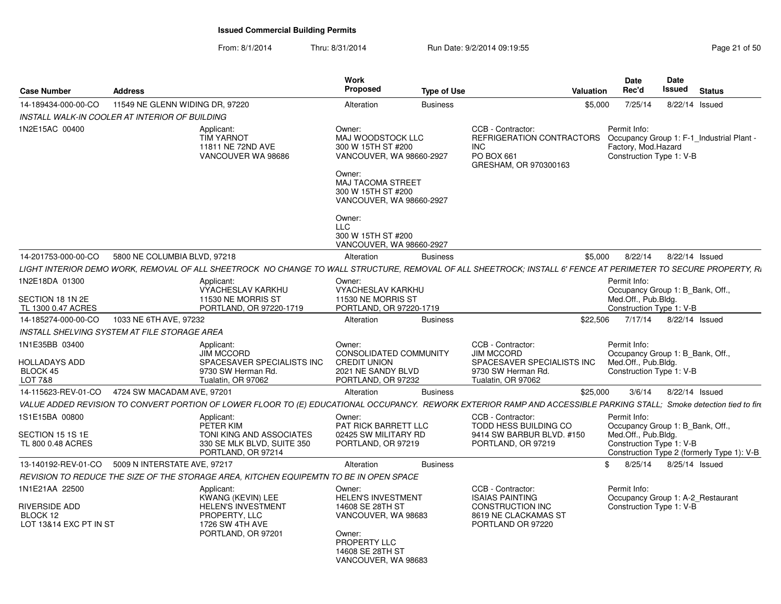|                                                  |                                 |                                                                                        | Proposed                                                                                | <b>Type of Use</b> | Valuation                                                                                                                                                            | Rec'd                                                                                                        | Issued                 | <b>Status</b>  |  |
|--------------------------------------------------|---------------------------------|----------------------------------------------------------------------------------------|-----------------------------------------------------------------------------------------|--------------------|----------------------------------------------------------------------------------------------------------------------------------------------------------------------|--------------------------------------------------------------------------------------------------------------|------------------------|----------------|--|
| 14-189434-000-00-CO                              | 11549 NE GLENN WIDING DR. 97220 |                                                                                        | Alteration                                                                              | <b>Business</b>    | \$5,000                                                                                                                                                              | 7/25/14                                                                                                      |                        | 8/22/14 Issued |  |
| INSTALL WALK-IN COOLER AT INTERIOR OF BUILDING   |                                 |                                                                                        |                                                                                         |                    |                                                                                                                                                                      |                                                                                                              |                        |                |  |
| 1N2E15AC 00400                                   |                                 | Applicant:<br><b>TIM YARNOT</b><br>11811 NE 72ND AVE<br>VANCOUVER WA 98686             | Owner:<br>MAJ WOODSTOCK LLC<br>300 W 15TH ST #200<br>VANCOUVER, WA 98660-2927<br>Owner: |                    | CCB - Contractor:<br>REFRIGERATION CONTRACTORS<br>INC.<br>PO BOX 661<br>GRESHAM, OR 970300163                                                                        | Permit Info:<br>Occupancy Group 1: F-1_Industrial Plant -<br>Factory, Mod.Hazard<br>Construction Type 1: V-B |                        |                |  |
|                                                  |                                 |                                                                                        | MAJ TACOMA STREET<br>300 W 15TH ST #200<br>VANCOUVER, WA 98660-2927                     |                    |                                                                                                                                                                      |                                                                                                              |                        |                |  |
|                                                  |                                 |                                                                                        | Owner:<br><b>LLC</b><br>300 W 15TH ST #200<br>VANCOUVER, WA 98660-2927                  |                    |                                                                                                                                                                      |                                                                                                              |                        |                |  |
| 14-201753-000-00-CO                              | 5800 NE COLUMBIA BLVD, 97218    |                                                                                        | Alteration                                                                              | <b>Business</b>    | \$5.000                                                                                                                                                              |                                                                                                              | 8/22/14 8/22/14 Issued |                |  |
|                                                  |                                 |                                                                                        |                                                                                         |                    | LIGHT INTERIOR DEMO WORK. REMOVAL OF ALL SHEETROCK NO CHANGE TO WALL STRUCTURE. REMOVAL OF ALL SHEETROCK: INSTALL 6' FENCE AT PERIMETER TO SECURE PROPERTY. RI       |                                                                                                              |                        |                |  |
|                                                  |                                 |                                                                                        |                                                                                         |                    |                                                                                                                                                                      |                                                                                                              |                        |                |  |
| 1N2E18DA 01300                                   |                                 | Applicant:<br>VYACHESLAV KARKHU                                                        | Owner:<br>VYACHESLAV KARKHU                                                             |                    |                                                                                                                                                                      | Permit Info:<br>Occupancy Group 1: B_Bank, Off.,                                                             |                        |                |  |
| SECTION 18 1N 2E                                 |                                 | 11530 NE MORRIS ST                                                                     | 11530 NE MORRIS ST                                                                      |                    |                                                                                                                                                                      | Med.Off., Pub.Bldg.                                                                                          |                        |                |  |
| TL 1300 0.47 ACRES                               |                                 | PORTLAND, OR 97220-1719                                                                | PORTLAND, OR 97220-1719                                                                 |                    |                                                                                                                                                                      | Construction Type 1: V-B                                                                                     |                        |                |  |
| 14-185274-000-00-CO                              | 1033 NE 6TH AVE, 97232          |                                                                                        | Alteration                                                                              | <b>Business</b>    | \$22,506                                                                                                                                                             |                                                                                                              | 7/17/14 8/22/14 Issued |                |  |
| INSTALL SHELVING SYSTEM AT FILE STORAGE AREA     |                                 |                                                                                        |                                                                                         |                    |                                                                                                                                                                      |                                                                                                              |                        |                |  |
| 1N1E35BB 03400                                   |                                 | Applicant:                                                                             | Owner:                                                                                  |                    | CCB - Contractor:                                                                                                                                                    | Permit Info:                                                                                                 |                        |                |  |
|                                                  |                                 | <b>JIM MCCORD</b>                                                                      | CONSOLIDATED COMMUNITY                                                                  |                    | <b>JIM MCCORD</b>                                                                                                                                                    | Occupancy Group 1: B_Bank, Off.,                                                                             |                        |                |  |
| <b>HOLLADAYS ADD</b>                             |                                 | SPACESAVER SPECIALISTS INC                                                             | <b>CREDIT UNION</b>                                                                     |                    | SPACESAVER SPECIALISTS INC                                                                                                                                           | Med.Off., Pub.Bldg.                                                                                          |                        |                |  |
| BLOCK 45<br>LOT 7&8                              |                                 | 9730 SW Herman Rd.<br>Tualatin, OR 97062                                               | 2021 NE SANDY BLVD<br>PORTLAND, OR 97232                                                |                    | 9730 SW Herman Rd.<br>Tualatin, OR 97062                                                                                                                             | Construction Type 1: V-B                                                                                     |                        |                |  |
|                                                  |                                 |                                                                                        |                                                                                         |                    |                                                                                                                                                                      |                                                                                                              |                        |                |  |
| 14-115623-REV-01-CO 4724 SW MACADAM AVE, 97201   |                                 |                                                                                        | Alteration                                                                              | <b>Business</b>    | \$25,000                                                                                                                                                             |                                                                                                              | 3/6/14 8/22/14 Issued  |                |  |
|                                                  |                                 |                                                                                        |                                                                                         |                    | VALUE ADDED REVISION TO CONVERT PORTION OF LOWER FLOOR TO (E) EDUCATIONAL OCCUPANCY. REWORK EXTERIOR RAMP AND ACCESSIBLE PARKING STALL; Smoke detection tied to fire |                                                                                                              |                        |                |  |
| 1S1E15BA 00800                                   |                                 | Applicant:                                                                             | Owner:                                                                                  |                    | CCB - Contractor:                                                                                                                                                    | Permit Info:                                                                                                 |                        |                |  |
|                                                  |                                 | PETER KIM                                                                              | PAT RICK BARRETT LLC                                                                    |                    | TODD HESS BUILDING CO                                                                                                                                                | Occupancy Group 1: B Bank, Off.,                                                                             |                        |                |  |
| SECTION 15 1S 1E<br>TL 800 0.48 ACRES            |                                 | TONI KING AND ASSOCIATES<br>330 SE MLK BLVD, SUITE 350                                 | 02425 SW MILITARY RD<br>PORTLAND, OR 97219                                              |                    | 9414 SW BARBUR BLVD, #150<br>PORTLAND, OR 97219                                                                                                                      | Med.Off., Pub.Bldg.<br>Construction Type 1: V-B                                                              |                        |                |  |
|                                                  |                                 | PORTLAND, OR 97214                                                                     |                                                                                         |                    |                                                                                                                                                                      | Construction Type 2 (formerly Type 1): V-B                                                                   |                        |                |  |
| 13-140192-REV-01-CO 5009 N INTERSTATE AVE, 97217 |                                 |                                                                                        | Alteration                                                                              | <b>Business</b>    |                                                                                                                                                                      | \$ 8/25/14 8/25/14 Issued                                                                                    |                        |                |  |
|                                                  |                                 | REVISION TO REDUCE THE SIZE OF THE STORAGE AREA, KITCHEN EQUIPEMTN TO BE IN OPEN SPACE |                                                                                         |                    |                                                                                                                                                                      |                                                                                                              |                        |                |  |
|                                                  |                                 |                                                                                        |                                                                                         |                    |                                                                                                                                                                      |                                                                                                              |                        |                |  |
| 1N1E21AA 22500                                   |                                 | Applicant:<br>KWANG (KEVIN) LEE                                                        | Owner:<br><b>HELEN'S INVESTMENT</b>                                                     |                    | CCB - Contractor:<br><b>ISAIAS PAINTING</b>                                                                                                                          | Permit Info:<br>Occupancy Group 1: A-2_Restaurant                                                            |                        |                |  |
| RIVERSIDE ADD                                    |                                 | <b>HELEN'S INVESTMENT</b>                                                              | 14608 SE 28TH ST                                                                        |                    | <b>CONSTRUCTION INC</b>                                                                                                                                              | Construction Type 1: V-B                                                                                     |                        |                |  |
| BLOCK 12                                         |                                 | PROPERTY, LLC                                                                          | VANCOUVER, WA 98683                                                                     |                    | 8619 NE CLACKAMAS ST                                                                                                                                                 |                                                                                                              |                        |                |  |
| LOT 13&14 EXC PT IN ST                           |                                 | 1726 SW 4TH AVE                                                                        |                                                                                         |                    | PORTLAND OR 97220                                                                                                                                                    |                                                                                                              |                        |                |  |
|                                                  |                                 | PORTLAND, OR 97201                                                                     | Owner:                                                                                  |                    |                                                                                                                                                                      |                                                                                                              |                        |                |  |
|                                                  |                                 |                                                                                        | PROPERTY LLC<br>14608 SE 28TH ST<br>VANCOUVER, WA 98683                                 |                    |                                                                                                                                                                      |                                                                                                              |                        |                |  |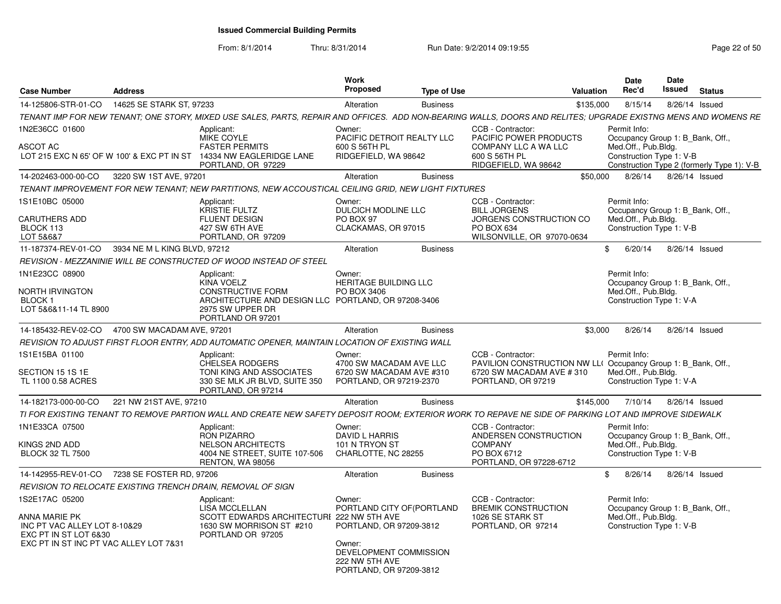From: 8/1/2014

| <b>Case Number</b>                                                     | <b>Address</b>               |                                                                                                                                                                | Work<br><b>Proposed</b>                                                       | <b>Type of Use</b> | Valuation                                                                         |              | Date<br>Rec'd                                    | Date<br>Issued | <b>Status</b>                              |
|------------------------------------------------------------------------|------------------------------|----------------------------------------------------------------------------------------------------------------------------------------------------------------|-------------------------------------------------------------------------------|--------------------|-----------------------------------------------------------------------------------|--------------|--------------------------------------------------|----------------|--------------------------------------------|
| 14-125806-STR-01-CO                                                    | 14625 SE STARK ST. 97233     |                                                                                                                                                                | Alteration                                                                    | <b>Business</b>    |                                                                                   | \$135,000    | 8/15/14                                          |                | 8/26/14 Issued                             |
|                                                                        |                              | TENANT IMP FOR NEW TENANT; ONE STORY, MIXED USE SALES, PARTS, REPAIR AND OFFICES. ADD NON-BEARING WALLS, DOORS AND RELITES; UPGRADE EXISTNG MENS AND WOMENS RE |                                                                               |                    |                                                                                   |              |                                                  |                |                                            |
| 1N2E36CC 01600                                                         |                              | Applicant:<br>MIKE COYLE                                                                                                                                       | Owner:<br>PACIFIC DETROIT REALTY LLC                                          |                    | CCB - Contractor:<br>PACIFIC POWER PRODUCTS                                       |              | Permit Info:<br>Occupancy Group 1: B Bank, Off., |                |                                            |
| <b>ASCOT AC</b>                                                        |                              | <b>FASTER PERMITS</b><br>LOT 215 EXC N 65' OF W 100' & EXC PT IN ST 14334 NW EAGLERIDGE LANE<br>PORTLAND, OR 97229                                             | 600 S 56TH PL<br>RIDGEFIELD, WA 98642                                         |                    | COMPANY LLC A WA LLC<br>600 S 56TH PL<br>RIDGEFIELD, WA 98642                     |              | Med.Off., Pub.Bldg.<br>Construction Type 1: V-B  |                | Construction Type 2 (formerly Type 1): V-B |
| 14-202463-000-00-CO                                                    | 3220 SW 1ST AVE, 97201       |                                                                                                                                                                | Alteration                                                                    | <b>Business</b>    |                                                                                   | \$50,000     | 8/26/14                                          |                | 8/26/14 Issued                             |
|                                                                        |                              | TENANT IMPROVEMENT FOR NEW TENANT: NEW PARTITIONS. NEW ACCOUSTICAL CEILING GRID. NEW LIGHT FIXTURES                                                            |                                                                               |                    |                                                                                   |              |                                                  |                |                                            |
| 1S1E10BC 05000                                                         |                              | Applicant:<br>KRISTIE FULTZ                                                                                                                                    | Owner:<br>DULCICH MODLINE LLC                                                 |                    | CCB - Contractor:<br><b>BILL JORGENS</b>                                          |              | Permit Info:<br>Occupancy Group 1: B Bank, Off., |                |                                            |
| <b>CARUTHERS ADD</b><br>BLOCK 113<br>LOT 5&6&7                         |                              | <b>FLUENT DESIGN</b><br>427 SW 6TH AVE<br>PORTLAND, OR 97209                                                                                                   | PO BOX 97<br>CLACKAMAS, OR 97015                                              |                    | JORGENS CONSTRUCTION CO<br>PO BOX 634<br>WILSONVILLE, OR 97070-0634               |              | Med.Off., Pub.Bldg.<br>Construction Type 1: V-B  |                |                                            |
| 11-187374-REV-01-CO                                                    | 3934 NE M L KING BLVD, 97212 |                                                                                                                                                                | Alteration                                                                    | <b>Business</b>    |                                                                                   | $\mathbb{S}$ | 6/20/14                                          |                | 8/26/14 Issued                             |
|                                                                        |                              | REVISION - MEZZANINIE WILL BE CONSTRUCTED OF WOOD INSTEAD OF STEEL                                                                                             |                                                                               |                    |                                                                                   |              |                                                  |                |                                            |
| 1N1E23CC 08900                                                         |                              | Applicant:<br><b>KINA VOELZ</b>                                                                                                                                | Owner:<br>HERITAGE BUILDING LLC                                               |                    |                                                                                   |              | Permit Info:<br>Occupancy Group 1: B_Bank, Off., |                |                                            |
| NORTH IRVINGTON<br>BLOCK 1<br>LOT 5&6&11-14 TL 8900                    |                              | <b>CONSTRUCTIVE FORM</b><br>ARCHITECTURE AND DESIGN LLC PORTLAND, OR 97208-3406<br>2975 SW UPPER DR<br>PORTLAND OR 97201                                       | PO BOX 3406                                                                   |                    |                                                                                   |              | Med.Off., Pub.Bldg.<br>Construction Type 1: V-A  |                |                                            |
| 14-185432-REV-02-CO                                                    | 4700 SW MACADAM AVE, 97201   |                                                                                                                                                                | Alteration                                                                    | <b>Business</b>    |                                                                                   | \$3,000      | 8/26/14                                          |                | 8/26/14 Issued                             |
|                                                                        |                              | REVISION TO ADJUST FIRST FLOOR ENTRY, ADD AUTOMATIC OPENER, MAINTAIN LOCATION OF EXISTING WALL                                                                 |                                                                               |                    |                                                                                   |              |                                                  |                |                                            |
| 1S1E15BA 01100                                                         |                              | Applicant:<br><b>CHELSEA RODGERS</b>                                                                                                                           | Owner:<br>4700 SW MACADAM AVE LLC                                             |                    | CCB - Contractor:<br>PAVILION CONSTRUCTION NW LL(Occupancy Group 1: B Bank, Off., |              | Permit Info:                                     |                |                                            |
| SECTION 15 1S 1E<br>TL 1100 0.58 ACRES                                 |                              | TONI KING AND ASSOCIATES<br>330 SE MLK JR BLVD, SUITE 350<br>PORTLAND, OR 97214                                                                                | 6720 SW MACADAM AVE #310<br>PORTLAND, OR 97219-2370                           |                    | 6720 SW MACADAM AVE #310<br>PORTLAND, OR 97219                                    |              | Med.Off., Pub.Bldg.<br>Construction Type 1: V-A  |                |                                            |
| 14-182173-000-00-CO                                                    | 221 NW 21ST AVE, 97210       |                                                                                                                                                                | Alteration                                                                    | <b>Business</b>    |                                                                                   | \$145,000    | 7/10/14                                          |                | 8/26/14 Issued                             |
|                                                                        |                              | TI FOR EXISTING TENANT TO REMOVE PARTION WALL AND CREATE NEW SAFETY DEPOSIT ROOM: EXTERIOR WORK TO REPAVE NE SIDE OF PARKING LOT AND IMPROVE SIDEWALK          |                                                                               |                    |                                                                                   |              |                                                  |                |                                            |
| 1N1E33CA 07500                                                         |                              | Applicant:<br><b>RON PIZARRO</b>                                                                                                                               | Owner:<br><b>DAVID L HARRIS</b>                                               |                    | CCB - Contractor:<br>ANDERSEN CONSTRUCTION                                        |              | Permit Info:<br>Occupancy Group 1: B Bank, Off., |                |                                            |
| KINGS 2ND ADD<br><b>BLOCK 32 TL 7500</b>                               |                              | <b>NELSON ARCHITECTS</b><br>4004 NE STREET, SUITE 107-506<br><b>RENTON, WA 98056</b>                                                                           | 101 N TRYON ST<br>CHARLOTTE, NC 28255                                         |                    | <b>COMPANY</b><br>PO BOX 6712<br>PORTLAND, OR 97228-6712                          |              | Med.Off., Pub.Bldg.<br>Construction Type 1: V-B  |                |                                            |
| 14-142955-REV-01-CO                                                    | 7238 SE FOSTER RD. 97206     |                                                                                                                                                                | Alteration                                                                    | <b>Business</b>    |                                                                                   | $\mathbb{S}$ | 8/26/14                                          |                | 8/26/14 Issued                             |
|                                                                        |                              | REVISION TO RELOCATE EXISTING TRENCH DRAIN, REMOVAL OF SIGN                                                                                                    |                                                                               |                    |                                                                                   |              |                                                  |                |                                            |
| 1S2E17AC 05200                                                         |                              | Applicant:<br>LISA MCCLELLAN                                                                                                                                   | Owner:<br>PORTLAND CITY OF (PORTLAND                                          |                    | CCB - Contractor:<br><b>BREMIK CONSTRUCTION</b>                                   |              | Permit Info:<br>Occupancy Group 1: B_Bank, Off., |                |                                            |
| ANNA MARIE PK<br>INC PT VAC ALLEY LOT 8-10&29<br>EXC PT IN ST LOT 6&30 |                              | <b>SCOTT EDWARDS ARCHITECTURE</b><br>1630 SW MORRISON ST #210<br>PORTLAND OR 97205                                                                             | 222 NW 5TH AVE<br>PORTLAND, OR 97209-3812                                     |                    | 1026 SE STARK ST<br>PORTLAND, OR 97214                                            |              | Med.Off., Pub.Bldg.<br>Construction Type 1: V-B  |                |                                            |
| EXC PT IN ST INC PT VAC ALLEY LOT 7&31                                 |                              |                                                                                                                                                                | Owner:<br>DEVELOPMENT COMMISSION<br>222 NW 5TH AVE<br>PORTLAND, OR 97209-3812 |                    |                                                                                   |              |                                                  |                |                                            |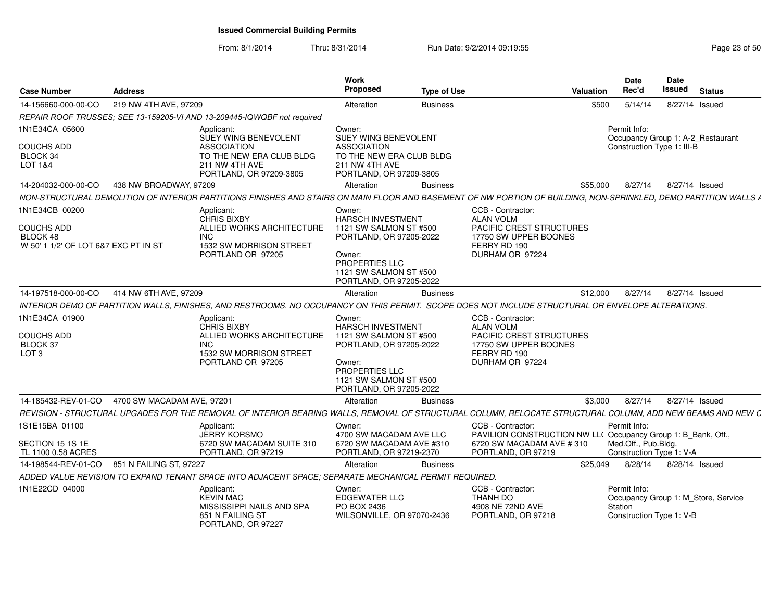| <b>Case Number</b>                                                                      | <b>Address</b>                                 |                                                                                                                                                                  | Work<br>Proposed                                                                                                                                                         | <b>Type of Use</b> |                                                                                                                                      | Valuation | <b>Date</b><br>Rec'd                                            | <b>Date</b><br><b>Issued</b> | <b>Status</b>                       |
|-----------------------------------------------------------------------------------------|------------------------------------------------|------------------------------------------------------------------------------------------------------------------------------------------------------------------|--------------------------------------------------------------------------------------------------------------------------------------------------------------------------|--------------------|--------------------------------------------------------------------------------------------------------------------------------------|-----------|-----------------------------------------------------------------|------------------------------|-------------------------------------|
| 14-156660-000-00-CO                                                                     | 219 NW 4TH AVE, 97209                          |                                                                                                                                                                  | Alteration                                                                                                                                                               | <b>Business</b>    |                                                                                                                                      | \$500     | 5/14/14                                                         |                              | 8/27/14 Issued                      |
|                                                                                         |                                                | REPAIR ROOF TRUSSES; SEE 13-159205-VI AND 13-209445-IQWQBF not required                                                                                          |                                                                                                                                                                          |                    |                                                                                                                                      |           |                                                                 |                              |                                     |
| 1N1E34CA 05600<br><b>COUCHS ADD</b><br>BLOCK 34<br>LOT 1&4                              |                                                | Applicant:<br>SUEY WING BENEVOLENT<br><b>ASSOCIATION</b><br>TO THE NEW ERA CLUB BLDG<br>211 NW 4TH AVE<br>PORTLAND, OR 97209-3805                                | Owner:<br><b>SUEY WING BENEVOLENT</b><br><b>ASSOCIATION</b><br>TO THE NEW ERA CLUB BLDG<br>211 NW 4TH AVE<br>PORTLAND, OR 97209-3805                                     |                    |                                                                                                                                      |           | Permit Info:<br>Construction Type 1: III-B                      |                              | Occupancy Group 1: A-2 Restaurant   |
| 14-204032-000-00-CO                                                                     | 438 NW BROADWAY, 97209                         |                                                                                                                                                                  | Alteration                                                                                                                                                               | <b>Business</b>    |                                                                                                                                      | \$55,000  | 8/27/14                                                         |                              | 8/27/14 Issued                      |
|                                                                                         |                                                | NON-STRUCTURAL DEMOLITION OF INTERIOR PARTITIONS FINISHES AND STAIRS ON MAIN FLOOR AND BASEMENT OF NW PORTION OF BUILDING, NON-SPRINKLED, DEMO PARTITION WALLS / |                                                                                                                                                                          |                    |                                                                                                                                      |           |                                                                 |                              |                                     |
| 1N1E34CB 00200<br><b>COUCHS ADD</b><br>BLOCK 48<br>W 50' 1 1/2' OF LOT 6&7 EXC PT IN ST |                                                | Applicant:<br><b>CHRIS BIXBY</b><br>ALLIED WORKS ARCHITECTURE<br><b>INC</b><br>1532 SW MORRISON STREET<br>PORTLAND OR 97205                                      | Owner:<br>HARSCH INVESTMENT<br>1121 SW SALMON ST #500<br>PORTLAND, OR 97205-2022<br>Owner:<br>PROPERTIES LLC<br>1121 SW SALMON ST #500<br>PORTLAND, OR 97205-2022        |                    | CCB - Contractor:<br><b>ALAN VOLM</b><br>PACIFIC CREST STRUCTURES<br>17750 SW UPPER BOONES<br>FERRY RD 190<br>DURHAM OR 97224        |           |                                                                 |                              |                                     |
| 14-197518-000-00-CO                                                                     | 414 NW 6TH AVE, 97209                          |                                                                                                                                                                  | Alteration                                                                                                                                                               | <b>Business</b>    |                                                                                                                                      | \$12,000  | 8/27/14                                                         |                              | 8/27/14 Issued                      |
|                                                                                         |                                                | INTERIOR DEMO OF PARTITION WALLS, FINISHES, AND RESTROOMS. NO OCCUPANCY ON THIS PERMIT. SCOPE DOES NOT INCLUDE STRUCTURAL OR ENVELOPE ALTERATIONS.               |                                                                                                                                                                          |                    |                                                                                                                                      |           |                                                                 |                              |                                     |
| 1N1E34CA 01900<br><b>COUCHS ADD</b><br><b>BLOCK 37</b><br>LOT <sub>3</sub>              |                                                | Applicant:<br><b>CHRIS BIXBY</b><br>ALLIED WORKS ARCHITECTURE<br>INC.<br>1532 SW MORRISON STREET<br>PORTLAND OR 97205                                            | Owner:<br><b>HARSCH INVESTMENT</b><br>1121 SW SALMON ST #500<br>PORTLAND, OR 97205-2022<br>Owner:<br>PROPERTIES LLC<br>1121 SW SALMON ST #500<br>PORTLAND, OR 97205-2022 |                    | CCB - Contractor:<br><b>ALAN VOLM</b><br>PACIFIC CREST STRUCTURES<br>17750 SW UPPER BOONES<br>FERRY RD 190<br>DURHAM OR 97224        |           |                                                                 |                              |                                     |
|                                                                                         | 14-185432-REV-01-CO 4700 SW MACADAM AVE, 97201 |                                                                                                                                                                  | Alteration                                                                                                                                                               | <b>Business</b>    |                                                                                                                                      | \$3.000   | 8/27/14                                                         |                              | 8/27/14 Issued                      |
|                                                                                         |                                                | REVISION - STRUCTURAL UPGADES FOR THE REMOVAL OF INTERIOR BEARING WALLS, REMOVAL OF STRUCTURAL COLUMN, RELOCATE STRUCTURAL COLUMN, ADD NEW BEAMS AND NEW C       |                                                                                                                                                                          |                    |                                                                                                                                      |           |                                                                 |                              |                                     |
| 1S1E15BA 01100<br>SECTION 15 1S 1E<br>TL 1100 0.58 ACRES                                |                                                | Applicant:<br><b>JERRY KORSMO</b><br>6720 SW MACADAM SUITE 310<br>PORTLAND, OR 97219                                                                             | Owner:<br>4700 SW MACADAM AVE LLC<br>6720 SW MACADAM AVE #310<br>PORTLAND, OR 97219-2370                                                                                 |                    | CCB - Contractor:<br>PAVILION CONSTRUCTION NW LL(Occupancy Group 1: B_Bank, Off.,<br>6720 SW MACADAM AVE # 310<br>PORTLAND, OR 97219 |           | Permit Info:<br>Med.Off., Pub.Bldg.<br>Construction Type 1: V-A |                              |                                     |
| 14-198544-REV-01-CO                                                                     | 851 N FAILING ST. 97227                        |                                                                                                                                                                  | Alteration                                                                                                                                                               | <b>Business</b>    |                                                                                                                                      | \$25.049  | 8/28/14                                                         |                              | 8/28/14 Issued                      |
|                                                                                         |                                                | ADDED VALUE REVISION TO EXPAND TENANT SPACE INTO ADJACENT SPACE: SEPARATE MECHANICAL PERMIT REQUIRED.                                                            |                                                                                                                                                                          |                    |                                                                                                                                      |           |                                                                 |                              |                                     |
| 1N1E22CD 04000                                                                          |                                                | Applicant:<br><b>KEVIN MAC</b><br>MISSISSIPPI NAILS AND SPA<br>851 N FAILING ST<br>PORTLAND, OR 97227                                                            | Owner:<br><b>EDGEWATER LLC</b><br>PO BOX 2436<br>WILSONVILLE, OR 97070-2436                                                                                              |                    | CCB - Contractor:<br>THANH DO<br>4908 NE 72ND AVE<br>PORTLAND, OR 97218                                                              |           | Permit Info:<br>Station<br>Construction Type 1: V-B             |                              | Occupancy Group 1: M_Store, Service |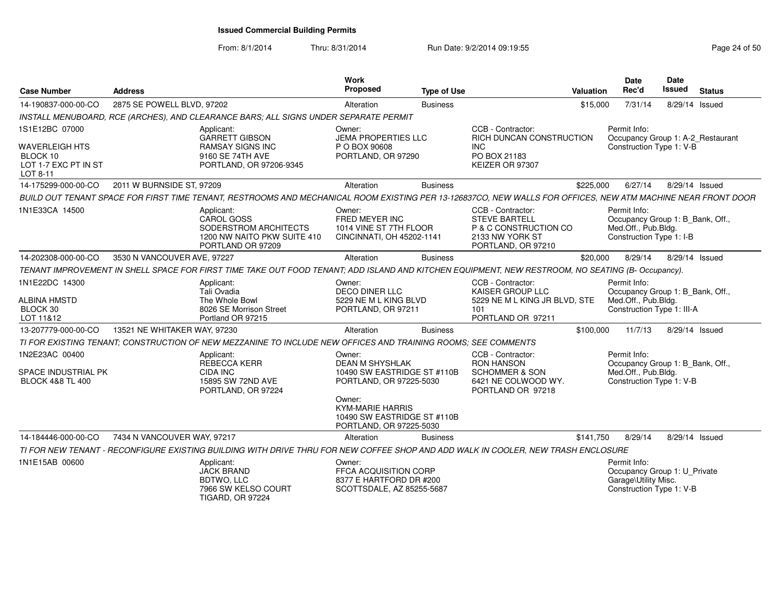| <b>Case Number</b>                                                                      | <b>Address</b>               |                                                                                                                                                              | <b>Work</b><br>Proposed                                                                                                                                                                   | <b>Type of Use</b> |                                                                                                                 | <b>Valuation</b> | <b>Date</b><br>Rec'd                                                                                  | Date<br><b>Issued</b> | <b>Status</b> |
|-----------------------------------------------------------------------------------------|------------------------------|--------------------------------------------------------------------------------------------------------------------------------------------------------------|-------------------------------------------------------------------------------------------------------------------------------------------------------------------------------------------|--------------------|-----------------------------------------------------------------------------------------------------------------|------------------|-------------------------------------------------------------------------------------------------------|-----------------------|---------------|
| 14-190837-000-00-CO                                                                     | 2875 SE POWELL BLVD, 97202   |                                                                                                                                                              | Alteration                                                                                                                                                                                | <b>Business</b>    |                                                                                                                 | \$15,000         | 7/31/14                                                                                               | 8/29/14 Issued        |               |
|                                                                                         |                              | INSTALL MENUBOARD, RCE (ARCHES), AND CLEARANCE BARS; ALL SIGNS UNDER SEPARATE PERMIT                                                                         |                                                                                                                                                                                           |                    |                                                                                                                 |                  |                                                                                                       |                       |               |
| 1S1E12BC 07000<br><b>WAVERLEIGH HTS</b><br>BLOCK 10<br>LOT 1-7 EXC PT IN ST<br>LOT 8-11 |                              | Applicant:<br><b>GARRETT GIBSON</b><br><b>RAMSAY SIGNS INC</b><br>9160 SE 74TH AVE<br>PORTLAND, OR 97206-9345                                                | Owner:<br><b>JEMA PROPERTIES LLC</b><br>P O BOX 90608<br>PORTLAND, OR 97290                                                                                                               |                    | CCB - Contractor:<br>RICH DUNCAN CONSTRUCTION<br><b>INC</b><br>PO BOX 21183<br>KEIZER OR 97307                  |                  | Permit Info:<br>Occupancy Group 1: A-2_Restaurant<br>Construction Type 1: V-B                         |                       |               |
| 14-175299-000-00-CO                                                                     | 2011 W BURNSIDE ST, 97209    |                                                                                                                                                              | Alteration                                                                                                                                                                                | <b>Business</b>    |                                                                                                                 | \$225,000        | 6/27/14                                                                                               | 8/29/14 Issued        |               |
|                                                                                         |                              | BUILD OUT TENANT SPACE FOR FIRST TIME TENANT, RESTROOMS AND MECHANICAL ROOM EXISTING PER 13-126837CO, NEW WALLS FOR OFFICES, NEW ATM MACHINE NEAR FRONT DOOR |                                                                                                                                                                                           |                    |                                                                                                                 |                  |                                                                                                       |                       |               |
| 1N1E33CA 14500                                                                          |                              | Applicant:<br><b>CAROL GOSS</b><br>SODERSTROM ARCHITECTS<br>1200 NW NAITO PKW SUITE 410<br>PORTLAND OR 97209                                                 | Owner:<br>FRED MEYER INC<br>1014 VINE ST 7TH FLOOR<br>CINCINNATI, OH 45202-1141                                                                                                           |                    | CCB - Contractor:<br><b>STEVE BARTELL</b><br>P & C CONSTRUCTION CO<br>2133 NW YORK ST<br>PORTLAND, OR 97210     |                  | Permit Info:<br>Occupancy Group 1: B Bank, Off.,<br>Med.Off., Pub.Bldg.<br>Construction Type 1: I-B   |                       |               |
| 14-202308-000-00-CO                                                                     | 3530 N VANCOUVER AVE, 97227  |                                                                                                                                                              | Alteration                                                                                                                                                                                | <b>Business</b>    |                                                                                                                 | \$20,000         | 8/29/14                                                                                               | 8/29/14 Issued        |               |
|                                                                                         |                              | TENANT IMPROVEMENT IN SHELL SPACE FOR FIRST TIME TAKE OUT FOOD TENANT; ADD ISLAND AND KITCHEN EQUIPMENT, NEW RESTROOM, NO SEATING (B- Occupancy).            |                                                                                                                                                                                           |                    |                                                                                                                 |                  |                                                                                                       |                       |               |
| 1N1E22DC 14300<br><b>ALBINA HMSTD</b><br>BLOCK 30<br>LOT 11&12                          |                              | Applicant:<br>Tali Ovadia<br>The Whole Bowl<br>8026 SE Morrison Street<br>Portland OR 97215                                                                  | Owner:<br><b>DECO DINER LLC</b><br>5229 NE M L KING BLVD<br>PORTLAND, OR 97211                                                                                                            |                    | CCB - Contractor:<br>KAISER GROUP LLC<br>5229 NE M L KING JR BLVD, STE<br>101<br>PORTLAND OR 97211              |                  | Permit Info:<br>Occupancy Group 1: B_Bank, Off.,<br>Med.Off., Pub.Bldg.<br>Construction Type 1: III-A |                       |               |
| 13-207779-000-00-CO                                                                     | 13521 NE WHITAKER WAY, 97230 |                                                                                                                                                              | Alteration                                                                                                                                                                                | <b>Business</b>    |                                                                                                                 | \$100,000        | 11/7/13                                                                                               | 8/29/14 Issued        |               |
|                                                                                         |                              | TI FOR EXISTING TENANT; CONSTRUCTION OF NEW MEZZANINE TO INCLUDE NEW OFFICES AND TRAINING ROOMS; SEE COMMENTS                                                |                                                                                                                                                                                           |                    |                                                                                                                 |                  |                                                                                                       |                       |               |
| 1N2E23AC 00400<br>SPACE INDUSTRIAL PK<br><b>BLOCK 4&amp;8 TL 400</b>                    |                              | Applicant:<br><b>REBECCA KERR</b><br><b>CIDA INC</b><br>15895 SW 72ND AVE<br>PORTLAND, OR 97224                                                              | Owner:<br><b>DEAN M SHYSHLAK</b><br>10490 SW EASTRIDGE ST #110B<br>PORTLAND, OR 97225-5030<br>Owner:<br><b>KYM-MARIE HARRIS</b><br>10490 SW EASTRIDGE ST #110B<br>PORTLAND, OR 97225-5030 |                    | CCB - Contractor:<br><b>RON HANSON</b><br><b>SCHOMMER &amp; SON</b><br>6421 NE COLWOOD WY.<br>PORTLAND OR 97218 |                  | Permit Info:<br>Occupancy Group 1: B Bank, Off.,<br>Med.Off., Pub.Bldg.<br>Construction Type 1: V-B   |                       |               |
| 14-184446-000-00-CO                                                                     | 7434 N VANCOUVER WAY, 97217  |                                                                                                                                                              | Alteration                                                                                                                                                                                | <b>Business</b>    |                                                                                                                 | \$141,750        | 8/29/14                                                                                               | 8/29/14 Issued        |               |
|                                                                                         |                              | TI FOR NEW TENANT - RECONFIGURE EXISTING BUILDING WITH DRIVE THRU FOR NEW COFFEE SHOP AND ADD WALK IN COOLER. NEW TRASH ENCLOSURE                            |                                                                                                                                                                                           |                    |                                                                                                                 |                  |                                                                                                       |                       |               |
| 1N1E15AB 00600                                                                          |                              | Applicant:<br><b>JACK BRAND</b><br><b>BDTWO, LLC</b><br>7966 SW KELSO COURT<br><b>TIGARD, OR 97224</b>                                                       | Owner:<br><b>FFCA ACQUISITION CORP</b><br>8377 E HARTFORD DR #200<br>SCOTTSDALE, AZ 85255-5687                                                                                            |                    |                                                                                                                 |                  | Permit Info:<br>Occupancy Group 1: U Private<br>Garage\Utility Misc.<br>Construction Type 1: V-B      |                       |               |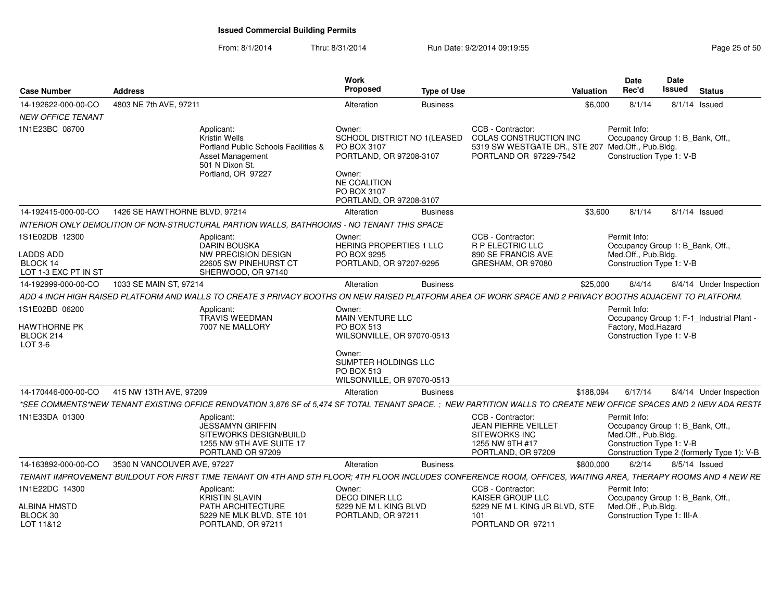| Case Number                                                            | <b>Address</b>                |                                                                                                                                                                   | Work<br><b>Proposed</b>                                                                                                  | <b>Type of Use</b> |                                                                                                                            | Valuation | <b>Date</b><br>Rec'd                                            | Date<br>Issued | <b>Status</b>                                                                  |
|------------------------------------------------------------------------|-------------------------------|-------------------------------------------------------------------------------------------------------------------------------------------------------------------|--------------------------------------------------------------------------------------------------------------------------|--------------------|----------------------------------------------------------------------------------------------------------------------------|-----------|-----------------------------------------------------------------|----------------|--------------------------------------------------------------------------------|
| 14-192622-000-00-CO                                                    | 4803 NE 7th AVE, 97211        |                                                                                                                                                                   | Alteration                                                                                                               | <b>Business</b>    |                                                                                                                            | \$6,000   | 8/1/14                                                          |                | $8/1/14$ Issued                                                                |
| <b>NEW OFFICE TENANT</b><br>1N1E23BC 08700                             |                               | Applicant:<br>Kristin Wells<br>Portland Public Schools Facilities &<br>Asset Management<br>501 N Dixon St.<br>Portland, OR 97227                                  | Owner:<br>SCHOOL DISTRICT NO 1(LEASED<br>PO BOX 3107<br>PORTLAND, OR 97208-3107<br>Owner:<br>NE COALITION<br>PO BOX 3107 |                    | CCB - Contractor:<br>COLAS CONSTRUCTION INC<br>5319 SW WESTGATE DR., STE 207 Med.Off., Pub.Bldg.<br>PORTLAND OR 97229-7542 |           | Permit Info:<br>Construction Type 1: V-B                        |                | Occupancy Group 1: B Bank, Off.,                                               |
|                                                                        |                               |                                                                                                                                                                   | PORTLAND, OR 97208-3107                                                                                                  |                    |                                                                                                                            |           |                                                                 |                |                                                                                |
| 14-192415-000-00-CO                                                    | 1426 SE HAWTHORNE BLVD, 97214 |                                                                                                                                                                   | Alteration                                                                                                               | <b>Business</b>    |                                                                                                                            | \$3.600   | 8/1/14                                                          |                | $8/1/14$ Issued                                                                |
|                                                                        |                               | INTERIOR ONLY DEMOLITION OF NON-STRUCTURAL PARTION WALLS, BATHROOMS - NO TENANT THIS SPACE                                                                        |                                                                                                                          |                    |                                                                                                                            |           |                                                                 |                |                                                                                |
| 1S1E02DB 12300<br><b>LADDS ADD</b><br>BLOCK 14<br>LOT 1-3 EXC PT IN ST |                               | Applicant:<br>DARIN BOUSKA<br>NW PRECISION DESIGN<br>22605 SW PINEHURST CT<br>SHERWOOD, OR 97140                                                                  | Owner:<br>HERING PROPERTIES 1 LLC<br>PO BOX 9295<br>PORTLAND, OR 97207-9295                                              |                    | CCB - Contractor:<br>R P ELECTRIC LLC<br>890 SE FRANCIS AVE<br>GRESHAM, OR 97080                                           |           | Permit Info:<br>Med.Off., Pub.Bldg.<br>Construction Type 1: V-B |                | Occupancy Group 1: B_Bank, Off.,                                               |
| 14-192999-000-00-CO                                                    | 1033 SE MAIN ST, 97214        |                                                                                                                                                                   | Alteration                                                                                                               | <b>Business</b>    |                                                                                                                            | \$25,000  | 8/4/14                                                          |                | 8/4/14 Under Inspection                                                        |
|                                                                        |                               | ADD 4 INCH HIGH RAISED PLATFORM AND WALLS TO CREATE 3 PRIVACY BOOTHS ON NEW RAISED PLATFORM AREA OF WORK SPACE AND 2 PRIVACY BOOTHS ADJACENT TO PLATFORM.         |                                                                                                                          |                    |                                                                                                                            |           |                                                                 |                |                                                                                |
| 1S1E02BD 06200                                                         |                               |                                                                                                                                                                   |                                                                                                                          |                    |                                                                                                                            |           | Permit Info:                                                    |                |                                                                                |
| HAWTHORNE PK<br>BLOCK 214<br>LOT 3-6                                   |                               | Applicant:<br>TRAVIS WEEDMAN<br>7007 NE MALLORY                                                                                                                   | Owner:<br>MAIN VENTURE LLC<br><b>PO BOX 513</b><br>WILSONVILLE, OR 97070-0513<br>Owner:<br>SUMPTER HOLDINGS LLC          |                    |                                                                                                                            |           | Factory, Mod.Hazard<br>Construction Type 1: V-B                 |                | Occupancy Group 1: F-1_Industrial Plant -                                      |
|                                                                        |                               |                                                                                                                                                                   | <b>PO BOX 513</b><br>WILSONVILLE, OR 97070-0513                                                                          |                    |                                                                                                                            |           |                                                                 |                |                                                                                |
| 14-170446-000-00-CO                                                    | 415 NW 13TH AVE, 97209        |                                                                                                                                                                   | Alteration                                                                                                               | <b>Business</b>    |                                                                                                                            | \$188,094 | 6/17/14                                                         |                | 8/4/14 Under Inspection                                                        |
|                                                                        |                               | *SEE COMMENTS*NEW TENANT EXISTING OFFICE RENOVATION 3,876 SF of 5,474 SF TOTAL TENANT SPACE.; NEW PARTITION WALLS TO CREATE NEW OFFICE SPACES AND 2 NEW ADA RESTF |                                                                                                                          |                    |                                                                                                                            |           |                                                                 |                |                                                                                |
| 1N1E33DA 01300                                                         |                               | Applicant:<br>JESSAMYN GRIFFIN<br>SITEWORKS DESIGN/BUILD<br>1255 NW 9TH AVE SUITE 17<br>PORTLAND OR 97209                                                         |                                                                                                                          |                    | CCB - Contractor:<br><b>JEAN PIERRE VEILLET</b><br><b>SITEWORKS INC</b><br>1255 NW 9TH #17<br>PORTLAND, OR 97209           |           | Permit Info:<br>Med.Off., Pub.Bldg.<br>Construction Type 1: V-B |                | Occupancy Group 1: B_Bank, Off.,<br>Construction Type 2 (formerly Type 1): V-B |
| 14-163892-000-00-CO                                                    | 3530 N VANCOUVER AVE, 97227   |                                                                                                                                                                   | Alteration                                                                                                               | <b>Business</b>    |                                                                                                                            | \$800,000 | 6/2/14                                                          |                | $8/5/14$ Issued                                                                |
|                                                                        |                               | TENANT IMPROVEMENT BUILDOUT FOR FIRST TIME TENANT ON 4TH AND 5TH FLOOR; 4TH FLOOR INCLUDES CONFERENCE ROOM, OFFICES, WAITING AREA, THERAPY ROOMS AND 4 NEW RE     |                                                                                                                          |                    |                                                                                                                            |           |                                                                 |                |                                                                                |
| 1N1E22DC 14300                                                         |                               | Applicant:<br><b>KRISTIN SLAVIN</b>                                                                                                                               | Owner:<br>DECO DINER LLC                                                                                                 |                    | CCB - Contractor:<br><b>KAISER GROUP LLC</b>                                                                               |           | Permit Info:                                                    |                | Occupancy Group 1: B_Bank, Off.,                                               |
| <b>ALBINA HMSTD</b><br>BLOCK 30<br>LOT 11&12                           |                               | PATH ARCHITECTURE<br>5229 NE MLK BLVD, STE 101<br>PORTLAND, OR 97211                                                                                              | 5229 NE M L KING BLVD<br>PORTLAND, OR 97211                                                                              |                    | 5229 NE M L KING JR BLVD. STE<br>101<br>PORTLAND OR 97211                                                                  |           | Med.Off., Pub.Bldg.<br>Construction Type 1: III-A               |                |                                                                                |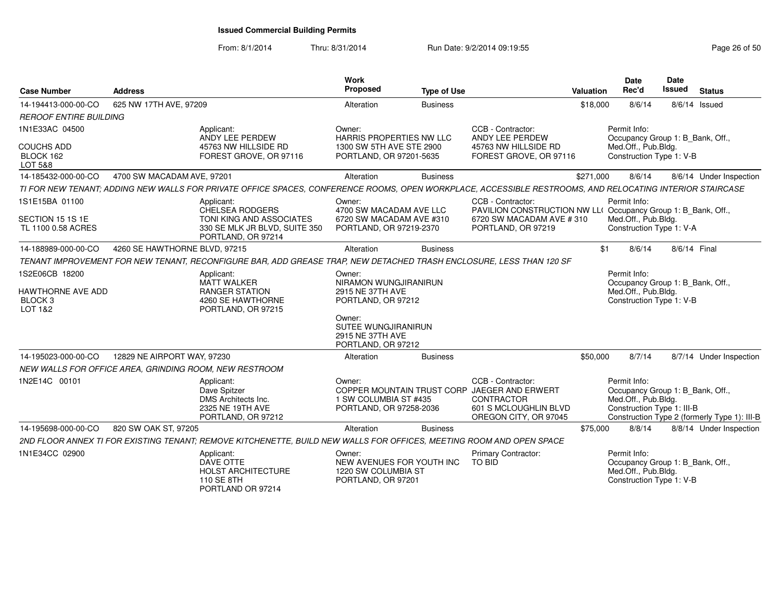| <b>Case Number</b>                                                   | <b>Address</b>                |                                                                                                                                                          | <b>Work</b><br>Proposed                                                                                                                              | <b>Type of Use</b> |                                                                                                                                      | <b>Valuation</b> | <b>Date</b><br>Rec'd                                                                                  | Date<br><b>Issued</b> | <b>Status</b>                                |
|----------------------------------------------------------------------|-------------------------------|----------------------------------------------------------------------------------------------------------------------------------------------------------|------------------------------------------------------------------------------------------------------------------------------------------------------|--------------------|--------------------------------------------------------------------------------------------------------------------------------------|------------------|-------------------------------------------------------------------------------------------------------|-----------------------|----------------------------------------------|
| 14-194413-000-00-CO                                                  | 625 NW 17TH AVE, 97209        |                                                                                                                                                          | Alteration                                                                                                                                           | <b>Business</b>    |                                                                                                                                      | \$18,000         | 8/6/14                                                                                                |                       | $8/6/14$ Issued                              |
| <b>REROOF ENTIRE BUILDING</b>                                        |                               |                                                                                                                                                          |                                                                                                                                                      |                    |                                                                                                                                      |                  |                                                                                                       |                       |                                              |
| 1N1E33AC 04500<br><b>COUCHS ADD</b>                                  |                               | Applicant:<br>ANDY LEE PERDEW<br>45763 NW HILLSIDE RD                                                                                                    | Owner:<br>HARRIS PROPERTIES NW LLC<br>1300 SW 5TH AVE STE 2900                                                                                       |                    | CCB - Contractor:<br>ANDY LEE PERDEW<br>45763 NW HILLSIDE RD                                                                         |                  | Permit Info:<br>Occupancy Group 1: B Bank, Off.,<br>Med.Off., Pub.Bldg.                               |                       |                                              |
| BLOCK 162<br><b>LOT 5&amp;8</b>                                      |                               | FOREST GROVE, OR 97116                                                                                                                                   | PORTLAND, OR 97201-5635                                                                                                                              |                    | FOREST GROVE, OR 97116                                                                                                               |                  | Construction Type 1: V-B                                                                              |                       |                                              |
| 14-185432-000-00-CO                                                  | 4700 SW MACADAM AVE, 97201    |                                                                                                                                                          | Alteration                                                                                                                                           | <b>Business</b>    |                                                                                                                                      | \$271,000        | 8/6/14                                                                                                |                       | 8/6/14 Under Inspection                      |
|                                                                      |                               | TI FOR NEW TENANT; ADDING NEW WALLS FOR PRIVATE OFFICE SPACES, CONFERENCE ROOMS, OPEN WORKPLACE, ACCESSIBLE RESTROOMS, AND RELOCATING INTERIOR STAIRCASE |                                                                                                                                                      |                    |                                                                                                                                      |                  |                                                                                                       |                       |                                              |
| 1S1E15BA 01100<br>SECTION 15 1S 1E<br>TL 1100 0.58 ACRES             |                               | Applicant:<br>CHELSEA RODGERS<br>TONI KING AND ASSOCIATES<br>330 SE MLK JR BLVD, SUITE 350<br>PORTLAND, OR 97214                                         | Owner:<br>4700 SW MACADAM AVE LLC<br>6720 SW MACADAM AVE #310<br>PORTLAND, OR 97219-2370                                                             |                    | CCB - Contractor:<br>PAVILION CONSTRUCTION NW LL( Occupancy Group 1: B_Bank, Off.,<br>6720 SW MACADAM AVE #310<br>PORTLAND, OR 97219 |                  | Permit Info:<br>Med.Off., Pub.Bldg.<br>Construction Type 1: V-A                                       |                       |                                              |
| 14-188989-000-00-CO                                                  | 4260 SE HAWTHORNE BLVD, 97215 |                                                                                                                                                          | Alteration                                                                                                                                           | <b>Business</b>    |                                                                                                                                      | \$1              | 8/6/14                                                                                                |                       | 8/6/14 Final                                 |
|                                                                      |                               | TENANT IMPROVEMENT FOR NEW TENANT, RECONFIGURE BAR, ADD GREASE TRAP, NEW DETACHED TRASH ENCLOSURE, LESS THAN 120 SF                                      |                                                                                                                                                      |                    |                                                                                                                                      |                  |                                                                                                       |                       |                                              |
| 1S2E06CB 18200<br>HAWTHORNE AVE ADD<br>BLOCK <sub>3</sub><br>LOT 1&2 |                               | Applicant:<br><b>MATT WALKER</b><br><b>RANGER STATION</b><br>4260 SE HAWTHORNE<br>PORTLAND, OR 97215                                                     | Owner:<br>NIRAMON WUNGJIRANIRUN<br>2915 NE 37TH AVE<br>PORTLAND, OR 97212<br>Owner:<br>SUTEE WUNGJIRANIRUN<br>2915 NE 37TH AVE<br>PORTLAND, OR 97212 |                    |                                                                                                                                      |                  | Permit Info:<br>Occupancy Group 1: B Bank, Off.,<br>Med.Off., Pub.Bldg.<br>Construction Type 1: V-B   |                       |                                              |
| 14-195023-000-00-CO                                                  | 12829 NE AIRPORT WAY, 97230   |                                                                                                                                                          | Alteration                                                                                                                                           | <b>Business</b>    |                                                                                                                                      | \$50,000         | 8/7/14                                                                                                |                       | 8/7/14 Under Inspection                      |
|                                                                      |                               | NEW WALLS FOR OFFICE AREA, GRINDING ROOM, NEW RESTROOM                                                                                                   |                                                                                                                                                      |                    |                                                                                                                                      |                  |                                                                                                       |                       |                                              |
| 1N2E14C 00101                                                        |                               | Applicant:<br>Dave Spitzer<br>DMS Architects Inc.<br>2325 NE 19TH AVE<br>PORTLAND, OR 97212                                                              | Owner:<br>1 SW COLUMBIA ST #435<br>PORTLAND, OR 97258-2036                                                                                           |                    | CCB - Contractor:<br>COPPER MOUNTAIN TRUST CORP JAEGER AND ERWERT<br>CONTRACTOR<br>601 S MCLOUGHLIN BLVD<br>OREGON CITY, OR 97045    |                  | Permit Info:<br>Occupancy Group 1: B_Bank, Off.,<br>Med.Off., Pub.Bldg.<br>Construction Type 1: III-B |                       | Construction Type 2 (formerly Type 1): III-B |
| 14-195698-000-00-CO                                                  | 820 SW OAK ST, 97205          |                                                                                                                                                          | Alteration                                                                                                                                           | <b>Business</b>    |                                                                                                                                      | \$75,000         | 8/8/14                                                                                                |                       | 8/8/14 Under Inspection                      |
|                                                                      |                               | 2ND FLOOR ANNEX TI FOR EXISTING TENANT; REMOVE KITCHENETTE, BUILD NEW WALLS FOR OFFICES, MEETING ROOM AND OPEN SPACE                                     |                                                                                                                                                      |                    |                                                                                                                                      |                  |                                                                                                       |                       |                                              |
| 1N1E34CC 02900                                                       |                               | Applicant:<br>DAVE OTTE<br>HOLST ARCHITECTURE<br>110 SE 8TH<br>PORTLAND OR 97214                                                                         | Owner:<br>NEW AVENUES FOR YOUTH INC<br>1220 SW COLUMBIA ST<br>PORTLAND, OR 97201                                                                     |                    | Primary Contractor:<br>TO BID                                                                                                        |                  | Permit Info:<br>Occupancy Group 1: B_Bank, Off.,<br>Med.Off., Pub.Bldg.<br>Construction Type 1: V-B   |                       |                                              |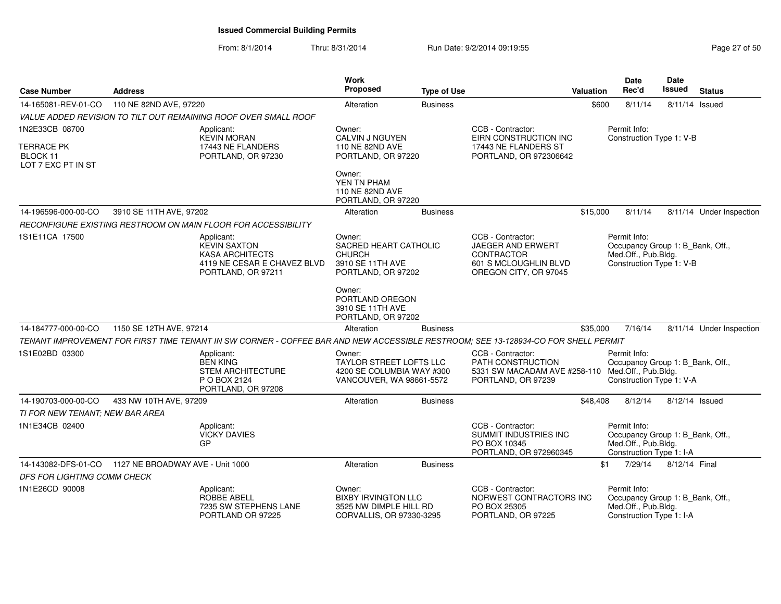| <b>Case Number</b>                                       | <b>Address</b>          |                                                                                                                                   | Work<br>Proposed                                                                                  | <b>Type of Use</b> |                                                                                                                  | Valuation | Date<br>Rec'd                                                                                       | Date<br>Issued   | <b>Status</b>            |
|----------------------------------------------------------|-------------------------|-----------------------------------------------------------------------------------------------------------------------------------|---------------------------------------------------------------------------------------------------|--------------------|------------------------------------------------------------------------------------------------------------------|-----------|-----------------------------------------------------------------------------------------------------|------------------|--------------------------|
| 14-165081-REV-01-CO                                      | 110 NE 82ND AVE, 97220  |                                                                                                                                   | Alteration                                                                                        | <b>Business</b>    |                                                                                                                  | \$600     | 8/11/14                                                                                             | $8/11/14$ Issued |                          |
|                                                          |                         | VALUE ADDED REVISION TO TILT OUT REMAINING ROOF OVER SMALL ROOF                                                                   |                                                                                                   |                    |                                                                                                                  |           |                                                                                                     |                  |                          |
| 1N2E33CB 08700                                           |                         | Applicant:<br><b>KEVIN MORAN</b>                                                                                                  | Owner:<br>CALVIN J NGUYEN                                                                         |                    | CCB - Contractor:<br>EIRN CONSTRUCTION INC                                                                       |           | Permit Info:<br>Construction Type 1: V-B                                                            |                  |                          |
| <b>TERRACE PK</b><br>BLOCK 11<br>LOT 7 EXC PT IN ST      |                         | 17443 NE FLANDERS<br>PORTLAND, OR 97230                                                                                           | 110 NE 82ND AVE<br>PORTLAND, OR 97220                                                             |                    | 17443 NE FLANDERS ST<br>PORTLAND, OR 972306642                                                                   |           |                                                                                                     |                  |                          |
|                                                          |                         |                                                                                                                                   | Owner:<br>YEN TN PHAM<br>110 NE 82ND AVE<br>PORTLAND, OR 97220                                    |                    |                                                                                                                  |           |                                                                                                     |                  |                          |
| 14-196596-000-00-CO                                      | 3910 SE 11TH AVE, 97202 |                                                                                                                                   | Alteration                                                                                        | <b>Business</b>    |                                                                                                                  | \$15,000  | 8/11/14                                                                                             |                  | 8/11/14 Under Inspection |
|                                                          |                         | RECONFIGURE EXISTING RESTROOM ON MAIN FLOOR FOR ACCESSIBILITY                                                                     |                                                                                                   |                    |                                                                                                                  |           |                                                                                                     |                  |                          |
| 1S1E11CA 17500                                           |                         | Applicant:<br><b>KEVIN SAXTON</b><br><b>KASA ARCHITECTS</b><br>4119 NE CESAR E CHAVEZ BLVD<br>PORTLAND, OR 97211                  | Owner:<br>SACRED HEART CATHOLIC<br><b>CHURCH</b><br>3910 SE 11TH AVE<br>PORTLAND, OR 97202        |                    | CCB - Contractor:<br>JAEGER AND ERWERT<br>CONTRACTOR<br>601 S MCLOUGHLIN BLVD<br>OREGON CITY, OR 97045           |           | Permit Info:<br>Occupancy Group 1: B_Bank, Off.,<br>Med.Off., Pub.Bldg.<br>Construction Type 1: V-B |                  |                          |
|                                                          |                         |                                                                                                                                   | Owner:<br>PORTLAND OREGON<br>3910 SE 11TH AVE<br>PORTLAND, OR 97202                               |                    |                                                                                                                  |           |                                                                                                     |                  |                          |
| 14-184777-000-00-CO                                      | 1150 SE 12TH AVE, 97214 |                                                                                                                                   | Alteration                                                                                        | <b>Business</b>    |                                                                                                                  | \$35,000  | 7/16/14                                                                                             |                  | 8/11/14 Under Inspection |
|                                                          |                         | TENANT IMPROVEMENT FOR FIRST TIME TENANT IN SW CORNER - COFFEE BAR AND NEW ACCESSIBLE RESTROOM; SEE 13-128934-CO FOR SHELL PERMIT |                                                                                                   |                    |                                                                                                                  |           |                                                                                                     |                  |                          |
| 1S1E02BD 03300                                           |                         | Applicant:<br><b>BEN KING</b><br><b>STEM ARCHITECTURE</b><br>P O BOX 2124<br>PORTLAND, OR 97208                                   | Owner:<br><b>TAYLOR STREET LOFTS LLC</b><br>4200 SE COLUMBIA WAY #300<br>VANCOUVER, WA 98661-5572 |                    | CCB - Contractor:<br>PATH CONSTRUCTION<br>5331 SW MACADAM AVE #258-110 Med.Off., Pub.Bldg.<br>PORTLAND, OR 97239 |           | Permit Info:<br>Occupancy Group 1: B_Bank, Off.,<br>Construction Type 1: V-A                        |                  |                          |
| 14-190703-000-00-CO                                      | 433 NW 10TH AVE, 97209  |                                                                                                                                   | Alteration                                                                                        | <b>Business</b>    |                                                                                                                  | \$48,408  | 8/12/14                                                                                             | $8/12/14$ Issued |                          |
| TI FOR NEW TENANT: NEW BAR AREA                          |                         |                                                                                                                                   |                                                                                                   |                    |                                                                                                                  |           |                                                                                                     |                  |                          |
| 1N1E34CB 02400                                           |                         | Applicant:<br><b>VICKY DAVIES</b><br>GP                                                                                           |                                                                                                   |                    | CCB - Contractor:<br>SUMMIT INDUSTRIES INC<br>PO BOX 10345<br>PORTLAND, OR 972960345                             |           | Permit Info:<br>Occupancy Group 1: B Bank, Off.,<br>Med.Off., Pub.Bldg.<br>Construction Type 1: I-A |                  |                          |
| 14-143082-DFS-01-CO     1127 NE BROADWAY AVE - Unit 1000 |                         |                                                                                                                                   | Alteration                                                                                        | <b>Business</b>    |                                                                                                                  | \$1       | 7/29/14                                                                                             | 8/12/14 Final    |                          |
| <b>DFS FOR LIGHTING COMM CHECK</b>                       |                         |                                                                                                                                   |                                                                                                   |                    |                                                                                                                  |           |                                                                                                     |                  |                          |
| 1N1E26CD 90008                                           |                         | Applicant:<br><b>ROBBE ABELL</b><br>7235 SW STEPHENS LANE<br>PORTLAND OR 97225                                                    | Owner:<br><b>BIXBY IRVINGTON LLC</b><br>3525 NW DIMPLE HILL RD<br>CORVALLIS, OR 97330-3295        |                    | CCB - Contractor:<br>NORWEST CONTRACTORS INC<br>PO BOX 25305<br>PORTLAND, OR 97225                               |           | Permit Info:<br>Occupancy Group 1: B_Bank, Off.,<br>Med.Off., Pub.Bldg.<br>Construction Type 1: I-A |                  |                          |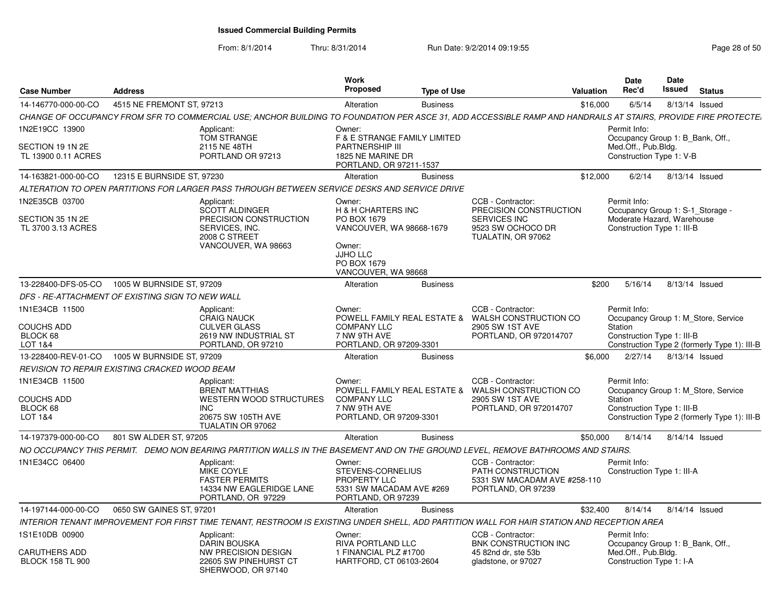From: 8/1/2014

| <b>Case Number</b>                                         | <b>Address</b>                                                                                                                                                 | Work<br><b>Proposed</b><br><b>Type of Use</b>                                                                                              | Valuation                                                                                                           | Date<br>Rec'd                                                                                                | <b>Date</b><br>Issued | <b>Status</b>                                |
|------------------------------------------------------------|----------------------------------------------------------------------------------------------------------------------------------------------------------------|--------------------------------------------------------------------------------------------------------------------------------------------|---------------------------------------------------------------------------------------------------------------------|--------------------------------------------------------------------------------------------------------------|-----------------------|----------------------------------------------|
| 14-146770-000-00-CO                                        | 4515 NE FREMONT ST, 97213                                                                                                                                      | Alteration<br><b>Business</b>                                                                                                              |                                                                                                                     | 6/5/14<br>\$16,000                                                                                           | 8/13/14 Issued        |                                              |
|                                                            | CHANGE OF OCCUPANCY FROM SFR TO COMMERCIAL USE; ANCHOR BUILDING TO FOUNDATION PER ASCE 31, ADD ACCESSIBLE RAMP AND HANDRAILS AT STAIRS, PROVIDE FIRE PROTECTE. |                                                                                                                                            |                                                                                                                     |                                                                                                              |                       |                                              |
| 1N2E19CC 13900                                             | Applicant:<br>TOM STRANGE                                                                                                                                      | Owner:<br>F & E STRANGE FAMILY LIMITED                                                                                                     |                                                                                                                     | Permit Info:<br>Occupancy Group 1: B Bank, Off.,                                                             |                       |                                              |
| SECTION 19 1N 2E<br>TL 13900 0.11 ACRES                    | 2115 NE 48TH<br>PORTLAND OR 97213                                                                                                                              | <b>PARTNERSHIP III</b><br>1825 NE MARINE DR<br>PORTLAND, OR 97211-1537                                                                     |                                                                                                                     | Med.Off., Pub.Bldg.<br>Construction Type 1: V-B                                                              |                       |                                              |
| 14-163821-000-00-CO                                        | 12315 E BURNSIDE ST, 97230                                                                                                                                     | Alteration<br><b>Business</b>                                                                                                              |                                                                                                                     | 6/2/14<br>\$12,000                                                                                           | 8/13/14 Issued        |                                              |
|                                                            | ALTERATION TO OPEN PARTITIONS FOR LARGER PASS THROUGH BETWEEN SERVICE DESKS AND SERVICE DRIVE                                                                  |                                                                                                                                            |                                                                                                                     |                                                                                                              |                       |                                              |
| 1N2E35CB 03700<br>SECTION 35 1N 2E<br>TL 3700 3.13 ACRES   | Applicant:<br><b>SCOTT ALDINGER</b><br>PRECISION CONSTRUCTION<br>SERVICES, INC.<br>2008 C STREET<br>VANCOUVER, WA 98663                                        | Owner:<br>H & H CHARTERS INC<br>PO BOX 1679<br>VANCOUVER, WA 98668-1679<br>Owner:<br><b>JJHO LLC</b><br>PO BOX 1679<br>VANCOUVER, WA 98668 | CCB - Contractor:<br>PRECISION CONSTRUCTION<br>SERVICES INC<br>9523 SW OCHOCO DR<br>TUALATIN, OR 97062              | Permit Info:<br>Occupancy Group 1: S-1 Storage -<br>Moderate Hazard, Warehouse<br>Construction Type 1: III-B |                       |                                              |
| 13-228400-DFS-05-CO                                        | 1005 W BURNSIDE ST, 97209                                                                                                                                      | <b>Business</b><br>Alteration                                                                                                              |                                                                                                                     | 5/16/14<br>\$200                                                                                             | 8/13/14 Issued        |                                              |
|                                                            | DFS - RE-ATTACHMENT OF EXISTING SIGN TO NEW WALL                                                                                                               |                                                                                                                                            |                                                                                                                     |                                                                                                              |                       |                                              |
| 1N1E34CB 11500<br><b>COUCHS ADD</b><br>BLOCK 68<br>LOT 1&4 | Applicant:<br><b>CRAIG NAUCK</b><br><b>CULVER GLASS</b><br>2619 NW INDUSTRIAL ST<br>PORTLAND, OR 97210                                                         | Owner:<br><b>COMPANY LLC</b><br>7 NW 9TH AVE<br>PORTLAND, OR 97209-3301                                                                    | CCB - Contractor:<br>POWELL FAMILY REAL ESTATE & WALSH CONSTRUCTION CO<br>2905 SW 1ST AVE<br>PORTLAND, OR 972014707 | Permit Info:<br>Occupancy Group 1: M_Store, Service<br>Station<br>Construction Type 1: III-B                 |                       | Construction Type 2 (formerly Type 1): III-B |
| 13-228400-REV-01-CO                                        | 1005 W BURNSIDE ST, 97209                                                                                                                                      | Alteration<br><b>Business</b>                                                                                                              |                                                                                                                     | \$6,000<br>2/27/14                                                                                           | 8/13/14 Issued        |                                              |
|                                                            | REVISION TO REPAIR EXISTING CRACKED WOOD BEAM                                                                                                                  |                                                                                                                                            |                                                                                                                     |                                                                                                              |                       |                                              |
| 1N1E34CB 11500<br><b>COUCHS ADD</b><br>BLOCK 68<br>LOT 1&4 | Applicant:<br><b>BRENT MATTHIAS</b><br><b>WESTERN WOOD STRUCTURES</b><br>INC.<br>20675 SW 105TH AVE<br>TUALATIN OR 97062                                       | Owner:<br><b>COMPANY LLC</b><br>7 NW 9TH AVE<br>PORTLAND, OR 97209-3301                                                                    | CCB - Contractor:<br>POWELL FAMILY REAL ESTATE & WALSH CONSTRUCTION CO<br>2905 SW 1ST AVE<br>PORTLAND, OR 972014707 | Permit Info:<br>Occupancy Group 1: M Store, Service<br>Station<br>Construction Type 1: III-B                 |                       | Construction Type 2 (formerly Type 1): III-B |
| 14-197379-000-00-CO                                        | 801 SW ALDER ST, 97205                                                                                                                                         | Alteration<br><b>Business</b>                                                                                                              |                                                                                                                     | \$50,000<br>8/14/14                                                                                          | 8/14/14 Issued        |                                              |
|                                                            | NO OCCUPANCY THIS PERMIT. DEMO NON BEARING PARTITION WALLS IN THE BASEMENT AND ON THE GROUND LEVEL, REMOVE BATHROOMS AND STAIRS.                               |                                                                                                                                            |                                                                                                                     |                                                                                                              |                       |                                              |
| 1N1E34CC 06400                                             | Applicant:<br>MIKE COYLE<br><b>FASTER PERMITS</b><br>14334 NW EAGLERIDGE LANE<br>PORTLAND, OR 97229                                                            | Owner:<br>STEVENS-CORNELIUS<br>PROPERTY LLC<br>5331 SW MACADAM AVE #269<br>PORTLAND, OR 97239                                              | CCB - Contractor:<br>PATH CONSTRUCTION<br>5331 SW MACADAM AVE #258-110<br>PORTLAND, OR 97239                        | Permit Info:<br>Construction Type 1: III-A                                                                   |                       |                                              |
| 14-197144-000-00-CO                                        | 0650 SW GAINES ST, 97201                                                                                                                                       | Alteration<br><b>Business</b>                                                                                                              |                                                                                                                     | \$32,400<br>8/14/14                                                                                          | 8/14/14 Issued        |                                              |
|                                                            | INTERIOR TENANT IMPROVEMENT FOR FIRST TIME TENANT, RESTROOM IS EXISTING UNDER SHELL, ADD PARTITION WALL FOR HAIR STATION AND RECEPTION AREA                    |                                                                                                                                            |                                                                                                                     |                                                                                                              |                       |                                              |
| 1S1E10DB 00900                                             | Applicant:<br><b>DARIN BOUSKA</b>                                                                                                                              | Owner:<br>RIVA PORTLAND LLC                                                                                                                | CCB - Contractor:<br>BNK CONSTRUCTION INC                                                                           | Permit Info:<br>Occupancy Group 1: B Bank, Off.,                                                             |                       |                                              |
| <b>CARUTHERS ADD</b><br><b>BLOCK 158 TL 900</b>            | NW PRECISION DESIGN<br>22605 SW PINEHURST CT<br>SHERWOOD, OR 97140                                                                                             | 1 FINANCIAL PLZ #1700<br>HARTFORD, CT 06103-2604                                                                                           | 45 82nd dr. ste 53b<br>gladstone, or 97027                                                                          | Med.Off., Pub.Bldg.<br>Construction Type 1: I-A                                                              |                       |                                              |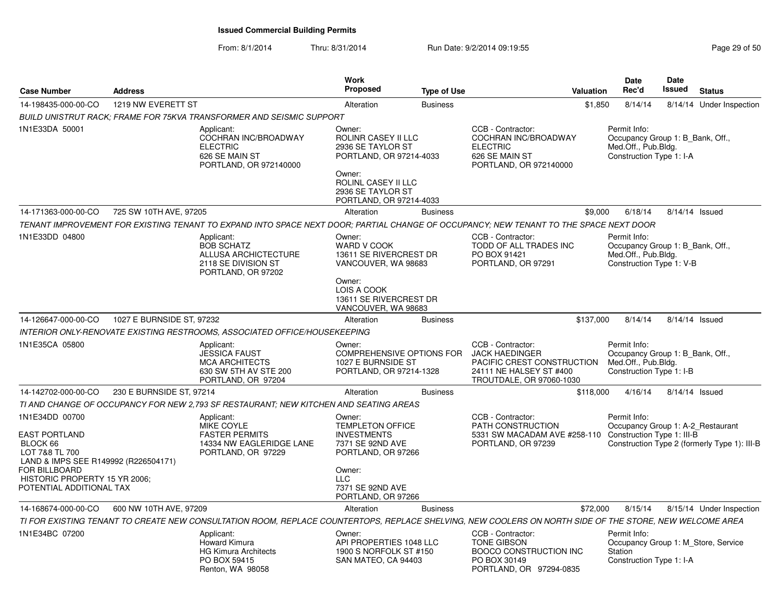#### From: 8/1/2014Thru: 8/31/2014 Run Date: 9/2/2014 09:19:55

| <b>Case Number</b>                                                                                                                                                                                | <b>Address</b>            |                                                                                                                                                         | Work<br><b>Proposed</b>                                                                                                                                      | <b>Type of Use</b> | <b>Valuation</b>                                                                                                                | <b>Date</b><br>Rec'd    | Date<br>Issued                                                                      | <b>Status</b>                                |
|---------------------------------------------------------------------------------------------------------------------------------------------------------------------------------------------------|---------------------------|---------------------------------------------------------------------------------------------------------------------------------------------------------|--------------------------------------------------------------------------------------------------------------------------------------------------------------|--------------------|---------------------------------------------------------------------------------------------------------------------------------|-------------------------|-------------------------------------------------------------------------------------|----------------------------------------------|
| 14-198435-000-00-CO                                                                                                                                                                               | 1219 NW EVERETT ST        |                                                                                                                                                         | Alteration                                                                                                                                                   | <b>Business</b>    |                                                                                                                                 | \$1,850                 | 8/14/14                                                                             | 8/14/14 Under Inspection                     |
|                                                                                                                                                                                                   |                           | <b>BUILD UNISTRUT RACK: FRAME FOR 75KVA TRANSFORMER AND SEISMIC SUPPORT</b>                                                                             |                                                                                                                                                              |                    |                                                                                                                                 |                         |                                                                                     |                                              |
| 1N1E33DA 50001                                                                                                                                                                                    |                           | Applicant:<br>COCHRAN INC/BROADWAY<br><b>ELECTRIC</b><br>626 SE MAIN ST<br>PORTLAND, OR 972140000                                                       | Owner:<br><b>ROLINR CASEY II LLC</b><br>2936 SE TAYLOR ST<br>PORTLAND, OR 97214-4033<br>Owner:<br>ROLINL CASEY II LLC                                        |                    | CCB - Contractor:<br>COCHRAN INC/BROADWAY<br><b>ELECTRIC</b><br>626 SE MAIN ST<br>PORTLAND, OR 972140000                        | Permit Info:            | Occupancy Group 1: B Bank, Off.,<br>Med.Off., Pub.Bldg.<br>Construction Type 1: I-A |                                              |
|                                                                                                                                                                                                   |                           |                                                                                                                                                         | 2936 SE TAYLOR ST<br>PORTLAND, OR 97214-4033                                                                                                                 |                    |                                                                                                                                 |                         |                                                                                     |                                              |
| 14-171363-000-00-CO                                                                                                                                                                               | 725 SW 10TH AVE, 97205    |                                                                                                                                                         | Alteration                                                                                                                                                   | <b>Business</b>    |                                                                                                                                 | \$9.000                 | 6/18/14                                                                             | 8/14/14 Issued                               |
|                                                                                                                                                                                                   |                           | TENANT IMPROVEMENT FOR EXISTING TENANT TO EXPAND INTO SPACE NEXT DOOR; PARTIAL CHANGE OF OCCUPANCY; NEW TENANT TO THE SPACE NEXT DOOR                   |                                                                                                                                                              |                    |                                                                                                                                 |                         |                                                                                     |                                              |
| 1N1E33DD 04800                                                                                                                                                                                    |                           | Applicant:<br><b>BOB SCHATZ</b><br>ALLUSA ARCHICTECTURE<br>2118 SE DIVISION ST<br>PORTLAND, OR 97202                                                    | Owner:<br>WARD V COOK<br>13611 SE RIVERCREST DR<br>VANCOUVER, WA 98683<br>Owner:                                                                             |                    | CCB - Contractor:<br>TODD OF ALL TRADES INC<br>PO BOX 91421<br>PORTLAND, OR 97291                                               | Permit Info:            | Occupancy Group 1: B_Bank, Off.,<br>Med.Off., Pub.Bldg.<br>Construction Type 1: V-B |                                              |
|                                                                                                                                                                                                   |                           |                                                                                                                                                         | LOIS A COOK<br>13611 SE RIVERCREST DR<br>VANCOUVER, WA 98683                                                                                                 |                    |                                                                                                                                 |                         |                                                                                     |                                              |
| 14-126647-000-00-CO                                                                                                                                                                               | 1027 E BURNSIDE ST, 97232 |                                                                                                                                                         | Alteration                                                                                                                                                   | <b>Business</b>    | \$137,000                                                                                                                       |                         | 8/14/14                                                                             | 8/14/14 Issued                               |
|                                                                                                                                                                                                   |                           | INTERIOR ONLY-RENOVATE EXISTING RESTROOMS, ASSOCIATED OFFICE/HOUSEKEEPING                                                                               |                                                                                                                                                              |                    |                                                                                                                                 |                         |                                                                                     |                                              |
| 1N1E35CA 05800                                                                                                                                                                                    |                           | Applicant:<br><b>JESSICA FAUST</b><br><b>MCA ARCHITECTS</b><br>630 SW 5TH AV STE 200<br>PORTLAND, OR 97204                                              | Owner:<br><b>COMPREHENSIVE OPTIONS FOR</b><br>1027 E BURNSIDE ST<br>PORTLAND, OR 97214-1328                                                                  |                    | CCB - Contractor:<br><b>JACK HAEDINGER</b><br>PACIFIC CREST CONSTRUCTION<br>24111 NE HALSEY ST #400<br>TROUTDALE, OR 97060-1030 | Permit Info:            | Occupancy Group 1: B_Bank, Off.,<br>Med.Off., Pub.Bldg.<br>Construction Type 1: I-B |                                              |
| 14-142702-000-00-CO                                                                                                                                                                               | 230 E BURNSIDE ST, 97214  |                                                                                                                                                         | Alteration                                                                                                                                                   | <b>Business</b>    |                                                                                                                                 | \$118,000               | 4/16/14                                                                             | 8/14/14 Issued                               |
|                                                                                                                                                                                                   |                           | TI AND CHANGE OF OCCUPANCY FOR NEW 2.793 SF RESTAURANT: NEW KITCHEN AND SEATING AREAS                                                                   |                                                                                                                                                              |                    |                                                                                                                                 |                         |                                                                                     |                                              |
| 1N1E34DD 00700<br><b>EAST PORTLAND</b><br>BLOCK 66<br>LOT 7&8 TL 700<br>LAND & IMPS SEE R149992 (R226504171)<br><b>FOR BILLBOARD</b><br>HISTORIC PROPERTY 15 YR 2006;<br>POTENTIAL ADDITIONAL TAX |                           | Applicant:<br>MIKE COYLE<br><b>FASTER PERMITS</b><br>14334 NW EAGLERIDGE LANE<br>PORTLAND, OR 97229                                                     | Owner:<br>TEMPLETON OFFICE<br><b>INVESTMENTS</b><br>7371 SE 92ND AVE<br>PORTLAND, OR 97266<br>Owner:<br><b>LLC</b><br>7371 SE 92ND AVE<br>PORTLAND, OR 97266 |                    | CCB - Contractor:<br>PATH CONSTRUCTION<br>5331 SW MACADAM AVE #258-110<br>PORTLAND, OR 97239                                    | Permit Info:            | Occupancy Group 1: A-2 Restaurant<br>Construction Type 1: III-B                     | Construction Type 2 (formerly Type 1): III-B |
| 14-168674-000-00-CO                                                                                                                                                                               | 600 NW 10TH AVE, 97209    |                                                                                                                                                         | Alteration                                                                                                                                                   | <b>Business</b>    |                                                                                                                                 | \$72,000                | 8/15/14                                                                             | 8/15/14 Under Inspection                     |
|                                                                                                                                                                                                   |                           | TI FOR EXISTING TENANT TO CREATE NEW CONSULTATION ROOM, REPLACE COUNTERTOPS, REPLACE SHELVING, NEW COOLERS ON NORTH SIDE OF THE STORE, NEW WELCOME AREA |                                                                                                                                                              |                    |                                                                                                                                 |                         |                                                                                     |                                              |
| 1N1E34BC 07200                                                                                                                                                                                    |                           | Applicant:<br>Howard Kimura<br><b>HG Kimura Architects</b><br>PO BOX 59415<br>Renton, WA 98058                                                          | Owner:<br>API PROPERTIES 1048 LLC<br>1900 S NORFOLK ST #150<br>SAN MATEO, CA 94403                                                                           |                    | CCB - Contractor:<br>TONE GIBSON<br><b>BOOCO CONSTRUCTION INC</b><br>PO BOX 30149<br>PORTLAND, OR 97294-0835                    | Permit Info:<br>Station | Construction Type 1: I-A                                                            | Occupancy Group 1: M Store, Service          |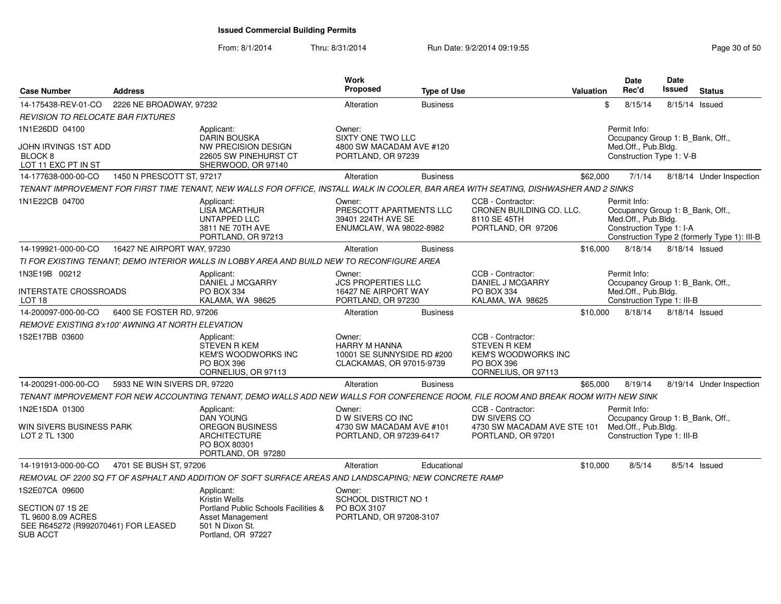| <b>Case Number</b>                                                                               | <b>Address</b>               |                                                                                                                                       | <b>Work</b><br><b>Proposed</b>                                                           | <b>Type of Use</b> |                                                                                                             | Valuation | Date<br>Rec'd                                                                                       | <b>Date</b><br>Issued | <b>Status</b>                                |
|--------------------------------------------------------------------------------------------------|------------------------------|---------------------------------------------------------------------------------------------------------------------------------------|------------------------------------------------------------------------------------------|--------------------|-------------------------------------------------------------------------------------------------------------|-----------|-----------------------------------------------------------------------------------------------------|-----------------------|----------------------------------------------|
| 14-175438-REV-01-CO                                                                              | 2226 NE BROADWAY, 97232      |                                                                                                                                       | Alteration                                                                               | <b>Business</b>    |                                                                                                             |           | \$<br>8/15/14                                                                                       | 8/15/14 Issued        |                                              |
| <b>REVISION TO RELOCATE BAR FIXTURES</b>                                                         |                              |                                                                                                                                       |                                                                                          |                    |                                                                                                             |           |                                                                                                     |                       |                                              |
| 1N1E26DD 04100                                                                                   |                              | Applicant:                                                                                                                            | Owner:                                                                                   |                    |                                                                                                             |           | Permit Info:                                                                                        |                       |                                              |
| JOHN IRVINGS 1ST ADD<br>BLOCK <sub>8</sub><br>LOT 11 EXC PT IN ST                                |                              | <b>DARIN BOUSKA</b><br>NW PRECISION DESIGN<br>22605 SW PINEHURST CT<br>SHERWOOD, OR 97140                                             | <b>SIXTY ONE TWO LLC</b><br>4800 SW MACADAM AVE #120<br>PORTLAND, OR 97239               |                    |                                                                                                             |           | Occupancy Group 1: B_Bank, Off.,<br>Med.Off., Pub.Bldg.<br>Construction Type 1: V-B                 |                       |                                              |
| 14-177638-000-00-CO                                                                              | 1450 N PRESCOTT ST, 97217    |                                                                                                                                       | Alteration                                                                               | <b>Business</b>    |                                                                                                             | \$62,000  | 7/1/14                                                                                              |                       | 8/18/14 Under Inspection                     |
|                                                                                                  |                              | TENANT IMPROVEMENT FOR FIRST TIME TENANT, NEW WALLS FOR OFFICE, INSTALL WALK IN COOLER, BAR AREA WITH SEATING, DISHWASHER AND 2 SINKS |                                                                                          |                    |                                                                                                             |           |                                                                                                     |                       |                                              |
| 1N1E22CB 04700                                                                                   |                              | Applicant:<br><b>LISA MCARTHUR</b><br>UNTAPPED LLC<br>3811 NE 70TH AVE<br>PORTLAND, OR 97213                                          | Owner:<br>PRESCOTT APARTMENTS LLC<br>39401 224TH AVE SE<br>ENUMCLAW, WA 98022-8982       |                    | CCB - Contractor:<br>CRONEN BUILDING CO. LLC.<br>8110 SE 45TH<br>PORTLAND, OR 97206                         |           | Permit Info:<br>Occupancy Group 1: B_Bank, Off.,<br>Med.Off., Pub.Bldg.<br>Construction Type 1: I-A |                       | Construction Type 2 (formerly Type 1): III-B |
| 14-199921-000-00-CO                                                                              | 16427 NE AIRPORT WAY, 97230  |                                                                                                                                       | Alteration                                                                               | <b>Business</b>    |                                                                                                             | \$16,000  | 8/18/14                                                                                             | 8/18/14 Issued        |                                              |
|                                                                                                  |                              | TI FOR EXISTING TENANT; DEMO INTERIOR WALLS IN LOBBY AREA AND BUILD NEW TO RECONFIGURE AREA                                           |                                                                                          |                    |                                                                                                             |           |                                                                                                     |                       |                                              |
| 1N3E19B 00212                                                                                    |                              | Applicant:<br>DANIEL J MCGARRY                                                                                                        | Owner:<br><b>JCS PROPERTIES LLC</b>                                                      |                    | CCB - Contractor:<br><b>DANIEL J MCGARRY</b>                                                                |           | Permit Info:<br>Occupancy Group 1: B Bank, Off.,                                                    |                       |                                              |
| <b>INTERSTATE CROSSROADS</b><br>LOT 18                                                           |                              | PO BOX 334<br>KALAMA, WA 98625                                                                                                        | 16427 NE AIRPORT WAY<br>PORTLAND, OR 97230                                               |                    | PO BOX 334<br>KALAMA, WA 98625                                                                              |           | Med.Off., Pub.Bldg.<br>Construction Type 1: III-B                                                   |                       |                                              |
| 14-200097-000-00-CO                                                                              | 6400 SE FOSTER RD, 97206     |                                                                                                                                       | Alteration                                                                               | <b>Business</b>    |                                                                                                             | \$10,000  | 8/18/14                                                                                             |                       | 8/18/14 Issued                               |
| REMOVE EXISTING 8'x100' AWNING AT NORTH ELEVATION                                                |                              |                                                                                                                                       |                                                                                          |                    |                                                                                                             |           |                                                                                                     |                       |                                              |
| 1S2E17BB 03600                                                                                   |                              | Applicant:<br><b>STEVEN R KEM</b><br><b>KEM'S WOODWORKS INC</b><br>PO BOX 396<br>CORNELIUS, OR 97113                                  | Owner:<br><b>HARRY M HANNA</b><br>10001 SE SUNNYSIDE RD #200<br>CLACKAMAS, OR 97015-9739 |                    | CCB - Contractor:<br><b>STEVEN R KEM</b><br><b>KEM'S WOODWORKS INC</b><br>PO BOX 396<br>CORNELIUS, OR 97113 |           |                                                                                                     |                       |                                              |
| 14-200291-000-00-CO                                                                              | 5933 NE WIN SIVERS DR, 97220 |                                                                                                                                       | Alteration                                                                               | <b>Business</b>    |                                                                                                             | \$65,000  | 8/19/14                                                                                             |                       | 8/19/14 Under Inspection                     |
|                                                                                                  |                              | TENANT IMPROVEMENT FOR NEW ACCOUNTING TENANT, DEMO WALLS ADD NEW WALLS FOR CONFERENCE ROOM, FILE ROOM AND BREAK ROOM WITH NEW SINK    |                                                                                          |                    |                                                                                                             |           |                                                                                                     |                       |                                              |
| 1N2E15DA 01300<br>WIN SIVERS BUSINESS PARK                                                       |                              | Applicant:<br><b>DAN YOUNG</b><br><b>OREGON BUSINESS</b>                                                                              | Owner:<br>D W SIVERS CO INC<br>4730 SW MACADAM AVE #101                                  |                    | CCB - Contractor:<br>DW SIVERS CO<br>4730 SW MACADAM AVE STE 101                                            |           | Permit Info:<br>Occupancy Group 1: B_Bank, Off.,<br>Med.Off., Pub.Bldg.                             |                       |                                              |
| LOT 2 TL 1300                                                                                    |                              | ARCHITECTURE<br>PO BOX 80301<br>PORTLAND, OR 97280                                                                                    | PORTLAND, OR 97239-6417                                                                  |                    | PORTLAND, OR 97201                                                                                          |           | Construction Type 1: III-B                                                                          |                       |                                              |
| 14-191913-000-00-CO                                                                              | 4701 SE BUSH ST, 97206       |                                                                                                                                       | Alteration                                                                               | Educational        |                                                                                                             | \$10,000  | 8/5/14                                                                                              |                       | $8/5/14$ Issued                              |
|                                                                                                  |                              | REMOVAL OF 2200 SQ FT OF ASPHALT AND ADDITION OF SOFT SURFACE AREAS AND LANDSCAPING: NEW CONCRETE RAMP                                |                                                                                          |                    |                                                                                                             |           |                                                                                                     |                       |                                              |
| 1S2E07CA 09600                                                                                   |                              | Applicant:<br>Kristin Wells                                                                                                           | Owner:<br>SCHOOL DISTRICT NO 1                                                           |                    |                                                                                                             |           |                                                                                                     |                       |                                              |
| SECTION 07 1S 2E<br>TL 9600 8.09 ACRES<br>SEE R645272 (R992070461) FOR LEASED<br><b>SUB ACCT</b> |                              | Portland Public Schools Facilities &<br>Asset Management<br>501 N Dixon St.<br>Portland, OR 97227                                     | PO BOX 3107<br>PORTLAND, OR 97208-3107                                                   |                    |                                                                                                             |           |                                                                                                     |                       |                                              |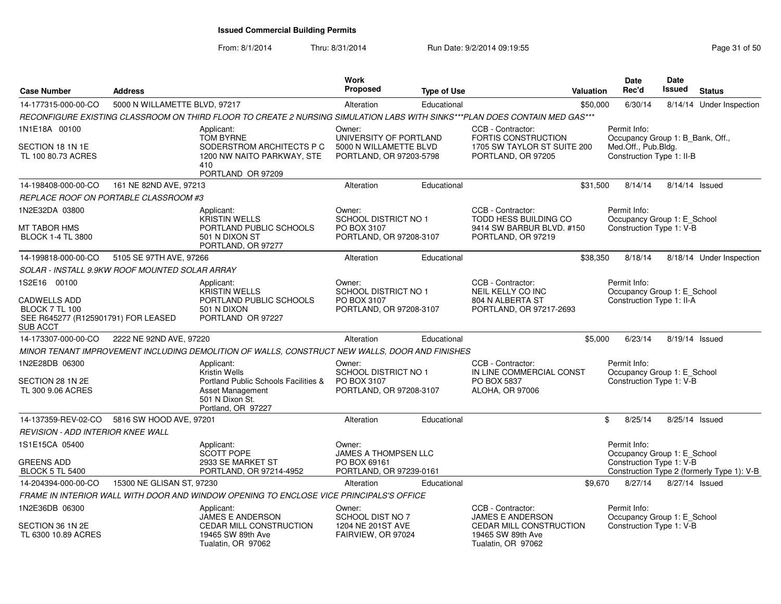| <b>Case Number</b>                                                                                     | <b>Address</b>                |                                                                                                                                  | Work<br><b>Proposed</b>                                                     | <b>Type of Use</b> | <b>Valuation</b>                                                                | <b>Date</b><br>Rec'd | <b>Date</b><br><b>Issued</b>                                  | <b>Status</b>                              |
|--------------------------------------------------------------------------------------------------------|-------------------------------|----------------------------------------------------------------------------------------------------------------------------------|-----------------------------------------------------------------------------|--------------------|---------------------------------------------------------------------------------|----------------------|---------------------------------------------------------------|--------------------------------------------|
| 14-177315-000-00-CO                                                                                    | 5000 N WILLAMETTE BLVD, 97217 |                                                                                                                                  | Alteration                                                                  | Educational        | \$50,000                                                                        | 6/30/14              |                                                               | 8/14/14 Under Inspection                   |
|                                                                                                        |                               | RECONFIGURE EXISTING CLASSROOM ON THIRD FLOOR TO CREATE 2 NURSING SIMULATION LABS WITH SINKS***PLAN DOES CONTAIN MED GAS***      |                                                                             |                    |                                                                                 |                      |                                                               |                                            |
| 1N1E18A 00100                                                                                          |                               | Applicant:                                                                                                                       | Owner:                                                                      |                    | CCB - Contractor:                                                               | Permit Info:         |                                                               |                                            |
| SECTION 18 1N 1E<br>TL 100 80.73 ACRES                                                                 |                               | <b>TOM BYRNE</b><br>SODERSTROM ARCHITECTS P C<br>1200 NW NAITO PARKWAY, STE<br>410<br>PORTLAND OR 97209                          | UNIVERSITY OF PORTLAND<br>5000 N WILLAMETTE BLVD<br>PORTLAND, OR 97203-5798 |                    | FORTIS CONSTRUCTION<br>1705 SW TAYLOR ST SUITE 200<br>PORTLAND, OR 97205        | Med.Off., Pub.Bldg.  | Occupancy Group 1: B_Bank, Off.,<br>Construction Type 1: II-B |                                            |
| 14-198408-000-00-CO                                                                                    | 161 NE 82ND AVE, 97213        |                                                                                                                                  | Alteration                                                                  | Educational        | \$31,500                                                                        | 8/14/14              |                                                               | 8/14/14 Issued                             |
| REPLACE ROOF ON PORTABLE CLASSROOM #3                                                                  |                               |                                                                                                                                  |                                                                             |                    |                                                                                 |                      |                                                               |                                            |
| 1N2E32DA 03800                                                                                         |                               | Applicant:<br><b>KRISTIN WELLS</b>                                                                                               | Owner:<br><b>SCHOOL DISTRICT NO 1</b>                                       |                    | CCB - Contractor:<br>TODD HESS BUILDING CO                                      | Permit Info:         | Occupancy Group 1: E_School                                   |                                            |
| MT TABOR HMS<br><b>BLOCK 1-4 TL 3800</b>                                                               |                               | PORTLAND PUBLIC SCHOOLS<br>501 N DIXON ST<br>PORTLAND, OR 97277                                                                  | PO BOX 3107<br>PORTLAND, OR 97208-3107                                      |                    | 9414 SW BARBUR BLVD. #150<br>PORTLAND, OR 97219                                 |                      | Construction Type 1: V-B                                      |                                            |
| 14-199818-000-00-CO                                                                                    | 5105 SE 97TH AVE, 97266       |                                                                                                                                  | Alteration                                                                  | Educational        | \$38,350                                                                        | 8/18/14              |                                                               | 8/18/14 Under Inspection                   |
| SOLAR - INSTALL 9.9KW ROOF MOUNTED SOLAR ARRAY                                                         |                               |                                                                                                                                  |                                                                             |                    |                                                                                 |                      |                                                               |                                            |
| 1S2E16 00100                                                                                           |                               | Applicant:                                                                                                                       | Owner:                                                                      |                    | CCB - Contractor:                                                               | Permit Info:         |                                                               |                                            |
| <b>CADWELLS ADD</b><br><b>BLOCK 7 TL 100</b><br>SEE R645277 (R125901791) FOR LEASED<br><b>SUB ACCT</b> |                               | <b>KRISTIN WELLS</b><br>PORTLAND PUBLIC SCHOOLS<br>501 N DIXON<br>PORTLAND OR 97227                                              | <b>SCHOOL DISTRICT NO 1</b><br>PO BOX 3107<br>PORTLAND, OR 97208-3107       |                    | NEIL KELLY CO INC<br>804 N ALBERTA ST<br>PORTLAND, OR 97217-2693                |                      | Occupancy Group 1: E_School<br>Construction Type 1: II-A      |                                            |
| 14-173307-000-00-CO                                                                                    | 2222 NE 92ND AVE, 97220       |                                                                                                                                  | Alteration                                                                  | Educational        |                                                                                 | \$5,000<br>6/23/14   |                                                               | 8/19/14 Issued                             |
|                                                                                                        |                               | MINOR TENANT IMPROVEMENT INCLUDING DEMOLITION OF WALLS, CONSTRUCT NEW WALLS, DOOR AND FINISHES                                   |                                                                             |                    |                                                                                 |                      |                                                               |                                            |
| 1N2E28DB 06300<br>SECTION 28 1N 2E<br>TL 300 9.06 ACRES                                                |                               | Applicant:<br>Kristin Wells<br>Portland Public Schools Facilities &<br>Asset Management<br>501 N Dixon St.<br>Portland, OR 97227 | Owner:<br>SCHOOL DISTRICT NO 1<br>PO BOX 3107<br>PORTLAND, OR 97208-3107    |                    | CCB - Contractor:<br>IN LINE COMMERCIAL CONST<br>PO BOX 5837<br>ALOHA, OR 97006 | Permit Info:         | Occupancy Group 1: E_School<br>Construction Type 1: V-B       |                                            |
| 14-137359-REV-02-CO                                                                                    | 5816 SW HOOD AVE, 97201       |                                                                                                                                  | Alteration                                                                  | Educational        |                                                                                 | \$<br>8/25/14        |                                                               | 8/25/14 Issued                             |
| <b>REVISION - ADD INTERIOR KNEE WALL</b>                                                               |                               |                                                                                                                                  |                                                                             |                    |                                                                                 |                      |                                                               |                                            |
| 1S1E15CA 05400                                                                                         |                               | Applicant:<br><b>SCOTT POPE</b>                                                                                                  | Owner:<br>JAMES A THOMPSEN LLC                                              |                    |                                                                                 | Permit Info:         | Occupancy Group 1: E_School                                   |                                            |
| <b>GREENS ADD</b><br><b>BLOCK 5 TL 5400</b>                                                            |                               | 2933 SE MARKET ST<br>PORTLAND, OR 97214-4952                                                                                     | PO BOX 69161<br>PORTLAND, OR 97239-0161                                     |                    |                                                                                 |                      | Construction Type 1: V-B                                      | Construction Type 2 (formerly Type 1): V-B |
| 14-204394-000-00-CO                                                                                    | 15300 NE GLISAN ST, 97230     |                                                                                                                                  | Alteration                                                                  | Educational        |                                                                                 | \$9,670<br>8/27/14   |                                                               | 8/27/14 Issued                             |
|                                                                                                        |                               | FRAME IN INTERIOR WALL WITH DOOR AND WINDOW OPENING TO ENCLOSE VICE PRINCIPALS'S OFFICE                                          |                                                                             |                    |                                                                                 |                      |                                                               |                                            |
| 1N2E36DB 06300                                                                                         |                               | Applicant:<br>JAMES E ANDERSON                                                                                                   | Owner:<br>SCHOOL DIST NO 7                                                  |                    | CCB - Contractor:<br><b>JAMES E ANDERSON</b>                                    | Permit Info:         | Occupancy Group 1: E_School                                   |                                            |
| SECTION 36 1N 2E<br>TL 6300 10.89 ACRES                                                                |                               | CEDAR MILL CONSTRUCTION<br>19465 SW 89th Ave<br>Tualatin, OR 97062                                                               | 1204 NE 201ST AVE<br>FAIRVIEW, OR 97024                                     |                    | <b>CEDAR MILL CONSTRUCTION</b><br>19465 SW 89th Ave<br>Tualatin, OR 97062       |                      | Construction Type 1: V-B                                      |                                            |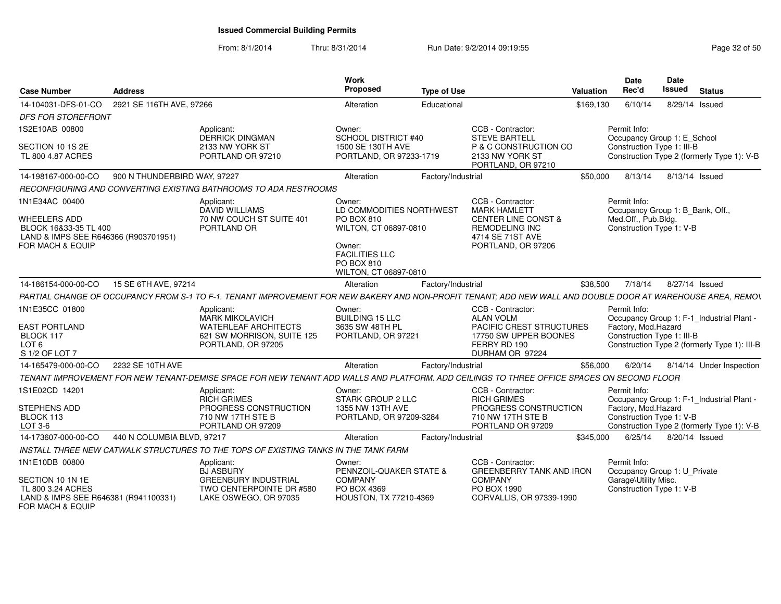| <b>Case Number</b>                                                                                       | Address                      |                                                                                                                                                             | Work<br>Proposed                                                                                                                          | <b>Type of Use</b> |                                                                                                                          | Valuation | Date<br>Rec'd                                     | <b>Date</b><br>Issued<br><b>Status</b>                                                    |
|----------------------------------------------------------------------------------------------------------|------------------------------|-------------------------------------------------------------------------------------------------------------------------------------------------------------|-------------------------------------------------------------------------------------------------------------------------------------------|--------------------|--------------------------------------------------------------------------------------------------------------------------|-----------|---------------------------------------------------|-------------------------------------------------------------------------------------------|
| 14-104031-DFS-01-CO                                                                                      | 2921 SE 116TH AVE, 97266     |                                                                                                                                                             | Alteration                                                                                                                                | Educational        |                                                                                                                          | \$169,130 | 6/10/14                                           | 8/29/14 Issued                                                                            |
| <b>DFS FOR STOREFRONT</b>                                                                                |                              |                                                                                                                                                             |                                                                                                                                           |                    |                                                                                                                          |           |                                                   |                                                                                           |
| 1S2E10AB 00800                                                                                           |                              | Applicant:                                                                                                                                                  | Owner:                                                                                                                                    |                    | CCB - Contractor:                                                                                                        |           | Permit Info:                                      |                                                                                           |
| SECTION 10 1S 2E<br>TL 800 4.87 ACRES                                                                    |                              | <b>DERRICK DINGMAN</b><br>2133 NW YORK ST<br>PORTLAND OR 97210                                                                                              | <b>SCHOOL DISTRICT #40</b><br>1500 SE 130TH AVE<br>PORTLAND, OR 97233-1719                                                                |                    | <b>STEVE BARTELL</b><br>P & C CONSTRUCTION CO<br>2133 NW YORK ST<br>PORTLAND, OR 97210                                   |           | Construction Type 1: III-B                        | Occupancy Group 1: E_School<br>Construction Type 2 (formerly Type 1): V-B                 |
| 14-198167-000-00-CO                                                                                      | 900 N THUNDERBIRD WAY, 97227 |                                                                                                                                                             | Alteration                                                                                                                                | Factory/Industrial |                                                                                                                          | \$50,000  |                                                   | 8/13/14 8/13/14 Issued                                                                    |
|                                                                                                          |                              | RECONFIGURING AND CONVERTING EXISTING BATHROOMS TO ADA RESTROOMS                                                                                            |                                                                                                                                           |                    |                                                                                                                          |           |                                                   |                                                                                           |
| 1N1E34AC 00400                                                                                           |                              | Applicant:                                                                                                                                                  | Owner:                                                                                                                                    |                    | CCB - Contractor:                                                                                                        |           | Permit Info:                                      |                                                                                           |
| <b>WHEELERS ADD</b><br>BLOCK 16&33-35 TL 400<br>LAND & IMPS SEE R646366 (R903701951)<br>FOR MACH & EQUIP |                              | DAVID WILLIAMS<br>70 NW COUCH ST SUITE 401<br>PORTLAND OR                                                                                                   | LD COMMODITIES NORTHWEST<br>PO BOX 810<br>WILTON, CT 06897-0810<br>Owner:<br><b>FACILITIES LLC</b><br>PO BOX 810<br>WILTON, CT 06897-0810 |                    | <b>MARK HAMLETT</b><br><b>CENTER LINE CONST &amp;</b><br><b>REMODELING INC</b><br>4714 SE 71ST AVE<br>PORTLAND, OR 97206 |           | Med.Off., Pub.Bldg.<br>Construction Type 1: V-B   | Occupancy Group 1: B_Bank, Off.,                                                          |
| 14-186154-000-00-CO                                                                                      | 15 SE 6TH AVE, 97214         |                                                                                                                                                             | Alteration                                                                                                                                | Factory/Industrial |                                                                                                                          | \$38,500  | 7/18/14                                           | 8/27/14 Issued                                                                            |
|                                                                                                          |                              |                                                                                                                                                             |                                                                                                                                           |                    |                                                                                                                          |           |                                                   |                                                                                           |
|                                                                                                          |                              | PARTIAL CHANGE OF OCCUPANCY FROM S-1 TO F-1. TENANT IMPROVEMENT FOR NEW BAKERY AND NON-PROFIT TENANT; ADD NEW WALL AND DOUBLE DOOR AT WAREHOUSE AREA, REMOV |                                                                                                                                           |                    | CCB - Contractor:                                                                                                        |           | Permit Info:                                      |                                                                                           |
| 1N1E35CC 01800<br><b>EAST PORTLAND</b><br>BLOCK 117<br>LOT <sub>6</sub><br>S 1/2 OF LOT 7                |                              | Applicant:<br><b>MARK MIKOLAVICH</b><br><b>WATERLEAF ARCHITECTS</b><br>621 SW MORRISON, SUITE 125<br>PORTLAND, OR 97205                                     | Owner:<br><b>BUILDING 15 LLC</b><br>3635 SW 48TH PL<br>PORTLAND, OR 97221                                                                 |                    | <b>ALAN VOLM</b><br>PACIFIC CREST STRUCTURES<br>17750 SW UPPER BOONES<br>FERRY RD 190<br>DURHAM OR 97224                 |           | Factory, Mod.Hazard<br>Construction Type 1: III-B | Occupancy Group 1: F-1_Industrial Plant -<br>Construction Type 2 (formerly Type 1): III-B |
| 14-165479-000-00-CO                                                                                      | 2232 SE 10TH AVE             |                                                                                                                                                             | Alteration                                                                                                                                | Factory/Industrial |                                                                                                                          | \$56,000  | 6/20/14                                           | 8/14/14 Under Inspection                                                                  |
|                                                                                                          |                              | TENANT IMPROVEMENT FOR NEW TENANT-DEMISE SPACE FOR NEW TENANT ADD WALLS AND PLATFORM. ADD CEILINGS TO THREE OFFICE SPACES ON SECOND FLOOR                   |                                                                                                                                           |                    |                                                                                                                          |           |                                                   |                                                                                           |
| 1S1E02CD 14201                                                                                           |                              | Applicant:<br><b>RICH GRIMES</b>                                                                                                                            | Owner:<br><b>STARK GROUP 2 LLC</b>                                                                                                        |                    | CCB - Contractor:<br><b>RICH GRIMES</b>                                                                                  |           | Permit Info:                                      | Occupancy Group 1: F-1_Industrial Plant -                                                 |
| STEPHENS ADD<br>BLOCK 113<br>LOT 3-6                                                                     |                              | PROGRESS CONSTRUCTION<br>710 NW 17TH STE B<br>PORTLAND OR 97209                                                                                             | 1355 NW 13TH AVE<br>PORTLAND, OR 97209-3284                                                                                               |                    | PROGRESS CONSTRUCTION<br>710 NW 17TH STE B<br>PORTLAND OR 97209                                                          |           | Factory, Mod.Hazard<br>Construction Type 1: V-B   | Construction Type 2 (formerly Type 1): V-B                                                |
| 14-173607-000-00-CO                                                                                      | 440 N COLUMBIA BLVD, 97217   |                                                                                                                                                             | Alteration                                                                                                                                | Factory/Industrial |                                                                                                                          | \$345.000 |                                                   | 6/25/14  8/20/14  Issued                                                                  |
|                                                                                                          |                              | INSTALL THREE NEW CATWALK STRUCTURES TO THE TOPS OF EXISTING TANKS IN THE TANK FARM                                                                         |                                                                                                                                           |                    |                                                                                                                          |           |                                                   |                                                                                           |
| 1N1E10DB 00800                                                                                           |                              | Applicant:<br><b>BJ ASBURY</b>                                                                                                                              | Owner:<br>PENNZOIL-QUAKER STATE &                                                                                                         |                    | CCB - Contractor:<br><b>GREENBERRY TANK AND IRON</b>                                                                     |           | Permit Info:                                      | Occupancy Group 1: U Private                                                              |
| SECTION 10 1N 1E<br>TL 800 3.24 ACRES<br>LAND & IMPS SEE R646381 (R941100331)<br>FOR MACH & EQUIP        |                              | <b>GREENBURY INDUSTRIAL</b><br>TWO CENTERPOINTE DR #580<br>LAKE OSWEGO, OR 97035                                                                            | <b>COMPANY</b><br>PO BOX 4369<br>HOUSTON, TX 77210-4369                                                                                   |                    | <b>COMPANY</b><br>PO BOX 1990<br>CORVALLIS, OR 97339-1990                                                                |           | Garage\Utility Misc.<br>Construction Type 1: V-B  |                                                                                           |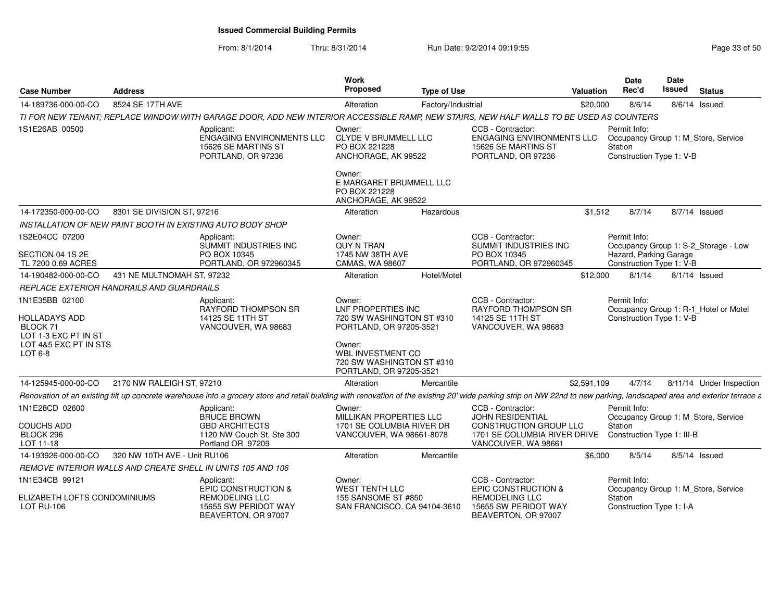| <b>Case Number</b>                                                                                      | <b>Address</b>               |                                                                                                                                                                                                                        | Work<br><b>Proposed</b>                                                                                                                          | <b>Type of Use</b> |                                                                                                                                      | <b>Valuation</b> | Date<br>Rec'd                                         | Date<br>Issued | <b>Status</b>                         |
|---------------------------------------------------------------------------------------------------------|------------------------------|------------------------------------------------------------------------------------------------------------------------------------------------------------------------------------------------------------------------|--------------------------------------------------------------------------------------------------------------------------------------------------|--------------------|--------------------------------------------------------------------------------------------------------------------------------------|------------------|-------------------------------------------------------|----------------|---------------------------------------|
| 14-189736-000-00-CO                                                                                     | 8524 SE 17TH AVE             |                                                                                                                                                                                                                        | Alteration                                                                                                                                       | Factory/Industrial |                                                                                                                                      | \$20,000         | 8/6/14                                                |                | $8/6/14$ Issued                       |
|                                                                                                         |                              | TI FOR NEW TENANT; REPLACE WINDOW WITH GARAGE DOOR, ADD NEW INTERIOR ACCESSIBLE RAMP, NEW STAIRS, NEW HALF WALLS TO BE USED AS COUNTERS                                                                                |                                                                                                                                                  |                    |                                                                                                                                      |                  |                                                       |                |                                       |
| 1S1E26AB 00500                                                                                          |                              | Applicant:<br>ENGAGING ENVIRONMENTS LLC<br>15626 SE MARTINS ST<br>PORTLAND, OR 97236                                                                                                                                   | Owner:<br><b>CLYDE V BRUMMELL LLC</b><br>PO BOX 221228<br>ANCHORAGE, AK 99522                                                                    |                    | CCB - Contractor:<br><b>ENGAGING ENVIRONMENTS LLC</b><br>15626 SE MARTINS ST<br>PORTLAND, OR 97236                                   |                  | Permit Info:<br>Station<br>Construction Type 1: V-B   |                | Occupancy Group 1: M Store, Service   |
|                                                                                                         |                              |                                                                                                                                                                                                                        | Owner:<br>E MARGARET BRUMMELL LLC<br>PO BOX 221228<br>ANCHORAGE, AK 99522                                                                        |                    |                                                                                                                                      |                  |                                                       |                |                                       |
| 14-172350-000-00-CO                                                                                     | 8301 SE DIVISION ST, 97216   |                                                                                                                                                                                                                        | Alteration                                                                                                                                       | Hazardous          |                                                                                                                                      | \$1,512          | 8/7/14                                                |                | 8/7/14 Issued                         |
|                                                                                                         |                              | <b>INSTALLATION OF NEW PAINT BOOTH IN EXISTING AUTO BODY SHOP</b>                                                                                                                                                      |                                                                                                                                                  |                    |                                                                                                                                      |                  |                                                       |                |                                       |
| 1S2E04CC 07200                                                                                          |                              | Applicant:<br>SUMMIT INDUSTRIES INC                                                                                                                                                                                    | Owner:<br><b>OUY N TRAN</b>                                                                                                                      |                    | CCB - Contractor:<br>SUMMIT INDUSTRIES INC                                                                                           |                  | Permit Info:                                          |                | Occupancy Group 1: S-2_Storage - Low  |
| SECTION 04 1S 2E<br>TL 7200 0.69 ACRES                                                                  |                              | PO BOX 10345<br>PORTLAND, OR 972960345                                                                                                                                                                                 | 1745 NW 38TH AVE<br>CAMAS, WA 98607                                                                                                              |                    | PO BOX 10345<br>PORTLAND, OR 972960345                                                                                               |                  | Hazard, Parking Garage<br>Construction Type 1: V-B    |                |                                       |
| 14-190482-000-00-CO                                                                                     | 431 NE MULTNOMAH ST, 97232   |                                                                                                                                                                                                                        | Alteration                                                                                                                                       | Hotel/Motel        |                                                                                                                                      | \$12,000         | 8/1/14                                                |                | $8/1/14$ Issued                       |
| REPLACE EXTERIOR HANDRAILS AND GUARDRAILS                                                               |                              |                                                                                                                                                                                                                        |                                                                                                                                                  |                    |                                                                                                                                      |                  |                                                       |                |                                       |
| 1N1E35BB 02100<br>HOLLADAYS ADD<br>BLOCK 71<br>LOT 1-3 EXC PT IN ST<br>LOT 4&5 EXC PT IN STS<br>LOT 6-8 |                              | Applicant:<br>RAYFORD THOMPSON SR<br>14125 SE 11TH ST<br>VANCOUVER, WA 98683                                                                                                                                           | Owner:<br>LNF PROPERTIES INC<br>720 SW WASHINGTON ST #310<br>PORTLAND, OR 97205-3521<br>Owner:<br>WBL INVESTMENT CO<br>720 SW WASHINGTON ST #310 |                    | CCB - Contractor:<br>RAYFORD THOMPSON SR<br>14125 SE 11TH ST<br>VANCOUVER, WA 98683                                                  |                  | Permit Info:<br>Construction Type 1: V-B              |                | Occupancy Group 1: R-1_Hotel or Motel |
|                                                                                                         |                              |                                                                                                                                                                                                                        | PORTLAND, OR 97205-3521                                                                                                                          |                    |                                                                                                                                      |                  |                                                       |                |                                       |
| 14-125945-000-00-CO                                                                                     | 2170 NW RALEIGH ST, 97210    |                                                                                                                                                                                                                        | Alteration                                                                                                                                       | Mercantile         |                                                                                                                                      | \$2,591,109      | 4/7/14                                                |                | 8/11/14 Under Inspection              |
|                                                                                                         |                              | Renovation of an existing tilt up concrete warehouse into a grocery store and retail building with renovation of the existing 20' wide parking strip on NW 22nd to new parking, landscaped area and exterior terrace a |                                                                                                                                                  |                    |                                                                                                                                      |                  |                                                       |                |                                       |
| 1N1E28CD 02600<br>COUCHS ADD<br>BLOCK 296<br>LOT 11-18                                                  |                              | Applicant:<br><b>BRUCE BROWN</b><br><b>GBD ARCHITECTS</b><br>1120 NW Couch St. Ste 300<br>Portland OR 97209                                                                                                            | Owner:<br><b>MILLIKAN PROPERTIES LLC</b><br>1701 SE COLUMBIA RIVER DR<br>VANCOUVER, WA 98661-8078                                                |                    | CCB - Contractor:<br><b>JOHN RESIDENTIAL</b><br><b>CONSTRUCTION GROUP LLC</b><br>1701 SE COLUMBIA RIVER DRIVE<br>VANCOUVER, WA 98661 |                  | Permit Info:<br>Station<br>Construction Type 1: III-B |                | Occupancy Group 1: M_Store, Service   |
| 14-193926-000-00-CO                                                                                     | 320 NW 10TH AVE - Unit RU106 |                                                                                                                                                                                                                        | Alteration                                                                                                                                       | Mercantile         |                                                                                                                                      | \$6,000          | 8/5/14                                                |                | 8/5/14 Issued                         |
|                                                                                                         |                              | REMOVE INTERIOR WALLS AND CREATE SHELL IN UNITS 105 AND 106                                                                                                                                                            |                                                                                                                                                  |                    |                                                                                                                                      |                  |                                                       |                |                                       |
| 1N1E34CB 99121<br>ELIZABETH LOFTS CONDOMINIUMS                                                          |                              | Applicant:<br>EPIC CONSTRUCTION &<br><b>REMODELING LLC</b>                                                                                                                                                             | Owner:<br><b>WEST TENTH LLC</b><br>155 SANSOME ST #850                                                                                           |                    | CCB - Contractor:<br>EPIC CONSTRUCTION &<br><b>REMODELING LLC</b>                                                                    |                  | Permit Info:<br>Station                               |                | Occupancy Group 1: M_Store, Service   |
| <b>LOT RU-106</b>                                                                                       |                              | 15655 SW PERIDOT WAY<br>BEAVERTON, OR 97007                                                                                                                                                                            | SAN FRANCISCO, CA 94104-3610                                                                                                                     |                    | 15655 SW PERIDOT WAY<br>BEAVERTON, OR 97007                                                                                          |                  | Construction Type 1: I-A                              |                |                                       |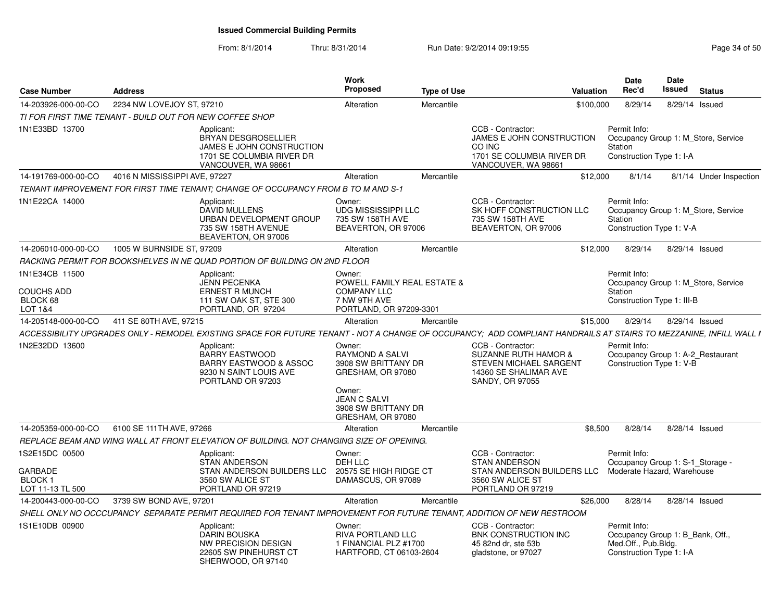| <b>Case Number</b>                                  | <b>Address</b>                                                                                                                                                    | Work<br><b>Proposed</b>                                                                                                                                   | <b>Type of Use</b>                                                                                                                | Valuation | Date<br>Rec'd                                                                                       | <b>Date</b><br><b>Issued</b> | <b>Status</b>                       |
|-----------------------------------------------------|-------------------------------------------------------------------------------------------------------------------------------------------------------------------|-----------------------------------------------------------------------------------------------------------------------------------------------------------|-----------------------------------------------------------------------------------------------------------------------------------|-----------|-----------------------------------------------------------------------------------------------------|------------------------------|-------------------------------------|
| 14-203926-000-00-CO                                 | 2234 NW LOVEJOY ST, 97210                                                                                                                                         | Alteration                                                                                                                                                | Mercantile                                                                                                                        | \$100,000 | 8/29/14                                                                                             |                              | 8/29/14 Issued                      |
|                                                     | TI FOR FIRST TIME TENANT - BUILD OUT FOR NEW COFFEE SHOP                                                                                                          |                                                                                                                                                           |                                                                                                                                   |           |                                                                                                     |                              |                                     |
| 1N1E33BD 13700                                      | Applicant:<br><b>BRYAN DESGROSELLIER</b><br>JAMES E JOHN CONSTRUCTION<br>1701 SE COLUMBIA RIVER DR<br>VANCOUVER, WA 98661                                         |                                                                                                                                                           | CCB - Contractor:<br>JAMES E JOHN CONSTRUCTION<br>CO INC<br>1701 SE COLUMBIA RIVER DR<br>VANCOUVER, WA 98661                      |           | Permit Info:<br>Station<br>Construction Type 1: I-A                                                 |                              | Occupancy Group 1: M Store, Service |
| 14-191769-000-00-CO                                 | 4016 N MISSISSIPPI AVE, 97227                                                                                                                                     | Alteration                                                                                                                                                | Mercantile                                                                                                                        | \$12,000  | 8/1/14                                                                                              |                              | 8/1/14 Under Inspection             |
|                                                     | TENANT IMPROVEMENT FOR FIRST TIME TENANT; CHANGE OF OCCUPANCY FROM B TO M AND S-1                                                                                 |                                                                                                                                                           |                                                                                                                                   |           |                                                                                                     |                              |                                     |
| 1N1E22CA 14000                                      | Applicant:<br><b>DAVID MULLENS</b><br>URBAN DEVELOPMENT GROUP<br>735 SW 158TH AVENUE<br>BEAVERTON, OR 97006                                                       | Owner:<br><b>UDG MISSISSIPPI LLC</b><br>735 SW 158TH AVE<br>BEAVERTON, OR 97006                                                                           | CCB - Contractor:<br>SK HOFF CONSTRUCTION LLC<br>735 SW 158TH AVE<br>BEAVERTON, OR 97006                                          |           | Permit Info:<br>Station<br>Construction Type 1: V-A                                                 |                              | Occupancy Group 1: M Store, Service |
| 14-206010-000-00-CO                                 | 1005 W BURNSIDE ST, 97209                                                                                                                                         | Alteration                                                                                                                                                | Mercantile                                                                                                                        | \$12,000  | 8/29/14                                                                                             |                              | 8/29/14 Issued                      |
|                                                     | RACKING PERMIT FOR BOOKSHELVES IN NE QUAD PORTION OF BUILDING ON 2ND FLOOR                                                                                        |                                                                                                                                                           |                                                                                                                                   |           |                                                                                                     |                              |                                     |
| 1N1E34CB 11500<br><b>COUCHS ADD</b><br>BLOCK 68     | Applicant:<br><b>JENN PECENKA</b><br><b>ERNEST R MUNCH</b><br>111 SW OAK ST, STE 300                                                                              | Owner:<br><b>POWELL FAMILY REAL ESTATE &amp;</b><br><b>COMPANY LLC</b><br>7 NW 9TH AVE                                                                    |                                                                                                                                   |           | Permit Info:<br>Station<br>Construction Type 1: III-B                                               |                              | Occupancy Group 1: M Store, Service |
| LOT 1&4                                             | PORTLAND, OR 97204                                                                                                                                                | PORTLAND, OR 97209-3301                                                                                                                                   |                                                                                                                                   |           |                                                                                                     |                              |                                     |
| 14-205148-000-00-CO                                 | 411 SE 80TH AVE, 97215                                                                                                                                            | Alteration<br>Mercantile                                                                                                                                  |                                                                                                                                   | \$15,000  | 8/29/14                                                                                             |                              | 8/29/14 Issued                      |
|                                                     | ACCESSIBILITY UPGRADES ONLY - REMODEL EXISTING SPACE FOR FUTURE TENANT - NOT A CHANGE OF OCCUPANCY: ADD COMPLIANT HANDRAILS AT STAIRS TO MEZZANINE. INFILL WALL I |                                                                                                                                                           |                                                                                                                                   |           |                                                                                                     |                              |                                     |
| 1N2E32DD 13600                                      | Applicant:<br><b>BARRY EASTWOOD</b><br>BARRY EASTWOOD & ASSOC<br>9230 N SAINT LOUIS AVE<br>PORTLAND OR 97203                                                      | Owner:<br><b>RAYMOND A SALVI</b><br>3908 SW BRITTANY DR<br>GRESHAM, OR 97080<br>Owner:<br><b>JEAN C SALVI</b><br>3908 SW BRITTANY DR<br>GRESHAM, OR 97080 | CCB - Contractor:<br><b>SUZANNE RUTH HAMOR &amp;</b><br><b>STEVEN MICHAEL SARGENT</b><br>14360 SE SHALIMAR AVE<br>SANDY, OR 97055 |           | Permit Info:<br>Construction Type 1: V-B                                                            |                              | Occupancy Group 1: A-2 Restaurant   |
| 14-205359-000-00-CO                                 | 6100 SE 111TH AVE, 97266                                                                                                                                          | Alteration                                                                                                                                                | Mercantile                                                                                                                        | \$8,500   | 8/28/14                                                                                             |                              | 8/28/14 Issued                      |
|                                                     | REPLACE BEAM AND WING WALL AT FRONT ELEVATION OF BUILDING. NOT CHANGING SIZE OF OPENING.                                                                          |                                                                                                                                                           |                                                                                                                                   |           |                                                                                                     |                              |                                     |
| 1S2E15DC 00500                                      | Applicant:<br><b>STAN ANDERSON</b>                                                                                                                                | Owner:<br>DEH LLC                                                                                                                                         | CCB - Contractor:<br><b>STAN ANDERSON</b>                                                                                         |           | Permit Info:<br>Occupancy Group 1: S-1 Storage -                                                    |                              |                                     |
| <b>GARBADE</b><br><b>BLOCK1</b><br>LOT 11-13 TL 500 | STAN ANDERSON BUILDERS LLC<br>3560 SW ALICE ST<br>PORTLAND OR 97219                                                                                               | 20575 SE HIGH RIDGE CT<br>DAMASCUS, OR 97089                                                                                                              | STAN ANDERSON BUILDERS LLC<br>3560 SW ALICE ST<br>PORTLAND OR 97219                                                               |           | Moderate Hazard, Warehouse                                                                          |                              |                                     |
| 14-200443-000-00-CO                                 | 3739 SW BOND AVE, 97201                                                                                                                                           | Alteration                                                                                                                                                | Mercantile                                                                                                                        | \$26,000  | 8/28/14                                                                                             |                              | 8/28/14 Issued                      |
|                                                     | SHELL ONLY NO OCCCUPANCY SEPARATE PERMIT REQUIRED FOR TENANT IMPROVEMENT FOR FUTURE TENANT, ADDITION OF NEW RESTROOM                                              |                                                                                                                                                           |                                                                                                                                   |           |                                                                                                     |                              |                                     |
| 1S1E10DB 00900                                      | Applicant:<br><b>DARIN BOUSKA</b><br>NW PRECISION DESIGN<br>22605 SW PINEHURST CT<br>SHERWOOD, OR 97140                                                           | Owner:<br>RIVA PORTLAND LLC<br>1 FINANCIAL PLZ #1700<br>HARTFORD, CT 06103-2604                                                                           | CCB - Contractor:<br>BNK CONSTRUCTION INC<br>45 82nd dr. ste 53b<br>gladstone, or 97027                                           |           | Permit Info:<br>Occupancy Group 1: B_Bank, Off.,<br>Med.Off., Pub.Bldg.<br>Construction Type 1: I-A |                              |                                     |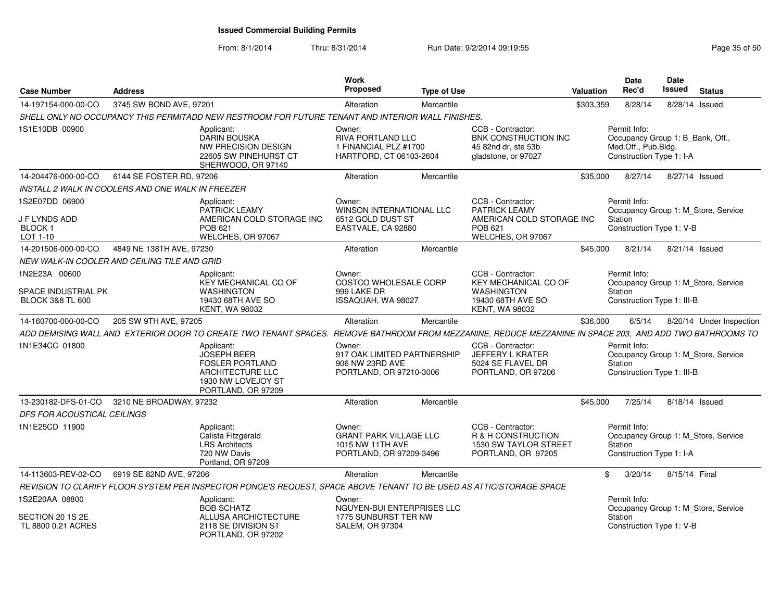| <b>Case Number</b>                                                  | <b>Address</b>                                    |                                                                                                                                   | Work<br><b>Proposed</b>                                                                | <b>Type of Use</b> |                                                                                                                     | Valuation | <b>Date</b><br>Rec'd                                                                                | <b>Date</b><br>Issued | <b>Status</b>                       |
|---------------------------------------------------------------------|---------------------------------------------------|-----------------------------------------------------------------------------------------------------------------------------------|----------------------------------------------------------------------------------------|--------------------|---------------------------------------------------------------------------------------------------------------------|-----------|-----------------------------------------------------------------------------------------------------|-----------------------|-------------------------------------|
| 14-197154-000-00-CO                                                 | 3745 SW BOND AVE, 97201                           |                                                                                                                                   | Alteration                                                                             | Mercantile         |                                                                                                                     | \$303,359 | 8/28/14                                                                                             |                       | 8/28/14 Issued                      |
|                                                                     |                                                   | SHELL ONLY NO OCCUPANCY THIS PERMITADD NEW RESTROOM FOR FUTURE TENANT AND INTERIOR WALL FINISHES.                                 |                                                                                        |                    |                                                                                                                     |           |                                                                                                     |                       |                                     |
| 1S1E10DB 00900                                                      |                                                   | Applicant:<br><b>DARIN BOUSKA</b><br><b>NW PRECISION DESIGN</b><br>22605 SW PINEHURST CT<br>SHERWOOD, OR 97140                    | Owner:<br>RIVA PORTLAND LLC<br>1 FINANCIAL PLZ #1700<br>HARTFORD, CT 06103-2604        |                    | CCB - Contractor:<br>BNK CONSTRUCTION INC<br>45 82nd dr. ste 53b<br>gladstone, or 97027                             |           | Permit Info:<br>Occupancy Group 1: B_Bank, Off.,<br>Med.Off., Pub.Bldg.<br>Construction Type 1: I-A |                       |                                     |
| 14-204476-000-00-CO                                                 | 6144 SE FOSTER RD, 97206                          |                                                                                                                                   | Alteration                                                                             | Mercantile         |                                                                                                                     | \$35,000  | 8/27/14                                                                                             |                       | 8/27/14 Issued                      |
|                                                                     | INSTALL 2 WALK IN COOLERS AND ONE WALK IN FREEZER |                                                                                                                                   |                                                                                        |                    |                                                                                                                     |           |                                                                                                     |                       |                                     |
| 1S2E07DD 06900<br>J F LYNDS ADD<br>BLOCK 1<br>LOT 1-10              |                                                   | Applicant:<br><b>PATRICK LEAMY</b><br>AMERICAN COLD STORAGE INC<br>POB 621<br>WELCHES, OR 97067                                   | Owner:<br><b>WINSON INTERNATIONAL LLC</b><br>6512 GOLD DUST ST<br>EASTVALE, CA 92880   |                    | CCB - Contractor:<br><b>PATRICK LEAMY</b><br>AMERICAN COLD STORAGE INC<br>POB 621<br>WELCHES, OR 97067              |           | Permit Info:<br>Station<br>Construction Type 1: V-B                                                 |                       | Occupancy Group 1: M Store, Service |
| 14-201506-000-00-CO                                                 | 4849 NE 138TH AVE, 97230                          |                                                                                                                                   | Alteration                                                                             | Mercantile         |                                                                                                                     | \$45,000  | 8/21/14                                                                                             |                       | 8/21/14 Issued                      |
|                                                                     | NEW WALK-IN COOLER AND CEILING TILE AND GRID      |                                                                                                                                   |                                                                                        |                    |                                                                                                                     |           |                                                                                                     |                       |                                     |
| 1N2E23A 00600<br>SPACE INDUSTRIAL PK<br><b>BLOCK 3&amp;8 TL 600</b> |                                                   | Applicant:<br><b>KEY MECHANICAL CO OF</b><br><b>WASHINGTON</b><br>19430 68TH AVE SO<br><b>KENT, WA 98032</b>                      | Owner:<br><b>COSTCO WHOLESALE CORP</b><br>999 LAKE DR<br>ISSAQUAH, WA 98027            |                    | CCB - Contractor:<br><b>KEY MECHANICAL CO OF</b><br><b>WASHINGTON</b><br>19430 68TH AVE SO<br><b>KENT, WA 98032</b> |           | Permit Info:<br>Station<br>Construction Type 1: III-B                                               |                       | Occupancy Group 1: M Store, Service |
| 14-160700-000-00-CO                                                 | 205 SW 9TH AVE, 97205                             |                                                                                                                                   | Alteration                                                                             | Mercantile         |                                                                                                                     | \$36,000  | 6/5/14                                                                                              |                       | 8/20/14 Under Inspection            |
|                                                                     |                                                   | ADD DEMISING WALL AND EXTERIOR DOOR TO CREATE TWO TENANT SPACES.                                                                  |                                                                                        |                    | REMOVE BATHROOM FROM MEZZANINE, REDUCE MEZZANINE IN SPACE 203, AND ADD TWO BATHROOMS TO                             |           |                                                                                                     |                       |                                     |
| 1N1E34CC 01800                                                      |                                                   | Applicant:<br><b>JOSEPH BEER</b><br><b>FOSLER PORTLAND</b><br><b>ARCHITECTURE LLC</b><br>1930 NW LOVEJOY ST<br>PORTLAND, OR 97209 | Owner:<br>917 OAK LIMITED PARTNERSHIP<br>906 NW 23RD AVE<br>PORTLAND, OR 97210-3006    |                    | CCB - Contractor:<br>JEFFERY L KRATER<br>5024 SE FLAVEL DR<br>PORTLAND, OR 97206                                    |           | Permit Info:<br>Station<br>Construction Type 1: III-B                                               |                       | Occupancy Group 1: M_Store, Service |
| 13-230182-DFS-01-CO                                                 | 3210 NE BROADWAY, 97232                           |                                                                                                                                   | Alteration                                                                             | Mercantile         |                                                                                                                     | \$45,000  | 7/25/14                                                                                             |                       | 8/18/14 Issued                      |
| DFS FOR ACOUSTICAL CEILINGS                                         |                                                   |                                                                                                                                   |                                                                                        |                    |                                                                                                                     |           |                                                                                                     |                       |                                     |
| 1N1E25CD 11900                                                      |                                                   | Applicant:<br>Calista Fitzgerald<br><b>LRS Architects</b><br>720 NW Davis<br>Portland, OR 97209                                   | Owner:<br><b>GRANT PARK VILLAGE LLC</b><br>1015 NW 11TH AVE<br>PORTLAND, OR 97209-3496 |                    | CCB - Contractor:<br>R & H CONSTRUCTION<br>1530 SW TAYLOR STREET<br>PORTLAND, OR 97205                              |           | Permit Info:<br>Station<br>Construction Type 1: I-A                                                 |                       | Occupancy Group 1: M_Store, Service |
| 14-113603-REV-02-CO                                                 | 6919 SE 82ND AVE, 97206                           |                                                                                                                                   | Alteration                                                                             | Mercantile         |                                                                                                                     |           | 3/20/14<br>\$                                                                                       | 8/15/14 Final         |                                     |
|                                                                     |                                                   | REVISION TO CLARIFY FLOOR SYSTEM PER INSPECTOR PONCE'S REQUEST, SPACE ABOVE TENANT TO BE USED AS ATTIC/STORAGE SPACE              |                                                                                        |                    |                                                                                                                     |           |                                                                                                     |                       |                                     |
| 1S2E20AA 08800                                                      |                                                   | Applicant:<br><b>BOB SCHATZ</b>                                                                                                   | Owner:<br>NGUYEN-BUI ENTERPRISES LLC                                                   |                    |                                                                                                                     |           | Permit Info:                                                                                        |                       | Occupancy Group 1: M_Store, Service |
| SECTION 20 1S 2E<br>TL 8800 0.21 ACRES                              |                                                   | <b>ALLUSA ARCHICTECTURE</b><br>2118 SE DIVISION ST<br>PORTLAND, OR 97202                                                          | 1775 SUNBURST TER NW<br><b>SALEM, OR 97304</b>                                         |                    |                                                                                                                     |           | Station<br>Construction Type 1: V-B                                                                 |                       |                                     |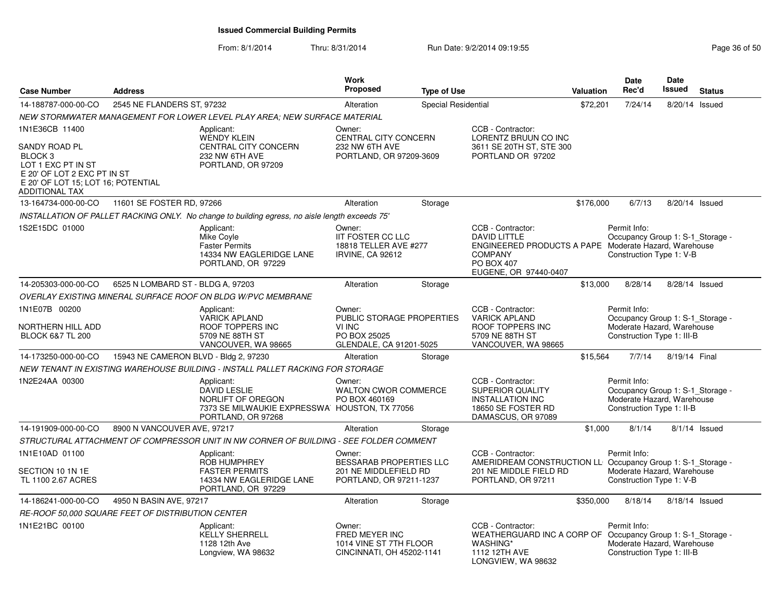| <b>Case Number</b>                                                                                                                                                        | <b>Address</b>                                    |                                                                                                                               | Work<br>Proposed                                                                         | <b>Type of Use</b>  |                                                                                                                                                                   | Valuation | Date<br>Rec'd                                                                                                | <b>Date</b><br><b>Issued</b> | <b>Status</b> |
|---------------------------------------------------------------------------------------------------------------------------------------------------------------------------|---------------------------------------------------|-------------------------------------------------------------------------------------------------------------------------------|------------------------------------------------------------------------------------------|---------------------|-------------------------------------------------------------------------------------------------------------------------------------------------------------------|-----------|--------------------------------------------------------------------------------------------------------------|------------------------------|---------------|
| 14-188787-000-00-CO                                                                                                                                                       | 2545 NE FLANDERS ST, 97232                        |                                                                                                                               | Alteration                                                                               | Special Residential |                                                                                                                                                                   | \$72,201  | 7/24/14                                                                                                      | 8/20/14 Issued               |               |
|                                                                                                                                                                           |                                                   | NEW STORMWATER MANAGEMENT FOR LOWER LEVEL PLAY AREA: NEW SURFACE MATERIAL                                                     |                                                                                          |                     |                                                                                                                                                                   |           |                                                                                                              |                              |               |
| 1N1E36CB 11400<br>SANDY ROAD PL<br>BLOCK <sub>3</sub><br>LOT 1 EXC PT IN ST<br>E 20' OF LOT 2 EXC PT IN ST<br>E 20' OF LOT 15; LOT 16; POTENTIAL<br><b>ADDITIONAL TAX</b> |                                                   | Applicant:<br><b>WENDY KLEIN</b><br>CENTRAL CITY CONCERN<br>232 NW 6TH AVE<br>PORTLAND, OR 97209                              | Owner:<br><b>CENTRAL CITY CONCERN</b><br>232 NW 6TH AVE<br>PORTLAND, OR 97209-3609       |                     | CCB - Contractor:<br>LORENTZ BRUUN CO INC<br>3611 SE 20TH ST, STE 300<br>PORTLAND OR 97202                                                                        |           |                                                                                                              |                              |               |
| 13-164734-000-00-CO                                                                                                                                                       | 11601 SE FOSTER RD, 97266                         |                                                                                                                               | Alteration                                                                               | Storage             |                                                                                                                                                                   | \$176,000 | 6/7/13                                                                                                       | 8/20/14 Issued               |               |
|                                                                                                                                                                           |                                                   | INSTALLATION OF PALLET RACKING ONLY. No change to building egress, no aisle length exceeds 75'                                |                                                                                          |                     |                                                                                                                                                                   |           |                                                                                                              |                              |               |
| 1S2E15DC 01000                                                                                                                                                            |                                                   | Applicant:<br>Mike Coyle<br><b>Faster Permits</b><br>14334 NW EAGLERIDGE LANE<br>PORTLAND, OR 97229                           | Owner:<br><b>IIT FOSTER CC LLC</b><br>18818 TELLER AVE #277<br>IRVINE, CA 92612          |                     | CCB - Contractor:<br><b>DAVID LITTLE</b><br>ENGINEERED PRODUCTS A PAPE Moderate Hazard, Warehouse<br><b>COMPANY</b><br><b>PO BOX 407</b><br>EUGENE, OR 97440-0407 |           | Permit Info:<br>Occupancy Group 1: S-1_Storage -<br>Construction Type 1: V-B                                 |                              |               |
| 14-205303-000-00-CO                                                                                                                                                       | 6525 N LOMBARD ST - BLDG A, 97203                 |                                                                                                                               | Alteration                                                                               | Storage             |                                                                                                                                                                   | \$13,000  | 8/28/14                                                                                                      | 8/28/14 Issued               |               |
|                                                                                                                                                                           |                                                   | OVERLAY EXISTING MINERAL SURFACE ROOF ON BLDG W/PVC MEMBRANE                                                                  |                                                                                          |                     |                                                                                                                                                                   |           |                                                                                                              |                              |               |
| 1N1E07B 00200<br>NORTHERN HILL ADD<br><b>BLOCK 6&amp;7 TL 200</b>                                                                                                         |                                                   | Applicant:<br><b>VARICK APLAND</b><br>ROOF TOPPERS INC<br>5709 NE 88TH ST<br>VANCOUVER, WA 98665                              | Owner:<br>PUBLIC STORAGE PROPERTIES<br>VI INC<br>PO BOX 25025<br>GLENDALE, CA 91201-5025 |                     | CCB - Contractor:<br><b>VARICK APLAND</b><br>ROOF TOPPERS INC<br>5709 NE 88TH ST<br>VANCOUVER, WA 98665                                                           |           | Permit Info:<br>Occupancy Group 1: S-1_Storage -<br>Moderate Hazard, Warehouse<br>Construction Type 1: III-B |                              |               |
| 14-173250-000-00-CO                                                                                                                                                       | 15943 NE CAMERON BLVD - Bldg 2, 97230             |                                                                                                                               | Alteration                                                                               | Storage             |                                                                                                                                                                   | \$15,564  | 7/7/14                                                                                                       | 8/19/14 Final                |               |
|                                                                                                                                                                           |                                                   | NEW TENANT IN EXISTING WAREHOUSE BUILDING - INSTALL PALLET RACKING FOR STORAGE                                                |                                                                                          |                     |                                                                                                                                                                   |           |                                                                                                              |                              |               |
| 1N2E24AA 00300                                                                                                                                                            |                                                   | Applicant:<br><b>DAVID LESLIE</b><br>NORLIFT OF OREGON<br>7373 SE MILWAUKIE EXPRESSWA HOUSTON, TX 77056<br>PORTLAND, OR 97268 | Owner:<br>WALTON CWOR COMMERCE<br>PO BOX 460169                                          |                     | CCB - Contractor:<br><b>SUPERIOR QUALITY</b><br><b>INSTALLATION INC</b><br>18650 SE FOSTER RD<br>DAMASCUS, OR 97089                                               |           | Permit Info:<br>Occupancy Group 1: S-1 Storage -<br>Moderate Hazard, Warehouse<br>Construction Type 1: II-B  |                              |               |
| 14-191909-000-00-CO                                                                                                                                                       | 8900 N VANCOUVER AVE, 97217                       |                                                                                                                               | Alteration                                                                               | Storage             |                                                                                                                                                                   | \$1,000   | 8/1/14                                                                                                       |                              | 8/1/14 Issued |
|                                                                                                                                                                           |                                                   | STRUCTURAL ATTACHMENT OF COMPRESSOR UNIT IN NW CORNER OF BUILDING - SEE FOLDER COMMENT                                        |                                                                                          |                     |                                                                                                                                                                   |           |                                                                                                              |                              |               |
| 1N1E10AD 01100<br>SECTION 10 1N 1E<br>TL 1100 2.67 ACRES                                                                                                                  |                                                   | Applicant:<br><b>ROB HUMPHREY</b><br><b>FASTER PERMITS</b><br>14334 NW EAGLERIDGE LANE<br>PORTLAND, OR 97229                  | Owner:<br>BESSARAB PROPERTIES LLC<br>201 NE MIDDLEFIELD RD<br>PORTLAND, OR 97211-1237    |                     | CCB - Contractor:<br>AMERIDREAM CONSTRUCTION LL Occupancy Group 1: S-1_Storage -<br>201 NE MIDDLE FIELD RD<br>PORTLAND, OR 97211                                  |           | Permit Info:<br>Moderate Hazard, Warehouse<br>Construction Type 1: V-B                                       |                              |               |
| 14-186241-000-00-CO                                                                                                                                                       | 4950 N BASIN AVE, 97217                           |                                                                                                                               | Alteration                                                                               | Storage             |                                                                                                                                                                   | \$350,000 | 8/18/14                                                                                                      | 8/18/14 Issued               |               |
|                                                                                                                                                                           | RE-ROOF 50,000 SQUARE FEET OF DISTRIBUTION CENTER |                                                                                                                               |                                                                                          |                     |                                                                                                                                                                   |           |                                                                                                              |                              |               |
| 1N1E21BC 00100                                                                                                                                                            |                                                   | Applicant:<br><b>KELLY SHERRELL</b><br>1128 12th Ave<br>Longview, WA 98632                                                    | Owner:<br>FRED MEYER INC<br>1014 VINE ST 7TH FLOOR<br>CINCINNATI, OH 45202-1141          |                     | CCB - Contractor:<br>WEATHERGUARD INC A CORP OF Occupancy Group 1: S-1_Storage -<br><b>WASHING*</b><br>1112 12TH AVE<br>LONGVIEW, WA 98632                        |           | Permit Info:<br>Moderate Hazard. Warehouse<br>Construction Type 1: III-B                                     |                              |               |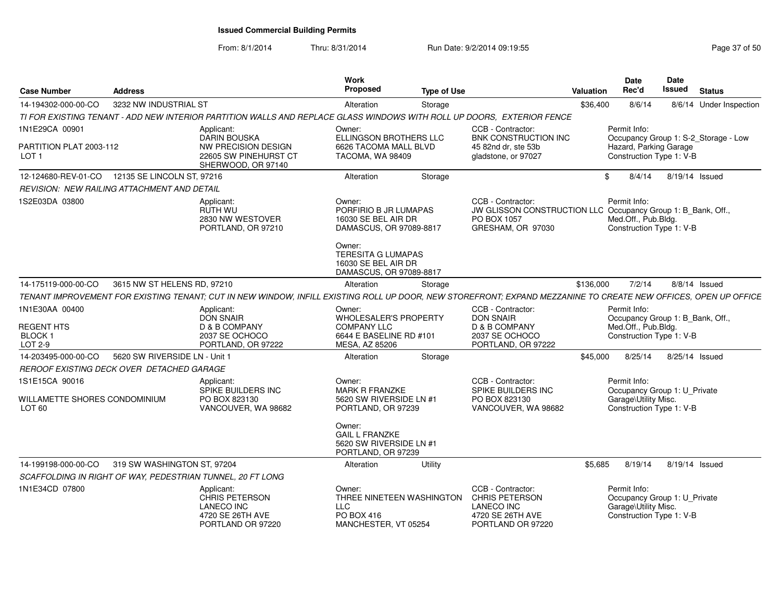| <b>Case Number</b>                                              | <b>Address</b>                                     |                                                                                                                                                                 | Work<br>Proposed                                                                                                                                                           | <b>Type of Use</b> |                                                                                                                       | <b>Valuation</b> | <b>Date</b><br>Rec'd                                                                                | Date<br><b>Issued</b> | <b>Status</b>                        |
|-----------------------------------------------------------------|----------------------------------------------------|-----------------------------------------------------------------------------------------------------------------------------------------------------------------|----------------------------------------------------------------------------------------------------------------------------------------------------------------------------|--------------------|-----------------------------------------------------------------------------------------------------------------------|------------------|-----------------------------------------------------------------------------------------------------|-----------------------|--------------------------------------|
| 14-194302-000-00-CO                                             | 3232 NW INDUSTRIAL ST                              |                                                                                                                                                                 | Alteration                                                                                                                                                                 | Storage            |                                                                                                                       | \$36,400         | 8/6/14                                                                                              |                       | 8/6/14 Under Inspection              |
|                                                                 |                                                    | TI FOR EXISTING TENANT - ADD NEW INTERIOR PARTITION WALLS AND REPLACE GLASS WINDOWS WITH ROLL UP DOORS, EXTERIOR FENCE                                          |                                                                                                                                                                            |                    |                                                                                                                       |                  |                                                                                                     |                       |                                      |
| 1N1E29CA 00901                                                  |                                                    | Applicant:<br><b>DARIN BOUSKA</b>                                                                                                                               | Owner:<br>ELLINGSON BROTHERS LLC                                                                                                                                           |                    | CCB - Contractor:<br>BNK CONSTRUCTION INC                                                                             |                  | Permit Info:                                                                                        |                       | Occupancy Group 1: S-2_Storage - Low |
| PARTITION PLAT 2003-112<br>LOT <sub>1</sub>                     |                                                    | NW PRECISION DESIGN<br>22605 SW PINEHURST CT<br>SHERWOOD, OR 97140                                                                                              | 6626 TACOMA MALL BLVD<br>TACOMA, WA 98409                                                                                                                                  |                    | 45 82nd dr, ste 53b<br>gladstone, or 97027                                                                            |                  | Hazard, Parking Garage<br>Construction Type 1: V-B                                                  |                       |                                      |
| 12-124680-REV-01-CO                                             | 12135 SE LINCOLN ST, 97216                         |                                                                                                                                                                 | Alteration                                                                                                                                                                 | Storage            |                                                                                                                       | \$               | 8/4/14                                                                                              | 8/19/14 Issued        |                                      |
|                                                                 | <b>REVISION: NEW RAILING ATTACHMENT AND DETAIL</b> |                                                                                                                                                                 |                                                                                                                                                                            |                    |                                                                                                                       |                  |                                                                                                     |                       |                                      |
| 1S2E03DA 03800                                                  |                                                    | Applicant:<br>RUTH WU<br>2830 NW WESTOVER<br>PORTLAND, OR 97210                                                                                                 | Owner:<br>PORFIRIO B JR LUMAPAS<br>16030 SE BEL AIR DR<br>DAMASCUS, OR 97089-8817<br>Owner:<br><b>TERESITA G LUMAPAS</b><br>16030 SE BEL AIR DR<br>DAMASCUS, OR 97089-8817 |                    | CCB - Contractor:<br>JW GLISSON CONSTRUCTION LLC Occupancy Group 1: B_Bank, Off.,<br>PO BOX 1057<br>GRESHAM, OR 97030 |                  | Permit Info:<br>Med.Off., Pub.Bldg.<br>Construction Type 1: V-B                                     |                       |                                      |
| 14-175119-000-00-CO                                             | 3615 NW ST HELENS RD, 97210                        |                                                                                                                                                                 | Alteration                                                                                                                                                                 | Storage            |                                                                                                                       | \$136,000        | 7/2/14                                                                                              |                       | 8/8/14 Issued                        |
|                                                                 |                                                    | TENANT IMPROVEMENT FOR EXISTING TENANT; CUT IN NEW WINDOW, INFILL EXISTING ROLL UP DOOR, NEW STOREFRONT; EXPAND MEZZANINE TO CREATE NEW OFFICES, OPEN UP OFFICE |                                                                                                                                                                            |                    |                                                                                                                       |                  |                                                                                                     |                       |                                      |
| 1N1E30AA 00400<br><b>REGENT HTS</b><br><b>BLOCK1</b><br>LOT 2-9 |                                                    | Applicant:<br><b>DON SNAIR</b><br>D & B COMPANY<br>2037 SE OCHOCO<br>PORTLAND, OR 97222                                                                         | Owner:<br><b>WHOLESALER'S PROPERTY</b><br><b>COMPANY LLC</b><br>6644 E BASELINE RD #101<br>MESA, AZ 85206                                                                  |                    | CCB - Contractor:<br><b>DON SNAIR</b><br>D & B COMPANY<br>2037 SE OCHOCO<br>PORTLAND, OR 97222                        |                  | Permit Info:<br>Occupancy Group 1: B_Bank, Off.,<br>Med.Off., Pub.Bldg.<br>Construction Type 1: V-B |                       |                                      |
| 14-203495-000-00-CO                                             | 5620 SW RIVERSIDE LN - Unit 1                      |                                                                                                                                                                 | Alteration                                                                                                                                                                 | Storage            |                                                                                                                       | \$45,000         | 8/25/14                                                                                             | 8/25/14 Issued        |                                      |
|                                                                 | REROOF EXISTING DECK OVER DETACHED GARAGE          |                                                                                                                                                                 |                                                                                                                                                                            |                    |                                                                                                                       |                  |                                                                                                     |                       |                                      |
| 1S1E15CA 90016<br>WILLAMETTE SHORES CONDOMINIUM<br>LOT 60       |                                                    | Applicant:<br>SPIKE BUILDERS INC<br>PO BOX 823130<br>VANCOUVER, WA 98682                                                                                        | Owner:<br><b>MARK R FRANZKE</b><br>5620 SW RIVERSIDE LN #1<br>PORTLAND, OR 97239                                                                                           |                    | CCB - Contractor:<br>SPIKE BUILDERS INC<br>PO BOX 823130<br>VANCOUVER, WA 98682                                       |                  | Permit Info:<br>Occupancy Group 1: U_Private<br>Garage\Utility Misc.<br>Construction Type 1: V-B    |                       |                                      |
|                                                                 |                                                    |                                                                                                                                                                 | Owner:<br><b>GAIL L FRANZKE</b><br>5620 SW RIVERSIDE LN #1<br>PORTLAND, OR 97239                                                                                           |                    |                                                                                                                       |                  |                                                                                                     |                       |                                      |
| 14-199198-000-00-CO                                             | 319 SW WASHINGTON ST, 97204                        |                                                                                                                                                                 | Alteration                                                                                                                                                                 | Utility            |                                                                                                                       | \$5,685          | 8/19/14                                                                                             | 8/19/14 Issued        |                                      |
|                                                                 |                                                    | SCAFFOLDING IN RIGHT OF WAY, PEDESTRIAN TUNNEL, 20 FT LONG                                                                                                      |                                                                                                                                                                            |                    |                                                                                                                       |                  |                                                                                                     |                       |                                      |
| 1N1E34CD 07800                                                  |                                                    | Applicant:<br>CHRIS PETERSON<br><b>LANECO INC</b><br>4720 SE 26TH AVE<br>PORTLAND OR 97220                                                                      | Owner:<br>THREE NINETEEN WASHINGTON<br><b>LLC</b><br>PO BOX 416<br>MANCHESTER, VT 05254                                                                                    |                    | CCB - Contractor:<br><b>CHRIS PETERSON</b><br>LANECO INC<br>4720 SE 26TH AVE<br>PORTLAND OR 97220                     |                  | Permit Info:<br>Occupancy Group 1: U_Private<br>Garage\Utility Misc.<br>Construction Type 1: V-B    |                       |                                      |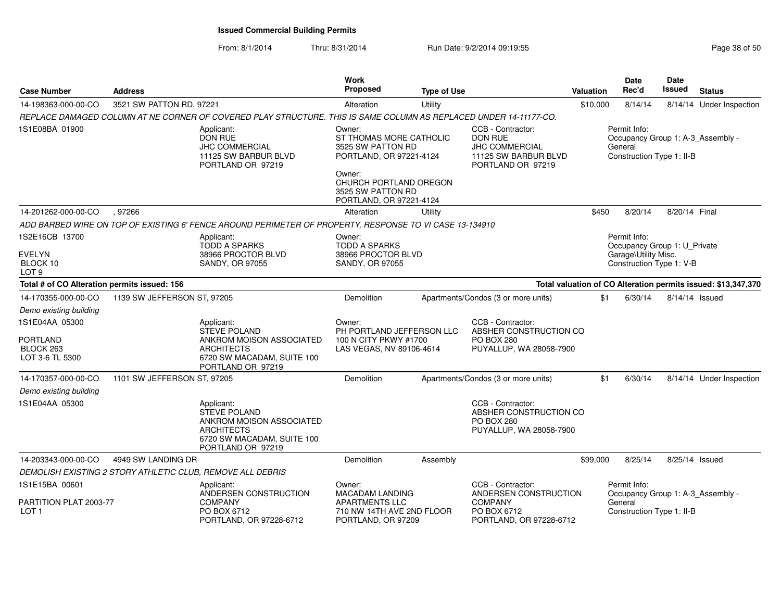| <b>Case Number</b>                                                | <b>Address</b>              |                                                                                                                                       | Work<br>Proposed                                                                         | <b>Type of Use</b> |                                                                                                           | Valuation | Date<br>Rec'd                                                                                    | <b>Date</b><br>Issued | <b>Status</b>                                                 |
|-------------------------------------------------------------------|-----------------------------|---------------------------------------------------------------------------------------------------------------------------------------|------------------------------------------------------------------------------------------|--------------------|-----------------------------------------------------------------------------------------------------------|-----------|--------------------------------------------------------------------------------------------------|-----------------------|---------------------------------------------------------------|
| 14-198363-000-00-CO                                               | 3521 SW PATTON RD, 97221    |                                                                                                                                       | Alteration                                                                               | Utility            |                                                                                                           | \$10,000  | 8/14/14                                                                                          |                       | 8/14/14 Under Inspection                                      |
|                                                                   |                             | REPLACE DAMAGED COLUMN AT NE CORNER OF COVERED PLAY STRUCTURE. THIS IS SAME COLUMN AS REPLACED UNDER 14-11177-CO.                     |                                                                                          |                    |                                                                                                           |           |                                                                                                  |                       |                                                               |
| 1S1E08BA 01900                                                    |                             | Applicant:<br><b>DON RUE</b><br><b>JHC COMMERCIAL</b><br>11125 SW BARBUR BLVD<br>PORTLAND OR 97219                                    | Owner:<br>ST THOMAS MORE CATHOLIC<br>3525 SW PATTON RD<br>PORTLAND, OR 97221-4124        |                    | CCB - Contractor:<br><b>DON RUE</b><br><b>JHC COMMERCIAL</b><br>11125 SW BARBUR BLVD<br>PORTLAND OR 97219 |           | Permit Info:<br>General<br>Construction Type 1: II-B                                             |                       | Occupancy Group 1: A-3_Assembly -                             |
|                                                                   |                             |                                                                                                                                       | Owner:<br>CHURCH PORTLAND OREGON<br>3525 SW PATTON RD<br>PORTLAND, OR 97221-4124         |                    |                                                                                                           |           |                                                                                                  |                       |                                                               |
| 14-201262-000-00-CO                                               | ,97266                      |                                                                                                                                       | Alteration                                                                               | Utility            |                                                                                                           | \$450     | 8/20/14                                                                                          | 8/20/14 Final         |                                                               |
|                                                                   |                             | ADD BARBED WIRE ON TOP OF EXISTING 6' FENCE AROUND PERIMETER OF PROPERTY, RESPONSE TO VI CASE 13-134910                               |                                                                                          |                    |                                                                                                           |           |                                                                                                  |                       |                                                               |
| 1S2E16CB 13700<br><b>EVELYN</b><br>BLOCK 10<br>LOT <sub>9</sub>   |                             | Applicant:<br><b>TODD A SPARKS</b><br>38966 PROCTOR BLVD<br><b>SANDY, OR 97055</b>                                                    | Owner:<br><b>TODD A SPARKS</b><br>38966 PROCTOR BLVD<br><b>SANDY, OR 97055</b>           |                    |                                                                                                           |           | Permit Info:<br>Occupancy Group 1: U_Private<br>Garage\Utility Misc.<br>Construction Type 1: V-B |                       |                                                               |
| Total # of CO Alteration permits issued: 156                      |                             |                                                                                                                                       |                                                                                          |                    |                                                                                                           |           |                                                                                                  |                       | Total valuation of CO Alteration permits issued: \$13,347,370 |
| 14-170355-000-00-CO                                               | 1139 SW JEFFERSON ST, 97205 |                                                                                                                                       | Demolition                                                                               |                    | Apartments/Condos (3 or more units)                                                                       | \$1       | 6/30/14                                                                                          | 8/14/14 Issued        |                                                               |
| Demo existing building                                            |                             |                                                                                                                                       |                                                                                          |                    |                                                                                                           |           |                                                                                                  |                       |                                                               |
| 1S1E04AA 05300<br><b>PORTLAND</b><br>BLOCK 263<br>LOT 3-6 TL 5300 |                             | Applicant:<br><b>STEVE POLAND</b><br>ANKROM MOISON ASSOCIATED<br><b>ARCHITECTS</b><br>6720 SW MACADAM, SUITE 100<br>PORTLAND OR 97219 | Owner:<br>PH PORTLAND JEFFERSON LLC<br>100 N CITY PKWY #1700<br>LAS VEGAS, NV 89106-4614 |                    | CCB - Contractor:<br>ABSHER CONSTRUCTION CO<br><b>PO BOX 280</b><br>PUYALLUP, WA 28058-7900               |           |                                                                                                  |                       |                                                               |
| 14-170357-000-00-CO                                               | 1101 SW JEFFERSON ST, 97205 |                                                                                                                                       | Demolition                                                                               |                    | Apartments/Condos (3 or more units)                                                                       | \$1       | 6/30/14                                                                                          |                       | 8/14/14 Under Inspection                                      |
| Demo existing building                                            |                             |                                                                                                                                       |                                                                                          |                    |                                                                                                           |           |                                                                                                  |                       |                                                               |
| 1S1E04AA 05300                                                    |                             | Applicant:<br><b>STEVE POLAND</b><br>ANKROM MOISON ASSOCIATED<br><b>ARCHITECTS</b><br>6720 SW MACADAM, SUITE 100<br>PORTLAND OR 97219 |                                                                                          |                    | CCB - Contractor:<br>ABSHER CONSTRUCTION CO<br><b>PO BOX 280</b><br>PUYALLUP, WA 28058-7900               |           |                                                                                                  |                       |                                                               |
| 14-203343-000-00-CO                                               | 4949 SW LANDING DR          |                                                                                                                                       | Demolition                                                                               | Assembly           |                                                                                                           | \$99,000  | 8/25/14                                                                                          | 8/25/14 Issued        |                                                               |
|                                                                   |                             | DEMOLISH EXISTING 2 STORY ATHLETIC CLUB, REMOVE ALL DEBRIS                                                                            |                                                                                          |                    |                                                                                                           |           |                                                                                                  |                       |                                                               |
| 1S1E15BA 00601                                                    |                             | Applicant:<br>ANDERSEN CONSTRUCTION                                                                                                   | Owner:<br><b>MACADAM LANDING</b>                                                         |                    | CCB - Contractor:<br>ANDERSEN CONSTRUCTION                                                                |           | Permit Info:                                                                                     |                       | Occupancy Group 1: A-3_Assembly -                             |
| PARTITION PLAT 2003-77<br>LOT <sub>1</sub>                        |                             | <b>COMPANY</b><br>PO BOX 6712<br>PORTLAND, OR 97228-6712                                                                              | <b>APARTMENTS LLC</b><br>710 NW 14TH AVE 2ND FLOOR<br>PORTLAND, OR 97209                 |                    | <b>COMPANY</b><br>PO BOX 6712<br>PORTLAND, OR 97228-6712                                                  |           | General<br>Construction Type 1: II-B                                                             |                       |                                                               |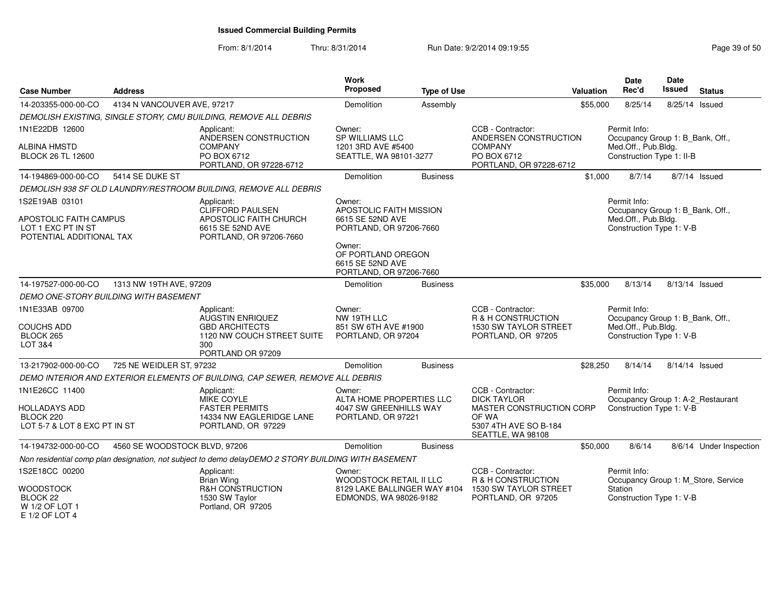| <b>Case Number</b>                                                       | <b>Address</b>                               |                                                                                                     | Work<br>Proposed                                                            | <b>Type of Use</b> | <b>Valuation</b>                                                                | <b>Date</b><br>Rec'd                             | <b>Date</b><br><b>Issued</b><br><b>Status</b> |
|--------------------------------------------------------------------------|----------------------------------------------|-----------------------------------------------------------------------------------------------------|-----------------------------------------------------------------------------|--------------------|---------------------------------------------------------------------------------|--------------------------------------------------|-----------------------------------------------|
| 14-203355-000-00-CO                                                      | 4134 N VANCOUVER AVE, 97217                  |                                                                                                     | Demolition                                                                  | Assembly           | \$55,000                                                                        | 8/25/14                                          | 8/25/14 Issued                                |
|                                                                          |                                              | DEMOLISH EXISTING, SINGLE STORY, CMU BUILDING, REMOVE ALL DEBRIS                                    |                                                                             |                    |                                                                                 |                                                  |                                               |
| 1N1E22DB 12600                                                           |                                              | Applicant:<br>ANDERSEN CONSTRUCTION                                                                 | Owner:<br><b>SP WILLIAMS LLC</b>                                            |                    | CCB - Contractor:<br>ANDERSEN CONSTRUCTION                                      | Permit Info:                                     | Occupancy Group 1: B Bank, Off.,              |
| <b>ALBINA HMSTD</b><br><b>BLOCK 26 TL 12600</b>                          |                                              | <b>COMPANY</b><br>PO BOX 6712<br>PORTLAND, OR 97228-6712                                            | 1201 3RD AVE #5400<br>SEATTLE, WA 98101-3277                                |                    | <b>COMPANY</b><br>PO BOX 6712<br>PORTLAND, OR 97228-6712                        | Med.Off., Pub.Bldg.<br>Construction Type 1: II-B |                                               |
| 14-194869-000-00-CO                                                      | 5414 SE DUKE ST                              |                                                                                                     | Demolition                                                                  | <b>Business</b>    | \$1,000                                                                         | 8/7/14                                           | 8/7/14 Issued                                 |
|                                                                          |                                              | DEMOLISH 938 SF OLD LAUNDRY/RESTROOM BUILDING, REMOVE ALL DEBRIS                                    |                                                                             |                    |                                                                                 |                                                  |                                               |
| 1S2E19AB 03101                                                           |                                              | Applicant:<br>CLIFFORD PAULSEN                                                                      | Owner:<br>APOSTOLIC FAITH MISSION                                           |                    |                                                                                 | Permit Info:                                     | Occupancy Group 1: B Bank, Off.,              |
| APOSTOLIC FAITH CAMPUS<br>LOT 1 EXC PT IN ST<br>POTENTIAL ADDITIONAL TAX |                                              | APOSTOLIC FAITH CHURCH<br>6615 SE 52ND AVE<br>PORTLAND, OR 97206-7660                               | 6615 SE 52ND AVE<br>PORTLAND, OR 97206-7660                                 |                    |                                                                                 | Med.Off., Pub.Bldg.<br>Construction Type 1: V-B  |                                               |
|                                                                          |                                              |                                                                                                     | Owner:<br>OF PORTLAND OREGON<br>6615 SE 52ND AVE<br>PORTLAND, OR 97206-7660 |                    |                                                                                 |                                                  |                                               |
| 14-197527-000-00-CO                                                      | 1313 NW 19TH AVE, 97209                      |                                                                                                     | <b>Demolition</b>                                                           | <b>Business</b>    | \$35,000                                                                        | 8/13/14                                          | 8/13/14 Issued                                |
|                                                                          | <b>DEMO ONE-STORY BUILDING WITH BASEMENT</b> |                                                                                                     |                                                                             |                    |                                                                                 |                                                  |                                               |
| 1N1E33AB 09700                                                           |                                              | Applicant:<br>AUGSTIN ENRIQUEZ                                                                      | Owner:<br>NW 19TH LLC                                                       |                    | CCB - Contractor:<br>R & H CONSTRUCTION                                         | Permit Info:                                     | Occupancy Group 1: B_Bank, Off.,              |
| <b>COUCHS ADD</b><br>BLOCK 265<br>LOT 3&4                                |                                              | <b>GBD ARCHITECTS</b><br>1120 NW COUCH STREET SUITE<br>300<br>PORTLAND OR 97209                     | 851 SW 6TH AVE #1900<br>PORTLAND, OR 97204                                  |                    | 1530 SW TAYLOR STREET<br>PORTLAND, OR 97205                                     | Med.Off., Pub.Bldg.<br>Construction Type 1: V-B  |                                               |
| 13-217902-000-00-CO                                                      | 725 NE WEIDLER ST, 97232                     |                                                                                                     | Demolition                                                                  | <b>Business</b>    | \$28,250                                                                        | 8/14/14                                          | 8/14/14 Issued                                |
|                                                                          |                                              | DEMO INTERIOR AND EXTERIOR ELEMENTS OF BUILDING, CAP SEWER, REMOVE ALL DEBRIS                       |                                                                             |                    |                                                                                 |                                                  |                                               |
| 1N1E26CC 11400                                                           |                                              | Applicant:<br>MIKE COYLE                                                                            | Owner:<br>ALTA HOME PROPERTIES LLC                                          |                    | CCB - Contractor:<br><b>DICK TAYLOR</b>                                         | Permit Info:                                     | Occupancy Group 1: A-2_Restaurant             |
| <b>HOLLADAYS ADD</b><br>BLOCK 220<br>LOT 5-7 & LOT 8 EXC PT IN ST        |                                              | <b>FASTER PERMITS</b><br>14334 NW EAGLERIDGE LANE<br>PORTLAND, OR 97229                             | 4047 SW GREENHILLS WAY<br>PORTLAND, OR 97221                                |                    | MASTER CONSTRUCTION CORP<br>OF WA<br>5307 4TH AVE SO B-184<br>SEATTLE, WA 98108 | Construction Type 1: V-B                         |                                               |
| 14-194732-000-00-CO                                                      | 4560 SE WOODSTOCK BLVD, 97206                |                                                                                                     | Demolition                                                                  | <b>Business</b>    | \$50,000                                                                        | 8/6/14                                           | 8/6/14 Under Inspection                       |
|                                                                          |                                              | Non residential comp plan designation, not subject to demo delayDEMO 2 STORY BUILDING WITH BASEMENT |                                                                             |                    |                                                                                 |                                                  |                                               |
| 1S2E18CC 00200                                                           |                                              | Applicant:<br><b>Brian Wing</b>                                                                     | Owner:<br>WOODSTOCK RETAIL II LLC                                           |                    | CCB - Contractor:<br>R & H CONSTRUCTION                                         | Permit Info:                                     | Occupancy Group 1: M_Store, Service           |
| <b>WOODSTOCK</b><br>BLOCK 22<br>W 1/2 OF LOT 1<br>E 1/2 OF LOT 4         |                                              | R&H CONSTRUCTION<br>1530 SW Taylor<br>Portland, OR 97205                                            | 8129 LAKE BALLINGER WAY #104<br>EDMONDS, WA 98026-9182                      |                    | 1530 SW TAYLOR STREET<br>PORTLAND, OR 97205                                     | Station<br>Construction Type 1: V-B              |                                               |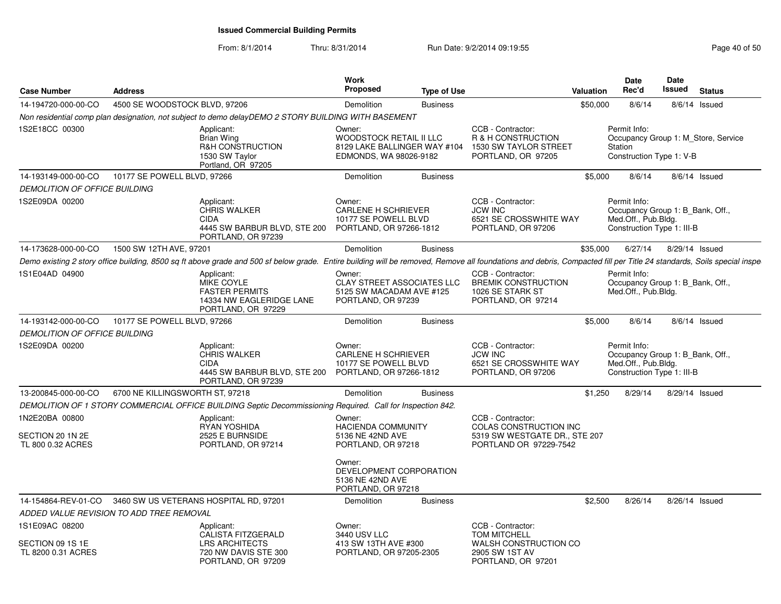| <b>Case Number</b>                     | <b>Address</b>                           |                                                                                                                                                                                                                      | Work<br>Proposed                                                                              | <b>Type of Use</b> |                                                                                           | <b>Valuation</b> | <b>Date</b><br>Rec'd                                                                                  | <b>Date</b><br><b>Issued</b> | <b>Status</b>                       |
|----------------------------------------|------------------------------------------|----------------------------------------------------------------------------------------------------------------------------------------------------------------------------------------------------------------------|-----------------------------------------------------------------------------------------------|--------------------|-------------------------------------------------------------------------------------------|------------------|-------------------------------------------------------------------------------------------------------|------------------------------|-------------------------------------|
| 14-194720-000-00-CO                    | 4500 SE WOODSTOCK BLVD, 97206            |                                                                                                                                                                                                                      | Demolition                                                                                    | <b>Business</b>    |                                                                                           | \$50,000         | 8/6/14                                                                                                |                              | 8/6/14 Issued                       |
|                                        |                                          | Non residential comp plan designation, not subject to demo delayDEMO 2 STORY BUILDING WITH BASEMENT                                                                                                                  |                                                                                               |                    |                                                                                           |                  |                                                                                                       |                              |                                     |
| 1S2E18CC 00300                         |                                          | Applicant:<br><b>Brian Wing</b><br>R&H CONSTRUCTION<br>1530 SW Taylor<br>Portland, OR 97205                                                                                                                          | Owner:<br>WOODSTOCK RETAIL II LLC<br>8129 LAKE BALLINGER WAY #104<br>EDMONDS, WA 98026-9182   |                    | CCB - Contractor:<br>R & H CONSTRUCTION<br>1530 SW TAYLOR STREET<br>PORTLAND, OR 97205    |                  | Permit Info:<br>Station<br>Construction Type 1: V-B                                                   |                              | Occupancy Group 1: M Store, Service |
| 14-193149-000-00-CO                    | 10177 SE POWELL BLVD, 97266              |                                                                                                                                                                                                                      | Demolition                                                                                    | <b>Business</b>    |                                                                                           | \$5,000          | 8/6/14                                                                                                |                              | $8/6/14$ Issued                     |
| <b>DEMOLITION OF OFFICE BUILDING</b>   |                                          |                                                                                                                                                                                                                      |                                                                                               |                    |                                                                                           |                  |                                                                                                       |                              |                                     |
| 1S2E09DA 00200                         |                                          | Applicant:<br><b>CHRIS WALKER</b><br><b>CIDA</b><br>4445 SW BARBUR BLVD, STE 200<br>PORTLAND, OR 97239                                                                                                               | Owner:<br><b>CARLENE H SCHRIEVER</b><br>10177 SE POWELL BLVD<br>PORTLAND, OR 97266-1812       |                    | CCB - Contractor:<br><b>JCW INC</b><br>6521 SE CROSSWHITE WAY<br>PORTLAND, OR 97206       |                  | Permit Info:<br>Occupancy Group 1: B_Bank, Off.,<br>Med.Off., Pub.Bldg.<br>Construction Type 1: III-B |                              |                                     |
| 14-173628-000-00-CO                    | 1500 SW 12TH AVE, 97201                  |                                                                                                                                                                                                                      | Demolition                                                                                    | <b>Business</b>    |                                                                                           | \$35,000         | 6/27/14                                                                                               |                              | 8/29/14 Issued                      |
|                                        |                                          | Demo existing 2 story office building, 8500 sq ft above grade and 500 sf below grade. Entire building will be removed, Remove all foundations and debris, Compacted fill per Title 24 standards, Soils special inspe |                                                                                               |                    |                                                                                           |                  |                                                                                                       |                              |                                     |
| 1S1E04AD 04900                         |                                          | Applicant:<br>MIKE COYLE<br><b>FASTER PERMITS</b><br>14334 NW EAGLERIDGE LANE<br>PORTLAND, OR 97229                                                                                                                  | Owner:<br><b>CLAY STREET ASSOCIATES LLC</b><br>5125 SW MACADAM AVE #125<br>PORTLAND, OR 97239 |                    | CCB - Contractor:<br><b>BREMIK CONSTRUCTION</b><br>1026 SE STARK ST<br>PORTLAND, OR 97214 |                  | Permit Info:<br>Occupancy Group 1: B_Bank, Off.,<br>Med.Off., Pub.Bldg.                               |                              |                                     |
| 14-193142-000-00-CO                    | 10177 SE POWELL BLVD, 97266              |                                                                                                                                                                                                                      | Demolition                                                                                    | <b>Business</b>    |                                                                                           | \$5,000          | 8/6/14                                                                                                |                              | $8/6/14$ Issued                     |
| <b>DEMOLITION OF OFFICE BUILDING</b>   |                                          |                                                                                                                                                                                                                      |                                                                                               |                    |                                                                                           |                  |                                                                                                       |                              |                                     |
| 1S2E09DA 00200                         |                                          | Applicant:<br><b>CHRIS WALKER</b><br><b>CIDA</b><br>4445 SW BARBUR BLVD, STE 200 PORTLAND, OR 97266-1812<br>PORTLAND, OR 97239                                                                                       | Owner:<br><b>CARLENE H SCHRIEVER</b><br>10177 SE POWELL BLVD                                  |                    | CCB - Contractor:<br><b>JCW INC</b><br>6521 SE CROSSWHITE WAY<br>PORTLAND, OR 97206       |                  | Permit Info:<br>Occupancy Group 1: B_Bank, Off.,<br>Med.Off., Pub.Bldg.<br>Construction Type 1: III-B |                              |                                     |
| 13-200845-000-00-CO                    | 6700 NE KILLINGSWORTH ST, 97218          |                                                                                                                                                                                                                      | Demolition                                                                                    | <b>Business</b>    |                                                                                           | \$1,250          | 8/29/14                                                                                               |                              | 8/29/14 Issued                      |
|                                        |                                          | DEMOLITION OF 1 STORY COMMERCIAL OFFICE BUILDING Septic Decommissioning Required. Call for Inspection 842.                                                                                                           |                                                                                               |                    |                                                                                           |                  |                                                                                                       |                              |                                     |
| 1N2E20BA 00800                         |                                          | Applicant:<br>RYAN YOSHIDA                                                                                                                                                                                           | Owner:<br><b>HACIENDA COMMUNITY</b>                                                           |                    | CCB - Contractor:<br>COLAS CONSTRUCTION INC                                               |                  |                                                                                                       |                              |                                     |
| SECTION 20 1N 2E<br>TL 800 0.32 ACRES  |                                          | 2525 E BURNSIDE<br>PORTLAND, OR 97214                                                                                                                                                                                | 5136 NE 42ND AVE<br>PORTLAND, OR 97218                                                        |                    | 5319 SW WESTGATE DR., STE 207<br>PORTLAND OR 97229-7542                                   |                  |                                                                                                       |                              |                                     |
|                                        |                                          |                                                                                                                                                                                                                      | Owner:<br>DEVELOPMENT CORPORATION<br>5136 NE 42ND AVE<br>PORTLAND, OR 97218                   |                    |                                                                                           |                  |                                                                                                       |                              |                                     |
|                                        |                                          | 14-154864-REV-01-CO 3460 SW US VETERANS HOSPITAL RD, 97201                                                                                                                                                           | Demolition                                                                                    | <b>Business</b>    |                                                                                           | \$2,500          | 8/26/14                                                                                               |                              | 8/26/14 Issued                      |
|                                        | ADDED VALUE REVISION TO ADD TREE REMOVAL |                                                                                                                                                                                                                      |                                                                                               |                    |                                                                                           |                  |                                                                                                       |                              |                                     |
| 1S1E09AC 08200                         |                                          | Applicant:<br><b>CALISTA FITZGERALD</b>                                                                                                                                                                              | Owner:<br>3440 USV LLC                                                                        |                    | CCB - Contractor:<br><b>TOM MITCHELL</b>                                                  |                  |                                                                                                       |                              |                                     |
| SECTION 09 1S 1E<br>TL 8200 0.31 ACRES |                                          | <b>LRS ARCHITECTS</b><br>720 NW DAVIS STE 300<br>PORTLAND, OR 97209                                                                                                                                                  | 413 SW 13TH AVE #300<br>PORTLAND, OR 97205-2305                                               |                    | WALSH CONSTRUCTION CO<br>2905 SW 1ST AV<br>PORTLAND, OR 97201                             |                  |                                                                                                       |                              |                                     |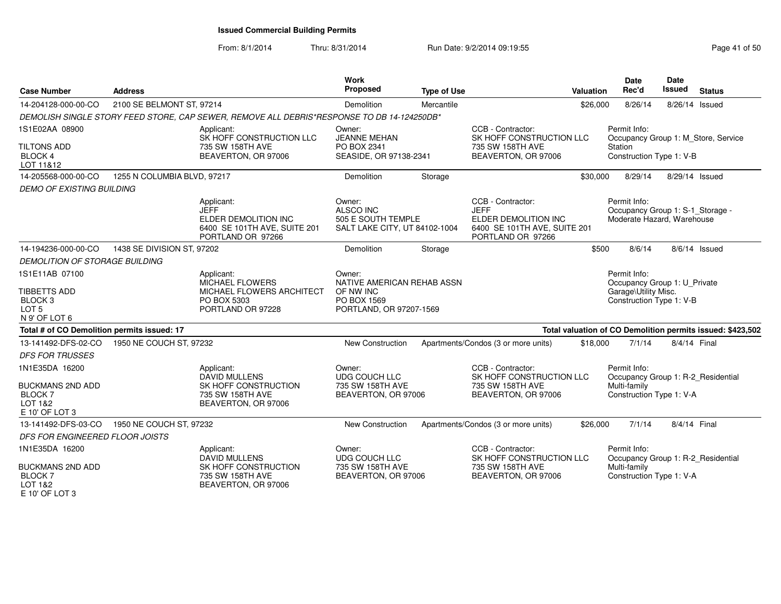| <b>Case Number</b>                                                             | <b>Address</b>              |                                                                                                        | Work<br>Proposed                                                           | <b>Type of Use</b> |                                                                                                               | <b>Valuation</b> | <b>Date</b><br>Rec'd                                                           | <b>Date</b><br><b>Issued</b> | <b>Status</b>                                              |
|--------------------------------------------------------------------------------|-----------------------------|--------------------------------------------------------------------------------------------------------|----------------------------------------------------------------------------|--------------------|---------------------------------------------------------------------------------------------------------------|------------------|--------------------------------------------------------------------------------|------------------------------|------------------------------------------------------------|
| 14-204128-000-00-CO                                                            | 2100 SE BELMONT ST, 97214   |                                                                                                        | Demolition                                                                 | Mercantile         |                                                                                                               | \$26,000         | 8/26/14                                                                        | 8/26/14 Issued               |                                                            |
|                                                                                |                             | DEMOLISH SINGLE STORY FEED STORE, CAP SEWER, REMOVE ALL DEBRIS*RESPONSE TO DB 14-124250DB*             |                                                                            |                    |                                                                                                               |                  |                                                                                |                              |                                                            |
| 1S1E02AA 08900                                                                 |                             | Applicant:<br>SK HOFF CONSTRUCTION LLC                                                                 | Owner:<br><b>JEANNE MEHAN</b>                                              |                    | CCB - Contractor:<br>SK HOFF CONSTRUCTION LLC                                                                 |                  | Permit Info:<br>Occupancy Group 1: M_Store, Service                            |                              |                                                            |
| <b>TILTONS ADD</b><br><b>BLOCK 4</b><br>LOT 11&12                              |                             | 735 SW 158TH AVE<br>BEAVERTON, OR 97006                                                                | PO BOX 2341<br>SEASIDE, OR 97138-2341                                      |                    | 735 SW 158TH AVE<br>BEAVERTON, OR 97006                                                                       |                  | Station<br>Construction Type 1: V-B                                            |                              |                                                            |
| 14-205568-000-00-CO                                                            | 1255 N COLUMBIA BLVD, 97217 |                                                                                                        | Demolition                                                                 | Storage            |                                                                                                               | \$30,000         | 8/29/14                                                                        | 8/29/14 Issued               |                                                            |
| <b>DEMO OF EXISTING BUILDING</b>                                               |                             |                                                                                                        |                                                                            |                    |                                                                                                               |                  |                                                                                |                              |                                                            |
|                                                                                |                             | Applicant:<br><b>JEFF</b><br>ELDER DEMOLITION INC<br>6400 SE 101TH AVE, SUITE 201<br>PORTLAND OR 97266 | Owner:<br>ALSCO INC<br>505 E SOUTH TEMPLE<br>SALT LAKE CITY, UT 84102-1004 |                    | CCB - Contractor:<br><b>JEFF</b><br>ELDER DEMOLITION INC<br>6400 SE 101TH AVE, SUITE 201<br>PORTLAND OR 97266 |                  | Permit Info:<br>Occupancy Group 1: S-1_Storage -<br>Moderate Hazard, Warehouse |                              |                                                            |
| 14-194236-000-00-CO                                                            | 1438 SE DIVISION ST, 97202  |                                                                                                        | Demolition                                                                 | Storage            |                                                                                                               | \$500            | 8/6/14                                                                         |                              | 8/6/14 Issued                                              |
| <b>DEMOLITION OF STORAGE BUILDING</b>                                          |                             |                                                                                                        |                                                                            |                    |                                                                                                               |                  |                                                                                |                              |                                                            |
| 1S1E11AB 07100                                                                 |                             | Applicant:<br><b>MICHAEL FLOWERS</b>                                                                   | Owner:<br>NATIVE AMERICAN REHAB ASSN                                       |                    |                                                                                                               |                  | Permit Info:<br>Occupancy Group 1: U_Private                                   |                              |                                                            |
| <b>TIBBETTS ADD</b><br>BLOCK <sub>3</sub><br>LOT <sub>5</sub><br>N 9' OF LOT 6 |                             | MICHAEL FLOWERS ARCHITECT<br>PO BOX 5303<br>PORTLAND OR 97228                                          | OF NW INC<br>PO BOX 1569<br>PORTLAND, OR 97207-1569                        |                    |                                                                                                               |                  | Garage\Utility Misc.<br>Construction Type 1: V-B                               |                              |                                                            |
| Total # of CO Demolition permits issued: 17                                    |                             |                                                                                                        |                                                                            |                    |                                                                                                               |                  |                                                                                |                              | Total valuation of CO Demolition permits issued: \$423,502 |
| 13-141492-DFS-02-CO                                                            | 1950 NE COUCH ST, 97232     |                                                                                                        | <b>New Construction</b>                                                    |                    | Apartments/Condos (3 or more units)                                                                           | \$18,000         | 7/1/14                                                                         | 8/4/14 Final                 |                                                            |
| <b>DFS FOR TRUSSES</b>                                                         |                             |                                                                                                        |                                                                            |                    |                                                                                                               |                  |                                                                                |                              |                                                            |
| 1N1E35DA 16200                                                                 |                             | Applicant:<br>DAVID MULLENS                                                                            | Owner:<br><b>UDG COUCH LLC</b>                                             |                    | CCB - Contractor:<br>SK HOFF CONSTRUCTION LLC                                                                 |                  | Permit Info:<br>Occupancy Group 1: R-2 Residential                             |                              |                                                            |
| <b>BUCKMANS 2ND ADD</b><br><b>BLOCK7</b><br>LOT 1&2<br>E 10' OF LOT 3          |                             | SK HOFF CONSTRUCTION<br>735 SW 158TH AVE<br>BEAVERTON, OR 97006                                        | 735 SW 158TH AVE<br>BEAVERTON, OR 97006                                    |                    | 735 SW 158TH AVE<br>BEAVERTON, OR 97006                                                                       |                  | Multi-family<br>Construction Type 1: V-A                                       |                              |                                                            |
| 13-141492-DFS-03-CO                                                            | 1950 NE COUCH ST, 97232     |                                                                                                        | New Construction                                                           |                    | Apartments/Condos (3 or more units)                                                                           | \$26,000         | 7/1/14                                                                         | 8/4/14 Final                 |                                                            |
| DFS FOR ENGINEERED FLOOR JOISTS                                                |                             |                                                                                                        |                                                                            |                    |                                                                                                               |                  |                                                                                |                              |                                                            |
| 1N1E35DA 16200                                                                 |                             | Applicant:<br><b>DAVID MULLENS</b>                                                                     | Owner:<br><b>UDG COUCH LLC</b>                                             |                    | CCB - Contractor:<br>SK HOFF CONSTRUCTION LLC                                                                 |                  | Permit Info:<br>Occupancy Group 1: R-2_Residential                             |                              |                                                            |
| <b>BUCKMANS 2ND ADD</b><br><b>BLOCK7</b><br>LOT 1&2<br>E 10' OF LOT 3          |                             | SK HOFF CONSTRUCTION<br>735 SW 158TH AVE<br>BEAVERTON, OR 97006                                        | 735 SW 158TH AVE<br>BEAVERTON, OR 97006                                    |                    | 735 SW 158TH AVE<br>BEAVERTON, OR 97006                                                                       |                  | Multi-family<br>Construction Type 1: V-A                                       |                              |                                                            |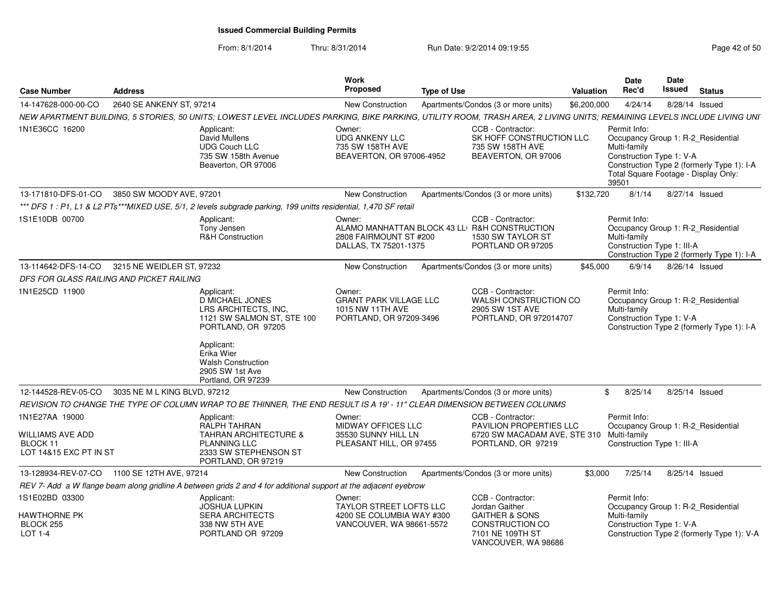### From: 8/1/2014Thru: 8/31/2014 Run Date: 9/2/2014 09:19:55 Rage 42 of 50 of 50 of 50 of 50 of 50 of 50 of 50 of 50 of 50 of 50

| Page 42 of 50 |  |  |  |  |
|---------------|--|--|--|--|
|---------------|--|--|--|--|

| <b>Case Number</b>                                                   | <b>Address</b>               |                                                                                                                                                                                       | Work<br><b>Proposed</b>                                                                    | <b>Type of Use</b> |                                                                                                             | <b>Valuation</b> | Date<br>Rec'd                                                                                                                                   | Date<br><b>Issued</b> | <b>Status</b>                              |
|----------------------------------------------------------------------|------------------------------|---------------------------------------------------------------------------------------------------------------------------------------------------------------------------------------|--------------------------------------------------------------------------------------------|--------------------|-------------------------------------------------------------------------------------------------------------|------------------|-------------------------------------------------------------------------------------------------------------------------------------------------|-----------------------|--------------------------------------------|
| 14-147628-000-00-CO                                                  | 2640 SE ANKENY ST, 97214     |                                                                                                                                                                                       | <b>New Construction</b>                                                                    |                    | Apartments/Condos (3 or more units)                                                                         | \$6,200,000      | 4/24/14                                                                                                                                         | 8/28/14 Issued        |                                            |
|                                                                      |                              | NEW APARTMENT BUILDING, 5 STORIES, 50 UNITS; LOWEST LEVEL INCLUDES PARKING, BIKE PARKING, UTILITY ROOM, TRASH AREA, 2 LIVING UNITS; REMAINING LEVELS INCLUDE LIVING UNIT              |                                                                                            |                    |                                                                                                             |                  |                                                                                                                                                 |                       |                                            |
| 1N1E36CC 16200                                                       |                              | Applicant:<br>David Mullens<br><b>UDG Couch LLC</b><br>735 SW 158th Avenue<br>Beaverton, OR 97006                                                                                     | Owner:<br><b>UDG ANKENY LLC</b><br>735 SW 158TH AVE<br>BEAVERTON, OR 97006-4952            |                    | CCB - Contractor:<br>SK HOFF CONSTRUCTION LLC<br>735 SW 158TH AVE<br>BEAVERTON, OR 97006                    |                  | Permit Info:<br>Occupancy Group 1: R-2_Residential<br>Multi-family<br>Construction Type 1: V-A<br>Total Square Footage - Display Only:<br>39501 |                       | Construction Type 2 (formerly Type 1): I-A |
| 13-171810-DFS-01-CO                                                  | 3850 SW MOODY AVE, 97201     |                                                                                                                                                                                       | New Construction                                                                           |                    | Apartments/Condos (3 or more units)                                                                         | \$132,720        | 8/1/14                                                                                                                                          | 8/27/14 Issued        |                                            |
|                                                                      |                              | *** DFS 1: P1, L1 & L2 PTs***MIXED USE, 5/1, 2 levels subgrade parking, 199 unitts residential, 1,470 SF retail                                                                       |                                                                                            |                    |                                                                                                             |                  |                                                                                                                                                 |                       |                                            |
| 1S1E10DB 00700                                                       |                              | Applicant:<br>Tony Jensen<br><b>R&amp;H Construction</b>                                                                                                                              | Owner:<br>2808 FAIRMOUNT ST #200<br>DALLAS, TX 75201-1375                                  |                    | CCB - Contractor:<br>ALAMO MANHATTAN BLOCK 43 LL R&H CONSTRUCTION<br>1530 SW TAYLOR ST<br>PORTLAND OR 97205 |                  | Permit Info:<br>Occupancy Group 1: R-2_Residential<br>Multi-family<br>Construction Type 1: III-A                                                |                       | Construction Type 2 (formerly Type 1): I-A |
| 13-114642-DFS-14-CO                                                  | 3215 NE WEIDLER ST, 97232    |                                                                                                                                                                                       | New Construction                                                                           |                    | Apartments/Condos (3 or more units)                                                                         | \$45,000         | 6/9/14                                                                                                                                          | 8/26/14 Issued        |                                            |
| DFS FOR GLASS RAILING AND PICKET RAILING                             |                              |                                                                                                                                                                                       |                                                                                            |                    |                                                                                                             |                  |                                                                                                                                                 |                       |                                            |
| 1N1E25CD 11900                                                       |                              | Applicant:<br>D MICHAEL JONES<br>LRS ARCHITECTS, INC,<br>1121 SW SALMON ST, STE 100<br>PORTLAND, OR 97205<br>Applicant:<br>Erika Wier<br><b>Walsh Construction</b><br>2905 SW 1st Ave | Owner:<br><b>GRANT PARK VILLAGE LLC</b><br>1015 NW 11TH AVE<br>PORTLAND, OR 97209-3496     |                    | CCB - Contractor:<br>WALSH CONSTRUCTION CO<br>2905 SW 1ST AVE<br>PORTLAND, OR 972014707                     |                  | Permit Info:<br>Occupancy Group 1: R-2_Residential<br>Multi-family<br>Construction Type 1: V-A                                                  |                       | Construction Type 2 (formerly Type 1): I-A |
|                                                                      |                              | Portland, OR 97239                                                                                                                                                                    |                                                                                            |                    |                                                                                                             |                  |                                                                                                                                                 |                       |                                            |
| 12-144528-REV-05-CO                                                  | 3035 NE M L KING BLVD, 97212 |                                                                                                                                                                                       | New Construction                                                                           |                    | Apartments/Condos (3 or more units)                                                                         |                  | 8/25/14<br>\$                                                                                                                                   | 8/25/14 Issued        |                                            |
|                                                                      |                              | REVISION TO CHANGE THE TYPE OF COLUMN WRAP TO BE THINNER, THE END RESULT IS A 19' - 11" CLEAR DIMENSION BETWEEN COLUNMS                                                               |                                                                                            |                    |                                                                                                             |                  |                                                                                                                                                 |                       |                                            |
| 1N1E27AA 19000                                                       |                              | Applicant:                                                                                                                                                                            | Owner:                                                                                     |                    | CCB - Contractor:                                                                                           |                  | Permit Info:                                                                                                                                    |                       |                                            |
| <b>WILLIAMS AVE ADD</b><br>BLOCK 11<br>LOT 14&15 EXC PT IN ST        |                              | RALPH TAHRAN<br><b>TAHRAN ARCHITECTURE &amp;</b><br><b>PLANNING LLC</b><br>2333 SW STEPHENSON ST<br>PORTLAND, OR 97219                                                                | MIDWAY OFFICES LLC<br>35530 SUNNY HILL LN<br>PLEASANT HILL, OR 97455                       |                    | PAVILION PROPERTIES LLC<br>6720 SW MACADAM AVE, STE 310<br>PORTLAND, OR 97219                               |                  | Occupancy Group 1: R-2 Residential<br>Multi-family<br>Construction Type 1: III-A                                                                |                       |                                            |
| 13-128934-REV-07-CO 1100 SE 12TH AVE, 97214                          |                              |                                                                                                                                                                                       | New Construction                                                                           |                    | Apartments/Condos (3 or more units)                                                                         | \$3,000          | 7/25/14                                                                                                                                         | 8/25/14 Issued        |                                            |
|                                                                      |                              | REV 7- Add a W flange beam along gridline A between grids 2 and 4 for additional support at the adjacent eyebrow                                                                      |                                                                                            |                    |                                                                                                             |                  |                                                                                                                                                 |                       |                                            |
| 1S1E02BD 03300<br><b>HAWTHORNE PK</b><br><b>BLOCK 255</b><br>LOT 1-4 |                              | Applicant:<br><b>JOSHUA LUPKIN</b><br><b>SERA ARCHITECTS</b><br>338 NW 5TH AVE<br>PORTLAND OR 97209                                                                                   | Owner:<br>TAYLOR STREET LOFTS LLC<br>4200 SE COLUMBIA WAY #300<br>VANCOUVER, WA 98661-5572 |                    | CCB - Contractor:<br>Jordan Gaither<br><b>GAITHER &amp; SONS</b><br>CONSTRUCTION CO<br>7101 NE 109TH ST     |                  | Permit Info:<br>Occupancy Group 1: R-2_Residential<br>Multi-family<br>Construction Type 1: V-A                                                  |                       | Construction Type 2 (formerly Type 1): V-A |
|                                                                      |                              |                                                                                                                                                                                       |                                                                                            |                    | VANCOUVER, WA 98686                                                                                         |                  |                                                                                                                                                 |                       |                                            |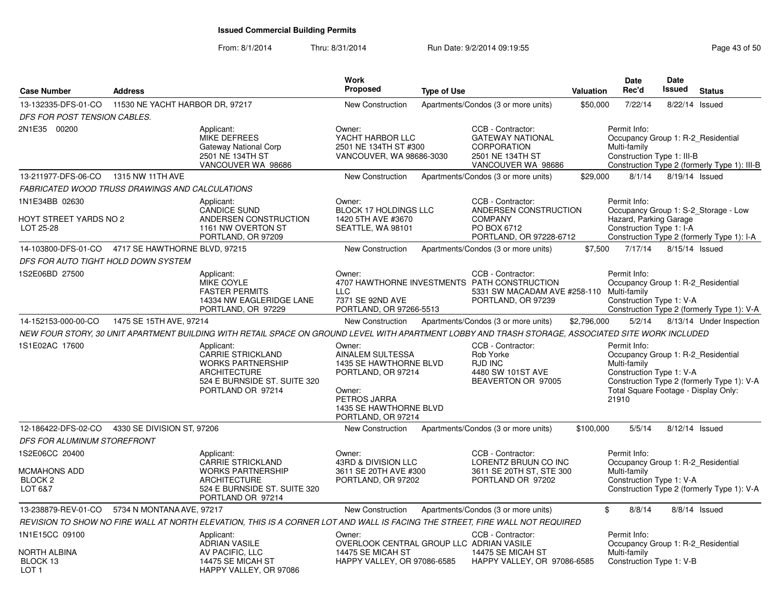| <b>Case Number</b>                                             | <b>Address</b>          |                                                                                                                                                    | Work<br><b>Proposed</b>                                                                                                                              | <b>Type of Use</b> |                                                                                                                                      | Valuation   | Date<br>Rec'd                                                                                                                                   | Date<br>Issued | <b>Status</b>                                                                      |
|----------------------------------------------------------------|-------------------------|----------------------------------------------------------------------------------------------------------------------------------------------------|------------------------------------------------------------------------------------------------------------------------------------------------------|--------------------|--------------------------------------------------------------------------------------------------------------------------------------|-------------|-------------------------------------------------------------------------------------------------------------------------------------------------|----------------|------------------------------------------------------------------------------------|
| 13-132335-DFS-01-CO 11530 NE YACHT HARBOR DR, 97217            |                         |                                                                                                                                                    | New Construction                                                                                                                                     |                    | Apartments/Condos (3 or more units)                                                                                                  | \$50,000    | 7/22/14                                                                                                                                         | 8/22/14        | Issued                                                                             |
| DFS FOR POST TENSION CABLES.                                   |                         |                                                                                                                                                    |                                                                                                                                                      |                    |                                                                                                                                      |             |                                                                                                                                                 |                |                                                                                    |
| 2N1E35 00200                                                   |                         | Applicant:<br><b>MIKE DEFREES</b><br>Gateway National Corp<br>2501 NE 134TH ST<br>VANCOUVER WA 98686                                               | Owner:<br>YACHT HARBOR LLC<br>2501 NE 134TH ST #300<br>VANCOUVER, WA 98686-3030                                                                      |                    | CCB - Contractor:<br><b>GATEWAY NATIONAL</b><br>CORPORATION<br>2501 NE 134TH ST<br>VANCOUVER WA 98686                                |             | Permit Info:<br>Occupancy Group 1: R-2 Residential<br>Multi-family<br>Construction Type 1: III-B                                                |                | Construction Type 2 (formerly Type 1): III-B                                       |
| 13-211977-DFS-06-CO 1315 NW 11TH AVE                           |                         |                                                                                                                                                    | <b>New Construction</b>                                                                                                                              |                    | Apartments/Condos (3 or more units)                                                                                                  | \$29,000    | 8/1/14                                                                                                                                          | 8/19/14 Issued |                                                                                    |
| FABRICATED WOOD TRUSS DRAWINGS AND CALCULATIONS                |                         |                                                                                                                                                    |                                                                                                                                                      |                    |                                                                                                                                      |             |                                                                                                                                                 |                |                                                                                    |
| 1N1E34BB 02630                                                 |                         | Applicant:                                                                                                                                         | Owner:                                                                                                                                               |                    | CCB - Contractor:                                                                                                                    |             | Permit Info:                                                                                                                                    |                |                                                                                    |
| <b>HOYT STREET YARDS NO 2</b><br>LOT 25-28                     |                         | <b>CANDICE SUND</b><br>ANDERSEN CONSTRUCTION<br>1161 NW OVERTON ST<br>PORTLAND, OR 97209                                                           | BLOCK 17 HOLDINGS LLC<br>1420 5TH AVE #3670<br>SEATTLE, WA 98101                                                                                     |                    | ANDERSEN CONSTRUCTION<br><b>COMPANY</b><br>PO BOX 6712<br>PORTLAND, OR 97228-6712                                                    |             | Hazard, Parking Garage<br>Construction Type 1: I-A                                                                                              |                | Occupancy Group 1: S-2_Storage - Low<br>Construction Type 2 (formerly Type 1): I-A |
| 14-103800-DFS-01-CO  4717 SE HAWTHORNE BLVD, 97215             |                         |                                                                                                                                                    | <b>New Construction</b>                                                                                                                              |                    | Apartments/Condos (3 or more units)                                                                                                  | \$7,500     | 7/17/14                                                                                                                                         | 8/15/14 Issued |                                                                                    |
| DFS FOR AUTO TIGHT HOLD DOWN SYSTEM                            |                         |                                                                                                                                                    |                                                                                                                                                      |                    |                                                                                                                                      |             |                                                                                                                                                 |                |                                                                                    |
| 1S2E06BD 27500                                                 |                         | Applicant:<br><b>MIKE COYLE</b><br><b>FASTER PERMITS</b><br>14334 NW EAGLERIDGE LANE<br>PORTLAND, OR 97229                                         | Owner:<br><b>LLC</b><br>7371 SE 92ND AVE<br>PORTLAND, OR 97266-5513                                                                                  |                    | CCB - Contractor:<br>4707 HAWTHORNE INVESTMENTS PATH CONSTRUCTION<br>5331 SW MACADAM AVE #258-110 Multi-family<br>PORTLAND, OR 97239 |             | Permit Info:<br>Occupancy Group 1: R-2_Residential<br>Construction Type 1: V-A                                                                  |                | Construction Type 2 (formerly Type 1): V-A                                         |
| 14-152153-000-00-CO                                            | 1475 SE 15TH AVE, 97214 |                                                                                                                                                    | New Construction                                                                                                                                     |                    | Apartments/Condos (3 or more units)                                                                                                  | \$2,796,000 | 5/2/14                                                                                                                                          |                | 8/13/14 Under Inspection                                                           |
|                                                                |                         | NEW FOUR STORY, 30 UNIT APARTMENT BUILDING WITH RETAIL SPACE ON GROUND LEVEL WITH APARTMENT LOBBY AND TRASH STORAGE. ASSOCIATED SITE WORK INCLUDED |                                                                                                                                                      |                    |                                                                                                                                      |             |                                                                                                                                                 |                |                                                                                    |
| 1S1E02AC 17600                                                 |                         | Applicant:<br><b>CARRIE STRICKLAND</b><br><b>WORKS PARTNERSHIP</b><br><b>ARCHITECTURE</b><br>524 E BURNSIDE ST. SUITE 320<br>PORTLAND OR 97214     | Owner:<br>AINALEM SULTESSA<br>1435 SE HAWTHORNE BLVD<br>PORTLAND, OR 97214<br>Owner:<br>PETROS JARRA<br>1435 SE HAWTHORNE BLVD<br>PORTLAND, OR 97214 |                    | CCB - Contractor:<br>Rob Yorke<br><b>RJD INC</b><br>4480 SW 101ST AVE<br>BEAVERTON OR 97005                                          |             | Permit Info:<br>Occupancy Group 1: R-2 Residential<br>Multi-family<br>Construction Type 1: V-A<br>Total Square Footage - Display Only:<br>21910 |                | Construction Type 2 (formerly Type 1): V-A                                         |
| 12-186422-DFS-02-CO  4330 SE DIVISION ST, 97206                |                         |                                                                                                                                                    | New Construction                                                                                                                                     |                    | Apartments/Condos (3 or more units)                                                                                                  | \$100,000   | 5/5/14                                                                                                                                          | 8/12/14 Issued |                                                                                    |
| DFS FOR ALUMINUM STOREFRONT                                    |                         |                                                                                                                                                    |                                                                                                                                                      |                    |                                                                                                                                      |             |                                                                                                                                                 |                |                                                                                    |
| 1S2E06CC 20400<br>MCMAHONS ADD<br><b>BLOCK 2</b><br>LOT 6&7    |                         | Applicant:<br><b>CARRIE STRICKLAND</b><br><b>WORKS PARTNERSHIP</b><br><b>ARCHITECTURE</b><br>524 E BURNSIDE ST. SUITE 320<br>PORTLAND OR 97214     | Owner:<br>43RD & DIVISION LLC<br>3611 SE 20TH AVE #300<br>PORTLAND, OR 97202                                                                         |                    | CCB - Contractor:<br>LORENTZ BRUUN CO INC<br>3611 SE 20TH ST, STE 300<br>PORTLAND OR 97202                                           |             | Permit Info:<br>Occupancy Group 1: R-2 Residential<br>Multi-family<br>Construction Type 1: V-A                                                  |                | Construction Type 2 (formerly Type 1): V-A                                         |
| 13-238879-REV-01-CO 5734 N MONTANA AVE, 97217                  |                         |                                                                                                                                                    | New Construction                                                                                                                                     |                    | Apartments/Condos (3 or more units)                                                                                                  | \$          | 8/8/14                                                                                                                                          |                | 8/8/14 Issued                                                                      |
|                                                                |                         | REVISION TO SHOW NO FIRE WALL AT NORTH ELEVATION, THIS IS A CORNER LOT AND WALL IS FACING THE STREET, FIRE WALL NOT REQUIRED                       |                                                                                                                                                      |                    |                                                                                                                                      |             |                                                                                                                                                 |                |                                                                                    |
| 1N1E15CC 09100<br>NORTH ALBINA<br>BLOCK 13<br>LOT <sub>1</sub> |                         | Applicant:<br><b>ADRIAN VASILE</b><br>AV PACIFIC, LLC<br>14475 SE MICAH ST<br>HAPPY VALLEY, OR 97086                                               | Owner:<br>OVERLOOK CENTRAL GROUP LLC ADRIAN VASILE<br>14475 SE MICAH ST<br>HAPPY VALLEY, OR 97086-6585                                               |                    | CCB - Contractor:<br>14475 SE MICAH ST<br>HAPPY VALLEY, OR 97086-6585                                                                |             | Permit Info:<br>Occupancy Group 1: R-2_Residential<br>Multi-family<br>Construction Type 1: V-B                                                  |                |                                                                                    |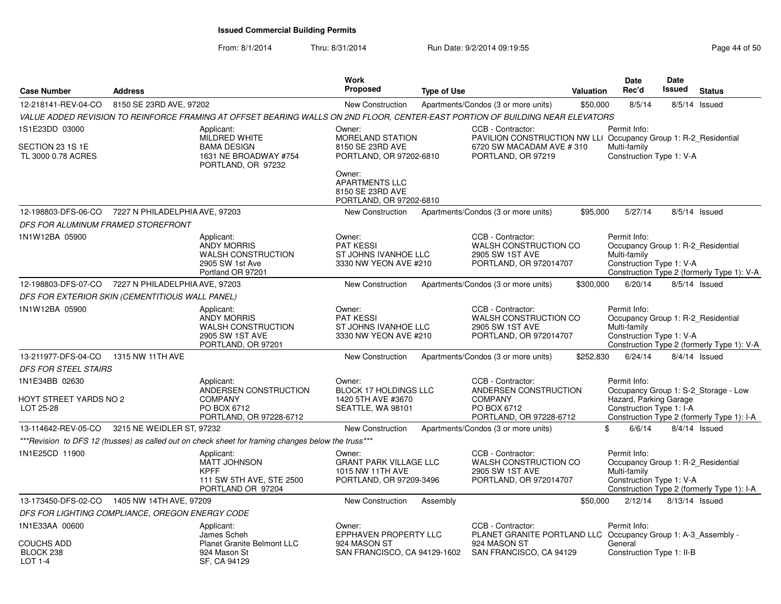| <b>Case Number</b>                                       | <b>Address</b>                 |                                                                                                                                | <b>Work</b><br>Proposed                                                                                             | <b>Type of Use</b> |                                                                                                                                        | Valuation | <b>Date</b><br>Rec'd                                                                           | <b>Date</b><br><b>Issued</b> | <b>Status</b>                                                                      |
|----------------------------------------------------------|--------------------------------|--------------------------------------------------------------------------------------------------------------------------------|---------------------------------------------------------------------------------------------------------------------|--------------------|----------------------------------------------------------------------------------------------------------------------------------------|-----------|------------------------------------------------------------------------------------------------|------------------------------|------------------------------------------------------------------------------------|
| 12-218141-REV-04-CO                                      | 8150 SE 23RD AVE, 97202        |                                                                                                                                | New Construction                                                                                                    |                    | Apartments/Condos (3 or more units)                                                                                                    | \$50,000  | 8/5/14                                                                                         |                              | 8/5/14 Issued                                                                      |
|                                                          |                                | VALUE ADDED REVISION TO REINFORCE FRAMING AT OFFSET BEARING WALLS ON 2ND FLOOR, CENTER-EAST PORTION OF BUILDING NEAR ELEVATORS |                                                                                                                     |                    |                                                                                                                                        |           |                                                                                                |                              |                                                                                    |
| 1S1E23DD 03000<br>SECTION 23 1S 1E<br>TL 3000 0.78 ACRES |                                | Applicant:<br>MILDRED WHITE<br><b>BAMA DESIGN</b><br>1631 NE BROADWAY #754<br>PORTLAND, OR 97232                               | Owner:<br><b>MORELAND STATION</b><br>8150 SE 23RD AVE<br>PORTLAND, OR 97202-6810<br>Owner:<br><b>APARTMENTS LLC</b> |                    | CCB - Contractor:<br>PAVILION CONSTRUCTION NW LL( Occupancy Group 1: R-2 Residential<br>6720 SW MACADAM AVE #310<br>PORTLAND, OR 97219 |           | Permit Info:<br>Multi-family<br>Construction Type 1: V-A                                       |                              |                                                                                    |
|                                                          |                                |                                                                                                                                | 8150 SE 23RD AVE<br>PORTLAND, OR 97202-6810                                                                         |                    |                                                                                                                                        |           |                                                                                                |                              |                                                                                    |
| 12-198803-DFS-06-CO                                      | 7227 N PHILADELPHIA AVE, 97203 |                                                                                                                                | <b>New Construction</b>                                                                                             |                    | Apartments/Condos (3 or more units)                                                                                                    | \$95,000  | 5/27/14                                                                                        |                              | 8/5/14 Issued                                                                      |
| DFS FOR ALUMINUM FRAMED STOREFRONT                       |                                |                                                                                                                                |                                                                                                                     |                    |                                                                                                                                        |           |                                                                                                |                              |                                                                                    |
| 1N1W12BA 05900                                           |                                | Applicant:<br><b>ANDY MORRIS</b><br><b>WALSH CONSTRUCTION</b><br>2905 SW 1st Ave<br>Portland OR 97201                          | Owner:<br><b>PAT KESSI</b><br>ST JOHNS IVANHOE LLC<br>3330 NW YEON AVE #210                                         |                    | CCB - Contractor:<br>WALSH CONSTRUCTION CO<br>2905 SW 1ST AVE<br>PORTLAND, OR 972014707                                                |           | Permit Info:<br>Occupancy Group 1: R-2 Residential<br>Multi-family<br>Construction Type 1: V-A |                              | Construction Type 2 (formerly Type 1): V-A                                         |
| 12-198803-DFS-07-CO 7227 N PHILADELPHIA AVE, 97203       |                                |                                                                                                                                | <b>New Construction</b>                                                                                             |                    | Apartments/Condos (3 or more units)                                                                                                    | \$300,000 | 6/20/14                                                                                        |                              | 8/5/14 Issued                                                                      |
| DFS FOR EXTERIOR SKIN (CEMENTITIOUS WALL PANEL)          |                                |                                                                                                                                |                                                                                                                     |                    |                                                                                                                                        |           |                                                                                                |                              |                                                                                    |
| 1N1W12BA 05900                                           |                                | Applicant:<br><b>ANDY MORRIS</b><br><b>WALSH CONSTRUCTION</b><br>2905 SW 1ST AVE<br>PORTLAND, OR 97201                         | Owner:<br><b>PAT KESSI</b><br>ST JOHNS IVANHOE LLC<br>3330 NW YEON AVE #210                                         |                    | CCB - Contractor:<br>WALSH CONSTRUCTION CO<br>2905 SW 1ST AVE<br>PORTLAND, OR 972014707                                                |           | Permit Info:<br>Occupancy Group 1: R-2_Residential<br>Multi-family<br>Construction Type 1: V-A |                              | Construction Type 2 (formerly Type 1): V-A                                         |
| 13-211977-DFS-04-CO                                      | 1315 NW 11TH AVE               |                                                                                                                                | <b>New Construction</b>                                                                                             |                    | Apartments/Condos (3 or more units)                                                                                                    | \$252,830 | 6/24/14                                                                                        |                              | 8/4/14 Issued                                                                      |
| DFS FOR STEEL STAIRS                                     |                                |                                                                                                                                |                                                                                                                     |                    |                                                                                                                                        |           |                                                                                                |                              |                                                                                    |
| 1N1E34BB 02630                                           |                                | Applicant:                                                                                                                     | Owner:                                                                                                              |                    | CCB - Contractor:                                                                                                                      |           | Permit Info:                                                                                   |                              |                                                                                    |
| HOYT STREET YARDS NO 2<br>LOT 25-28                      |                                | ANDERSEN CONSTRUCTION<br><b>COMPANY</b><br>PO BOX 6712<br>PORTLAND, OR 97228-6712                                              | BLOCK 17 HOLDINGS LLC<br>1420 5TH AVE #3670<br>SEATTLE, WA 98101                                                    |                    | ANDERSEN CONSTRUCTION<br><b>COMPANY</b><br>PO BOX 6712<br>PORTLAND, OR 97228-6712                                                      |           | Hazard, Parking Garage<br>Construction Type 1: I-A                                             |                              | Occupancy Group 1: S-2_Storage - Low<br>Construction Type 2 (formerly Type 1): I-A |
| 13-114642-REV-05-CO                                      | 3215 NE WEIDLER ST, 97232      |                                                                                                                                | <b>New Construction</b>                                                                                             |                    | Apartments/Condos (3 or more units)                                                                                                    | \$        | 6/6/14                                                                                         |                              | 8/4/14 Issued                                                                      |
|                                                          |                                | *** Revision to DFS 12 (trusses) as called out on check sheet for framing changes below the truss***                           |                                                                                                                     |                    |                                                                                                                                        |           |                                                                                                |                              |                                                                                    |
| 1N1E25CD 11900                                           |                                | Applicant:<br><b>MATT JOHNSON</b><br><b>KPFF</b><br>111 SW 5TH AVE, STE 2500<br>PORTLAND OR 97204                              | Owner:<br><b>GRANT PARK VILLAGE LLC</b><br>1015 NW 11TH AVE<br>PORTLAND, OR 97209-3496                              |                    | CCB - Contractor:<br>WALSH CONSTRUCTION CO<br>2905 SW 1ST AVE<br>PORTLAND, OR 972014707                                                |           | Permit Info:<br>Occupancy Group 1: R-2_Residential<br>Multi-family<br>Construction Type 1: V-A |                              | Construction Type 2 (formerly Type 1): I-A                                         |
| 13-173450-DFS-02-CO                                      | 1405 NW 14TH AVE, 97209        |                                                                                                                                | <b>New Construction</b>                                                                                             | Assembly           |                                                                                                                                        | \$50,000  | 2/12/14                                                                                        | 8/13/14 Issued               |                                                                                    |
| DFS FOR LIGHTING COMPLIANCE, OREGON ENERGY CODE          |                                |                                                                                                                                |                                                                                                                     |                    |                                                                                                                                        |           |                                                                                                |                              |                                                                                    |
| 1N1E33AA 00600<br><b>COUCHS ADD</b>                      |                                | Applicant:<br>James Scheh<br><b>Planet Granite Belmont LLC</b>                                                                 | Owner:<br>EPPHAVEN PROPERTY LLC<br>924 MASON ST                                                                     |                    | CCB - Contractor:<br>PLANET GRANITE PORTLAND LLC Occupancy Group 1: A-3_Assembly -<br>924 MASON ST                                     |           | Permit Info:<br>General                                                                        |                              |                                                                                    |
| BLOCK 238<br><b>LOT 1-4</b>                              |                                | 924 Mason St<br>SF, CA 94129                                                                                                   | SAN FRANCISCO, CA 94129-1602                                                                                        |                    | SAN FRANCISCO, CA 94129                                                                                                                |           | Construction Type 1: II-B                                                                      |                              |                                                                                    |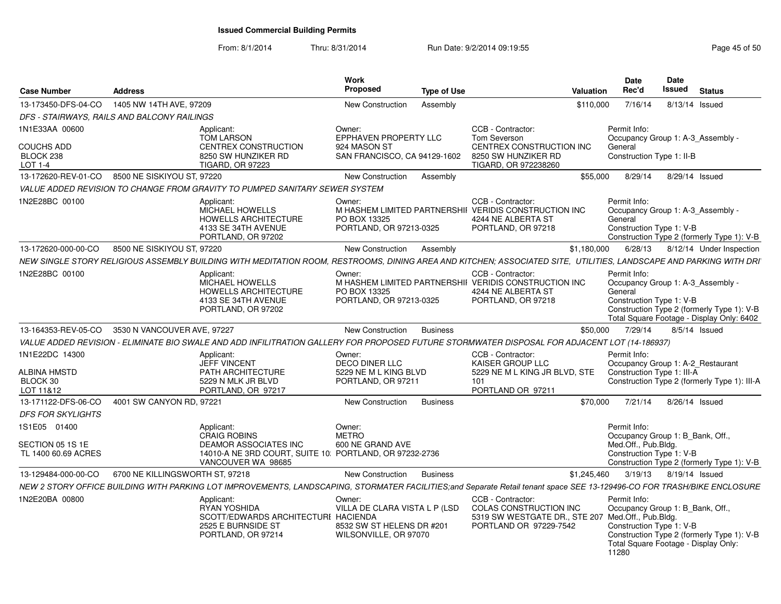### From: 8/1/2014Thru: 8/31/2014 Run Date: 9/2/2014 09:19:55 Research 2010 12:00 Page 45 of 50

| <b>Case Number</b>                          | <b>Address</b>                  |                                                                                                                                                                         | <b>Work</b><br><b>Proposed</b>                                                                | <b>Type of Use</b> |                                                                                                                            | <b>Valuation</b> | <b>Date</b><br>Rec'd                                                                  | Date<br><b>Issued</b> | <b>Status</b>                                                                                                                |
|---------------------------------------------|---------------------------------|-------------------------------------------------------------------------------------------------------------------------------------------------------------------------|-----------------------------------------------------------------------------------------------|--------------------|----------------------------------------------------------------------------------------------------------------------------|------------------|---------------------------------------------------------------------------------------|-----------------------|------------------------------------------------------------------------------------------------------------------------------|
| 13-173450-DFS-04-CO                         | 1405 NW 14TH AVE, 97209         |                                                                                                                                                                         | New Construction                                                                              | Assembly           |                                                                                                                            | \$110,000        | 7/16/14                                                                               |                       | 8/13/14 Issued                                                                                                               |
| DFS - STAIRWAYS, RAILS AND BALCONY RAILINGS |                                 |                                                                                                                                                                         |                                                                                               |                    |                                                                                                                            |                  |                                                                                       |                       |                                                                                                                              |
| 1N1E33AA 00600                              |                                 | Applicant:<br><b>TOM LARSON</b>                                                                                                                                         | Owner:<br>EPPHAVEN PROPERTY LLC                                                               |                    | CCB - Contractor:<br>Tom Severson                                                                                          |                  | Permit Info:                                                                          |                       | Occupancy Group 1: A-3 Assembly -                                                                                            |
| <b>COUCHS ADD</b><br>BLOCK 238<br>LOT 1-4   |                                 | CENTREX CONSTRUCTION<br>8250 SW HUNZIKER RD<br><b>TIGARD, OR 97223</b>                                                                                                  | 924 MASON ST<br>SAN FRANCISCO, CA 94129-1602                                                  |                    | CENTREX CONSTRUCTION INC<br>8250 SW HUNZIKER RD<br>TIGARD, OR 972238260                                                    |                  | General<br>Construction Type 1: II-B                                                  |                       |                                                                                                                              |
| 13-172620-REV-01-CO                         | 8500 NE SISKIYOU ST, 97220      |                                                                                                                                                                         | New Construction                                                                              | Assembly           |                                                                                                                            | \$55,000         | 8/29/14                                                                               |                       | 8/29/14 Issued                                                                                                               |
|                                             |                                 | VALUE ADDED REVISION TO CHANGE FROM GRAVITY TO PUMPED SANITARY SEWER SYSTEM                                                                                             |                                                                                               |                    |                                                                                                                            |                  |                                                                                       |                       |                                                                                                                              |
| 1N2E28BC 00100                              |                                 | Applicant:<br>MICHAEL HOWELLS<br><b>HOWELLS ARCHITECTURE</b><br>4133 SE 34TH AVENUE<br>PORTLAND, OR 97202                                                               | Owner:<br>PO BOX 13325<br>PORTLAND, OR 97213-0325                                             |                    | CCB - Contractor:<br>M HASHEM LIMITED PARTNERSHII VERIDIS CONSTRUCTION INC<br>4244 NE ALBERTA ST<br>PORTLAND, OR 97218     |                  | Permit Info:<br>General<br>Construction Type 1: V-B                                   |                       | Occupancy Group 1: A-3 Assembly -<br>Construction Type 2 (formerly Type 1): V-B                                              |
| 13-172620-000-00-CO                         | 8500 NE SISKIYOU ST, 97220      |                                                                                                                                                                         | New Construction                                                                              | Assembly           |                                                                                                                            | \$1,180,000      | 6/28/13                                                                               |                       | 8/12/14 Under Inspection                                                                                                     |
|                                             |                                 | NEW SINGLE STORY RELIGIOUS ASSEMBLY BUILDING WITH MEDITATION ROOM. RESTROOMS. DINING AREA AND KITCHEN: ASSOCIATED SITE. UTILITIES. LANDSCAPE AND PARKING WITH DRI       |                                                                                               |                    |                                                                                                                            |                  |                                                                                       |                       |                                                                                                                              |
| 1N2E28BC 00100                              |                                 | Applicant:<br><b>MICHAEL HOWELLS</b><br>HOWELLS ARCHITECTURE<br>4133 SE 34TH AVENUE<br>PORTLAND, OR 97202                                                               | Owner:<br>PO BOX 13325<br>PORTLAND, OR 97213-0325                                             |                    | CCB - Contractor:<br>M HASHEM LIMITED PARTNERSHII VERIDIS CONSTRUCTION INC<br>4244 NE ALBERTA ST<br>PORTLAND, OR 97218     |                  | Permit Info:<br>General<br>Construction Type 1: V-B                                   |                       | Occupancy Group 1: A-3_Assembly -<br>Construction Type 2 (formerly Type 1): V-B<br>Total Square Footage - Display Only: 6402 |
| 13-164353-REV-05-CO                         | 3530 N VANCOUVER AVE, 97227     |                                                                                                                                                                         | New Construction                                                                              | <b>Business</b>    |                                                                                                                            | \$50,000         | 7/29/14                                                                               |                       | 8/5/14 Issued                                                                                                                |
|                                             |                                 | VALUE ADDED REVISION - ELIMINATE BIO SWALE AND ADD INFILITRATION GALLERY FOR PROPOSED FUTURE STORMWATER DISPOSAL FOR ADJACENT LOT (14-186937)                           |                                                                                               |                    |                                                                                                                            |                  |                                                                                       |                       |                                                                                                                              |
| 1N1E22DC 14300<br>ALBINA HMSTD<br>BLOCK 30  |                                 | Applicant:<br><b>JEFF VINCENT</b><br>PATH ARCHITECTURE<br>5229 N MLK JR BLVD                                                                                            | Owner:<br><b>DECO DINER LLC</b><br>5229 NE M L KING BLVD<br>PORTLAND, OR 97211                |                    | CCB - Contractor:<br>KAISER GROUP LLC<br>5229 NE M L KING JR BLVD. STE<br>101                                              |                  | Permit Info:<br>Construction Type 1: III-A                                            |                       | Occupancy Group 1: A-2 Restaurant<br>Construction Type 2 (formerly Type 1): III-A                                            |
| LOT 11&12                                   |                                 | PORTLAND, OR 97217                                                                                                                                                      |                                                                                               |                    | PORTLAND OR 97211                                                                                                          |                  |                                                                                       |                       |                                                                                                                              |
| 13-171122-DFS-06-CO                         | 4001 SW CANYON RD, 97221        |                                                                                                                                                                         | New Construction                                                                              | <b>Business</b>    |                                                                                                                            | \$70,000         | 7/21/14                                                                               |                       | 8/26/14 Issued                                                                                                               |
| <b>DFS FOR SKYLIGHTS</b>                    |                                 |                                                                                                                                                                         |                                                                                               |                    |                                                                                                                            |                  |                                                                                       |                       |                                                                                                                              |
| 1S1E05 01400<br>SECTION 05 1S 1E            |                                 | Applicant:<br><b>CRAIG ROBINS</b><br><b>DEAMOR ASSOCIATES INC</b>                                                                                                       | Owner:<br><b>METRO</b><br>600 NE GRAND AVE                                                    |                    |                                                                                                                            |                  | Permit Info:<br>Occupancy Group 1: B_Bank, Off.,<br>Med.Off., Pub.Bldg.               |                       |                                                                                                                              |
| TL 1400 60.69 ACRES                         |                                 | 14010-A NE 3RD COURT, SUITE 10: PORTLAND, OR 97232-2736<br>VANCOUVER WA 98685                                                                                           |                                                                                               |                    |                                                                                                                            |                  | Construction Type 1: V-B                                                              |                       | Construction Type 2 (formerly Type 1): V-B                                                                                   |
| 13-129484-000-00-CO                         | 6700 NE KILLINGSWORTH ST, 97218 |                                                                                                                                                                         | New Construction                                                                              | <b>Business</b>    |                                                                                                                            | \$1,245,460      | 3/19/13                                                                               |                       | 8/19/14 Issued                                                                                                               |
|                                             |                                 | NEW 2 STORY OFFICE BUILDING WITH PARKING LOT IMPROVEMENTS, LANDSCAPING, STORMATER FACILITIES;and Separate Retail tenant space SEE 13-129496-CO FOR TRASH/BIKE ENCLOSURE |                                                                                               |                    |                                                                                                                            |                  |                                                                                       |                       |                                                                                                                              |
| 1N2E20BA 00800                              |                                 | Applicant:<br>RYAN YOSHIDA<br>SCOTT/EDWARDS ARCHITECTURI HACIENDA<br>2525 E BURNSIDE ST<br>PORTLAND, OR 97214                                                           | Owner:<br>VILLA DE CLARA VISTA L P (LSD<br>8532 SW ST HELENS DR #201<br>WILSONVILLE, OR 97070 |                    | CCB - Contractor:<br>COLAS CONSTRUCTION INC<br>5319 SW WESTGATE DR., STE 207 Med.Off., Pub.Bldg.<br>PORTLAND OR 97229-7542 |                  | Permit Info:<br>Occupancy Group 1: B_Bank, Off.,<br>Construction Type 1: V-B<br>11280 |                       | Construction Type 2 (formerly Type 1): V-B<br>Total Square Footage - Display Only:                                           |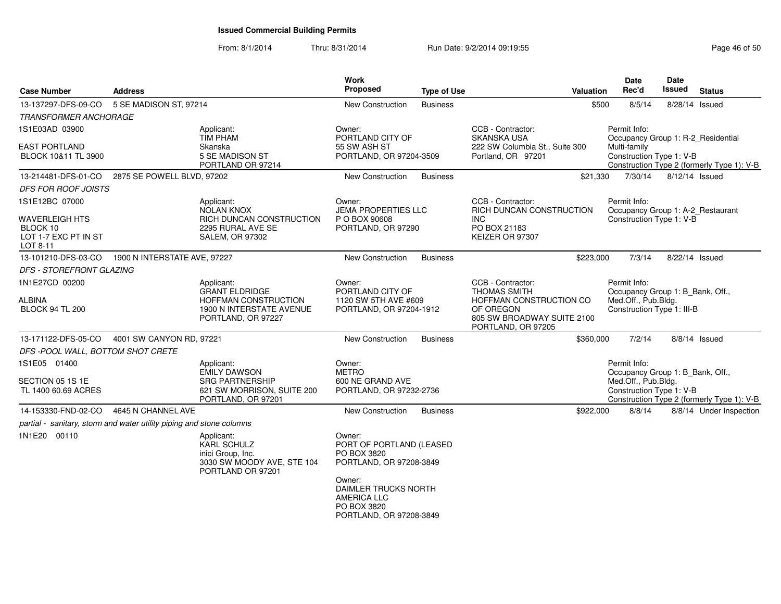| <b>Case Number</b>                           | <b>Address</b>                                                                                  |                                                                                                          | Work<br><b>Proposed</b>                                                                        | <b>Type of Use</b> | Valuation                                                                                                                                                                                                | <b>Date</b><br>Rec'd                               | Date<br>Issued | <b>Status</b>                              |
|----------------------------------------------|-------------------------------------------------------------------------------------------------|----------------------------------------------------------------------------------------------------------|------------------------------------------------------------------------------------------------|--------------------|----------------------------------------------------------------------------------------------------------------------------------------------------------------------------------------------------------|----------------------------------------------------|----------------|--------------------------------------------|
| 13-137297-DFS-09-CO                          | 5 SE MADISON ST, 97214                                                                          |                                                                                                          | New Construction                                                                               | <b>Business</b>    | \$500                                                                                                                                                                                                    | 8/5/14                                             |                | 8/28/14 Issued                             |
| <b>TRANSFORMER ANCHORAGE</b>                 |                                                                                                 |                                                                                                          |                                                                                                |                    |                                                                                                                                                                                                          |                                                    |                |                                            |
| 1S1E03AD 03900                               |                                                                                                 | Applicant:<br><b>TIM PHAM</b>                                                                            | Owner:<br>PORTLAND CITY OF                                                                     |                    | CCB - Contractor:<br><b>SKANSKA USA</b>                                                                                                                                                                  | Permit Info:<br>Occupancy Group 1: R-2 Residential |                |                                            |
| <b>EAST PORTLAND</b><br>BLOCK 10&11 TL 3900  |                                                                                                 | Skanska<br>5 SE MADISON ST<br>PORTLAND OR 97214                                                          | 55 SW ASH ST<br>PORTLAND, OR 97204-3509                                                        |                    | 222 SW Columbia St., Suite 300<br>Portland, OR 97201                                                                                                                                                     | Multi-family<br>Construction Type 1: V-B           |                | Construction Type 2 (formerly Type 1): V-B |
| 13-214481-DFS-01-CO                          | 2875 SE POWELL BLVD, 97202                                                                      |                                                                                                          | New Construction                                                                               | <b>Business</b>    | \$21,330                                                                                                                                                                                                 | 7/30/14                                            |                | 8/12/14 Issued                             |
| <b>DFS FOR ROOF JOISTS</b>                   |                                                                                                 |                                                                                                          |                                                                                                |                    |                                                                                                                                                                                                          |                                                    |                |                                            |
| 1S1E12BC 07000                               |                                                                                                 | Applicant:<br>NOLAN KNOX                                                                                 | Owner:<br><b>JEMA PROPERTIES LLC</b>                                                           |                    | CCB - Contractor:<br>RICH DUNCAN CONSTRUCTION                                                                                                                                                            | Permit Info:<br>Occupancy Group 1: A-2_Restaurant  |                |                                            |
| <b>WAVERLEIGH HTS</b>                        |                                                                                                 | RICH DUNCAN CONSTRUCTION                                                                                 | P O BOX 90608                                                                                  |                    | <b>INC</b>                                                                                                                                                                                               | Construction Type 1: V-B                           |                |                                            |
| BLOCK 10<br>LOT 1-7 EXC PT IN ST<br>LOT 8-11 |                                                                                                 | 2295 RURAL AVE SE<br><b>SALEM, OR 97302</b>                                                              | PORTLAND, OR 97290                                                                             |                    | PO BOX 21183<br>KEIZER OR 97307                                                                                                                                                                          |                                                    |                |                                            |
| 13-101210-DFS-03-CO                          | 1900 N INTERSTATE AVE, 97227                                                                    |                                                                                                          | New Construction                                                                               | <b>Business</b>    | \$223,000                                                                                                                                                                                                | 7/3/14                                             |                | 8/22/14 Issued                             |
| <b>DFS - STOREFRONT GLAZING</b>              |                                                                                                 |                                                                                                          |                                                                                                |                    |                                                                                                                                                                                                          |                                                    |                |                                            |
| 1N1E27CD 00200                               |                                                                                                 | Applicant:                                                                                               | Owner:                                                                                         |                    | CCB - Contractor:                                                                                                                                                                                        | Permit Info:                                       |                |                                            |
| ALBINA<br><b>BLOCK 94 TL 200</b>             | <b>GRANT ELDRIDGE</b><br>HOFFMAN CONSTRUCTION<br>1900 N INTERSTATE AVENUE<br>PORTLAND, OR 97227 |                                                                                                          | PORTLAND CITY OF<br>1120 SW 5TH AVE #609<br>PORTLAND, OR 97204-1912                            |                    | <b>THOMAS SMITH</b><br>Occupancy Group 1: B Bank, Off.,<br>Med.Off., Pub.Bldg.<br>HOFFMAN CONSTRUCTION CO<br>Construction Type 1: III-B<br>OF OREGON<br>805 SW BROADWAY SUITE 2100<br>PORTLAND, OR 97205 |                                                    |                |                                            |
| 13-171122-DFS-05-CO                          | 4001 SW CANYON RD, 97221                                                                        |                                                                                                          | New Construction                                                                               | <b>Business</b>    | \$360,000                                                                                                                                                                                                | 7/2/14                                             |                | 8/8/14 Issued                              |
| DFS -POOL WALL, BOTTOM SHOT CRETE            |                                                                                                 |                                                                                                          |                                                                                                |                    |                                                                                                                                                                                                          |                                                    |                |                                            |
| 1S1E05 01400                                 |                                                                                                 | Applicant:<br><b>EMILY DAWSON</b>                                                                        | Owner:<br><b>METRO</b>                                                                         |                    |                                                                                                                                                                                                          | Permit Info:<br>Occupancy Group 1: B_Bank, Off.,   |                |                                            |
| SECTION 05 1S 1E<br>TL 1400 60.69 ACRES      |                                                                                                 | <b>SRG PARTNERSHIP</b><br>621 SW MORRISON, SUITE 200<br>PORTLAND, OR 97201                               | 600 NE GRAND AVE<br>PORTLAND, OR 97232-2736                                                    |                    |                                                                                                                                                                                                          | Med.Off., Pub.Bldg.<br>Construction Type 1: V-B    |                | Construction Type 2 (formerly Type 1): V-B |
| 14-153330-FND-02-CO                          | 4645 N CHANNEL AVE                                                                              |                                                                                                          | <b>New Construction</b>                                                                        | <b>Business</b>    | \$922,000                                                                                                                                                                                                | 8/8/14                                             |                | 8/8/14 Under Inspection                    |
|                                              | partial - sanitary, storm and water utility piping and stone columns                            |                                                                                                          |                                                                                                |                    |                                                                                                                                                                                                          |                                                    |                |                                            |
| 1N1E20 00110                                 |                                                                                                 | Applicant:<br><b>KARL SCHULZ</b><br>inici Group, Inc.<br>3030 SW MOODY AVE, STE 104<br>PORTLAND OR 97201 | Owner:<br>PORT OF PORTLAND (LEASED<br>PO BOX 3820<br>PORTLAND, OR 97208-3849                   |                    |                                                                                                                                                                                                          |                                                    |                |                                            |
|                                              |                                                                                                 |                                                                                                          | Owner:<br>DAIMLER TRUCKS NORTH<br><b>AMERICA LLC</b><br>PO BOX 3820<br>PORTLAND, OR 97208-3849 |                    |                                                                                                                                                                                                          |                                                    |                |                                            |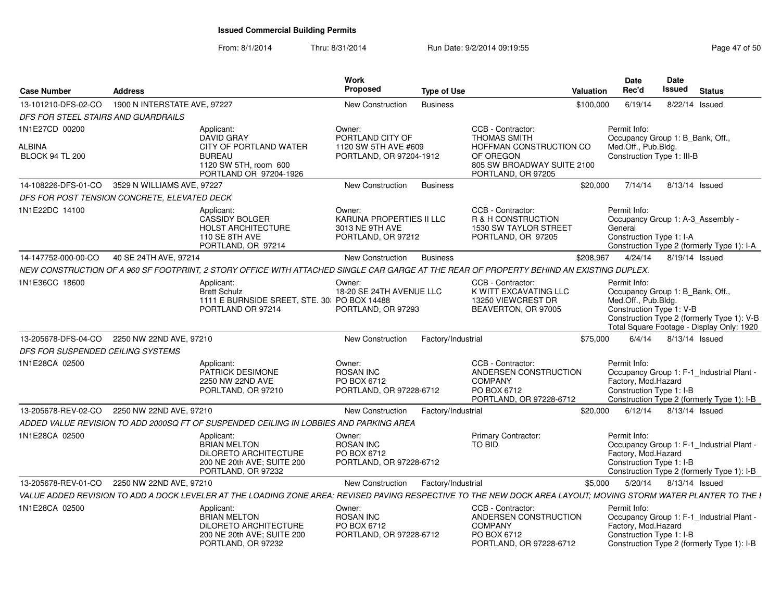| <b>Case Number</b>                           | <b>Address</b>               |                                                                                                                                                                 | Work<br><b>Proposed</b>                                                     | <b>Type of Use</b> |                                                                                                        | <b>Valuation</b> | Date<br>Rec'd                                                                                       | <b>Date</b><br><b>Issued</b> | <b>Status</b>                                                                           |
|----------------------------------------------|------------------------------|-----------------------------------------------------------------------------------------------------------------------------------------------------------------|-----------------------------------------------------------------------------|--------------------|--------------------------------------------------------------------------------------------------------|------------------|-----------------------------------------------------------------------------------------------------|------------------------------|-----------------------------------------------------------------------------------------|
| 13-101210-DFS-02-CO                          | 1900 N INTERSTATE AVE, 97227 |                                                                                                                                                                 | New Construction                                                            | <b>Business</b>    |                                                                                                        | \$100,000        | 6/19/14                                                                                             |                              | 8/22/14 Issued                                                                          |
| DFS FOR STEEL STAIRS AND GUARDRAILS          |                              |                                                                                                                                                                 |                                                                             |                    |                                                                                                        |                  |                                                                                                     |                              |                                                                                         |
| 1N1E27CD 00200                               |                              | Applicant:<br><b>DAVID GRAY</b>                                                                                                                                 | Owner:<br>PORTLAND CITY OF                                                  |                    | CCB - Contractor:<br><b>THOMAS SMITH</b>                                                               |                  | Permit Info:<br>Occupancy Group 1: B_Bank, Off.,                                                    |                              |                                                                                         |
| ALBINA<br><b>BLOCK 94 TL 200</b>             |                              | CITY OF PORTLAND WATER<br><b>BUREAU</b><br>1120 SW 5TH, room 600<br>PORTLAND OR 97204-1926                                                                      | 1120 SW 5TH AVE #609<br>PORTLAND, OR 97204-1912                             |                    | HOFFMAN CONSTRUCTION CO<br>OF OREGON<br>805 SW BROADWAY SUITE 2100<br>PORTLAND, OR 97205               |                  | Med.Off., Pub.Bldg.<br>Construction Type 1: III-B                                                   |                              |                                                                                         |
| 14-108226-DFS-01-CO                          | 3529 N WILLIAMS AVE, 97227   |                                                                                                                                                                 | New Construction                                                            | <b>Business</b>    |                                                                                                        | \$20,000         | 7/14/14                                                                                             |                              | 8/13/14 Issued                                                                          |
| DFS FOR POST TENSION CONCRETE, ELEVATED DECK |                              |                                                                                                                                                                 |                                                                             |                    |                                                                                                        |                  |                                                                                                     |                              |                                                                                         |
| 1N1E22DC 14100                               |                              | Applicant:<br><b>CASSIDY BOLGER</b><br>HOLST ARCHITECTURE<br><b>110 SE 8TH AVE</b><br>PORTLAND, OR 97214                                                        | Owner:<br>KARUNA PROPERTIES II LLC<br>3013 NE 9TH AVE<br>PORTLAND, OR 97212 |                    | CCB - Contractor:<br>R & H CONSTRUCTION<br>1530 SW TAYLOR STREET<br>PORTLAND, OR 97205                 |                  | Permit Info:<br>General<br>Construction Type 1: I-A                                                 |                              | Occupancy Group 1: A-3 Assembly -<br>Construction Type 2 (formerly Type 1): I-A         |
| 14-147752-000-00-CO                          | 40 SE 24TH AVE, 97214        |                                                                                                                                                                 | New Construction                                                            | <b>Business</b>    |                                                                                                        | \$208,967        | 4/24/14                                                                                             |                              | 8/19/14 Issued                                                                          |
|                                              |                              | NEW CONSTRUCTION OF A 960 SF FOOTPRINT, 2 STORY OFFICE WITH ATTACHED SINGLE CAR GARGE AT THE REAR OF PROPERTY BEHIND AN EXISTING DUPLEX.                        |                                                                             |                    |                                                                                                        |                  |                                                                                                     |                              |                                                                                         |
| 1N1E36CC 18600                               |                              | Applicant:<br><b>Brett Schulz</b><br>1111 E BURNSIDE SREET, STE. 30 PO BOX 14488<br>PORTLAND OR 97214                                                           | Owner:<br>18-20 SE 24TH AVENUE LLC<br>PORTLAND, OR 97293                    |                    | CCB - Contractor:<br>K WITT EXCAVATING LLC<br>13250 VIEWCREST DR<br>BEAVERTON, OR 97005                |                  | Permit Info:<br>Occupancy Group 1: B_Bank, Off.,<br>Med.Off., Pub.Bldg.<br>Construction Type 1: V-B |                              | Construction Type 2 (formerly Type 1): V-B<br>Total Square Footage - Display Only: 1920 |
| 13-205678-DFS-04-CO                          | 2250 NW 22ND AVE, 97210      |                                                                                                                                                                 | New Construction                                                            | Factory/Industrial |                                                                                                        | \$75,000         | 6/4/14                                                                                              |                              | 8/13/14 Issued                                                                          |
| DFS FOR SUSPENDED CEILING SYSTEMS            |                              |                                                                                                                                                                 |                                                                             |                    |                                                                                                        |                  |                                                                                                     |                              |                                                                                         |
| 1N1E28CA 02500                               |                              | Applicant:<br>PATRICK DESIMONE<br>2250 NW 22ND AVE<br>PORLTAND, OR 97210                                                                                        | Owner:<br><b>ROSAN INC</b><br>PO BOX 6712<br>PORTLAND, OR 97228-6712        |                    | CCB - Contractor:<br>ANDERSEN CONSTRUCTION<br><b>COMPANY</b><br>PO BOX 6712<br>PORTLAND, OR 97228-6712 |                  | Permit Info:<br>Factory, Mod.Hazard<br>Construction Type 1: I-B                                     |                              | Occupancy Group 1: F-1_Industrial Plant -<br>Construction Type 2 (formerly Type 1): I-B |
| 13-205678-REV-02-CO 2250 NW 22ND AVE, 97210  |                              |                                                                                                                                                                 | New Construction                                                            | Factory/Industrial |                                                                                                        | \$20,000         | 6/12/14                                                                                             |                              | 8/13/14 Issued                                                                          |
|                                              |                              | ADDED VALUE REVISION TO ADD 2000SQ FT OF SUSPENDED CEILING IN LOBBIES AND PARKING AREA                                                                          |                                                                             |                    |                                                                                                        |                  |                                                                                                     |                              |                                                                                         |
| 1N1E28CA 02500                               |                              | Applicant:<br><b>BRIAN MELTON</b><br>DILORETO ARCHITECTURE<br>200 NE 20th AVE; SUITE 200<br>PORTLAND, OR 97232                                                  | Owner:<br><b>ROSAN INC</b><br>PO BOX 6712<br>PORTLAND, OR 97228-6712        |                    | <b>Primary Contractor:</b><br><b>TO BID</b>                                                            |                  | Permit Info:<br>Factory, Mod.Hazard<br>Construction Type 1: I-B                                     |                              | Occupancy Group 1: F-1_Industrial Plant -<br>Construction Type 2 (formerly Type 1): I-B |
| 13-205678-REV-01-CO                          | 2250 NW 22ND AVE, 97210      |                                                                                                                                                                 | New Construction                                                            | Factory/Industrial |                                                                                                        | \$5.000          | 5/20/14                                                                                             |                              | 8/13/14 Issued                                                                          |
|                                              |                              | VALUE ADDED REVISION TO ADD A DOCK LEVELER AT THE LOADING ZONE AREA; REVISED PAVING RESPECTIVE TO THE NEW DOCK AREA LAYOUT; MOVING STORM WATER PLANTER TO THE L |                                                                             |                    |                                                                                                        |                  |                                                                                                     |                              |                                                                                         |
| 1N1E28CA 02500                               |                              | Applicant:<br><b>BRIAN MELTON</b><br>DILORETO ARCHITECTURE<br>200 NE 20th AVE; SUITE 200<br>PORTLAND, OR 97232                                                  | Owner:<br><b>ROSAN INC</b><br>PO BOX 6712<br>PORTLAND, OR 97228-6712        |                    | CCB - Contractor:<br>ANDERSEN CONSTRUCTION<br><b>COMPANY</b><br>PO BOX 6712<br>PORTLAND, OR 97228-6712 |                  | Permit Info:<br>Factory, Mod.Hazard<br>Construction Type 1: I-B                                     |                              | Occupancy Group 1: F-1_Industrial Plant -<br>Construction Type 2 (formerly Type 1): I-B |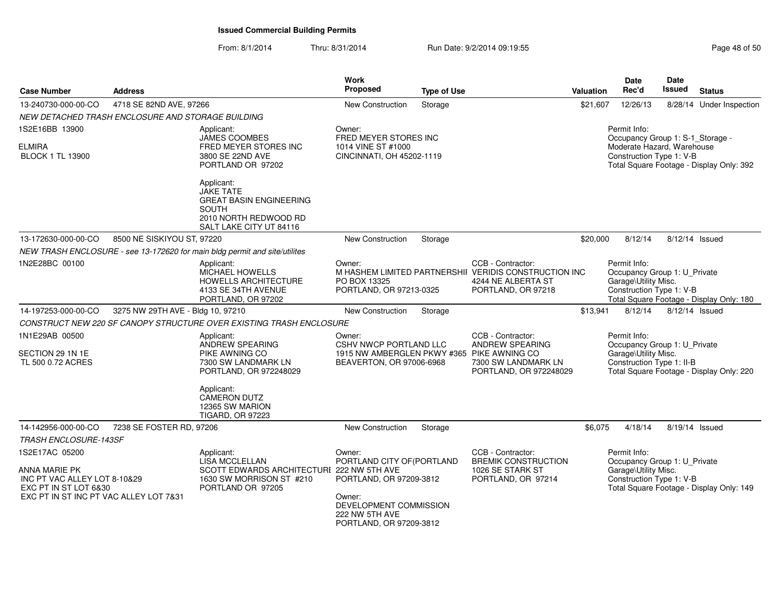| <b>Case Number</b>                                                     | <b>Address</b>                                    |                                                                                                                                      | Work<br><b>Proposed</b>                                                       | <b>Type of Use</b> |                                                                                                                        | <b>Valuation</b>                                       | Date<br>Rec'd                                                                                    | <b>Date</b><br><b>Issued</b> | <b>Status</b>                            |
|------------------------------------------------------------------------|---------------------------------------------------|--------------------------------------------------------------------------------------------------------------------------------------|-------------------------------------------------------------------------------|--------------------|------------------------------------------------------------------------------------------------------------------------|--------------------------------------------------------|--------------------------------------------------------------------------------------------------|------------------------------|------------------------------------------|
| 13-240730-000-00-CO                                                    | 4718 SE 82ND AVE, 97266                           |                                                                                                                                      | <b>New Construction</b>                                                       | Storage            |                                                                                                                        | \$21,607                                               | 12/26/13                                                                                         |                              | 8/28/14 Under Inspection                 |
|                                                                        | NEW DETACHED TRASH ENCLOSURE AND STORAGE BUILDING |                                                                                                                                      |                                                                               |                    |                                                                                                                        |                                                        |                                                                                                  |                              |                                          |
| 1S2E16BB 13900                                                         |                                                   | Applicant:<br><b>JAMES COOMBES</b>                                                                                                   | Owner:<br>FRED MEYER STORES INC                                               |                    |                                                                                                                        |                                                        | Permit Info:<br>Occupancy Group 1: S-1_Storage -                                                 |                              |                                          |
| <b>ELMIRA</b><br><b>BLOCK 1 TL 13900</b>                               |                                                   | FRED MEYER STORES INC<br>3800 SE 22ND AVE<br>PORTLAND OR 97202                                                                       | 1014 VINE ST #1000<br>CINCINNATI, OH 45202-1119                               |                    |                                                                                                                        | Moderate Hazard, Warehouse<br>Construction Type 1: V-B | Total Square Footage - Display Only: 392                                                         |                              |                                          |
|                                                                        |                                                   | Applicant:<br><b>JAKE TATE</b><br><b>GREAT BASIN ENGINEERING</b><br><b>SOUTH</b><br>2010 NORTH REDWOOD RD<br>SALT LAKE CITY UT 84116 |                                                                               |                    |                                                                                                                        |                                                        |                                                                                                  |                              |                                          |
| 13-172630-000-00-CO                                                    | 8500 NE SISKIYOU ST, 97220                        |                                                                                                                                      | <b>New Construction</b>                                                       | Storage            |                                                                                                                        | \$20,000                                               | 8/12/14                                                                                          | 8/12/14 Issued               |                                          |
|                                                                        |                                                   | NEW TRASH ENCLOSURE - see 13-172620 for main bldg permit and site/utilites                                                           |                                                                               |                    |                                                                                                                        |                                                        |                                                                                                  |                              |                                          |
| 1N2E28BC 00100                                                         |                                                   | Applicant:<br>MICHAEL HOWELLS<br>HOWELLS ARCHITECTURE<br>4133 SE 34TH AVENUE<br>PORTLAND, OR 97202                                   | Owner:<br>PO BOX 13325<br>PORTLAND, OR 97213-0325                             |                    | CCB - Contractor:<br>M HASHEM LIMITED PARTNERSHII VERIDIS CONSTRUCTION INC<br>4244 NE ALBERTA ST<br>PORTLAND, OR 97218 |                                                        | Permit Info:<br>Occupancy Group 1: U_Private<br>Garage\Utility Misc.<br>Construction Type 1: V-B |                              | Total Square Footage - Display Only: 180 |
| 14-197253-000-00-CO                                                    | 3275 NW 29TH AVE - Bldg 10, 97210                 |                                                                                                                                      | New Construction                                                              | Storage            |                                                                                                                        | \$13,941                                               | 8/12/14                                                                                          | 8/12/14 Issued               |                                          |
|                                                                        |                                                   | CONSTRUCT NEW 220 SF CANOPY STRUCTURE OVER EXISTING TRASH ENCLOSURE                                                                  |                                                                               |                    |                                                                                                                        |                                                        |                                                                                                  |                              |                                          |
| 1N1E29AB 00500                                                         |                                                   | Applicant:<br>ANDREW SPEARING                                                                                                        | Owner:<br>CSHV NWCP PORTLAND LLC                                              |                    | CCB - Contractor:<br><b>ANDREW SPEARING</b>                                                                            |                                                        | Permit Info:<br>Occupancy Group 1: U_Private                                                     |                              |                                          |
| SECTION 29 1N 1E<br>TL 500 0.72 ACRES                                  |                                                   | PIKE AWNING CO<br>7300 SW LANDMARK LN<br>PORTLAND, OR 972248029                                                                      | 1915 NW AMBERGLEN PKWY #365 PIKE AWNING CO<br>BEAVERTON, OR 97006-6968        |                    | 7300 SW LANDMARK LN<br>PORTLAND, OR 972248029                                                                          |                                                        | Garage\Utility Misc.<br>Construction Type 1: II-B                                                |                              | Total Square Footage - Display Only: 220 |
|                                                                        |                                                   | Applicant:<br><b>CAMERON DUTZ</b><br>12365 SW MARION<br><b>TIGARD, OR 97223</b>                                                      |                                                                               |                    |                                                                                                                        |                                                        |                                                                                                  |                              |                                          |
| 14-142956-000-00-CO                                                    | 7238 SE FOSTER RD, 97206                          |                                                                                                                                      | <b>New Construction</b>                                                       | Storage            |                                                                                                                        | \$6,075                                                | 4/18/14                                                                                          | 8/19/14 Issued               |                                          |
| <b>TRASH ENCLOSURE-143SF</b>                                           |                                                   |                                                                                                                                      |                                                                               |                    |                                                                                                                        |                                                        |                                                                                                  |                              |                                          |
| 1S2E17AC 05200                                                         |                                                   | Applicant:<br>LISA MCCLELLAN                                                                                                         | Owner:<br>PORTLAND CITY OF (PORTLAND                                          |                    | CCB - Contractor:<br><b>BREMIK CONSTRUCTION</b>                                                                        |                                                        | Permit Info:<br>Occupancy Group 1: U_Private                                                     |                              |                                          |
| ANNA MARIE PK<br>INC PT VAC ALLEY LOT 8-10&29<br>EXC PT IN ST LOT 6&30 |                                                   | SCOTT EDWARDS ARCHITECTURI 222 NW 5TH AVE<br>1630 SW MORRISON ST #210<br>PORTLAND OR 97205                                           | 1026 SE STARK ST<br>PORTLAND, OR 97209-3812<br>PORTLAND, OR 97214             |                    |                                                                                                                        |                                                        | Garage\Utility Misc.<br>Construction Type 1: V-B<br>Total Square Footage - Display Only: 149     |                              |                                          |
| EXC PT IN ST INC PT VAC ALLEY LOT 7&31                                 |                                                   |                                                                                                                                      | Owner:<br>DEVELOPMENT COMMISSION<br>222 NW 5TH AVE<br>PORTLAND, OR 97209-3812 |                    |                                                                                                                        |                                                        |                                                                                                  |                              |                                          |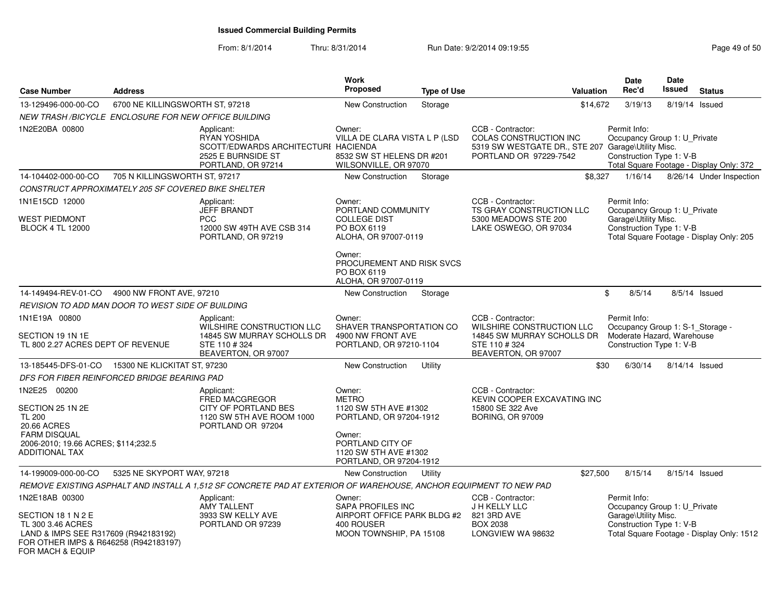| <b>Case Number</b>                                                                                                                                             | <b>Address</b>                                                                                                |                                                                                                                   | <b>Work</b><br>Proposed                                                                                                                                      | <b>Type of Use</b> | <b>Valuation</b>                                                                                                            | <b>Date</b><br>Rec'd                                                                                                 | <b>Date</b><br><b>Issued</b> | <b>Status</b>                             |  |
|----------------------------------------------------------------------------------------------------------------------------------------------------------------|---------------------------------------------------------------------------------------------------------------|-------------------------------------------------------------------------------------------------------------------|--------------------------------------------------------------------------------------------------------------------------------------------------------------|--------------------|-----------------------------------------------------------------------------------------------------------------------------|----------------------------------------------------------------------------------------------------------------------|------------------------------|-------------------------------------------|--|
| 13-129496-000-00-CO                                                                                                                                            | 6700 NE KILLINGSWORTH ST, 97218                                                                               |                                                                                                                   | <b>New Construction</b>                                                                                                                                      | Storage            | \$14,672                                                                                                                    | 3/19/13                                                                                                              |                              | 8/19/14 Issued                            |  |
| NEW TRASH /BICYCLE ENCLOSURE FOR NEW OFFICE BUILDING                                                                                                           |                                                                                                               |                                                                                                                   |                                                                                                                                                              |                    |                                                                                                                             |                                                                                                                      |                              |                                           |  |
| 1N2E20BA 00800                                                                                                                                                 | Applicant:<br>RYAN YOSHIDA<br>SCOTT/EDWARDS ARCHITECTURI HACIENDA<br>2525 E BURNSIDE ST<br>PORTLAND, OR 97214 |                                                                                                                   | Owner:<br>VILLA DE CLARA VISTA L P (LSD<br>8532 SW ST HELENS DR #201<br>WILSONVILLE, OR 97070                                                                |                    | CCB - Contractor:<br>COLAS CONSTRUCTION INC<br>5319 SW WESTGATE DR., STE 207 Garage\Utility Misc.<br>PORTLAND OR 97229-7542 | Permit Info:<br>Occupancy Group 1: U_Private<br>Construction Type 1: V-B<br>Total Square Footage - Display Only: 372 |                              |                                           |  |
| 14-104402-000-00-CO                                                                                                                                            | 705 N KILLINGSWORTH ST. 97217                                                                                 |                                                                                                                   | New Construction                                                                                                                                             | Storage            | \$8,327                                                                                                                     | 1/16/14                                                                                                              |                              | 8/26/14 Under Inspection                  |  |
| <b>CONSTRUCT APPROXIMATELY 205 SF COVERED BIKE SHELTER</b>                                                                                                     |                                                                                                               |                                                                                                                   |                                                                                                                                                              |                    |                                                                                                                             |                                                                                                                      |                              |                                           |  |
| 1N1E15CD 12000                                                                                                                                                 |                                                                                                               | Applicant:                                                                                                        | Owner:                                                                                                                                                       |                    | CCB - Contractor:                                                                                                           | Permit Info:                                                                                                         |                              |                                           |  |
| WEST PIEDMONT<br><b>BLOCK 4 TL 12000</b>                                                                                                                       |                                                                                                               | <b>JEFF BRANDT</b><br><b>PCC</b><br>12000 SW 49TH AVE CSB 314<br>PORTLAND, OR 97219                               | PORTLAND COMMUNITY<br><b>COLLEGE DIST</b><br>PO BOX 6119<br>ALOHA, OR 97007-0119                                                                             |                    | TS GRAY CONSTRUCTION LLC<br>5300 MEADOWS STE 200<br>LAKE OSWEGO, OR 97034                                                   | Occupancy Group 1: U_Private<br>Garage\Utility Misc.<br>Construction Type 1: V-B                                     |                              | Total Square Footage - Display Only: 205  |  |
|                                                                                                                                                                |                                                                                                               |                                                                                                                   | Owner:<br>PROCUREMENT AND RISK SVCS<br>PO BOX 6119<br>ALOHA, OR 97007-0119                                                                                   |                    |                                                                                                                             |                                                                                                                      |                              |                                           |  |
| 14-149494-REV-01-CO                                                                                                                                            | 4900 NW FRONT AVE, 97210                                                                                      |                                                                                                                   | New Construction                                                                                                                                             | Storage            |                                                                                                                             | \$<br>8/5/14                                                                                                         |                              | 8/5/14 Issued                             |  |
| REVISION TO ADD MAN DOOR TO WEST SIDE OF BUILDING                                                                                                              |                                                                                                               |                                                                                                                   |                                                                                                                                                              |                    |                                                                                                                             |                                                                                                                      |                              |                                           |  |
| 1N1E19A 00800<br>SECTION 19 1N 1E<br>TL 800 2.27 ACRES DEPT OF REVENUE                                                                                         |                                                                                                               | Applicant:<br>WILSHIRE CONSTRUCTION LLC<br>14845 SW MURRAY SCHOLLS DR<br>STE 110 #324<br>BEAVERTON, OR 97007      | Owner:<br>SHAVER TRANSPORTATION CO<br>4900 NW FRONT AVE<br>PORTLAND, OR 97210-1104                                                                           |                    | CCB - Contractor:<br>WILSHIRE CONSTRUCTION LLC<br>14845 SW MURRAY SCHOLLS DR<br>STE 110 #324<br>BEAVERTON, OR 97007         | Permit Info:<br>Occupancy Group 1: S-1_Storage -<br>Moderate Hazard, Warehouse<br>Construction Type 1: V-B           |                              |                                           |  |
| 13-185445-DFS-01-CO  15300 NE KLICKITAT ST, 97230                                                                                                              |                                                                                                               |                                                                                                                   | New Construction                                                                                                                                             | Utility            | \$30                                                                                                                        | 6/30/14                                                                                                              |                              | 8/14/14 Issued                            |  |
| DFS FOR FIBER REINFORCED BRIDGE BEARING PAD                                                                                                                    |                                                                                                               |                                                                                                                   |                                                                                                                                                              |                    |                                                                                                                             |                                                                                                                      |                              |                                           |  |
| 1N2E25 00200<br>SECTION 25 1N 2E<br><b>TL 200</b><br>20.66 ACRES<br><b>FARM DISQUAL</b><br>2006-2010; 19.66 ACRES; \$114;232.5<br><b>ADDITIONAL TAX</b>        |                                                                                                               | Applicant:<br>FRED MACGREGOR<br>CITY OF PORTLAND BES<br>1120 SW 5TH AVE ROOM 1000<br>PORTLAND OR 97204            | Owner:<br><b>METRO</b><br>1120 SW 5TH AVE #1302<br>PORTLAND, OR 97204-1912<br>Owner:<br>PORTLAND CITY OF<br>1120 SW 5TH AVE #1302<br>PORTLAND, OR 97204-1912 |                    | CCB - Contractor:<br>KEVIN COOPER EXCAVATING INC<br>15800 SE 322 Ave<br><b>BORING, OR 97009</b>                             |                                                                                                                      |                              |                                           |  |
| 14-199009-000-00-CO                                                                                                                                            | 5325 NE SKYPORT WAY, 97218                                                                                    |                                                                                                                   | <b>New Construction</b>                                                                                                                                      | Utility            | \$27,500                                                                                                                    | 8/15/14                                                                                                              |                              | 8/15/14 Issued                            |  |
|                                                                                                                                                                |                                                                                                               | REMOVE EXISTING ASPHALT AND INSTALL A 1,512 SF CONCRETE PAD AT EXTERIOR OF WAREHOUSE, ANCHOR EQUIPMENT TO NEW PAD |                                                                                                                                                              |                    |                                                                                                                             |                                                                                                                      |                              |                                           |  |
| 1N2E18AB 00300<br>SECTION 18 1 N 2 E<br>TL 300 3.46 ACRES<br>LAND & IMPS SEE R317609 (R942183192)<br>FOR OTHER IMPS & R646258 (R942183197)<br>FOR MACH & EQUIP |                                                                                                               | Applicant:<br>AMY TALLENT<br>3933 SW KELLY AVE<br>PORTLAND OR 97239                                               | Owner:<br><b>SAPA PROFILES INC</b><br>AIRPORT OFFICE PARK BLDG #2<br>400 ROUSER<br>MOON TOWNSHIP, PA 15108                                                   |                    | CCB - Contractor:<br>J H KELLY LLC<br>821 3RD AVE<br><b>BOX 2038</b><br>LONGVIEW WA 98632                                   | Permit Info:<br>Occupancy Group 1: U_Private<br>Garage\Utility Misc.<br>Construction Type 1: V-B                     |                              | Total Square Footage - Display Only: 1512 |  |